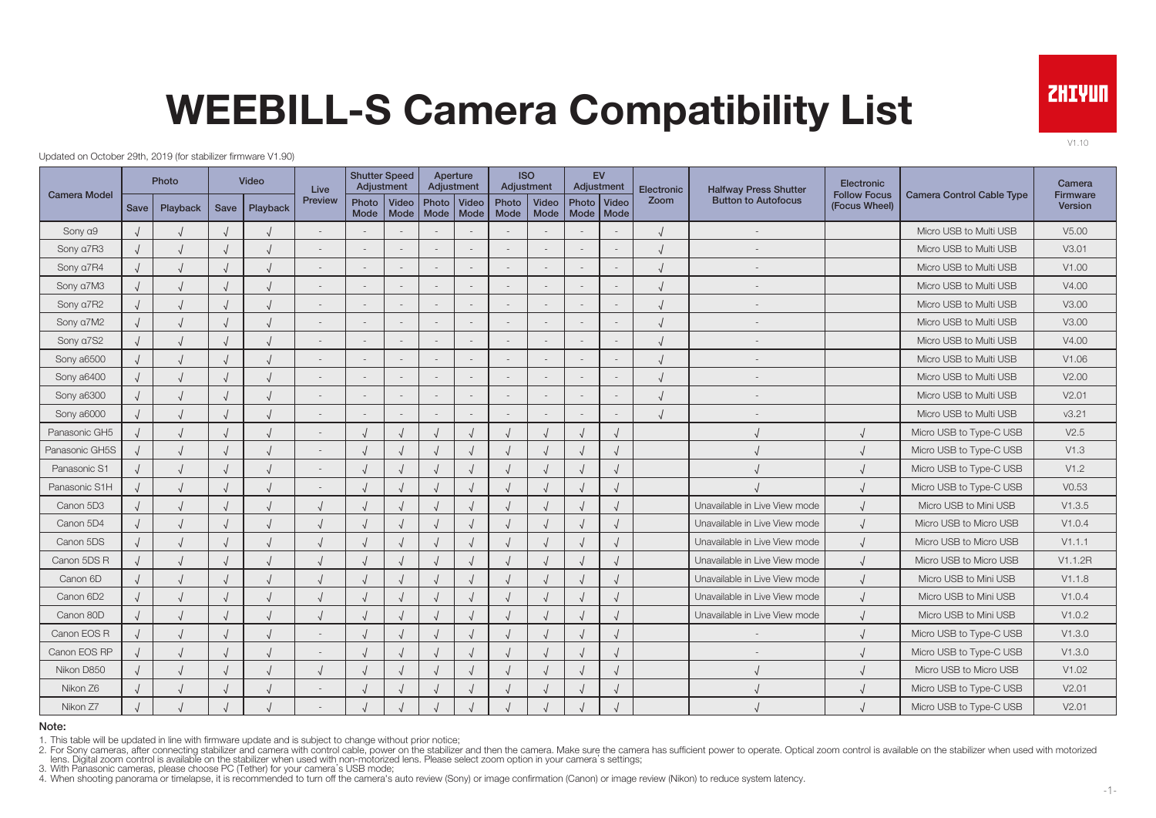

V1.10

# WEEBILL-S Camera Compatibility List

Updated on October 29th, 2019 (for stabilizer firmware V1.90)

|                     |      | Photo    |      | Video    | Live           | <b>Shutter Speed</b><br>Adjustment |                          |                                   | Aperture<br>Adjustment |               | <b>ISO</b><br>Adjustment |                            | EV<br>Adjustment         | Electronic | <b>Halfway Press Shutter</b>  | Electronic                           |                                  | Camera                     |
|---------------------|------|----------|------|----------|----------------|------------------------------------|--------------------------|-----------------------------------|------------------------|---------------|--------------------------|----------------------------|--------------------------|------------|-------------------------------|--------------------------------------|----------------------------------|----------------------------|
| <b>Camera Model</b> | Save | Playback | Save | Playback | <b>Preview</b> | Photo<br>Mode                      | Video                    | Photo Video<br>Mode   Mode   Mode |                        | Photo<br>Mode | Video<br>Mode            | Photo Video<br>Mode   Mode |                          | Zoom       | <b>Button to Autofocus</b>    | <b>Follow Focus</b><br>(Focus Wheel) | <b>Camera Control Cable Type</b> | <b>Firmware</b><br>Version |
| Sony a9             |      |          |      |          |                |                                    |                          |                                   |                        |               |                          |                            |                          |            | $\overline{\phantom{a}}$      |                                      | Micro USB to Multi USB           | V <sub>5.00</sub>          |
| Sony a7R3           |      |          |      |          |                |                                    | $\overline{\phantom{a}}$ |                                   |                        |               | $\overline{\phantom{a}}$ |                            | $\overline{\phantom{a}}$ |            |                               |                                      | Micro USB to Multi USB           | V3.01                      |
| Sony a7R4           |      |          |      |          |                |                                    | $\sim$                   |                                   |                        |               | $\overline{\phantom{a}}$ |                            | $\sim$                   |            |                               |                                      | Micro USB to Multi USB           | V1.00                      |
| Sony a7M3           |      |          |      |          |                |                                    | $\overline{\phantom{a}}$ |                                   |                        |               | $\overline{\phantom{a}}$ |                            | $\overline{\phantom{a}}$ |            |                               |                                      | Micro USB to Multi USB           | V4.00                      |
| Sony a7R2           |      |          |      |          |                |                                    | $\sim$                   |                                   |                        |               | $\overline{\phantom{a}}$ |                            | $\overline{\phantom{a}}$ |            |                               |                                      | Micro USB to Multi USB           | V3.00                      |
| Sony a7M2           |      |          |      |          |                |                                    | $\overline{\phantom{a}}$ |                                   |                        |               | $\sim$                   |                            | $\overline{\phantom{a}}$ |            |                               |                                      | Micro USB to Multi USB           | V3.00                      |
| Sony a7S2           |      |          |      |          |                |                                    | $\overline{\phantom{a}}$ |                                   |                        |               | $\overline{\phantom{a}}$ |                            | $\overline{\phantom{a}}$ |            |                               |                                      | Micro USB to Multi USB           | V4.00                      |
| Sony a6500          |      |          |      |          |                |                                    | $\sim$                   |                                   |                        |               | $\overline{a}$           |                            | $\overline{a}$           |            |                               |                                      | Micro USB to Multi USB           | V1.06                      |
| Sony a6400          |      |          |      |          |                |                                    | $\sim$                   |                                   |                        |               | $\overline{\phantom{a}}$ |                            | $\overline{\phantom{a}}$ |            |                               |                                      | Micro USB to Multi USB           | V2.00                      |
| Sony a6300          |      |          |      |          |                |                                    | $\overline{\phantom{a}}$ |                                   |                        |               | $\overline{\phantom{a}}$ |                            |                          |            |                               |                                      | Micro USB to Multi USB           | V2.01                      |
| Sony a6000          |      |          |      |          |                |                                    | $\sim$                   |                                   |                        |               | $\sim$                   |                            | $\overline{\phantom{a}}$ |            |                               |                                      | Micro USB to Multi USB           | v3.21                      |
| Panasonic GH5       |      |          |      |          |                |                                    |                          |                                   |                        |               |                          |                            | $\sqrt{2}$               |            |                               |                                      | Micro USB to Type-C USB          | V2.5                       |
| Panasonic GH5S      |      |          |      |          |                |                                    |                          |                                   |                        |               |                          |                            | $\sqrt{ }$               |            |                               |                                      | Micro USB to Type-C USB          | V1.3                       |
| Panasonic S1        |      |          |      |          |                |                                    |                          |                                   |                        |               |                          |                            | $\sqrt{ }$               |            |                               |                                      | Micro USB to Type-C USB          | V1.2                       |
| Panasonic S1H       |      |          |      |          |                |                                    |                          |                                   |                        |               |                          |                            | $\sqrt{ }$               |            |                               |                                      | Micro USB to Type-C USB          | V0.53                      |
| Canon 5D3           |      |          |      |          |                |                                    |                          |                                   |                        |               |                          |                            | $\sqrt{ }$               |            | Unavailable in Live View mode |                                      | Micro USB to Mini USB            | V1.3.5                     |
| Canon 5D4           |      |          |      |          |                |                                    |                          |                                   |                        |               |                          |                            | $\sqrt{ }$               |            | Unavailable in Live View mode |                                      | Micro USB to Micro USB           | V1.0.4                     |
| Canon 5DS           |      |          |      |          |                |                                    |                          |                                   |                        |               |                          |                            | $\sqrt{2}$               |            | Unavailable in Live View mode |                                      | Micro USB to Micro USB           | V1.1.1                     |
| Canon 5DS R         |      |          |      |          |                |                                    |                          |                                   |                        |               |                          |                            | $\sqrt{ }$               |            | Unavailable in Live View mode |                                      | Micro USB to Micro USB           | V1.1.2R                    |
| Canon 6D            |      |          |      |          |                |                                    |                          |                                   |                        |               |                          |                            | $\sqrt{ }$               |            | Unavailable in Live View mode |                                      | Micro USB to Mini USB            | V1.1.8                     |
| Canon 6D2           |      |          |      |          |                |                                    |                          |                                   |                        |               |                          |                            | $\sqrt{ }$               |            | Unavailable in Live View mode |                                      | Micro USB to Mini USB            | V1.0.4                     |
| Canon 80D           |      |          |      |          |                |                                    |                          |                                   |                        |               |                          |                            | $\sqrt{ }$               |            | Unavailable in Live View mode |                                      | Micro USB to Mini USB            | V1.0.2                     |
| Canon EOS R         |      |          |      |          |                |                                    |                          |                                   |                        |               |                          |                            | $\sqrt{ }$               |            |                               |                                      | Micro USB to Type-C USB          | V1.3.0                     |
| Canon EOS RP        |      |          |      |          |                |                                    |                          |                                   |                        |               |                          |                            | $\sqrt{ }$               |            |                               |                                      | Micro USB to Type-C USB          | V1.3.0                     |
| Nikon D850          |      |          |      |          |                |                                    |                          |                                   |                        |               |                          |                            | $\sqrt{ }$               |            |                               |                                      | Micro USB to Micro USB           | V1.02                      |
| Nikon Z6            |      |          |      |          |                |                                    | $\sqrt{ }$               |                                   |                        |               |                          |                            | $\sqrt{ }$               |            |                               |                                      | Micro USB to Type-C USB          | V2.01                      |
| Nikon Z7            |      |          |      |          |                |                                    |                          |                                   |                        |               |                          |                            |                          |            |                               |                                      | Micro USB to Type-C USB          | V2.01                      |

#### Note:

1. This table will be updated in line with firmware update and is subject to change without prior notice;

2. For Sony cameras, after connecting stabilizer and camera with control cable, power on the stabilizer and then the camera. Make sure the camera has sufficient power to operate. Optical zoom control is available on the st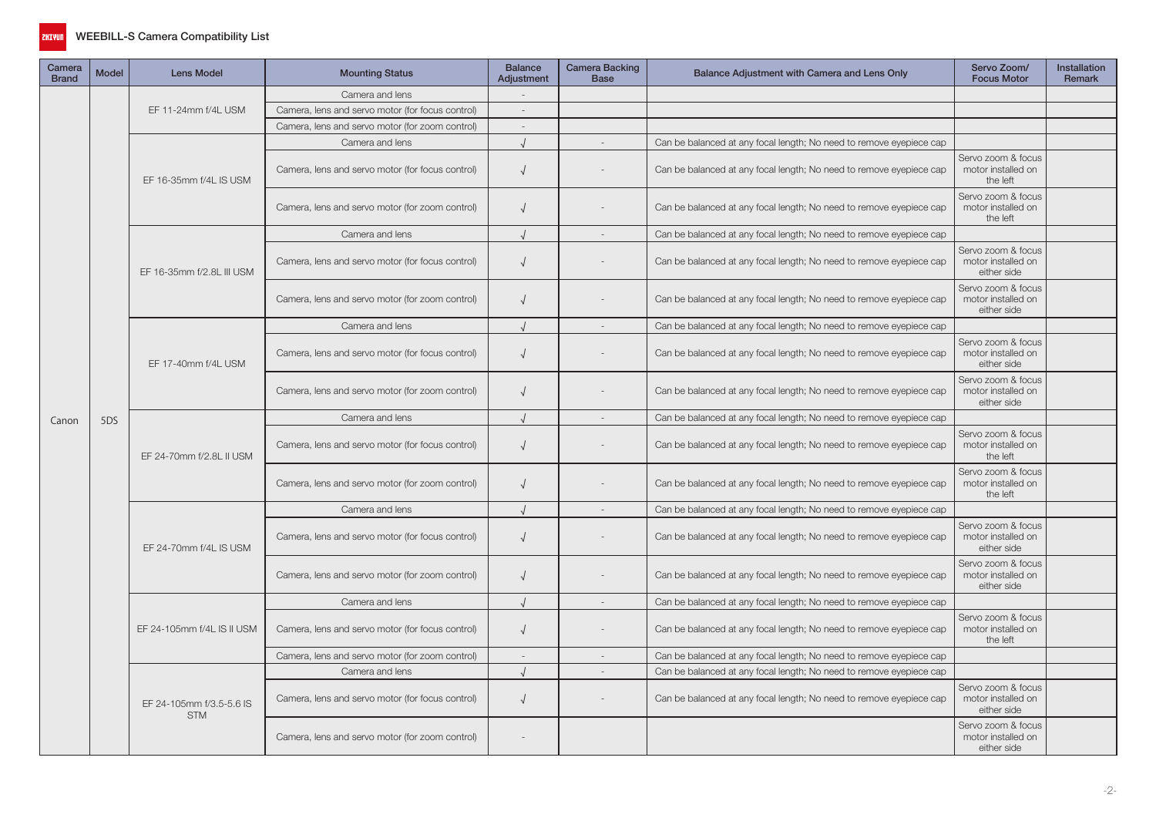

| Camera<br><b>Brand</b> | <b>Model</b> | <b>Lens Model</b>                      | <b>Mounting Status</b>                           | <b>Balance</b><br>Adjustment | Camera Backing<br><b>Base</b> | Balance Adjustment with Camera and Lens Only                        | Servo Zoom/<br><b>Focus Motor</b>                       | <b>Installation</b><br><b>Remark</b> |
|------------------------|--------------|----------------------------------------|--------------------------------------------------|------------------------------|-------------------------------|---------------------------------------------------------------------|---------------------------------------------------------|--------------------------------------|
|                        |              |                                        | Camera and lens                                  |                              |                               |                                                                     |                                                         |                                      |
|                        |              | EF 11-24mm f/4L USM                    | Camera, lens and servo motor (for focus control) | $\overline{\phantom{a}}$     |                               |                                                                     |                                                         |                                      |
|                        |              |                                        | Camera, lens and servo motor (for zoom control)  | $\sim$                       |                               |                                                                     |                                                         |                                      |
|                        |              |                                        | Camera and lens                                  | $\cdot$                      |                               | Can be balanced at any focal length; No need to remove eyepiece cap |                                                         |                                      |
|                        |              | EF 16-35mm f/4L IS USM                 | Camera, lens and servo motor (for focus control) | $\sqrt{ }$                   |                               | Can be balanced at any focal length; No need to remove eyepiece cap | Servo zoom & focus<br>motor installed on<br>the left    |                                      |
|                        |              |                                        | Camera, lens and servo motor (for zoom control)  | $\sqrt{ }$                   |                               | Can be balanced at any focal length; No need to remove eyepiece cap | Servo zoom & focus<br>motor installed on<br>the left    |                                      |
|                        |              |                                        | Camera and lens                                  | $\sqrt{ }$                   |                               | Can be balanced at any focal length; No need to remove eyepiece cap |                                                         |                                      |
|                        |              | EF 16-35mm f/2.8L III USM              | Camera, lens and servo motor (for focus control) | $\sqrt{ }$                   |                               | Can be balanced at any focal length; No need to remove eyepiece cap | Servo zoom & focus<br>motor installed on<br>either side |                                      |
|                        |              |                                        | Camera, lens and servo motor (for zoom control)  | $\sqrt{ }$                   |                               | Can be balanced at any focal length; No need to remove eyepiece cap | Servo zoom & focus<br>motor installed on<br>either side |                                      |
|                        |              |                                        | Camera and lens                                  | $\sqrt{ }$                   | $\sim$                        | Can be balanced at any focal length; No need to remove eyepiece cap |                                                         |                                      |
|                        |              | EF 17-40mm f/4L USM                    | Camera, lens and servo motor (for focus control) | $\sqrt{ }$                   |                               | Can be balanced at any focal length; No need to remove eyepiece cap | Servo zoom & focus<br>motor installed on<br>either side |                                      |
|                        |              |                                        | Camera, lens and servo motor (for zoom control)  | $\sqrt{ }$                   |                               | Can be balanced at any focal length; No need to remove eyepiece cap | Servo zoom & focus<br>motor installed on<br>either side |                                      |
| Canon                  | 5DS          |                                        | Camera and lens                                  | $\sqrt{ }$                   | $\overline{\phantom{a}}$      | Can be balanced at any focal length; No need to remove eyepiece cap |                                                         |                                      |
|                        |              | EF 24-70mm f/2.8L II USM               | Camera, lens and servo motor (for focus control) | $\sqrt{ }$                   |                               | Can be balanced at any focal length; No need to remove eyepiece cap | Servo zoom & focus<br>motor installed on<br>the left    |                                      |
|                        |              |                                        | Camera, lens and servo motor (for zoom control)  | $\sqrt{ }$                   |                               | Can be balanced at any focal length; No need to remove eyepiece cap | Servo zoom & focus<br>motor installed on<br>the left    |                                      |
|                        |              |                                        | Camera and lens                                  | $\sqrt{ }$                   |                               | Can be balanced at any focal length; No need to remove eyepiece cap |                                                         |                                      |
|                        |              | EF 24-70mm f/4L IS USM                 | Camera, lens and servo motor (for focus control) | $\sqrt{ }$                   |                               | Can be balanced at any focal length; No need to remove eyepiece cap | Servo zoom & focus<br>motor installed on<br>either side |                                      |
|                        |              |                                        | Camera, lens and servo motor (for zoom control)  | $\sqrt{ }$                   |                               | Can be balanced at any focal length; No need to remove eyepiece cap | Servo zoom & focus<br>motor installed on<br>either side |                                      |
|                        |              |                                        | Camera and lens                                  | $\sqrt{ }$                   | $\sim$                        | Can be balanced at any focal length; No need to remove eyepiece cap |                                                         |                                      |
|                        |              | EF 24-105mm f/4L IS II USM             | Camera, lens and servo motor (for focus control) | $\sqrt{ }$                   |                               | Can be balanced at any focal length; No need to remove eyepiece cap | Servo zoom & focus<br>motor installed on<br>the left    |                                      |
|                        |              |                                        | Camera, lens and servo motor (for zoom control)  | $\sim$                       |                               | Can be balanced at any focal length; No need to remove eyepiece cap |                                                         |                                      |
|                        |              |                                        | Camera and lens                                  | $\cdot$                      | $\sim$                        | Can be balanced at any focal length; No need to remove eyepiece cap |                                                         |                                      |
|                        |              | EF 24-105mm f/3.5-5.6 IS<br><b>STM</b> | Camera, lens and servo motor (for focus control) | $\sqrt{ }$                   |                               | Can be balanced at any focal length; No need to remove eyepiece cap | Servo zoom & focus<br>motor installed on<br>either side |                                      |
|                        |              |                                        | Camera, lens and servo motor (for zoom control)  |                              |                               |                                                                     | Servo zoom & focus<br>motor installed on<br>either side |                                      |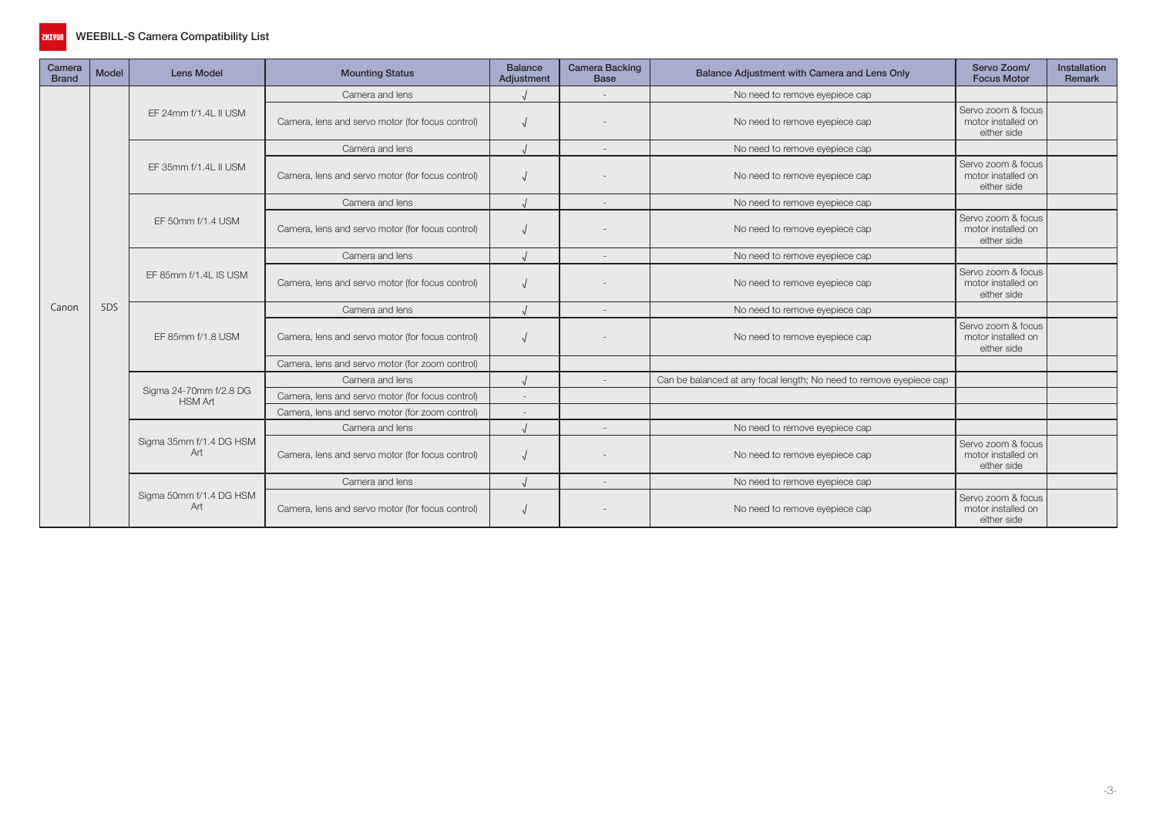

| Camera<br><b>Brand</b> | <b>Model</b> | <b>Lens Model</b>                        | <b>Mounting Status</b>                           | <b>Balance</b><br>Adjustment | <b>Camera Backing</b><br><b>Base</b> | Balance Adjustment with Camera and Lens Only                        | Servo Zoom/<br><b>Focus Motor</b>                       | Installation<br>Remark |
|------------------------|--------------|------------------------------------------|--------------------------------------------------|------------------------------|--------------------------------------|---------------------------------------------------------------------|---------------------------------------------------------|------------------------|
|                        |              |                                          | Camera and lens                                  |                              |                                      | No need to remove eyepiece cap                                      |                                                         |                        |
|                        |              | EF 24mm f/1.4L II USM                    | Camera, lens and servo motor (for focus control) |                              |                                      | No need to remove eyepiece cap                                      | Servo zoom & focus<br>motor installed on<br>either side |                        |
|                        |              |                                          | Camera and lens                                  |                              | $\overline{\phantom{a}}$             | No need to remove eyepiece cap                                      |                                                         |                        |
|                        |              | EF 35mm f/1.4L II USM                    | Camera, lens and servo motor (for focus control) |                              |                                      | No need to remove eyepiece cap                                      | Servo zoom & focus<br>motor installed on<br>either side |                        |
|                        |              |                                          | Camera and lens                                  |                              | $\overline{\phantom{a}}$             | No need to remove eyepiece cap                                      |                                                         |                        |
|                        |              | EF 50mm f/1.4 USM                        | Camera, lens and servo motor (for focus control) |                              |                                      | No need to remove eyepiece cap                                      | Servo zoom & focus<br>motor installed on<br>either side |                        |
|                        |              |                                          | Camera and lens                                  |                              | $\overline{\phantom{a}}$             | No need to remove eyepiece cap                                      |                                                         |                        |
|                        |              | EF 85mm f/1.4L IS USM                    | Camera, lens and servo motor (for focus control) |                              |                                      | No need to remove eyepiece cap                                      | Servo zoom & focus<br>motor installed on<br>either side |                        |
| Canon                  | 5DS          |                                          | Camera and lens                                  |                              | $\sim$                               | No need to remove eyepiece cap                                      |                                                         |                        |
|                        |              | EF 85mm f/1.8 USM                        | Camera, lens and servo motor (for focus control) |                              |                                      | No need to remove eyepiece cap                                      | Servo zoom & focus<br>motor installed on<br>either side |                        |
|                        |              |                                          | Camera, lens and servo motor (for zoom control)  |                              |                                      |                                                                     |                                                         |                        |
|                        |              |                                          | Camera and lens                                  |                              |                                      | Can be balanced at any focal length; No need to remove eyepiece cap |                                                         |                        |
|                        |              | Sigma 24-70mm f/2.8 DG<br><b>HSM Art</b> | Camera, lens and servo motor (for focus control) |                              |                                      |                                                                     |                                                         |                        |
|                        |              |                                          | Camera, lens and servo motor (for zoom control)  | $\overline{\phantom{a}}$     |                                      |                                                                     |                                                         |                        |
|                        |              |                                          | Camera and lens                                  |                              | $\sim$                               | No need to remove eyepiece cap                                      |                                                         |                        |
|                        |              | Sigma 35mm f/1.4 DG HSM<br>Art           | Camera, lens and servo motor (for focus control) |                              |                                      | No need to remove eyepiece cap                                      | Servo zoom & focus<br>motor installed on<br>either side |                        |
|                        |              |                                          | Camera and lens                                  |                              | $\overline{\phantom{a}}$             | No need to remove eyepiece cap                                      |                                                         |                        |
|                        |              | Sigma 50mm f/1.4 DG HSM<br>Art           | Camera, lens and servo motor (for focus control) |                              |                                      | No need to remove eyepiece cap                                      | Servo zoom & focus<br>motor installed on<br>either side |                        |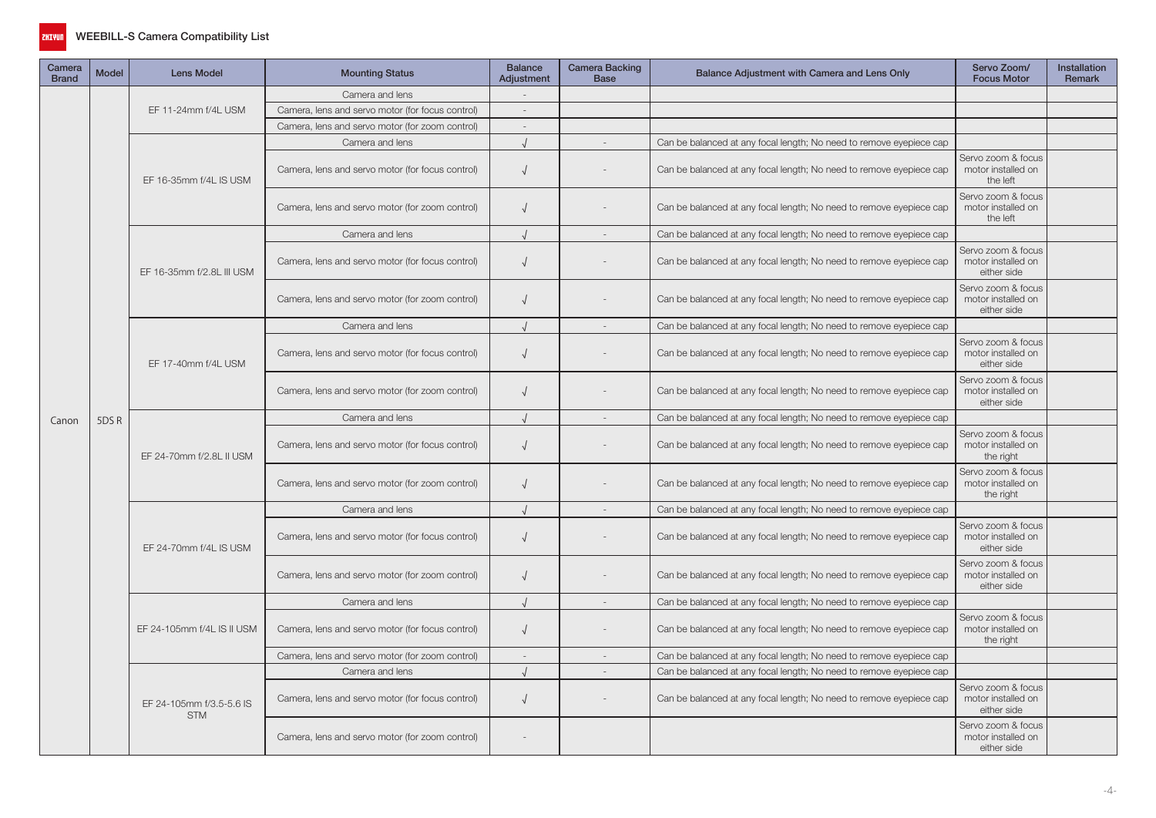

| Camera<br><b>Brand</b> | <b>Model</b> | <b>Lens Model</b>                      | <b>Mounting Status</b>                           | <b>Balance</b><br>Adjustment | Camera Backing<br><b>Base</b> | Balance Adjustment with Camera and Lens Only                        | Servo Zoom/<br><b>Focus Motor</b>                       | Installation<br>Remark |
|------------------------|--------------|----------------------------------------|--------------------------------------------------|------------------------------|-------------------------------|---------------------------------------------------------------------|---------------------------------------------------------|------------------------|
|                        |              |                                        | Camera and lens                                  |                              |                               |                                                                     |                                                         |                        |
|                        |              | EF 11-24mm f/4L USM                    | Camera, lens and servo motor (for focus control) | $\overline{\phantom{a}}$     |                               |                                                                     |                                                         |                        |
|                        |              |                                        | Camera, lens and servo motor (for zoom control)  | $\sim$                       |                               |                                                                     |                                                         |                        |
|                        |              |                                        | Camera and lens                                  |                              |                               | Can be balanced at any focal length; No need to remove eyepiece cap |                                                         |                        |
|                        |              | EF 16-35mm f/4L IS USM                 | Camera, lens and servo motor (for focus control) | $\sqrt{ }$                   |                               | Can be balanced at any focal length; No need to remove eyepiece cap | Servo zoom & focus<br>motor installed on<br>the left    |                        |
|                        |              |                                        | Camera, lens and servo motor (for zoom control)  |                              |                               | Can be balanced at any focal length; No need to remove eyepiece cap | Servo zoom & focus<br>motor installed on<br>the left    |                        |
|                        |              |                                        | Camera and lens                                  | $\sqrt{ }$                   |                               | Can be balanced at any focal length; No need to remove eyepiece cap |                                                         |                        |
|                        |              | EF 16-35mm f/2.8L III USM              | Camera, lens and servo motor (for focus control) | $\sqrt{ }$                   |                               | Can be balanced at any focal length; No need to remove eyepiece cap | Servo zoom & focus<br>motor installed on<br>either side |                        |
|                        |              |                                        | Camera, lens and servo motor (for zoom control)  | $\sqrt{ }$                   |                               | Can be balanced at any focal length; No need to remove eyepiece cap | Servo zoom & focus<br>motor installed on<br>either side |                        |
|                        |              |                                        | Camera and lens                                  | $\sqrt{ }$                   | $\sim$                        | Can be balanced at any focal length; No need to remove eyepiece cap |                                                         |                        |
|                        |              | EF 17-40mm f/4L USM                    | Camera, lens and servo motor (for focus control) | $\sqrt{ }$                   |                               | Can be balanced at any focal length; No need to remove eyepiece cap | Servo zoom & focus<br>motor installed on<br>either side |                        |
|                        |              |                                        | Camera, lens and servo motor (for zoom control)  | $\sqrt{ }$                   |                               | Can be balanced at any focal length; No need to remove eyepiece cap | Servo zoom & focus<br>motor installed on<br>either side |                        |
| Canon                  | 5DSR         |                                        | Camera and lens                                  | $\sqrt{ }$                   | $\sim$                        | Can be balanced at any focal length; No need to remove eyepiece cap |                                                         |                        |
|                        |              | EF 24-70mm f/2.8L II USM               | Camera, lens and servo motor (for focus control) | $\sqrt{ }$                   |                               | Can be balanced at any focal length; No need to remove eyepiece cap | Servo zoom & focus<br>motor installed on<br>the right   |                        |
|                        |              |                                        | Camera, lens and servo motor (for zoom control)  |                              |                               | Can be balanced at any focal length; No need to remove eyepiece cap | Servo zoom & focus<br>motor installed on<br>the right   |                        |
|                        |              |                                        | Camera and lens                                  | $\sqrt{ }$                   | $\sim$                        | Can be balanced at any focal length; No need to remove eyepiece cap |                                                         |                        |
|                        |              | EF 24-70mm f/4L IS USM                 | Camera, lens and servo motor (for focus control) | $\sqrt{ }$                   |                               | Can be balanced at any focal length; No need to remove eyepiece cap | Servo zoom & focus<br>motor installed on<br>either side |                        |
|                        |              |                                        | Camera, lens and servo motor (for zoom control)  |                              |                               | Can be balanced at any focal length; No need to remove eyepiece cap | Servo zoom & focus<br>motor installed on<br>either side |                        |
|                        |              |                                        | Camera and lens                                  | $\sqrt{ }$                   | $\sim$                        | Can be balanced at any focal length; No need to remove eyepiece cap |                                                         |                        |
|                        |              | EF 24-105mm f/4L IS II USM             | Camera, lens and servo motor (for focus control) | $\sqrt{ }$                   |                               | Can be balanced at any focal length; No need to remove eyepiece cap | Servo zoom & focus<br>motor installed on<br>the right   |                        |
|                        |              |                                        | Camera, lens and servo motor (for zoom control)  | $\sim$                       |                               | Can be balanced at any focal length; No need to remove eyepiece cap |                                                         |                        |
|                        |              |                                        | Camera and lens                                  | $\cdot$                      | $\sim$                        | Can be balanced at any focal length; No need to remove eyepiece cap |                                                         |                        |
|                        |              | EF 24-105mm f/3.5-5.6 IS<br><b>STM</b> | Camera, lens and servo motor (for focus control) | $\sqrt{ }$                   |                               | Can be balanced at any focal length; No need to remove eyepiece cap | Servo zoom & focus<br>motor installed on<br>either side |                        |
|                        |              |                                        | Camera, lens and servo motor (for zoom control)  |                              |                               |                                                                     | Servo zoom & focus<br>motor installed on<br>either side |                        |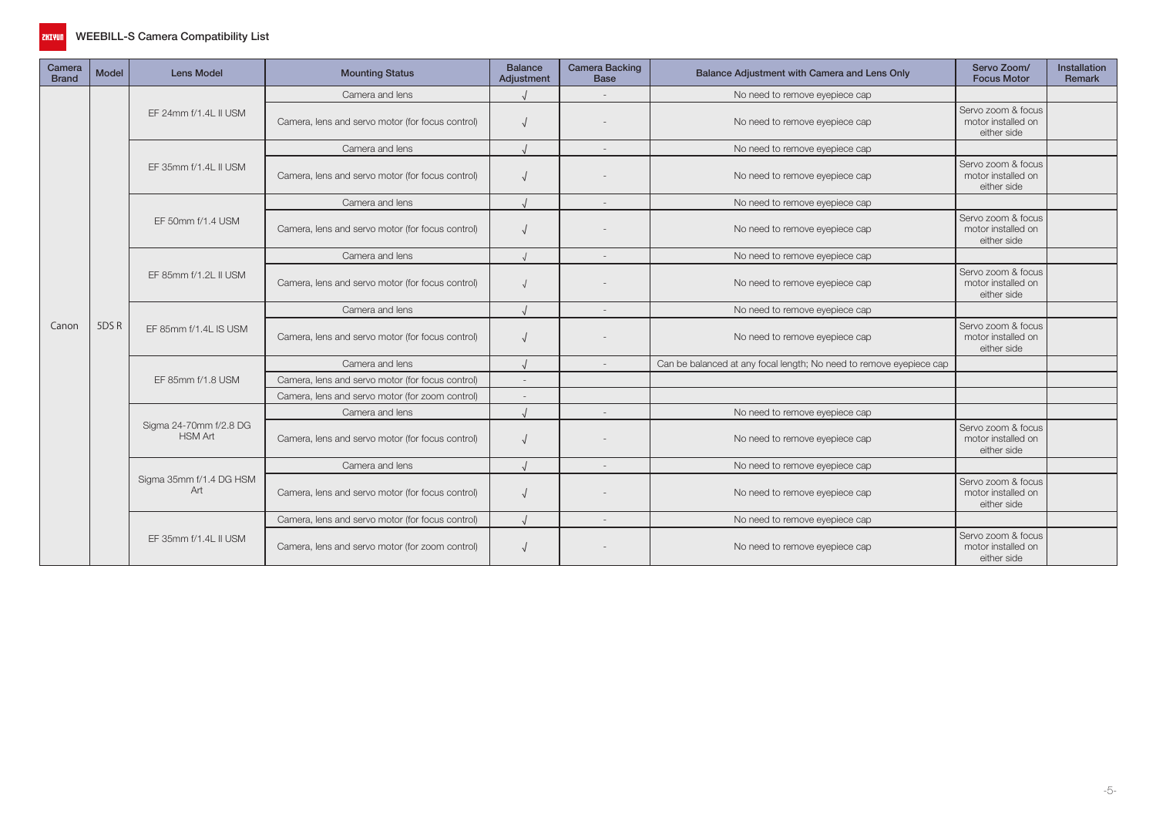

| Camera<br><b>Brand</b> | <b>Model</b> | <b>Lens Model</b>                        | <b>Mounting Status</b>                           | <b>Balance</b><br>Adjustment | <b>Camera Backing</b><br><b>Base</b> | Balance Adjustment with Camera and Lens Only                        | Servo Zoom/<br><b>Focus Motor</b>                       | <b>Installation</b><br>Remark |
|------------------------|--------------|------------------------------------------|--------------------------------------------------|------------------------------|--------------------------------------|---------------------------------------------------------------------|---------------------------------------------------------|-------------------------------|
|                        |              |                                          | Camera and lens                                  |                              |                                      | No need to remove eyepiece cap                                      |                                                         |                               |
|                        |              | EF 24mm f/1.4L II USM                    | Camera, lens and servo motor (for focus control) |                              |                                      | No need to remove eyepiece cap                                      | Servo zoom & focus<br>motor installed on<br>either side |                               |
|                        |              |                                          | Camera and lens                                  |                              |                                      | No need to remove eyepiece cap                                      |                                                         |                               |
|                        |              | EF 35mm f/1.4L II USM                    | Camera, lens and servo motor (for focus control) |                              |                                      | No need to remove eyepiece cap                                      | Servo zoom & focus<br>motor installed on<br>either side |                               |
|                        |              |                                          | Camera and lens                                  |                              | $\sim$                               | No need to remove eyepiece cap                                      |                                                         |                               |
|                        |              | EF 50mm f/1.4 USM                        | Camera, lens and servo motor (for focus control) |                              |                                      | No need to remove eyepiece cap                                      | Servo zoom & focus<br>motor installed on<br>either side |                               |
|                        |              |                                          | Camera and lens                                  |                              | $\sim$                               | No need to remove eyepiece cap                                      |                                                         |                               |
|                        |              | EF 85mm f/1.2L II USM                    | Camera, lens and servo motor (for focus control) |                              |                                      | No need to remove eyepiece cap                                      | Servo zoom & focus<br>motor installed on<br>either side |                               |
|                        |              |                                          | Camera and lens                                  |                              | $\overline{\phantom{a}}$             | No need to remove eyepiece cap                                      |                                                         |                               |
| Canon                  | 5DSR         | EF 85mm f/1.4L IS USM                    | Camera, lens and servo motor (for focus control) |                              |                                      | No need to remove eyepiece cap                                      | Servo zoom & focus<br>motor installed on<br>either side |                               |
|                        |              |                                          | Camera and lens                                  |                              | $\overline{\phantom{a}}$             | Can be balanced at any focal length; No need to remove eyepiece cap |                                                         |                               |
|                        |              | EF 85mm f/1.8 USM                        | Camera, lens and servo motor (for focus control) |                              |                                      |                                                                     |                                                         |                               |
|                        |              |                                          | Camera, lens and servo motor (for zoom control)  |                              |                                      |                                                                     |                                                         |                               |
|                        |              |                                          | Camera and lens                                  |                              | $\overline{\phantom{a}}$             | No need to remove eyepiece cap                                      |                                                         |                               |
|                        |              | Sigma 24-70mm f/2.8 DG<br><b>HSM Art</b> | Camera, lens and servo motor (for focus control) |                              |                                      | No need to remove eyepiece cap                                      | Servo zoom & focus<br>motor installed on<br>either side |                               |
|                        |              |                                          | Camera and lens                                  |                              | $\sim$                               | No need to remove eyepiece cap                                      |                                                         |                               |
|                        |              | Sigma 35mm f/1.4 DG HSM<br>Art           | Camera, lens and servo motor (for focus control) |                              |                                      | No need to remove eyepiece cap                                      | Servo zoom & focus<br>motor installed on<br>either side |                               |
|                        |              |                                          | Camera, lens and servo motor (for focus control) |                              | $\sim$                               | No need to remove eyepiece cap                                      |                                                         |                               |
|                        |              | EF 35mm f/1.4L II USM                    | Camera, lens and servo motor (for zoom control)  |                              |                                      | No need to remove eyepiece cap                                      | Servo zoom & focus<br>motor installed on<br>either side |                               |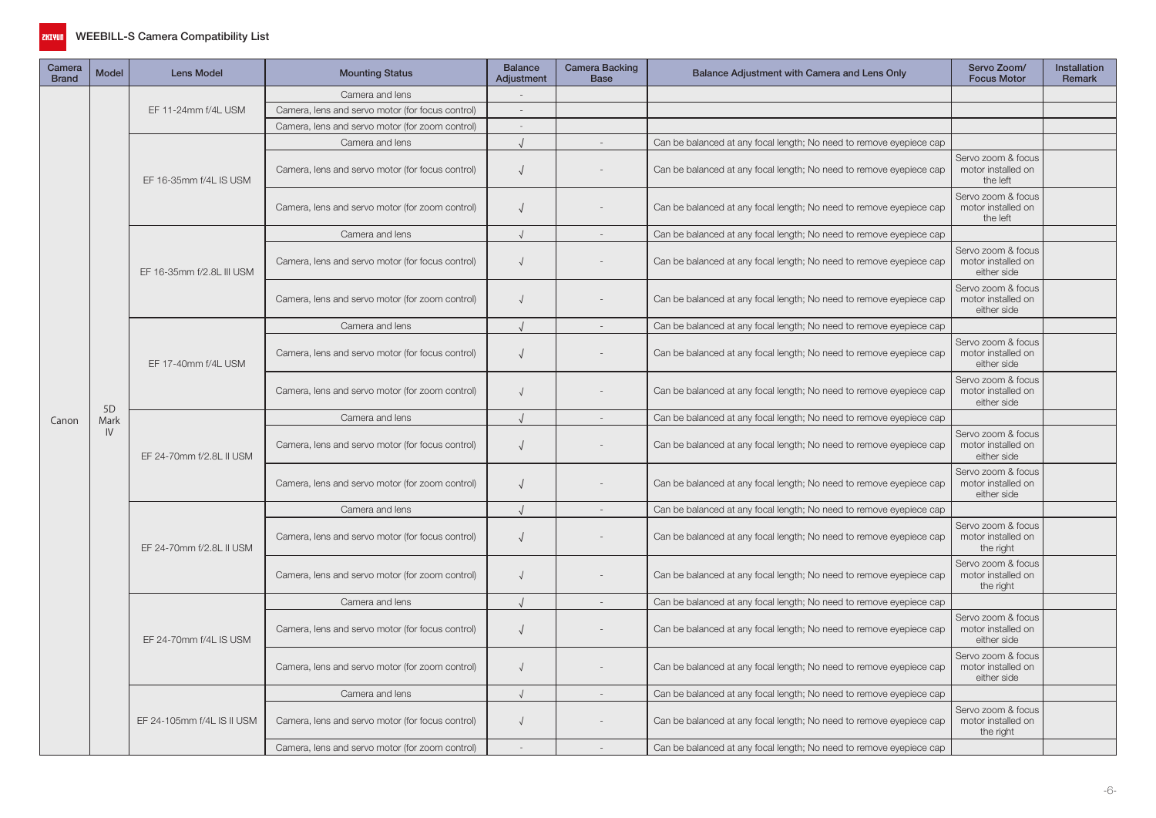

| Camera<br><b>Brand</b> | <b>Model</b>   | <b>Lens Model</b>          | <b>Mounting Status</b>                           | <b>Balance</b><br>Adjustment | Camera Backing<br><b>Base</b> | Balance Adjustment with Camera and Lens Only                        | Servo Zoom/<br><b>Focus Motor</b>                       | Installation<br>Remark |
|------------------------|----------------|----------------------------|--------------------------------------------------|------------------------------|-------------------------------|---------------------------------------------------------------------|---------------------------------------------------------|------------------------|
|                        |                |                            | Camera and lens                                  |                              |                               |                                                                     |                                                         |                        |
|                        |                | EF 11-24mm f/4L USM        | Camera, lens and servo motor (for focus control) | $\sim$                       |                               |                                                                     |                                                         |                        |
|                        |                |                            | Camera, lens and servo motor (for zoom control)  |                              |                               |                                                                     |                                                         |                        |
|                        |                |                            | Camera and lens                                  |                              |                               | Can be balanced at any focal length; No need to remove eyepiece cap |                                                         |                        |
|                        |                | EF 16-35mm f/4L IS USM     | Camera, lens and servo motor (for focus control) | $\sqrt{2}$                   |                               | Can be balanced at any focal length; No need to remove eyepiece cap | Servo zoom & focus<br>motor installed on<br>the left    |                        |
|                        |                |                            | Camera, lens and servo motor (for zoom control)  | $\sqrt{2}$                   |                               | Can be balanced at any focal length; No need to remove eyepiece cap | Servo zoom & focus<br>motor installed on<br>the left    |                        |
|                        |                |                            | Camera and lens                                  | $\sqrt{ }$                   |                               | Can be balanced at any focal length; No need to remove eyepiece cap |                                                         |                        |
|                        |                | EF 16-35mm f/2.8L III USM  | Camera, lens and servo motor (for focus control) | $\sqrt{ }$                   |                               | Can be balanced at any focal length; No need to remove eyepiece cap | Servo zoom & focus<br>motor installed on<br>either side |                        |
|                        |                |                            | Camera, lens and servo motor (for zoom control)  | $\sqrt{ }$                   |                               | Can be balanced at any focal length; No need to remove eyepiece cap | Servo zoom & focus<br>motor installed on<br>either side |                        |
|                        |                |                            | Camera and lens                                  |                              | $\overline{\phantom{a}}$      | Can be balanced at any focal length; No need to remove eyepiece cap |                                                         |                        |
|                        |                | EF 17-40mm f/4L USM        | Camera, lens and servo motor (for focus control) | $\sqrt{ }$                   |                               | Can be balanced at any focal length; No need to remove eyepiece cap | Servo zoom & focus<br>motor installed on<br>either side |                        |
|                        | 5 <sub>D</sub> |                            | Camera, lens and servo motor (for zoom control)  | $\sqrt{ }$                   |                               | Can be balanced at any focal length; No need to remove eyepiece cap | Servo zoom & focus<br>motor installed on<br>either side |                        |
| Canon                  | Mark           |                            | Camera and lens                                  | $\cdot$                      | $\overline{\phantom{a}}$      | Can be balanced at any focal length; No need to remove eyepiece cap |                                                         |                        |
|                        | IV             | EF 24-70mm f/2.8L II USM   | Camera, lens and servo motor (for focus control) | $\sqrt{ }$                   |                               | Can be balanced at any focal length; No need to remove eyepiece cap | Servo zoom & focus<br>motor installed on<br>either side |                        |
|                        |                |                            | Camera, lens and servo motor (for zoom control)  | $\sqrt{ }$                   |                               | Can be balanced at any focal length; No need to remove eyepiece cap | Servo zoom & focus<br>motor installed on<br>either side |                        |
|                        |                |                            | Camera and lens                                  |                              | $\overline{\phantom{a}}$      | Can be balanced at any focal length; No need to remove eyepiece cap |                                                         |                        |
|                        |                | EF 24-70mm f/2.8L II USM   | Camera, lens and servo motor (for focus control) | $\sqrt{ }$                   |                               | Can be balanced at any focal length; No need to remove eyepiece cap | Servo zoom & focus<br>motor installed on<br>the right   |                        |
|                        |                |                            | Camera, lens and servo motor (for zoom control)  | $\cdot$                      |                               | Can be balanced at any focal length; No need to remove eyepiece cap | Servo zoom & focus<br>motor installed on<br>the right   |                        |
|                        |                |                            | Camera and lens                                  | $\cdot$                      | $\sim$                        | Can be balanced at any focal length; No need to remove eyepiece cap |                                                         |                        |
|                        |                | EF 24-70mm f/4L IS USM     | Camera, lens and servo motor (for focus control) | $\sqrt{2}$                   |                               | Can be balanced at any focal length; No need to remove eyepiece cap | Servo zoom & focus<br>motor installed on<br>either side |                        |
|                        |                |                            | Camera, lens and servo motor (for zoom control)  | $\sqrt{ }$                   |                               | Can be balanced at any focal length; No need to remove eyepiece cap | Servo zoom & focus<br>motor installed on<br>either side |                        |
|                        |                |                            | Camera and lens                                  | $\cdot$                      |                               | Can be balanced at any focal length; No need to remove eyepiece cap |                                                         |                        |
|                        |                | EF 24-105mm f/4L IS II USM | Camera, lens and servo motor (for focus control) | $\sqrt{ }$                   |                               | Can be balanced at any focal length; No need to remove eyepiece cap | Servo zoom & focus<br>motor installed on<br>the right   |                        |
|                        |                |                            | Camera, lens and servo motor (for zoom control)  |                              |                               | Can be balanced at any focal length; No need to remove eyepiece cap |                                                         |                        |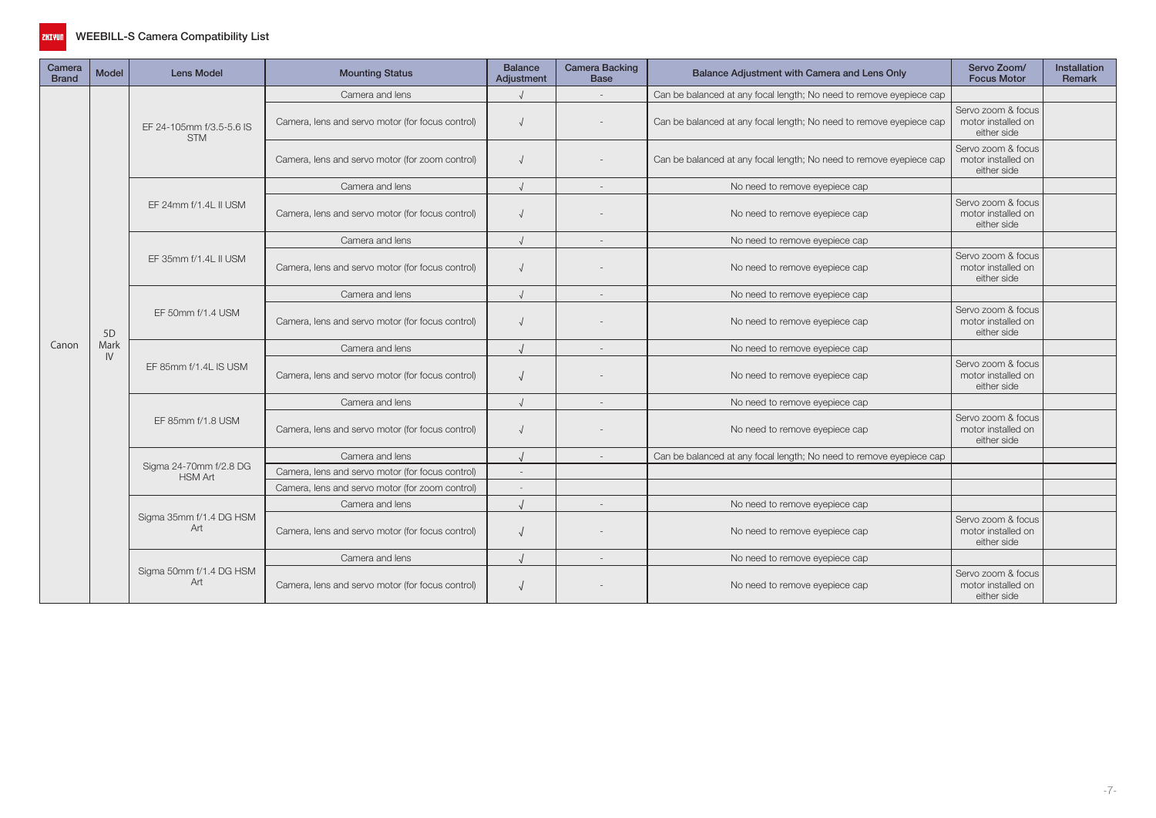

| Camera<br><b>Brand</b> | <b>Model</b>   | <b>Lens Model</b>                        | <b>Mounting Status</b>                           | <b>Balance</b><br>Adjustment | <b>Camera Backing</b><br><b>Base</b> | Balance Adjustment with Camera and Lens Only                        | Servo Zoom/<br><b>Focus Motor</b>                       | <b>Installation</b><br>Remark |
|------------------------|----------------|------------------------------------------|--------------------------------------------------|------------------------------|--------------------------------------|---------------------------------------------------------------------|---------------------------------------------------------|-------------------------------|
|                        |                |                                          | Camera and lens                                  |                              |                                      | Can be balanced at any focal length; No need to remove eyepiece cap |                                                         |                               |
|                        |                | EF 24-105mm f/3.5-5.6 IS<br><b>STM</b>   | Camera, lens and servo motor (for focus control) |                              |                                      | Can be balanced at any focal length; No need to remove eyepiece cap | Servo zoom & focus<br>motor installed on<br>either side |                               |
|                        |                |                                          | Camera, lens and servo motor (for zoom control)  |                              |                                      | Can be balanced at any focal length; No need to remove eyepiece cap | Servo zoom & focus<br>motor installed on<br>either side |                               |
|                        |                |                                          | Camera and lens                                  | $\cdot$                      | $\sim$                               | No need to remove eyepiece cap                                      |                                                         |                               |
|                        |                | EF 24mm f/1.4L II USM                    | Camera, lens and servo motor (for focus control) |                              |                                      | No need to remove eyepiece cap                                      | Servo zoom & focus<br>motor installed on<br>either side |                               |
|                        |                |                                          | Camera and lens                                  | $\cdot$                      |                                      | No need to remove eyepiece cap                                      |                                                         |                               |
|                        |                | EF 35mm f/1.4L II USM                    | Camera, lens and servo motor (for focus control) |                              |                                      | No need to remove eyepiece cap                                      | Servo zoom & focus<br>motor installed on<br>either side |                               |
|                        |                |                                          | Camera and lens                                  | $\sqrt{ }$                   | $\overline{\phantom{a}}$             | No need to remove eyepiece cap                                      |                                                         |                               |
|                        | 5 <sub>D</sub> | EF 50mm f/1.4 USM                        | Camera, lens and servo motor (for focus control) |                              |                                      | No need to remove eyepiece cap                                      | Servo zoom & focus<br>motor installed on<br>either side |                               |
| Canon                  | Mark           |                                          | Camera and lens                                  | $\prime$                     |                                      | No need to remove eyepiece cap                                      |                                                         |                               |
|                        | IV             | EF 85mm f/1.4L IS USM                    | Camera, lens and servo motor (for focus control) |                              |                                      | No need to remove eyepiece cap                                      | Servo zoom & focus<br>motor installed on<br>either side |                               |
|                        |                |                                          | Camera and lens                                  |                              |                                      | No need to remove eyepiece cap                                      |                                                         |                               |
|                        |                | EF 85mm f/1.8 USM                        | Camera, lens and servo motor (for focus control) |                              |                                      | No need to remove eyepiece cap                                      | Servo zoom & focus<br>motor installed on<br>either side |                               |
|                        |                |                                          | Camera and lens                                  |                              |                                      | Can be balanced at any focal length; No need to remove eyepiece cap |                                                         |                               |
|                        |                | Sigma 24-70mm f/2.8 DG<br><b>HSM Art</b> | Camera, lens and servo motor (for focus control) | $\overline{a}$               |                                      |                                                                     |                                                         |                               |
|                        |                |                                          | Camera, lens and servo motor (for zoom control)  |                              |                                      |                                                                     |                                                         |                               |
|                        |                |                                          | Camera and lens                                  | $\cdot$                      | $\overline{\phantom{a}}$             | No need to remove eyepiece cap                                      |                                                         |                               |
|                        |                | Sigma 35mm f/1.4 DG HSM<br>Art           | Camera, lens and servo motor (for focus control) |                              |                                      | No need to remove eyepiece cap                                      | Servo zoom & focus<br>motor installed on<br>either side |                               |
|                        |                |                                          | Camera and lens                                  | $\cdot$                      |                                      | No need to remove eyepiece cap                                      |                                                         |                               |
|                        |                | Sigma 50mm f/1.4 DG HSM<br>Art           | Camera, lens and servo motor (for focus control) |                              |                                      | No need to remove eyepiece cap                                      | Servo zoom & focus<br>motor installed on<br>either side |                               |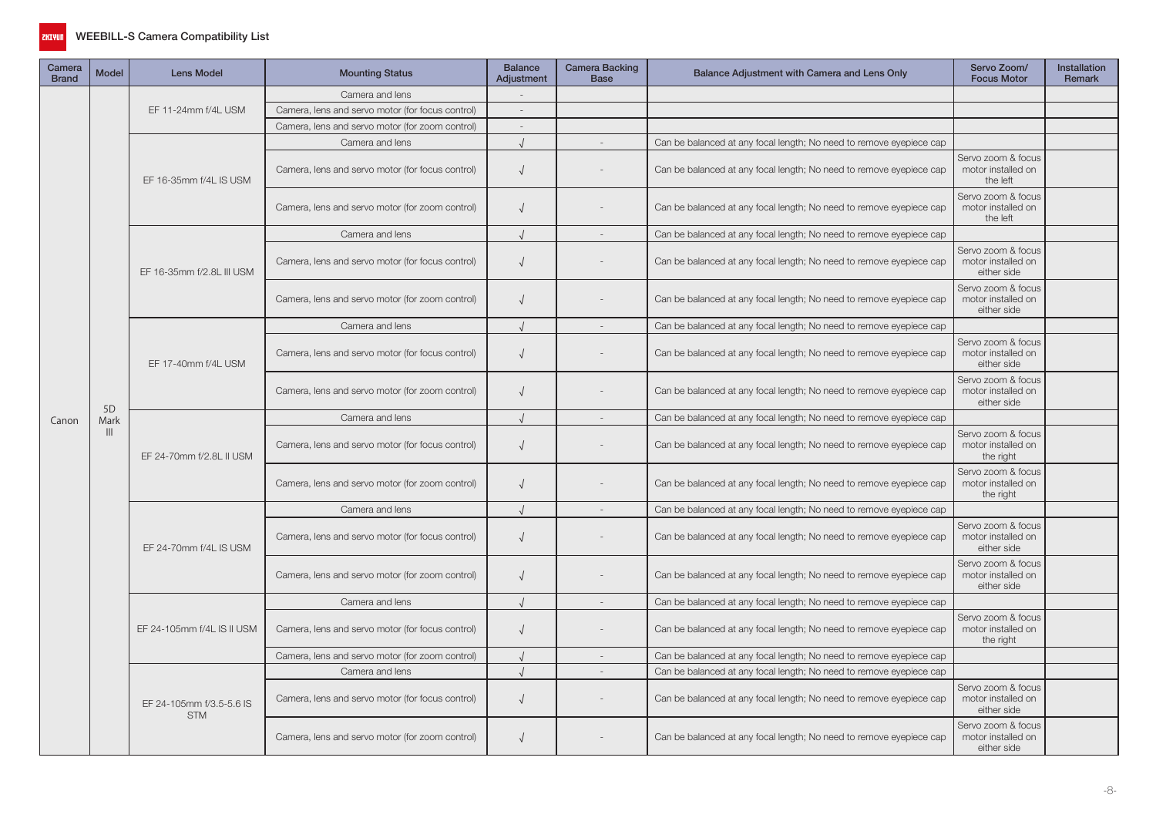

| Camera<br><b>Brand</b> | <b>Model</b>   | <b>Lens Model</b>                      | <b>Mounting Status</b>                           | <b>Balance</b><br>Adjustment | Camera Backing<br><b>Base</b> | Balance Adjustment with Camera and Lens Only                        | Servo Zoom/<br><b>Focus Motor</b>                       | Installation<br>Remark |
|------------------------|----------------|----------------------------------------|--------------------------------------------------|------------------------------|-------------------------------|---------------------------------------------------------------------|---------------------------------------------------------|------------------------|
|                        |                |                                        | Camera and lens                                  |                              |                               |                                                                     |                                                         |                        |
|                        |                | EF 11-24mm f/4L USM                    | Camera, lens and servo motor (for focus control) | $\sim$                       |                               |                                                                     |                                                         |                        |
|                        |                |                                        | Camera, lens and servo motor (for zoom control)  | $\overline{\phantom{a}}$     |                               |                                                                     |                                                         |                        |
|                        |                |                                        | Camera and lens                                  |                              |                               | Can be balanced at any focal length; No need to remove eyepiece cap |                                                         |                        |
|                        |                | EF 16-35mm f/4L IS USM                 | Camera, lens and servo motor (for focus control) | $\sqrt{ }$                   |                               | Can be balanced at any focal length; No need to remove eyepiece cap | Servo zoom & focus<br>motor installed on<br>the left    |                        |
|                        |                |                                        | Camera, lens and servo motor (for zoom control)  | $\sqrt{2}$                   |                               | Can be balanced at any focal length; No need to remove eyepiece cap | Servo zoom & focus<br>motor installed on<br>the left    |                        |
|                        |                |                                        | Camera and lens                                  | $\cdot$                      |                               | Can be balanced at any focal length; No need to remove eyepiece cap |                                                         |                        |
|                        |                | EF 16-35mm f/2.8L III USM              | Camera, lens and servo motor (for focus control) | $\sqrt{ }$                   |                               | Can be balanced at any focal length; No need to remove eyepiece cap | Servo zoom & focus<br>motor installed on<br>either side |                        |
|                        |                |                                        | Camera, lens and servo motor (for zoom control)  | $\sqrt{ }$                   |                               | Can be balanced at any focal length; No need to remove eyepiece cap | Servo zoom & focus<br>motor installed on<br>either side |                        |
|                        |                |                                        | Camera and lens                                  |                              | $\sim$                        | Can be balanced at any focal length; No need to remove eyepiece cap |                                                         |                        |
|                        |                | EF 17-40mm f/4L USM                    | Camera, lens and servo motor (for focus control) | $\sqrt{ }$                   |                               | Can be balanced at any focal length; No need to remove eyepiece cap | Servo zoom & focus<br>motor installed on<br>either side |                        |
|                        | 5 <sub>D</sub> |                                        | Camera, lens and servo motor (for zoom control)  | $\sqrt{ }$                   |                               | Can be balanced at any focal length; No need to remove eyepiece cap | Servo zoom & focus<br>motor installed on<br>either side |                        |
| Canon                  | Mark           |                                        | Camera and lens                                  | $\sqrt{ }$                   | $\sim$                        | Can be balanced at any focal length; No need to remove eyepiece cap |                                                         |                        |
|                        | $\mathbf{III}$ | EF 24-70mm f/2.8L II USM               | Camera, lens and servo motor (for focus control) | $\sqrt{ }$                   |                               | Can be balanced at any focal length; No need to remove eyepiece cap | Servo zoom & focus<br>motor installed on<br>the right   |                        |
|                        |                |                                        | Camera, lens and servo motor (for zoom control)  | $\sqrt{ }$                   |                               | Can be balanced at any focal length; No need to remove eyepiece cap | Servo zoom & focus<br>motor installed on<br>the right   |                        |
|                        |                |                                        | Camera and lens                                  |                              |                               | Can be balanced at any focal length; No need to remove eyepiece cap |                                                         |                        |
|                        |                | EF 24-70mm f/4L IS USM                 | Camera, lens and servo motor (for focus control) | $\sqrt{2}$                   |                               | Can be balanced at any focal length; No need to remove eyepiece cap | Servo zoom & focus<br>motor installed on<br>either side |                        |
|                        |                |                                        | Camera, lens and servo motor (for zoom control)  | $\sqrt{2}$                   |                               | Can be balanced at any focal length; No need to remove eyepiece cap | Servo zoom & focus<br>motor installed on<br>either side |                        |
|                        |                |                                        | Camera and lens                                  | $\sqrt{ }$                   | $\overline{a}$                | Can be balanced at any focal length; No need to remove eyepiece cap |                                                         |                        |
|                        |                | EF 24-105mm f/4L IS II USM             | Camera, lens and servo motor (for focus control) | $\sqrt{ }$                   |                               | Can be balanced at any focal length; No need to remove eyepiece cap | Servo zoom & focus<br>motor installed on<br>the right   |                        |
|                        |                |                                        | Camera, lens and servo motor (for zoom control)  |                              |                               | Can be balanced at any focal length; No need to remove eyepiece cap |                                                         |                        |
|                        |                |                                        | Camera and lens                                  | $\cdot$                      |                               | Can be balanced at any focal length; No need to remove eyepiece cap |                                                         |                        |
|                        |                | EF 24-105mm f/3.5-5.6 IS<br><b>STM</b> | Camera, lens and servo motor (for focus control) | $\sqrt{ }$                   |                               | Can be balanced at any focal length; No need to remove eyepiece cap | Servo zoom & focus<br>motor installed on<br>either side |                        |
|                        |                |                                        | Camera, lens and servo motor (for zoom control)  | $\sqrt{ }$                   |                               | Can be balanced at any focal length; No need to remove eyepiece cap | Servo zoom & focus<br>motor installed on<br>either side |                        |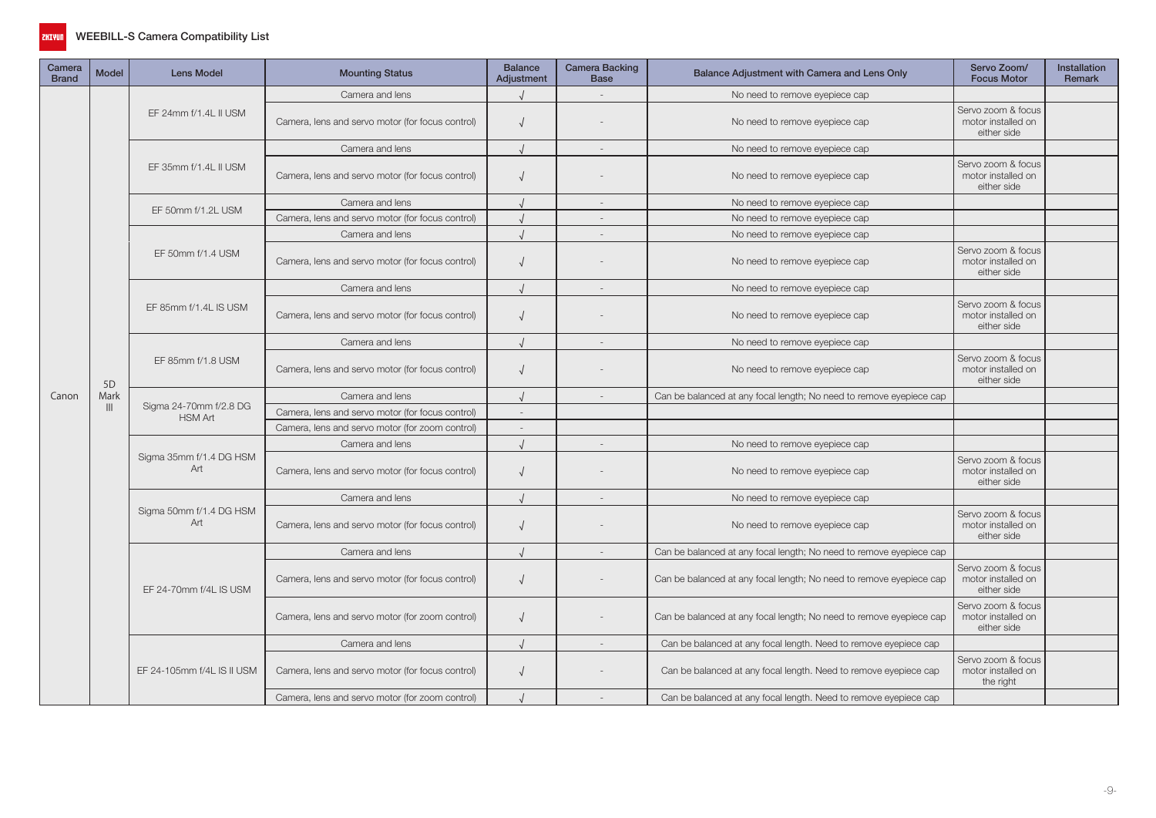

| Camera<br><b>Brand</b> | <b>Model</b>   | <b>Lens Model</b>                        | <b>Mounting Status</b>                           | <b>Balance</b><br>Adjustment | Camera Backing<br><b>Base</b> | Balance Adjustment with Camera and Lens Only                        | Servo Zoom/<br><b>Focus Motor</b>                       | Installation<br>Remark |
|------------------------|----------------|------------------------------------------|--------------------------------------------------|------------------------------|-------------------------------|---------------------------------------------------------------------|---------------------------------------------------------|------------------------|
|                        |                |                                          | Camera and lens                                  |                              |                               | No need to remove eyepiece cap                                      |                                                         |                        |
|                        |                | EF 24mm f/1.4L II USM                    | Camera, lens and servo motor (for focus control) | $\sqrt{ }$                   |                               | No need to remove eyepiece cap                                      | Servo zoom & focus<br>motor installed on<br>either side |                        |
|                        |                |                                          | Camera and lens                                  |                              | $\overline{\phantom{a}}$      | No need to remove eyepiece cap                                      |                                                         |                        |
|                        |                | EF 35mm f/1.4L II USM                    | Camera, lens and servo motor (for focus control) |                              |                               | No need to remove eyepiece cap                                      | Servo zoom & focus<br>motor installed on<br>either side |                        |
|                        |                | EF 50mm f/1.2L USM                       | Camera and lens                                  |                              | $\sim$                        | No need to remove eyepiece cap                                      |                                                         |                        |
|                        |                |                                          | Camera, lens and servo motor (for focus control) |                              | $\overline{\phantom{a}}$      | No need to remove eyepiece cap                                      |                                                         |                        |
|                        |                |                                          | Camera and lens                                  |                              | $\sim$                        | No need to remove eyepiece cap                                      |                                                         |                        |
|                        |                | EF 50mm f/1.4 USM                        | Camera, lens and servo motor (for focus control) |                              |                               | No need to remove eyepiece cap                                      | Servo zoom & focus<br>motor installed on<br>either side |                        |
|                        |                |                                          | Camera and lens                                  |                              | $\overline{\phantom{a}}$      | No need to remove eyepiece cap                                      |                                                         |                        |
|                        |                | EF 85mm f/1.4L IS USM                    | Camera, lens and servo motor (for focus control) | $\sqrt{ }$                   |                               | No need to remove eyepiece cap                                      | Servo zoom & focus<br>motor installed on<br>either side |                        |
|                        |                |                                          | Camera and lens                                  |                              | $\sim$                        | No need to remove eyepiece cap                                      |                                                         |                        |
|                        | 5 <sub>D</sub> | EF 85mm f/1.8 USM                        | Camera, lens and servo motor (for focus control) | $\sqrt{ }$                   |                               | No need to remove eyepiece cap                                      | Servo zoom & focus<br>motor installed on<br>either side |                        |
| Canon                  | Mark           |                                          | Camera and lens                                  |                              |                               | Can be balanced at any focal length; No need to remove eyepiece cap |                                                         |                        |
|                        | $\mathbb{H}$   | Sigma 24-70mm f/2.8 DG<br><b>HSM Art</b> | Camera, lens and servo motor (for focus control) |                              |                               |                                                                     |                                                         |                        |
|                        |                |                                          | Camera, lens and servo motor (for zoom control)  | $\sim$                       |                               |                                                                     |                                                         |                        |
|                        |                |                                          | Camera and lens                                  |                              | $\sim$                        | No need to remove eyepiece cap                                      |                                                         |                        |
|                        |                | Sigma 35mm f/1.4 DG HSM<br>Art           | Camera, lens and servo motor (for focus control) | $\sqrt{ }$                   |                               | No need to remove eyepiece cap                                      | Servo zoom & focus<br>motor installed on<br>either side |                        |
|                        |                |                                          | Camera and lens                                  |                              | $\sim$                        | No need to remove eyepiece cap                                      |                                                         |                        |
|                        |                | Sigma 50mm f/1.4 DG HSM<br>Art           | Camera, lens and servo motor (for focus control) | $\sqrt{ }$                   |                               | No need to remove eyepiece cap                                      | Servo zoom & focus<br>motor installed on<br>either side |                        |
|                        |                |                                          | Camera and lens                                  |                              |                               | Can be balanced at any focal length; No need to remove eyepiece cap |                                                         |                        |
|                        |                | EF 24-70mm f/4L IS USM                   | Camera, lens and servo motor (for focus control) | $\sqrt{ }$                   |                               | Can be balanced at any focal length; No need to remove eyepiece cap | Servo zoom & focus<br>motor installed on<br>either side |                        |
|                        |                |                                          | Camera, lens and servo motor (for zoom control)  | $\sqrt{2}$                   |                               | Can be balanced at any focal length; No need to remove eyepiece cap | Servo zoom & focus<br>motor installed on<br>either side |                        |
|                        |                |                                          | Camera and lens                                  |                              |                               | Can be balanced at any focal length. Need to remove eyepiece cap    |                                                         |                        |
|                        |                | EF 24-105mm f/4L IS II USM               | Camera, lens and servo motor (for focus control) | $\sqrt{ }$                   |                               | Can be balanced at any focal length. Need to remove eyepiece cap    | Servo zoom & focus<br>motor installed on<br>the right   |                        |
|                        |                |                                          | Camera, lens and servo motor (for zoom control)  |                              |                               | Can be balanced at any focal length. Need to remove eyepiece cap    |                                                         |                        |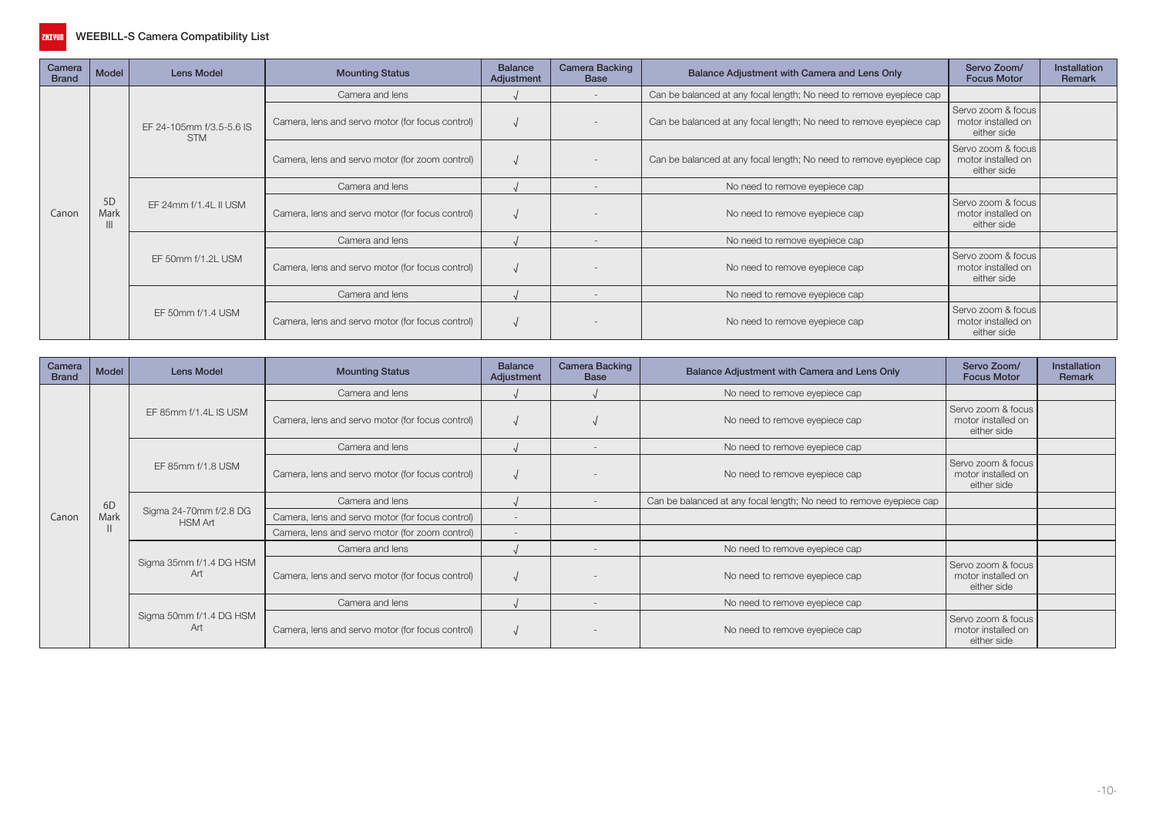

| Camera<br><b>Brand</b> | Model      | Lens Model                             | <b>Mounting Status</b>                           | <b>Balance</b><br>Adjustment | <b>Camera Backing</b><br><b>Base</b> | Balance Adjustment with Camera and Lens Only                        | Servo Zoom/<br><b>Focus Motor</b>                       | <b>Installation</b><br>Remark |
|------------------------|------------|----------------------------------------|--------------------------------------------------|------------------------------|--------------------------------------|---------------------------------------------------------------------|---------------------------------------------------------|-------------------------------|
|                        |            |                                        | Camera and lens                                  |                              |                                      | Can be balanced at any focal length; No need to remove eyepiece cap |                                                         |                               |
|                        |            | EF 24-105mm f/3.5-5.6 IS<br><b>STM</b> | Camera, lens and servo motor (for focus control) |                              | $\sim$                               | Can be balanced at any focal length; No need to remove eyepiece cap | Servo zoom & focus<br>motor installed on<br>either side |                               |
|                        |            |                                        | Camera, lens and servo motor (for zoom control)  |                              |                                      | Can be balanced at any focal length; No need to remove eyepiece cap | Servo zoom & focus<br>motor installed on<br>either side |                               |
|                        |            |                                        | Camera and lens                                  |                              | $\sim$                               | No need to remove eyepiece cap                                      |                                                         |                               |
| Canon                  | 5D<br>Mark | EF 24mm f/1.4L II USM                  | Camera, lens and servo motor (for focus control) |                              |                                      | No need to remove eyepiece cap                                      | Servo zoom & focus<br>motor installed on<br>either side |                               |
|                        |            |                                        | Camera and lens                                  |                              |                                      | No need to remove eyepiece cap                                      |                                                         |                               |
|                        |            | EF 50mm f/1.2L USM                     | Camera, lens and servo motor (for focus control) |                              |                                      | No need to remove eyepiece cap                                      | Servo zoom & focus<br>motor installed on<br>either side |                               |
|                        |            |                                        | Camera and lens                                  |                              |                                      | No need to remove eyepiece cap                                      |                                                         |                               |
|                        |            | EF 50mm f/1.4 USM                      | Camera, lens and servo motor (for focus control) |                              |                                      | No need to remove eyepiece cap                                      | Servo zoom & focus<br>motor installed on<br>either side |                               |

| Camera<br><b>Brand</b> | Model | <b>Lens Model</b>                        | <b>Mounting Status</b>                           | <b>Balance</b><br>Adjustment | <b>Camera Backing</b><br><b>Base</b> | Balance Adjustment with Camera and Lens Only                        | Servo Zoom/<br><b>Focus Motor</b>                       | <b>Installation</b><br>Remark |
|------------------------|-------|------------------------------------------|--------------------------------------------------|------------------------------|--------------------------------------|---------------------------------------------------------------------|---------------------------------------------------------|-------------------------------|
|                        |       |                                          | Camera and lens                                  |                              |                                      | No need to remove eyepiece cap                                      |                                                         |                               |
|                        |       | EF 85mm f/1.4L IS USM                    | Camera, lens and servo motor (for focus control) |                              |                                      | No need to remove eyepiece cap                                      | Servo zoom & focus<br>motor installed on<br>either side |                               |
|                        |       |                                          | Camera and lens                                  |                              |                                      | No need to remove eyepiece cap                                      |                                                         |                               |
|                        |       | EF 85mm f/1.8 USM                        | Camera, lens and servo motor (for focus control) |                              |                                      | No need to remove eyepiece cap                                      | Servo zoom & focus<br>motor installed on<br>either side |                               |
|                        | 6D    |                                          | Camera and lens                                  |                              |                                      | Can be balanced at any focal length; No need to remove eyepiece cap |                                                         |                               |
| Canon                  | Mark  | Sigma 24-70mm f/2.8 DG<br><b>HSM Art</b> | Camera, lens and servo motor (for focus control) |                              |                                      |                                                                     |                                                         |                               |
|                        |       |                                          | Camera, lens and servo motor (for zoom control)  |                              |                                      |                                                                     |                                                         |                               |
|                        |       |                                          | Camera and lens                                  |                              |                                      | No need to remove eyepiece cap                                      |                                                         |                               |
|                        |       | Sigma 35mm f/1.4 DG HSM<br>Art           | Camera, lens and servo motor (for focus control) |                              |                                      | No need to remove eyepiece cap                                      | Servo zoom & focus<br>motor installed on<br>either side |                               |
|                        |       |                                          | Camera and lens                                  |                              |                                      | No need to remove eyepiece cap                                      |                                                         |                               |
|                        |       | Sigma 50mm f/1.4 DG HSM<br>Art           | Camera, lens and servo motor (for focus control) |                              |                                      | No need to remove eyepiece cap                                      | Servo zoom & focus<br>motor installed on<br>either side |                               |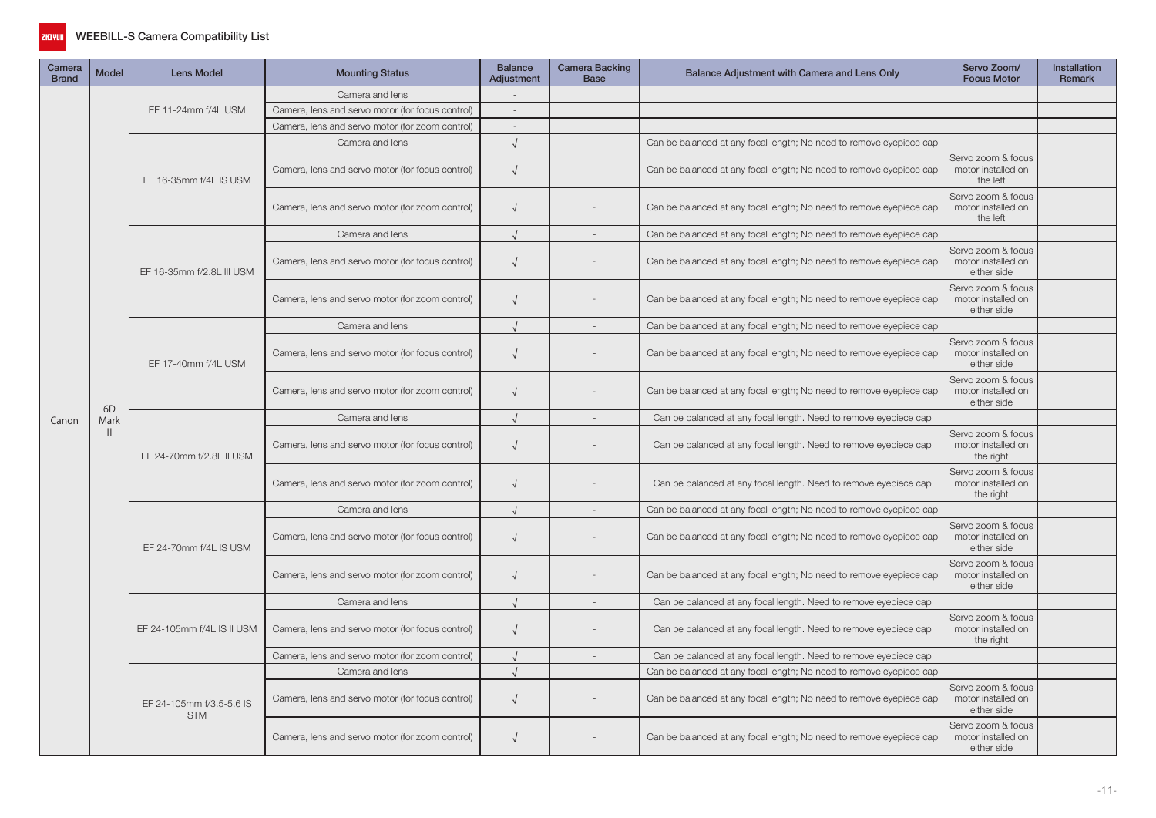

| Camera<br><b>Brand</b> | <b>Model</b> | <b>Lens Model</b>                      | <b>Mounting Status</b>                           | <b>Balance</b><br>Adjustment | Camera Backing<br><b>Base</b> | Balance Adjustment with Camera and Lens Only                        | Servo Zoom/<br><b>Focus Motor</b>                       | Installation<br>Remark |
|------------------------|--------------|----------------------------------------|--------------------------------------------------|------------------------------|-------------------------------|---------------------------------------------------------------------|---------------------------------------------------------|------------------------|
|                        |              |                                        | Camera and lens                                  |                              |                               |                                                                     |                                                         |                        |
|                        |              | EF 11-24mm f/4L USM                    | Camera, lens and servo motor (for focus control) |                              |                               |                                                                     |                                                         |                        |
| Canon                  |              |                                        | Camera, lens and servo motor (for zoom control)  |                              |                               |                                                                     |                                                         |                        |
|                        |              |                                        | Camera and lens                                  |                              |                               | Can be balanced at any focal length; No need to remove eyepiece cap |                                                         |                        |
|                        |              | EF 16-35mm f/4L IS USM                 | Camera, lens and servo motor (for focus control) | $\sqrt{ }$                   |                               | Can be balanced at any focal length; No need to remove eyepiece cap | Servo zoom & focus<br>motor installed on<br>the left    |                        |
|                        |              |                                        | Camera, lens and servo motor (for zoom control)  | $\sqrt{ }$                   |                               | Can be balanced at any focal length; No need to remove eyepiece cap | Servo zoom & focus<br>motor installed on<br>the left    |                        |
|                        |              |                                        | Camera and lens                                  |                              | $\overline{a}$                | Can be balanced at any focal length; No need to remove eyepiece cap |                                                         |                        |
|                        |              | EF 16-35mm f/2.8L III USM              | Camera, lens and servo motor (for focus control) | $\sqrt{ }$                   |                               | Can be balanced at any focal length; No need to remove eyepiece cap | Servo zoom & focus<br>motor installed on<br>either side |                        |
|                        |              |                                        | Camera, lens and servo motor (for zoom control)  | $\sqrt{ }$                   |                               | Can be balanced at any focal length; No need to remove eyepiece cap | Servo zoom & focus<br>motor installed on<br>either side |                        |
|                        |              |                                        | Camera and lens                                  |                              | $\bar{a}$                     | Can be balanced at any focal length; No need to remove eyepiece cap |                                                         |                        |
|                        |              | EF 17-40mm f/4L USM                    | Camera, lens and servo motor (for focus control) | $\sqrt{ }$                   |                               | Can be balanced at any focal length; No need to remove eyepiece cap | Servo zoom & focus<br>motor installed on<br>either side |                        |
|                        | 6D           |                                        | Camera, lens and servo motor (for zoom control)  | $\sqrt{ }$                   |                               | Can be balanced at any focal length; No need to remove eyepiece cap | Servo zoom & focus<br>motor installed on<br>either side |                        |
|                        | Mark         |                                        | Camera and lens                                  |                              | $\overline{\phantom{a}}$      | Can be balanced at any focal length. Need to remove eyepiece cap    |                                                         |                        |
|                        | $\mathbf{H}$ | EF 24-70mm f/2.8L II USM               | Camera, lens and servo motor (for focus control) | $\sqrt{ }$                   |                               | Can be balanced at any focal length. Need to remove eyepiece cap    | Servo zoom & focus<br>motor installed on<br>the right   |                        |
|                        |              |                                        | Camera, lens and servo motor (for zoom control)  | $\sqrt{ }$                   |                               | Can be balanced at any focal length. Need to remove eyepiece cap    | Servo zoom & focus<br>motor installed on<br>the right   |                        |
|                        |              |                                        | Camera and lens                                  |                              |                               | Can be balanced at any focal length; No need to remove eyepiece cap |                                                         |                        |
|                        |              | EF 24-70mm f/4L IS USM                 | Camera, lens and servo motor (for focus control) | $\sqrt{ }$                   |                               | Can be balanced at any focal length; No need to remove eyepiece cap | Servo zoom & focus<br>motor installed on<br>either side |                        |
|                        |              |                                        | Camera, lens and servo motor (for zoom control)  | $\sqrt{ }$                   |                               | Can be balanced at any focal length; No need to remove eyepiece cap | Servo zoom & focus<br>motor installed on<br>either side |                        |
|                        |              |                                        | Camera and lens                                  | $\cdot$                      | $\sim$                        | Can be balanced at any focal length. Need to remove eyepiece cap    |                                                         |                        |
|                        |              | EF 24-105mm f/4L IS II USM             | Camera, lens and servo motor (for focus control) | $\sqrt{ }$                   |                               | Can be balanced at any focal length. Need to remove eyepiece cap    | Servo zoom & focus<br>motor installed on<br>the right   |                        |
|                        |              |                                        | Camera, lens and servo motor (for zoom control)  |                              |                               | Can be balanced at any focal length. Need to remove eyepiece cap    |                                                         |                        |
|                        |              |                                        | Camera and lens                                  | $\cdot$                      | $\sim$                        | Can be balanced at any focal length; No need to remove eyepiece cap |                                                         |                        |
|                        |              | EF 24-105mm f/3.5-5.6 IS<br><b>STM</b> | Camera, lens and servo motor (for focus control) | $\sqrt{ }$                   |                               | Can be balanced at any focal length; No need to remove eyepiece cap | Servo zoom & focus<br>motor installed on<br>either side |                        |
|                        |              |                                        | Camera, lens and servo motor (for zoom control)  | $\sqrt{ }$                   |                               | Can be balanced at any focal length; No need to remove eyepiece cap | Servo zoom & focus<br>motor installed on<br>either side |                        |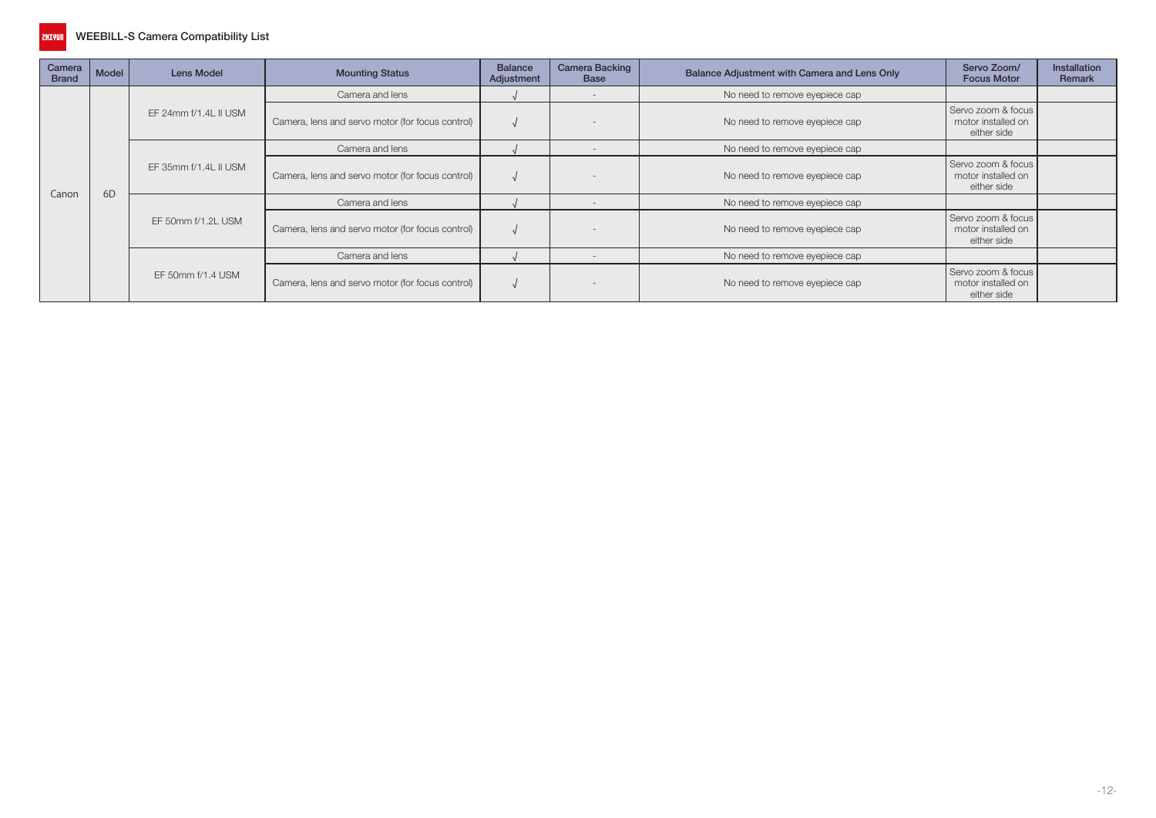

| Camera<br><b>Brand</b> | Model | Lens Model            | <b>Mounting Status</b>                           | <b>Balance</b><br>Adjustment | <b>Camera Backing</b><br><b>Base</b> | Balance Adjustment with Camera and Lens Only | Servo Zoom/<br><b>Focus Motor</b>                       | <b>Installation</b><br><b>Remark</b> |
|------------------------|-------|-----------------------|--------------------------------------------------|------------------------------|--------------------------------------|----------------------------------------------|---------------------------------------------------------|--------------------------------------|
|                        |       |                       | Camera and lens                                  |                              | $\overline{\phantom{a}}$             | No need to remove eyepiece cap               |                                                         |                                      |
|                        |       | EF 24mm f/1.4L II USM | Camera, lens and servo motor (for focus control) |                              |                                      | No need to remove eyepiece cap               | Servo zoom & focus<br>motor installed on<br>either side |                                      |
|                        |       |                       | Camera and lens                                  |                              | $\overline{\phantom{a}}$             | No need to remove eyepiece cap               |                                                         |                                      |
|                        | 6D    | EF 35mm f/1.4L II USM | Camera, lens and servo motor (for focus control) |                              |                                      | No need to remove eyepiece cap               | Servo zoom & focus<br>motor installed on<br>either side |                                      |
| Canon                  |       |                       | Camera and lens                                  |                              | $\overline{\phantom{a}}$             | No need to remove eyepiece cap               |                                                         |                                      |
|                        |       | EF 50mm f/1.2L USM    | Camera, lens and servo motor (for focus control) |                              |                                      | No need to remove eyepiece cap               | Servo zoom & focus<br>motor installed on<br>either side |                                      |
|                        |       |                       | Camera and lens                                  |                              | $\overline{\phantom{a}}$             | No need to remove eyepiece cap               |                                                         |                                      |
|                        |       | EF 50mm f/1.4 USM     | Camera, lens and servo motor (for focus control) |                              |                                      | No need to remove eyepiece cap               | Servo zoom & focus<br>motor installed on<br>either side |                                      |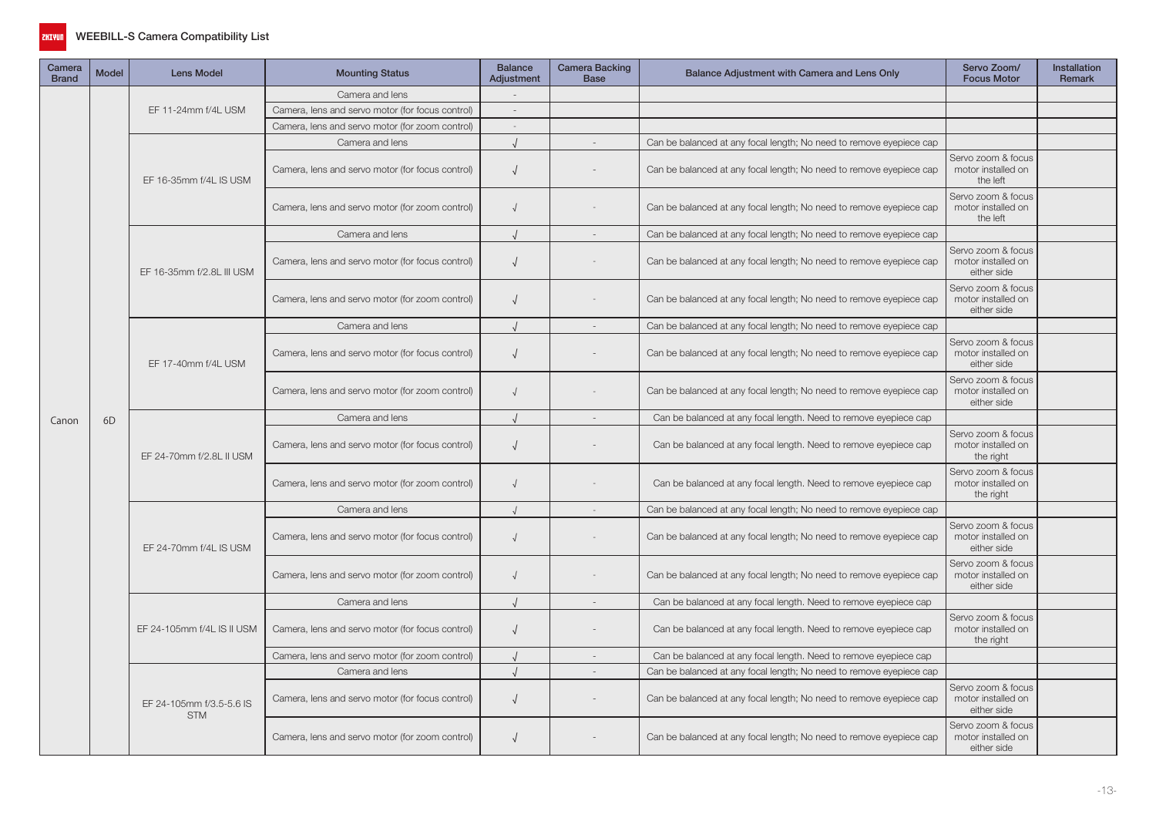

| Camera<br><b>Brand</b> | Model          | <b>Lens Model</b>                      | <b>Mounting Status</b>                           | <b>Balance</b><br>Adjustment | Camera Backing<br><b>Base</b> | Balance Adjustment with Camera and Lens Only                        | Servo Zoom/<br><b>Focus Motor</b>                       | <b>Installation</b><br>Remark |
|------------------------|----------------|----------------------------------------|--------------------------------------------------|------------------------------|-------------------------------|---------------------------------------------------------------------|---------------------------------------------------------|-------------------------------|
|                        | 6 <sub>D</sub> |                                        | Camera and lens                                  |                              |                               |                                                                     |                                                         |                               |
|                        |                | EF 11-24mm f/4L USM                    | Camera, lens and servo motor (for focus control) | $\sim$                       |                               |                                                                     |                                                         |                               |
|                        |                |                                        | Camera, lens and servo motor (for zoom control)  | $\sim$                       |                               |                                                                     |                                                         |                               |
|                        |                |                                        | Camera and lens                                  |                              |                               | Can be balanced at any focal length; No need to remove eyepiece cap |                                                         |                               |
|                        |                | EF 16-35mm f/4L IS USM                 | Camera, lens and servo motor (for focus control) | $\sqrt{ }$                   |                               | Can be balanced at any focal length; No need to remove eyepiece cap | Servo zoom & focus<br>motor installed on<br>the left    |                               |
|                        |                |                                        | Camera, lens and servo motor (for zoom control)  | $\sqrt{ }$                   |                               | Can be balanced at any focal length; No need to remove eyepiece cap | Servo zoom & focus<br>motor installed on<br>the left    |                               |
|                        |                |                                        | Camera and lens                                  | $\sqrt{ }$                   | $\sim$                        | Can be balanced at any focal length; No need to remove eyepiece cap |                                                         |                               |
|                        |                | EF 16-35mm f/2.8L III USM              | Camera, lens and servo motor (for focus control) | $\sqrt{ }$                   |                               | Can be balanced at any focal length; No need to remove eyepiece cap | Servo zoom & focus<br>motor installed on<br>either side |                               |
|                        |                |                                        | Camera, lens and servo motor (for zoom control)  | $\sqrt{ }$                   |                               | Can be balanced at any focal length; No need to remove eyepiece cap | Servo zoom & focus<br>motor installed on<br>either side |                               |
|                        |                |                                        | Camera and lens                                  |                              | $\sim$                        | Can be balanced at any focal length; No need to remove eyepiece cap |                                                         |                               |
|                        |                | EF 17-40mm f/4L USM                    | Camera, lens and servo motor (for focus control) | $\sqrt{ }$                   |                               | Can be balanced at any focal length; No need to remove eyepiece cap | Servo zoom & focus<br>motor installed on<br>either side |                               |
|                        |                |                                        | Camera, lens and servo motor (for zoom control)  | $\sqrt{ }$                   |                               | Can be balanced at any focal length; No need to remove eyepiece cap | Servo zoom & focus<br>motor installed on<br>either side |                               |
| Canon                  |                |                                        | Camera and lens                                  | $\sqrt{ }$                   | $\sim$                        | Can be balanced at any focal length. Need to remove eyepiece cap    |                                                         |                               |
|                        |                | EF 24-70mm f/2.8L II USM               | Camera, lens and servo motor (for focus control) | $\sqrt{ }$                   |                               | Can be balanced at any focal length. Need to remove eyepiece cap    | Servo zoom & focus<br>motor installed on<br>the right   |                               |
|                        |                |                                        | Camera, lens and servo motor (for zoom control)  | $\sqrt{ }$                   |                               | Can be balanced at any focal length. Need to remove eyepiece cap    | Servo zoom & focus<br>motor installed on<br>the right   |                               |
|                        |                |                                        | Camera and lens                                  |                              |                               | Can be balanced at any focal length; No need to remove eyepiece cap |                                                         |                               |
|                        |                | EF 24-70mm f/4L IS USM                 | Camera, lens and servo motor (for focus control) | $\sqrt{ }$                   |                               | Can be balanced at any focal length; No need to remove eyepiece cap | Servo zoom & focus<br>motor installed on<br>either side |                               |
|                        |                |                                        | Camera, lens and servo motor (for zoom control)  |                              |                               | Can be balanced at any focal length; No need to remove eyepiece cap | Servo zoom & focus<br>motor installed on<br>either side |                               |
|                        |                |                                        | Camera and lens                                  | $\sqrt{ }$                   | $\overline{\phantom{a}}$      | Can be balanced at any focal length. Need to remove eyepiece cap    |                                                         |                               |
|                        |                | EF 24-105mm f/4L IS II USM             | Camera, lens and servo motor (for focus control) | $\sqrt{ }$                   |                               | Can be balanced at any focal length. Need to remove eyepiece cap    | Servo zoom & focus<br>motor installed on<br>the right   |                               |
|                        |                |                                        | Camera, lens and servo motor (for zoom control)  |                              | $\sim$                        | Can be balanced at any focal length. Need to remove eyepiece cap    |                                                         |                               |
|                        |                |                                        | Camera and lens                                  | $\cdot$                      | $\overline{a}$                | Can be balanced at any focal length; No need to remove eyepiece cap |                                                         |                               |
|                        |                | EF 24-105mm f/3.5-5.6 IS<br><b>STM</b> | Camera, lens and servo motor (for focus control) | $\sqrt{ }$                   |                               | Can be balanced at any focal length; No need to remove eyepiece cap | Servo zoom & focus<br>motor installed on<br>either side |                               |
|                        |                |                                        | Camera, lens and servo motor (for zoom control)  | $\sqrt{ }$                   |                               | Can be balanced at any focal length; No need to remove eyepiece cap | Servo zoom & focus<br>motor installed on<br>either side |                               |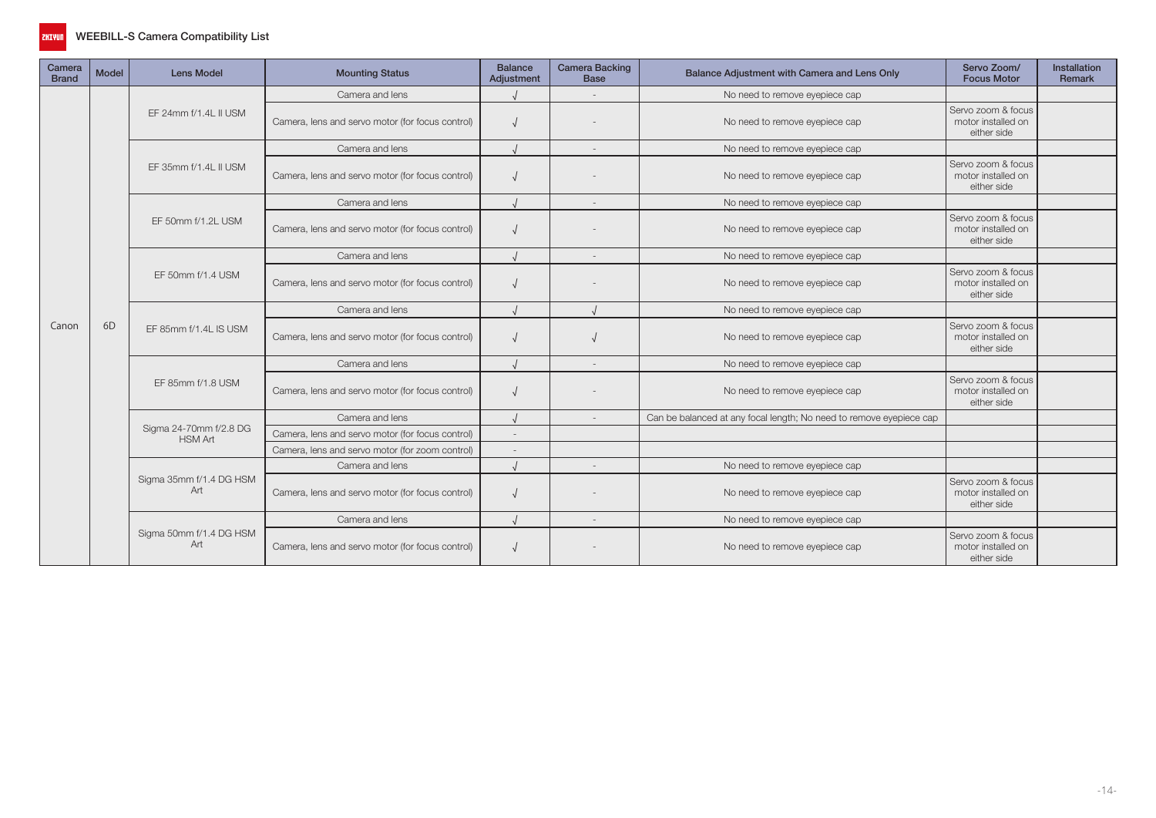

| Camera<br><b>Brand</b> | <b>Model</b>                                               | <b>Lens Model</b>                                | <b>Mounting Status</b>                           | <b>Balance</b><br>Adjustment | <b>Camera Backing</b><br><b>Base</b> | Balance Adjustment with Camera and Lens Only                        | Servo Zoom/<br><b>Focus Motor</b>                       | Installation<br>Remark |
|------------------------|------------------------------------------------------------|--------------------------------------------------|--------------------------------------------------|------------------------------|--------------------------------------|---------------------------------------------------------------------|---------------------------------------------------------|------------------------|
|                        |                                                            |                                                  | Camera and lens                                  |                              |                                      | No need to remove eyepiece cap                                      |                                                         |                        |
|                        |                                                            | EF 24mm f/1.4L II USM                            | Camera, lens and servo motor (for focus control) |                              |                                      | No need to remove eyepiece cap                                      | Servo zoom & focus<br>motor installed on<br>either side |                        |
|                        |                                                            |                                                  | Camera and lens                                  |                              | $\overline{\phantom{a}}$             | No need to remove eyepiece cap                                      |                                                         |                        |
|                        |                                                            | EF 35mm f/1.4L II USM                            | Camera, lens and servo motor (for focus control) |                              |                                      | No need to remove eyepiece cap                                      | Servo zoom & focus<br>motor installed on<br>either side |                        |
|                        |                                                            |                                                  | Camera and lens                                  |                              |                                      | No need to remove eyepiece cap                                      |                                                         |                        |
|                        | EF 50mm f/1.2L USM<br>Camera and lens<br>EF 50mm f/1.4 USM | Camera, lens and servo motor (for focus control) |                                                  |                              | No need to remove eyepiece cap       | Servo zoom & focus<br>motor installed on<br>either side             |                                                         |                        |
|                        |                                                            |                                                  |                                                  |                              |                                      | No need to remove eyepiece cap                                      |                                                         |                        |
|                        |                                                            |                                                  | Camera, lens and servo motor (for focus control) |                              |                                      | No need to remove eyepiece cap                                      | Servo zoom & focus<br>motor installed on<br>either side |                        |
|                        | 6 <sub>D</sub>                                             |                                                  | Camera and lens                                  |                              |                                      | No need to remove eyepiece cap                                      |                                                         |                        |
| Canon                  |                                                            | EF 85mm f/1.4L IS USM                            | Camera, lens and servo motor (for focus control) |                              |                                      | No need to remove eyepiece cap                                      | Servo zoom & focus<br>motor installed on<br>either side |                        |
|                        |                                                            |                                                  | Camera and lens                                  |                              |                                      | No need to remove eyepiece cap                                      |                                                         |                        |
|                        |                                                            | EF 85mm f/1.8 USM                                | Camera, lens and servo motor (for focus control) |                              |                                      | No need to remove eyepiece cap                                      | Servo zoom & focus<br>motor installed on<br>either side |                        |
|                        |                                                            |                                                  | Camera and lens                                  |                              |                                      | Can be balanced at any focal length; No need to remove eyepiece cap |                                                         |                        |
|                        |                                                            | Sigma 24-70mm f/2.8 DG<br><b>HSM Art</b>         | Camera, lens and servo motor (for focus control) |                              |                                      |                                                                     |                                                         |                        |
|                        |                                                            |                                                  | Camera, lens and servo motor (for zoom control)  |                              |                                      |                                                                     |                                                         |                        |
|                        |                                                            |                                                  | Camera and lens                                  |                              | $\sim$                               | No need to remove eyepiece cap                                      |                                                         |                        |
|                        |                                                            | Sigma 35mm f/1.4 DG HSM<br>Art                   | Camera, lens and servo motor (for focus control) |                              |                                      | No need to remove eyepiece cap                                      | Servo zoom & focus<br>motor installed on<br>either side |                        |
|                        |                                                            |                                                  | Camera and lens                                  |                              | $\sim$                               | No need to remove eyepiece cap                                      |                                                         |                        |
|                        |                                                            | Sigma 50mm f/1.4 DG HSM<br>Art                   | Camera, lens and servo motor (for focus control) |                              |                                      | No need to remove eyepiece cap                                      | Servo zoom & focus<br>motor installed on<br>either side |                        |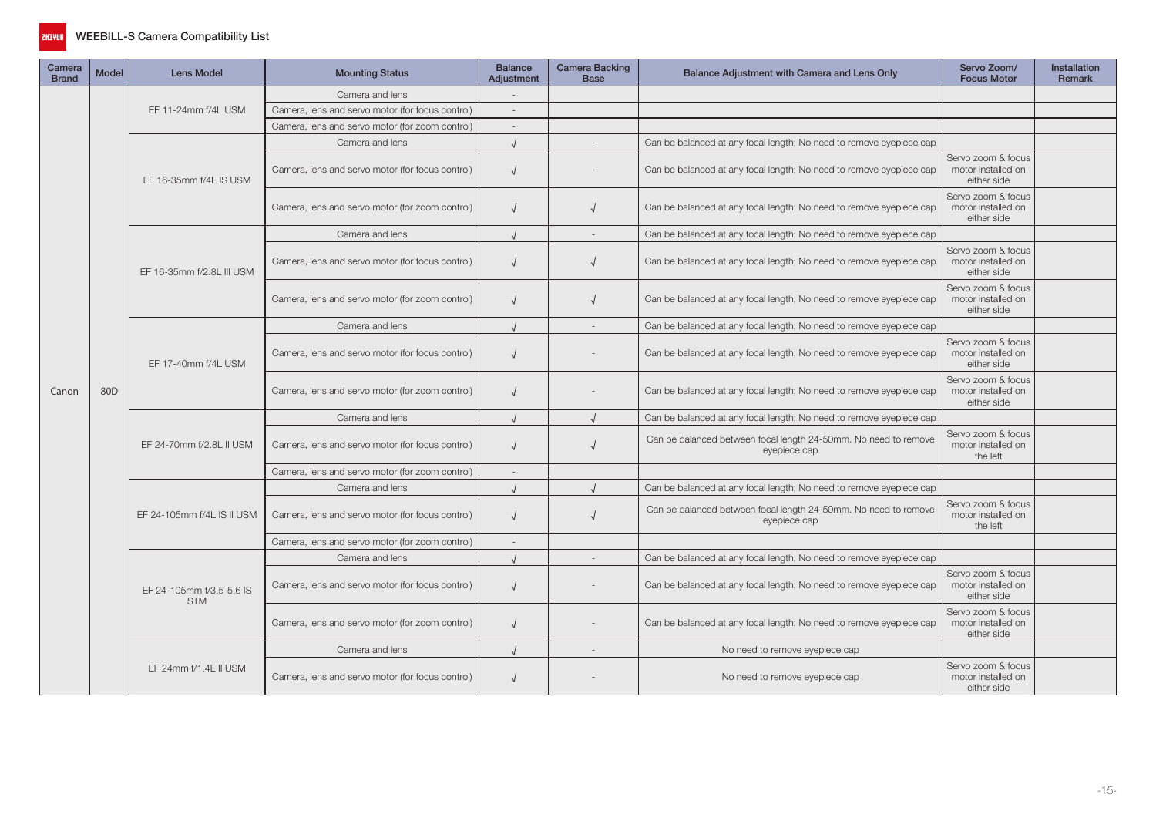

| Camera<br><b>Brand</b> | <b>Model</b> | <b>Lens Model</b>                      | <b>Mounting Status</b>                           | <b>Balance</b><br>Adjustment | <b>Camera Backing</b><br><b>Base</b> | Balance Adjustment with Camera and Lens Only                                    | Servo Zoom/<br><b>Focus Motor</b>                       | Installation<br>Remark |
|------------------------|--------------|----------------------------------------|--------------------------------------------------|------------------------------|--------------------------------------|---------------------------------------------------------------------------------|---------------------------------------------------------|------------------------|
|                        |              |                                        | Camera and lens                                  |                              |                                      |                                                                                 |                                                         |                        |
|                        |              | EF 11-24mm f/4L USM                    | Camera, lens and servo motor (for focus control) |                              |                                      |                                                                                 |                                                         |                        |
|                        |              |                                        | Camera, lens and servo motor (for zoom control)  | $\overline{a}$               |                                      |                                                                                 |                                                         |                        |
|                        |              |                                        | Camera and lens                                  |                              |                                      | Can be balanced at any focal length; No need to remove eyepiece cap             |                                                         |                        |
|                        |              | EF 16-35mm f/4L IS USM                 | Camera, lens and servo motor (for focus control) | $\sqrt{ }$                   |                                      | Can be balanced at any focal length; No need to remove eyepiece cap             | Servo zoom & focus<br>motor installed on<br>either side |                        |
|                        |              |                                        | Camera, lens and servo motor (for zoom control)  | $\sqrt{ }$                   |                                      | Can be balanced at any focal length; No need to remove eyepiece cap             | Servo zoom & focus<br>motor installed on<br>either side |                        |
|                        |              |                                        | Camera and lens                                  |                              |                                      | Can be balanced at any focal length; No need to remove eyepiece cap             |                                                         |                        |
|                        | 80D          | EF 16-35mm f/2.8L III USM              | Camera, lens and servo motor (for focus control) | $\sqrt{ }$                   |                                      | Can be balanced at any focal length; No need to remove eyepiece cap             | Servo zoom & focus<br>motor installed on<br>either side |                        |
|                        |              |                                        | Camera, lens and servo motor (for zoom control)  | $\sqrt{ }$                   |                                      | Can be balanced at any focal length; No need to remove eyepiece cap             | Servo zoom & focus<br>motor installed on<br>either side |                        |
|                        |              |                                        | Camera and lens                                  |                              |                                      | Can be balanced at any focal length; No need to remove eyepiece cap             |                                                         |                        |
|                        |              | EF 17-40mm f/4L USM                    | Camera, lens and servo motor (for focus control) | $\sqrt{ }$                   |                                      | Can be balanced at any focal length; No need to remove eyepiece cap             | Servo zoom & focus<br>motor installed on<br>either side |                        |
| Canon                  |              |                                        | Camera, lens and servo motor (for zoom control)  | $\sqrt{ }$                   |                                      | Can be balanced at any focal length; No need to remove eyepiece cap             | Servo zoom & focus<br>motor installed on<br>either side |                        |
|                        |              | EF 24-70mm f/2.8L II USM               | Camera and lens                                  |                              |                                      | Can be balanced at any focal length; No need to remove eyepiece cap             |                                                         |                        |
|                        |              |                                        | Camera, lens and servo motor (for focus control) | $\sqrt{ }$                   |                                      | Can be balanced between focal length 24-50mm. No need to remove<br>eyepiece cap | Servo zoom & focus<br>motor installed on<br>the left    |                        |
|                        |              |                                        | Camera, lens and servo motor (for zoom control)  | $\sim$                       |                                      |                                                                                 |                                                         |                        |
|                        |              |                                        | Camera and lens                                  |                              |                                      | Can be balanced at any focal length; No need to remove eyepiece cap             |                                                         |                        |
|                        |              | EF 24-105mm f/4L IS II USM             | Camera, lens and servo motor (for focus control) | $\sqrt{ }$                   |                                      | Can be balanced between focal length 24-50mm. No need to remove<br>eyepiece cap | Servo zoom & focus<br>motor installed on<br>the left    |                        |
|                        |              |                                        | Camera, lens and servo motor (for zoom control)  | $\sim$                       |                                      |                                                                                 |                                                         |                        |
|                        |              |                                        | Camera and lens                                  | $\cdot$                      |                                      | Can be balanced at any focal length; No need to remove eyepiece cap             |                                                         |                        |
|                        |              | EF 24-105mm f/3.5-5.6 IS<br><b>STM</b> | Camera, lens and servo motor (for focus control) | $\sqrt{ }$                   |                                      | Can be balanced at any focal length; No need to remove eyepiece cap             | Servo zoom & focus<br>motor installed on<br>either side |                        |
|                        |              |                                        | Camera, lens and servo motor (for zoom control)  | $\sqrt{2}$                   |                                      | Can be balanced at any focal length; No need to remove eyepiece cap             | Servo zoom & focus<br>motor installed on<br>either side |                        |
|                        |              |                                        | Camera and lens                                  |                              |                                      | No need to remove eyepiece cap                                                  |                                                         |                        |
|                        |              | EF 24mm f/1.4L II USM                  | Camera, lens and servo motor (for focus control) |                              |                                      | No need to remove eyepiece cap                                                  | Servo zoom & focus<br>motor installed on<br>either side |                        |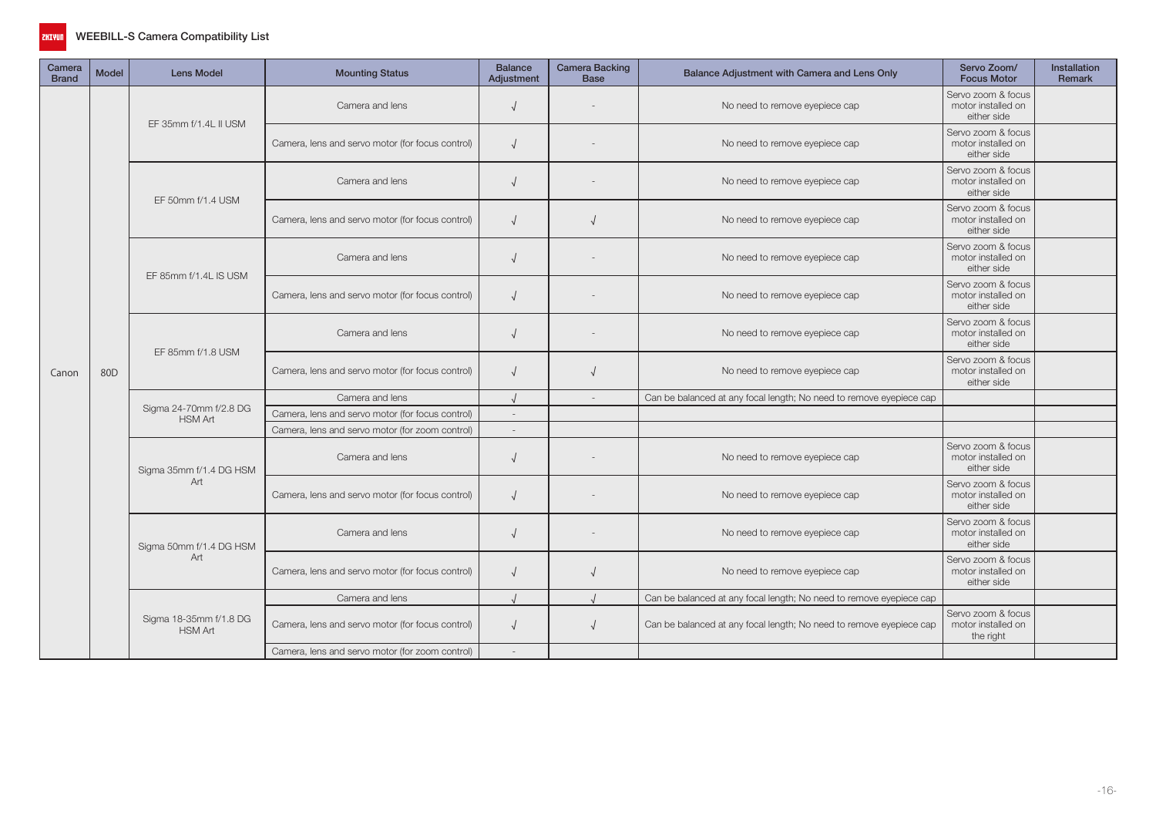

| Camera<br><b>Brand</b> | <b>Model</b> | <b>Lens Model</b>                        | <b>Mounting Status</b>                           | <b>Balance</b><br>Adjustment | <b>Camera Backing</b><br><b>Base</b> | Balance Adjustment with Camera and Lens Only                        | Servo Zoom/<br><b>Focus Motor</b>                       | Installation<br><b>Remark</b> |
|------------------------|--------------|------------------------------------------|--------------------------------------------------|------------------------------|--------------------------------------|---------------------------------------------------------------------|---------------------------------------------------------|-------------------------------|
|                        |              | EF 35mm f/1.4L II USM                    | Camera and lens                                  | $\sqrt{ }$                   |                                      | No need to remove eyepiece cap                                      | Servo zoom & focus<br>motor installed on<br>either side |                               |
|                        |              |                                          | Camera, lens and servo motor (for focus control) | $\sqrt{ }$                   |                                      | No need to remove eyepiece cap                                      | Servo zoom & focus<br>motor installed on<br>either side |                               |
|                        |              | EF 50mm f/1.4 USM                        | Camera and lens                                  | $\sqrt{ }$                   |                                      | No need to remove eyepiece cap                                      | Servo zoom & focus<br>motor installed on<br>either side |                               |
|                        |              |                                          | Camera, lens and servo motor (for focus control) | $\sqrt{ }$                   |                                      | No need to remove eyepiece cap                                      | Servo zoom & focus<br>motor installed on<br>either side |                               |
|                        | 80D          | EF 85mm f/1.4L IS USM                    | Camera and lens                                  | $\sqrt{ }$                   |                                      | No need to remove eyepiece cap                                      | Servo zoom & focus<br>motor installed on<br>either side |                               |
|                        |              |                                          | Camera, lens and servo motor (for focus control) | $\sqrt{ }$                   |                                      | No need to remove eyepiece cap                                      | Servo zoom & focus<br>motor installed on<br>either side |                               |
|                        |              | EF 85mm f/1.8 USM                        | Camera and lens                                  | $\sqrt{ }$                   |                                      | No need to remove eyepiece cap                                      | Servo zoom & focus<br>motor installed on<br>either side |                               |
| Canon                  |              |                                          | Camera, lens and servo motor (for focus control) | $\sqrt{ }$                   |                                      | No need to remove eyepiece cap                                      | Servo zoom & focus<br>motor installed on<br>either side |                               |
|                        |              |                                          | Camera and lens                                  |                              | $\overline{\phantom{a}}$             | Can be balanced at any focal length; No need to remove eyepiece cap |                                                         |                               |
|                        |              | Sigma 24-70mm f/2.8 DG<br><b>HSM Art</b> | Camera, lens and servo motor (for focus control) |                              |                                      |                                                                     |                                                         |                               |
|                        |              |                                          | Camera, lens and servo motor (for zoom control)  |                              |                                      |                                                                     |                                                         |                               |
|                        |              | Sigma 35mm f/1.4 DG HSM                  | Camera and lens                                  | $\sqrt{ }$                   |                                      | No need to remove eyepiece cap                                      | Servo zoom & focus<br>motor installed on<br>either side |                               |
|                        |              | Art                                      | Camera, lens and servo motor (for focus control) | $\sqrt{ }$                   |                                      | No need to remove eyepiece cap                                      | Servo zoom & focus<br>motor installed on<br>either side |                               |
|                        |              | Sigma 50mm f/1.4 DG HSM                  | Camera and lens                                  | $\sqrt{ }$                   |                                      | No need to remove eyepiece cap                                      | Servo zoom & focus<br>motor installed on<br>either side |                               |
|                        |              | Art                                      | Camera, lens and servo motor (for focus control) | $\sqrt{ }$                   |                                      | No need to remove eyepiece cap                                      | Servo zoom & focus<br>motor installed on<br>either side |                               |
|                        |              |                                          | Camera and lens                                  |                              |                                      | Can be balanced at any focal length; No need to remove eyepiece cap |                                                         |                               |
|                        |              | Sigma 18-35mm f/1.8 DG<br><b>HSM Art</b> | Camera, lens and servo motor (for focus control) | $\sqrt{ }$                   |                                      | Can be balanced at any focal length; No need to remove eyepiece cap | Servo zoom & focus<br>motor installed on<br>the right   |                               |
|                        |              |                                          | Camera, lens and servo motor (for zoom control)  |                              |                                      |                                                                     |                                                         |                               |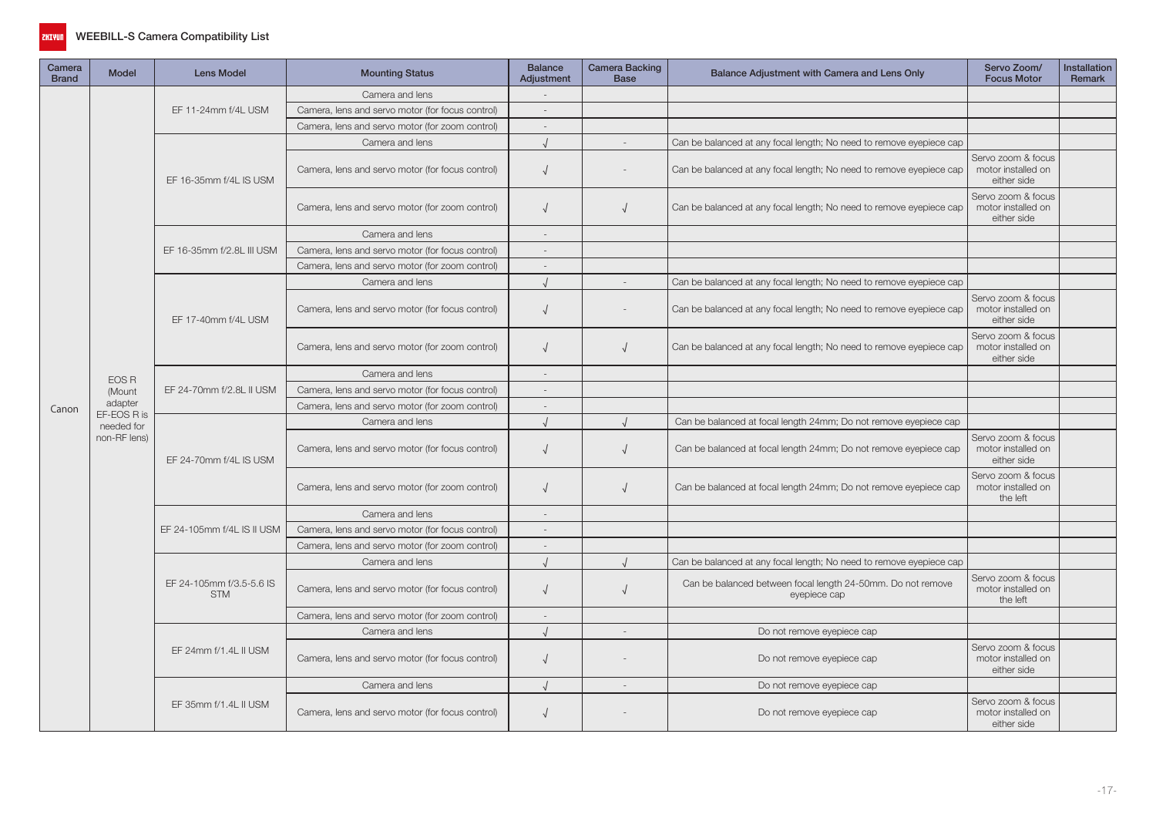

| Camera<br><b>Brand</b> | <b>Model</b>              | <b>Lens Model</b>                      | <b>Mounting Status</b>                           | <b>Balance</b><br>Adjustment | <b>Camera Backing</b><br><b>Base</b> | Balance Adjustment with Camera and Lens Only                                | Servo Zoom/<br><b>Focus Motor</b>                       | Installation<br>Remark |
|------------------------|---------------------------|----------------------------------------|--------------------------------------------------|------------------------------|--------------------------------------|-----------------------------------------------------------------------------|---------------------------------------------------------|------------------------|
|                        |                           |                                        | Camera and lens                                  |                              |                                      |                                                                             |                                                         |                        |
|                        |                           | EF 11-24mm f/4L USM                    | Camera, lens and servo motor (for focus control) | $\overline{a}$               |                                      |                                                                             |                                                         |                        |
|                        |                           |                                        | Camera, lens and servo motor (for zoom control)  | $\overline{\phantom{a}}$     |                                      |                                                                             |                                                         |                        |
|                        |                           |                                        | Camera and lens                                  |                              | $\overline{a}$                       | Can be balanced at any focal length; No need to remove eyepiece cap         |                                                         |                        |
|                        |                           | EF 16-35mm f/4L IS USM                 | Camera, lens and servo motor (for focus control) | $\sqrt{ }$                   |                                      | Can be balanced at any focal length; No need to remove eyepiece cap         | Servo zoom & focus<br>motor installed on<br>either side |                        |
|                        |                           |                                        | Camera, lens and servo motor (for zoom control)  | $\sqrt{ }$                   | V                                    | Can be balanced at any focal length; No need to remove eyepiece cap         | Servo zoom & focus<br>motor installed on<br>either side |                        |
|                        |                           |                                        | Camera and lens                                  | $\overline{\phantom{a}}$     |                                      |                                                                             |                                                         |                        |
|                        |                           | EF 16-35mm f/2.8L III USM              | Camera, lens and servo motor (for focus control) | $\overline{a}$               |                                      |                                                                             |                                                         |                        |
|                        |                           |                                        | Camera, lens and servo motor (for zoom control)  | $\sim$                       |                                      |                                                                             |                                                         |                        |
|                        |                           |                                        | Camera and lens                                  | $\cdot$                      |                                      | Can be balanced at any focal length; No need to remove eyepiece cap         |                                                         |                        |
|                        |                           | EF 17-40mm f/4L USM                    | Camera, lens and servo motor (for focus control) | $\sqrt{ }$                   |                                      | Can be balanced at any focal length; No need to remove eyepiece cap         | Servo zoom & focus<br>motor installed on<br>either side |                        |
|                        |                           |                                        | Camera, lens and servo motor (for zoom control)  | $\sqrt{ }$                   | V                                    | Can be balanced at any focal length; No need to remove eyepiece cap         | Servo zoom & focus<br>motor installed on<br>either side |                        |
|                        | EOS R                     |                                        | Camera and lens                                  | $\overline{a}$               |                                      |                                                                             |                                                         |                        |
|                        | (Mount                    | EF 24-70mm f/2.8L II USM               | Camera, lens and servo motor (for focus control) | $\sim$                       |                                      |                                                                             |                                                         |                        |
| Canon                  | adapter                   |                                        | Camera, lens and servo motor (for zoom control)  | $\overline{a}$               |                                      |                                                                             |                                                         |                        |
|                        | EF-EOS R is<br>needed for |                                        | Camera and lens                                  |                              |                                      | Can be balanced at focal length 24mm; Do not remove eyepiece cap            |                                                         |                        |
|                        | non-RF lens)              | EF 24-70mm f/4L IS USM                 | Camera, lens and servo motor (for focus control) | $\sqrt{ }$                   |                                      | Can be balanced at focal length 24mm; Do not remove eyepiece cap            | Servo zoom & focus<br>motor installed on<br>either side |                        |
|                        |                           |                                        | Camera, lens and servo motor (for zoom control)  | $\sqrt{ }$                   |                                      | Can be balanced at focal length 24mm; Do not remove eyepiece cap            | Servo zoom & focus<br>motor installed on<br>the left    |                        |
|                        |                           |                                        | Camera and lens                                  |                              |                                      |                                                                             |                                                         |                        |
|                        |                           | EF 24-105mm f/4L IS II USM             | Camera, lens and servo motor (for focus control) | $\sim$                       |                                      |                                                                             |                                                         |                        |
|                        |                           |                                        | Camera, lens and servo motor (for zoom control)  | $\sim$                       |                                      |                                                                             |                                                         |                        |
|                        |                           |                                        | Camera and lens                                  |                              |                                      | Can be balanced at any focal length; No need to remove eyepiece cap         |                                                         |                        |
|                        |                           | EF 24-105mm f/3.5-5.6 IS<br><b>STM</b> | Camera, lens and servo motor (for focus control) | $\sqrt{ }$                   |                                      | Can be balanced between focal length 24-50mm. Do not remove<br>eyepiece cap | Servo zoom & focus<br>motor installed on<br>the left    |                        |
|                        |                           |                                        | Camera, lens and servo motor (for zoom control)  |                              |                                      |                                                                             |                                                         |                        |
|                        |                           |                                        | Camera and lens                                  |                              |                                      | Do not remove eyepiece cap                                                  |                                                         |                        |
|                        |                           | EF 24mm f/1.4L II USM                  | Camera, lens and servo motor (for focus control) | $\sqrt{ }$                   |                                      | Do not remove eyepiece cap                                                  | Servo zoom & focus<br>motor installed on<br>either side |                        |
|                        |                           |                                        | Camera and lens                                  |                              | $\overline{a}$                       | Do not remove eyepiece cap                                                  |                                                         |                        |
|                        |                           | EF 35mm f/1.4L II USM                  | Camera, lens and servo motor (for focus control) | $\sqrt{ }$                   |                                      | Do not remove eyepiece cap                                                  | Servo zoom & focus<br>motor installed on<br>either side |                        |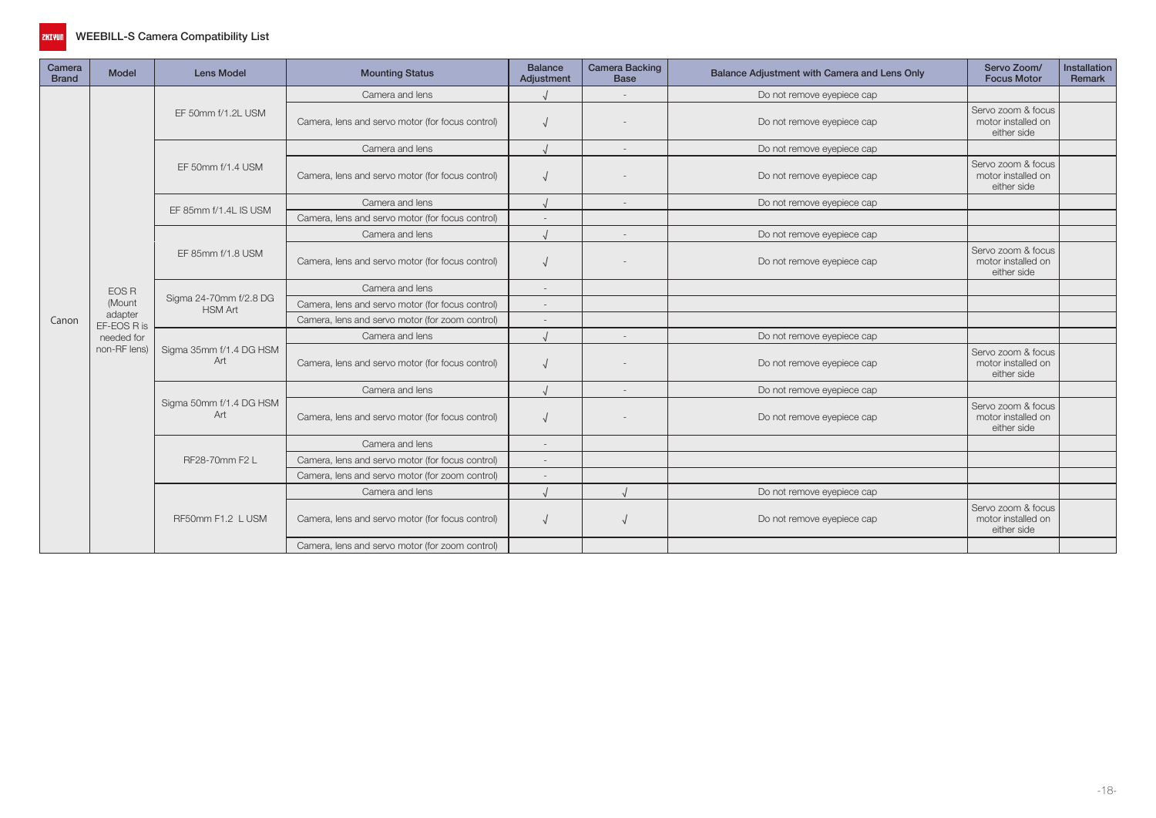

| Camera<br><b>Brand</b> | Model                  | <b>Lens Model</b>                        | <b>Mounting Status</b>                           | <b>Balance</b><br>Adjustment | <b>Camera Backing</b><br><b>Base</b> | Balance Adjustment with Camera and Lens Only | Servo Zoom/<br><b>Focus Motor</b>                                                                                                                                                                                                        | Installation<br>Remark |
|------------------------|------------------------|------------------------------------------|--------------------------------------------------|------------------------------|--------------------------------------|----------------------------------------------|------------------------------------------------------------------------------------------------------------------------------------------------------------------------------------------------------------------------------------------|------------------------|
|                        |                        |                                          | Camera and lens                                  |                              | $\sim$                               | Do not remove eyepiece cap                   |                                                                                                                                                                                                                                          |                        |
|                        |                        | EF 50mm f/1.2L USM                       | Camera, lens and servo motor (for focus control) |                              |                                      | Do not remove eyepiece cap                   | Servo zoom & focus<br>motor installed on<br>either side                                                                                                                                                                                  |                        |
|                        |                        |                                          | Camera and lens                                  |                              | $\sim$                               | Do not remove eyepiece cap                   |                                                                                                                                                                                                                                          |                        |
|                        |                        | EF 50mm f/1.4 USM                        | Camera, lens and servo motor (for focus control) |                              |                                      | Do not remove eyepiece cap                   | Servo zoom & focus<br>motor installed on<br>either side                                                                                                                                                                                  |                        |
|                        |                        |                                          | Camera and lens                                  |                              | $\sim$                               | Do not remove eyepiece cap                   |                                                                                                                                                                                                                                          |                        |
|                        |                        | EF 85mm f/1.4L IS USM                    | Camera, lens and servo motor (for focus control) |                              |                                      |                                              |                                                                                                                                                                                                                                          |                        |
|                        |                        |                                          | Camera and lens                                  |                              | $\sim$                               | Do not remove eyepiece cap                   |                                                                                                                                                                                                                                          |                        |
|                        |                        | EF 85mm f/1.8 USM                        | Camera, lens and servo motor (for focus control) |                              |                                      | Do not remove eyepiece cap                   | Servo zoom & focus<br>motor installed on<br>either side<br>Servo zoom & focus<br>motor installed on<br>either side<br>Servo zoom & focus<br>motor installed on<br>either side<br>Servo zoom & focus<br>motor installed on<br>either side |                        |
|                        | <b>EOS R</b>           |                                          | Camera and lens                                  |                              |                                      |                                              |                                                                                                                                                                                                                                          |                        |
|                        | (Mount                 | Sigma 24-70mm f/2.8 DG<br><b>HSM Art</b> | Camera, lens and servo motor (for focus control) |                              |                                      |                                              |                                                                                                                                                                                                                                          |                        |
| Canon                  | adapter<br>EF-EOS R is |                                          | Camera, lens and servo motor (for zoom control)  |                              |                                      |                                              |                                                                                                                                                                                                                                          |                        |
|                        | needed for             |                                          | Camera and lens                                  |                              | Do not remove eyepiece cap           |                                              |                                                                                                                                                                                                                                          |                        |
|                        | non-RF lens)           | Sigma 35mm f/1.4 DG HSM<br>Art           | Camera, lens and servo motor (for focus control) |                              |                                      | Do not remove eyepiece cap                   |                                                                                                                                                                                                                                          |                        |
|                        |                        |                                          | Camera and lens                                  |                              | $\overline{\phantom{a}}$             | Do not remove eyepiece cap                   |                                                                                                                                                                                                                                          |                        |
|                        |                        | Sigma 50mm f/1.4 DG HSM<br>Art           | Camera, lens and servo motor (for focus control) |                              |                                      | Do not remove eyepiece cap                   |                                                                                                                                                                                                                                          |                        |
|                        |                        |                                          | Camera and lens                                  | $\overline{a}$               |                                      |                                              |                                                                                                                                                                                                                                          |                        |
|                        |                        | RF28-70mm F2 L                           | Camera, lens and servo motor (for focus control) |                              |                                      |                                              |                                                                                                                                                                                                                                          |                        |
|                        |                        |                                          | Camera, lens and servo motor (for zoom control)  |                              |                                      |                                              |                                                                                                                                                                                                                                          |                        |
|                        |                        |                                          | Camera and lens                                  |                              |                                      | Do not remove eyepiece cap                   |                                                                                                                                                                                                                                          |                        |
|                        |                        | RF50mm F1.2 L USM                        | Camera, lens and servo motor (for focus control) |                              |                                      | Do not remove eyepiece cap                   |                                                                                                                                                                                                                                          |                        |
|                        |                        |                                          | Camera, lens and servo motor (for zoom control)  |                              |                                      |                                              |                                                                                                                                                                                                                                          |                        |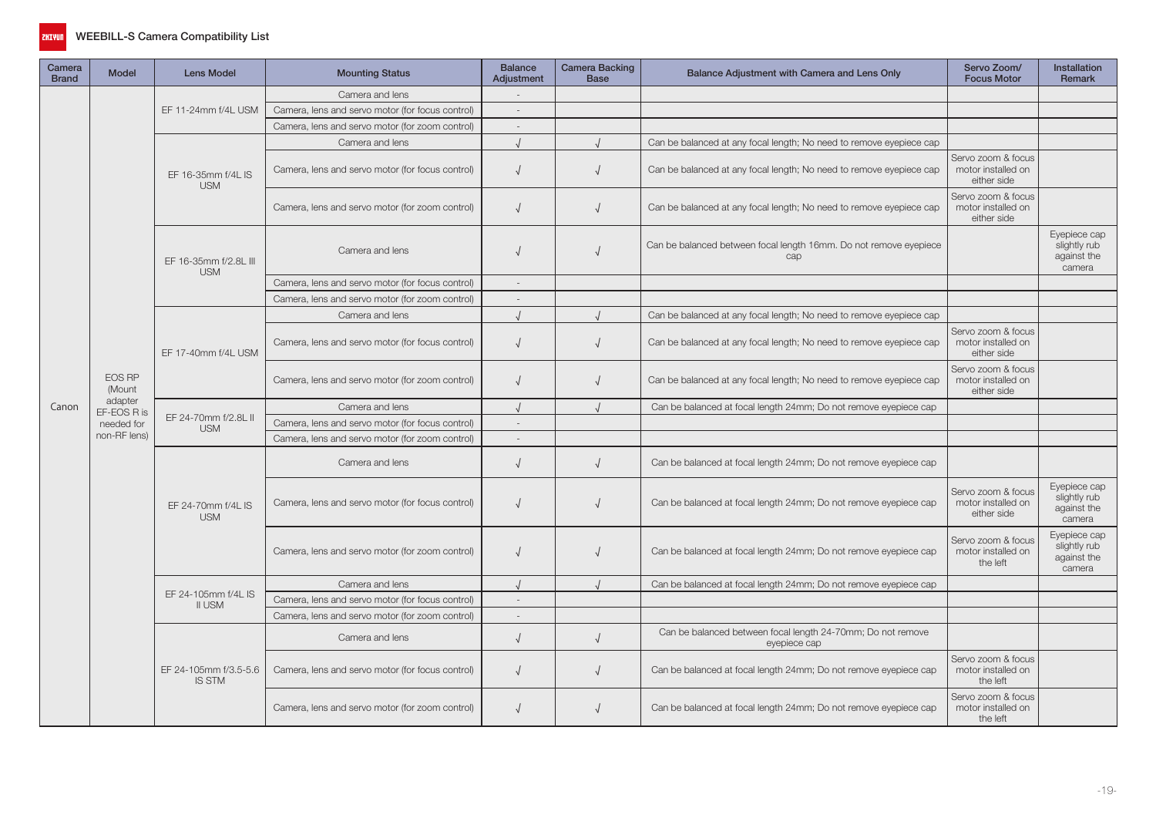

| Camera<br><b>Brand</b> | <b>Model</b>           | <b>Lens Model</b>                      | <b>Mounting Status</b>                           | <b>Balance</b><br>Adjustment | Camera Backing<br><b>Base</b> | Balance Adjustment with Camera and Lens Only                                | Servo Zoom/<br><b>Focus Motor</b>                       | <b>Installation</b><br>Remark                         |
|------------------------|------------------------|----------------------------------------|--------------------------------------------------|------------------------------|-------------------------------|-----------------------------------------------------------------------------|---------------------------------------------------------|-------------------------------------------------------|
|                        |                        |                                        | Camera and lens                                  |                              |                               |                                                                             |                                                         |                                                       |
|                        |                        | EF 11-24mm f/4L USM                    | Camera, lens and servo motor (for focus control) | $\overline{\phantom{a}}$     |                               |                                                                             |                                                         |                                                       |
|                        |                        |                                        | Camera, lens and servo motor (for zoom control)  | $\sim$                       |                               |                                                                             |                                                         |                                                       |
|                        |                        |                                        | Camera and lens                                  |                              |                               | Can be balanced at any focal length; No need to remove eyepiece cap         |                                                         |                                                       |
|                        |                        | EF 16-35mm f/4L IS<br><b>USM</b>       | Camera, lens and servo motor (for focus control) |                              | $\sqrt{2}$                    | Can be balanced at any focal length; No need to remove eyepiece cap         | Servo zoom & focus<br>motor installed on<br>either side |                                                       |
|                        |                        |                                        | Camera, lens and servo motor (for zoom control)  | $\overline{ }$               | $\sqrt{ }$                    | Can be balanced at any focal length; No need to remove eyepiece cap         | Servo zoom & focus<br>motor installed on<br>either side |                                                       |
|                        |                        | EF 16-35mm f/2.8L III<br><b>USM</b>    | Camera and lens                                  |                              |                               | Can be balanced between focal length 16mm. Do not remove eyepiece<br>cap    |                                                         | Evepiece cap<br>slightly rub<br>against the<br>camera |
|                        |                        |                                        | Camera, lens and servo motor (for focus control) | $\sim$                       |                               |                                                                             |                                                         |                                                       |
|                        |                        |                                        | Camera, lens and servo motor (for zoom control)  | $\sim$                       |                               |                                                                             |                                                         |                                                       |
|                        |                        |                                        | Camera and lens                                  |                              | $\sqrt{ }$                    | Can be balanced at any focal length; No need to remove eyepiece cap         |                                                         |                                                       |
|                        |                        | EF 17-40mm f/4L USM                    | Camera, lens and servo motor (for focus control) |                              |                               | Can be balanced at any focal length; No need to remove eyepiece cap         | Servo zoom & focus<br>motor installed on<br>either side |                                                       |
|                        | EOS RP<br>(Mount       |                                        | Camera, lens and servo motor (for zoom control)  |                              |                               | Can be balanced at any focal length; No need to remove eyepiece cap         | Servo zoom & focus<br>motor installed on<br>either side |                                                       |
| Canon                  | adapter<br>EF-EOS R is |                                        | Camera and lens                                  |                              |                               | Can be balanced at focal length 24mm; Do not remove eyepiece cap            |                                                         |                                                       |
|                        | needed for             | EF 24-70mm f/2.8L II<br><b>USM</b>     | Camera, lens and servo motor (for focus control) | $\sim$                       |                               |                                                                             |                                                         |                                                       |
|                        | non-RF lens)           |                                        | Camera, lens and servo motor (for zoom control)  | $\sim$                       |                               |                                                                             |                                                         |                                                       |
|                        |                        |                                        | Camera and lens                                  | $\sqrt{ }$                   | $\sqrt{2}$                    | Can be balanced at focal length 24mm; Do not remove eyepiece cap            |                                                         |                                                       |
|                        |                        | EF 24-70mm f/4L IS<br><b>USM</b>       | Camera, lens and servo motor (for focus control) |                              |                               | Can be balanced at focal length 24mm; Do not remove eyepiece cap            | Servo zoom & focus<br>motor installed on<br>either side | Eyepiece cap<br>slightly rub<br>against the<br>camera |
|                        |                        |                                        | Camera, lens and servo motor (for zoom control)  |                              |                               | Can be balanced at focal length 24mm; Do not remove eyepiece cap            | Servo zoom & focus<br>motor installed on<br>the left    | Eyepiece cap<br>slightly rub<br>against the<br>camera |
|                        |                        |                                        | Camera and lens                                  |                              |                               | Can be balanced at focal length 24mm; Do not remove eyepiece cap            |                                                         |                                                       |
|                        |                        | EF 24-105mm f/4L IS<br>II USM          | Camera, lens and servo motor (for focus control) | $\sim$                       |                               |                                                                             |                                                         |                                                       |
|                        |                        |                                        | Camera, lens and servo motor (for zoom control)  | $\overline{\phantom{a}}$     |                               |                                                                             |                                                         |                                                       |
|                        |                        |                                        | Camera and lens                                  | $\sqrt{2}$                   | $\sqrt{ }$                    | Can be balanced between focal length 24-70mm; Do not remove<br>eyepiece cap |                                                         |                                                       |
|                        |                        | EF 24-105mm f/3.5-5.6<br><b>IS STM</b> | Camera, lens and servo motor (for focus control) |                              |                               | Can be balanced at focal length 24mm; Do not remove eyepiece cap            | Servo zoom & focus<br>motor installed on<br>the left    |                                                       |
|                        |                        |                                        | Camera, lens and servo motor (for zoom control)  |                              |                               | Can be balanced at focal length 24mm; Do not remove eyepiece cap            | Servo zoom & focus<br>motor installed on<br>the left    |                                                       |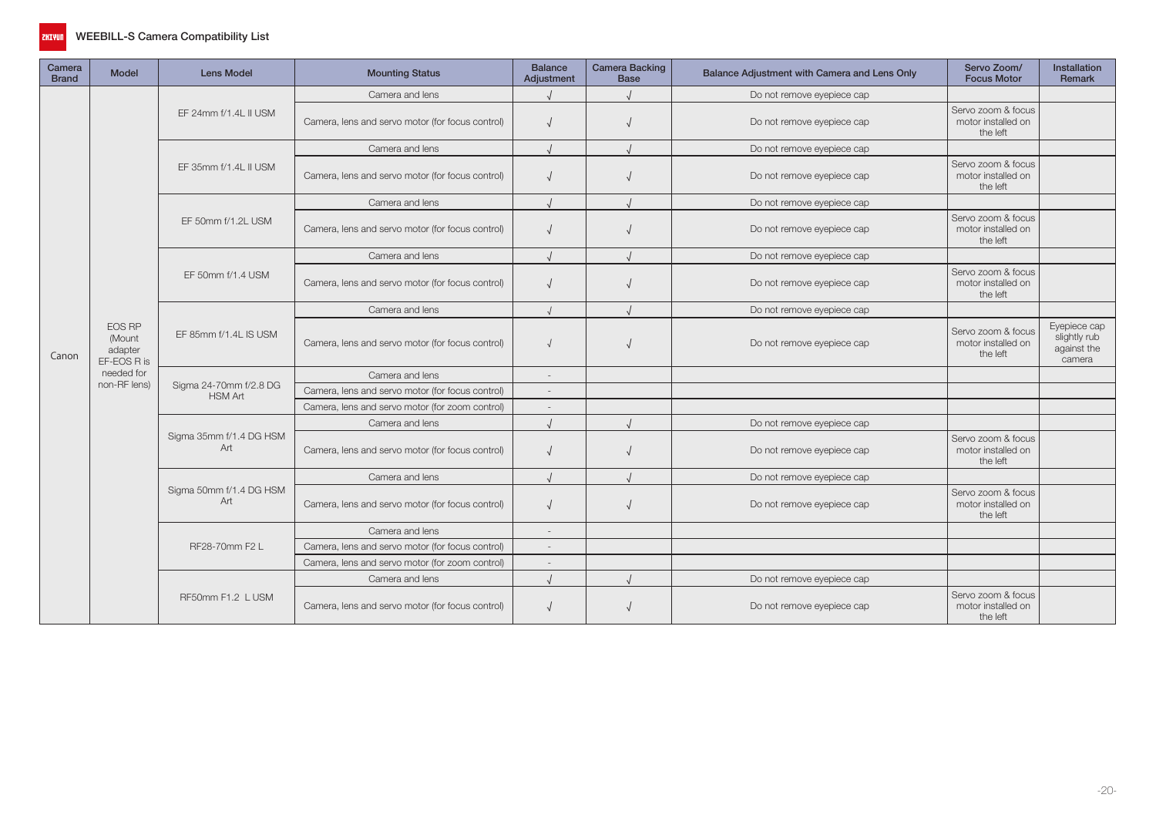

| Camera<br><b>Brand</b> | <b>Model</b>                                                                    | <b>Lens Model</b>                        | <b>Mounting Status</b>                           | <b>Balance</b><br>Adjustment | <b>Camera Backing</b><br><b>Base</b> | Balance Adjustment with Camera and Lens Only | Servo Zoom/<br><b>Focus Motor</b>                                                                            | <b>Installation</b><br><b>Remark</b>                  |
|------------------------|---------------------------------------------------------------------------------|------------------------------------------|--------------------------------------------------|------------------------------|--------------------------------------|----------------------------------------------|--------------------------------------------------------------------------------------------------------------|-------------------------------------------------------|
|                        |                                                                                 |                                          | Camera and lens                                  |                              |                                      | Do not remove eyepiece cap                   |                                                                                                              |                                                       |
|                        | <b>EOS RP</b><br>(Mount<br>adapter<br>EF-EOS R is<br>needed for<br>non-RF lens) | EF 24mm f/1.4L II USM                    | Camera, lens and servo motor (for focus control) | $\sqrt{ }$                   |                                      | Do not remove eyepiece cap                   | Servo zoom & focus<br>motor installed on<br>the left                                                         |                                                       |
|                        |                                                                                 |                                          | Camera and lens                                  | $\overline{I}$               |                                      | Do not remove eyepiece cap                   |                                                                                                              |                                                       |
|                        |                                                                                 | EF 35mm f/1.4L II USM                    | Camera, lens and servo motor (for focus control) |                              |                                      | Do not remove eyepiece cap                   | Servo zoom & focus<br>motor installed on<br>the left                                                         |                                                       |
|                        |                                                                                 |                                          | Camera and lens                                  | $\prime$                     |                                      | Do not remove eyepiece cap                   |                                                                                                              |                                                       |
|                        |                                                                                 | EF 50mm f/1.2L USM                       | Camera, lens and servo motor (for focus control) | $\sqrt{ }$                   |                                      | Do not remove eyepiece cap                   | Servo zoom & focus<br>motor installed on<br>the left                                                         |                                                       |
|                        |                                                                                 |                                          | Camera and lens                                  |                              |                                      | Do not remove eyepiece cap                   |                                                                                                              |                                                       |
|                        |                                                                                 | EF 50mm f/1.4 USM                        | Camera, lens and servo motor (for focus control) | $\sqrt{ }$                   |                                      | Do not remove eyepiece cap                   | Servo zoom & focus<br>motor installed on<br>the left                                                         |                                                       |
|                        |                                                                                 |                                          | Camera and lens                                  | $\cdot$                      |                                      | Do not remove eyepiece cap                   |                                                                                                              |                                                       |
| Canon                  |                                                                                 | EF 85mm f/1.4L IS USM                    | Camera, lens and servo motor (for focus control) |                              |                                      | Do not remove eyepiece cap                   | Servo zoom & focus<br>motor installed on<br>the left                                                         | Eyepiece cap<br>slightly rub<br>against the<br>camera |
|                        |                                                                                 |                                          | Camera and lens                                  | $\sim$                       |                                      |                                              |                                                                                                              |                                                       |
|                        |                                                                                 | Sigma 24-70mm f/2.8 DG<br><b>HSM Art</b> | Camera, lens and servo motor (for focus control) | $\overline{\phantom{a}}$     |                                      |                                              |                                                                                                              |                                                       |
|                        |                                                                                 |                                          | Camera, lens and servo motor (for zoom control)  | $\overline{\phantom{a}}$     |                                      |                                              |                                                                                                              |                                                       |
|                        |                                                                                 |                                          | Camera and lens                                  |                              |                                      | Do not remove eyepiece cap                   |                                                                                                              |                                                       |
|                        |                                                                                 | Sigma 35mm f/1.4 DG HSM<br>Art           | Camera, lens and servo motor (for focus control) | $\sqrt{ }$                   |                                      | Do not remove eyepiece cap                   | Servo zoom & focus<br>motor installed on<br>the left                                                         |                                                       |
|                        |                                                                                 |                                          | Camera and lens                                  | $\cdot$                      |                                      | Do not remove eyepiece cap                   | Servo zoom & focus<br>motor installed on<br>the left<br>Servo zoom & focus<br>motor installed on<br>the left |                                                       |
|                        |                                                                                 | Sigma 50mm f/1.4 DG HSM<br>Art           | Camera, lens and servo motor (for focus control) | $\sqrt{ }$                   |                                      | Do not remove eyepiece cap                   |                                                                                                              |                                                       |
|                        |                                                                                 |                                          | Camera and lens                                  | $\sim$                       |                                      |                                              |                                                                                                              |                                                       |
|                        |                                                                                 | RF28-70mm F2 L                           | Camera, lens and servo motor (for focus control) | $\overline{\phantom{a}}$     |                                      |                                              |                                                                                                              |                                                       |
|                        |                                                                                 |                                          | Camera, lens and servo motor (for zoom control)  | $\overline{a}$               |                                      |                                              |                                                                                                              |                                                       |
|                        |                                                                                 |                                          | Camera and lens                                  | $\prime$                     |                                      | Do not remove eyepiece cap                   |                                                                                                              |                                                       |
|                        |                                                                                 | RF50mm F1.2 L USM                        | Camera, lens and servo motor (for focus control) | $\sqrt{ }$                   |                                      | Do not remove eyepiece cap                   |                                                                                                              |                                                       |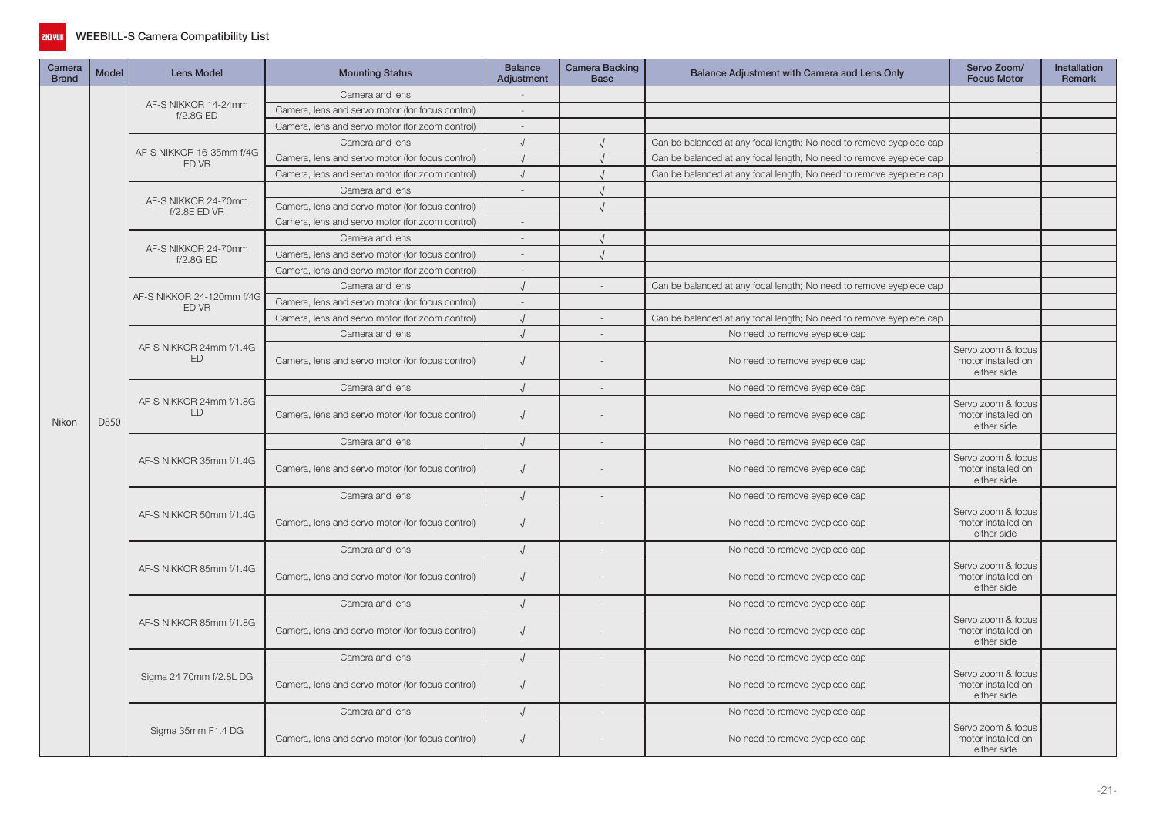

| Camera<br><b>Brand</b> | Model | <b>Lens Model</b>                   | <b>Mounting Status</b>                           | <b>Balance</b><br>Adjustment | <b>Camera Backing</b><br><b>Base</b> | Balance Adjustment with Camera and Lens Only                        | Servo Zoom/<br><b>Focus Motor</b>                       | <b>Installation</b><br>Remark |
|------------------------|-------|-------------------------------------|--------------------------------------------------|------------------------------|--------------------------------------|---------------------------------------------------------------------|---------------------------------------------------------|-------------------------------|
|                        |       |                                     | Camera and lens                                  |                              |                                      |                                                                     |                                                         |                               |
|                        |       | AF-S NIKKOR 14-24mm<br>f/2.8G ED    | Camera, lens and servo motor (for focus control) | $\sim$                       |                                      |                                                                     |                                                         |                               |
|                        |       |                                     | Camera, lens and servo motor (for zoom control)  |                              |                                      |                                                                     |                                                         |                               |
|                        |       |                                     | Camera and lens                                  | $\cdot$                      |                                      | Can be balanced at any focal length; No need to remove eyepiece cap |                                                         |                               |
|                        |       | AF-S NIKKOR 16-35mm f/4G<br>ED VR   | Camera, lens and servo motor (for focus control) | $\cdot$                      |                                      | Can be balanced at any focal length; No need to remove eyepiece cap |                                                         |                               |
|                        |       |                                     | Camera, lens and servo motor (for zoom control)  | $\sqrt{ }$                   |                                      | Can be balanced at any focal length; No need to remove eyepiece cap |                                                         |                               |
|                        |       |                                     | Camera and lens                                  |                              |                                      |                                                                     |                                                         |                               |
|                        |       | AF-S NIKKOR 24-70mm<br>f/2.8E ED VR | Camera, lens and servo motor (for focus control) | $\sim$                       |                                      |                                                                     |                                                         |                               |
|                        |       |                                     | Camera, lens and servo motor (for zoom control)  | $\sim$                       |                                      |                                                                     |                                                         |                               |
|                        |       |                                     | Camera and lens                                  |                              |                                      |                                                                     |                                                         |                               |
|                        |       | AF-S NIKKOR 24-70mm<br>f/2.8G ED    | Camera, lens and servo motor (for focus control) |                              |                                      |                                                                     |                                                         |                               |
|                        |       |                                     | Camera, lens and servo motor (for zoom control)  | $\sim$                       |                                      |                                                                     |                                                         |                               |
|                        |       |                                     | Camera and lens                                  | $\cdot$                      |                                      | Can be balanced at any focal length; No need to remove eyepiece cap |                                                         |                               |
|                        |       | AF-S NIKKOR 24-120mm f/4G<br>ED VR  | Camera, lens and servo motor (for focus control) | $\sim$                       |                                      |                                                                     |                                                         |                               |
|                        |       |                                     | Camera, lens and servo motor (for zoom control)  |                              |                                      | Can be balanced at any focal length; No need to remove eyepiece cap |                                                         |                               |
|                        |       |                                     | Camera and lens                                  |                              |                                      | No need to remove eyepiece cap                                      |                                                         |                               |
|                        |       | AF-S NIKKOR 24mm f/1.4G<br>ED       | Camera, lens and servo motor (for focus control) | $\sqrt{ }$                   |                                      | No need to remove eyepiece cap                                      | Servo zoom & focus<br>motor installed on<br>either side |                               |
|                        |       |                                     | Camera and lens                                  |                              |                                      | No need to remove eyepiece cap                                      |                                                         |                               |
| Nikon                  | D850  | AF-S NIKKOR 24mm f/1.8G<br>ED       | Camera, lens and servo motor (for focus control) | $\sqrt{ }$                   |                                      | No need to remove eyepiece cap                                      | Servo zoom & focus<br>motor installed on<br>either side |                               |
|                        |       |                                     | Camera and lens                                  |                              |                                      | No need to remove eyepiece cap                                      |                                                         |                               |
|                        |       | AF-S NIKKOR 35mm f/1.4G             | Camera, lens and servo motor (for focus control) | $\sqrt{ }$                   |                                      | No need to remove eyepiece cap                                      | Servo zoom & focus<br>motor installed on<br>either side |                               |
|                        |       |                                     | Camera and lens                                  | $\sqrt{ }$                   | $\overline{a}$                       | No need to remove eyepiece cap                                      |                                                         |                               |
|                        |       | AF-S NIKKOR 50mm f/1.4G             | Camera, lens and servo motor (for focus control) | $\sqrt{ }$                   |                                      | No need to remove eyepiece cap                                      | Servo zoom & focus<br>motor installed on<br>either side |                               |
|                        |       |                                     | Camera and lens                                  |                              | $\overline{\phantom{a}}$             | No need to remove eyepiece cap                                      |                                                         |                               |
|                        |       | AF-S NIKKOR 85mm f/1.4G             | Camera, lens and servo motor (for focus control) | $\sqrt{ }$                   |                                      | No need to remove eyepiece cap                                      | Servo zoom & focus<br>motor installed on<br>either side |                               |
|                        |       |                                     | Camera and lens                                  | $\cdot$                      | $\overline{a}$                       | No need to remove eyepiece cap                                      |                                                         |                               |
|                        |       | AF-S NIKKOR 85mm f/1.8G             | Camera, lens and servo motor (for focus control) | $\sqrt{ }$                   |                                      | No need to remove eyepiece cap                                      | Servo zoom & focus<br>motor installed on<br>either side |                               |
|                        |       |                                     | Camera and lens                                  | $\cdot$                      | $\sim$                               | No need to remove eyepiece cap                                      |                                                         |                               |
|                        |       | Sigma 24 70mm f/2.8L DG             | Camera, lens and servo motor (for focus control) | $\sqrt{ }$                   |                                      | No need to remove eyepiece cap                                      | Servo zoom & focus<br>motor installed on<br>either side |                               |
|                        |       |                                     | Camera and lens                                  | $\cdot$                      |                                      | No need to remove eyepiece cap                                      |                                                         |                               |
|                        |       | Sigma 35mm F1.4 DG                  | Camera, lens and servo motor (for focus control) | $\sqrt{ }$                   |                                      | No need to remove eyepiece cap                                      | Servo zoom & focus<br>motor installed on<br>either side |                               |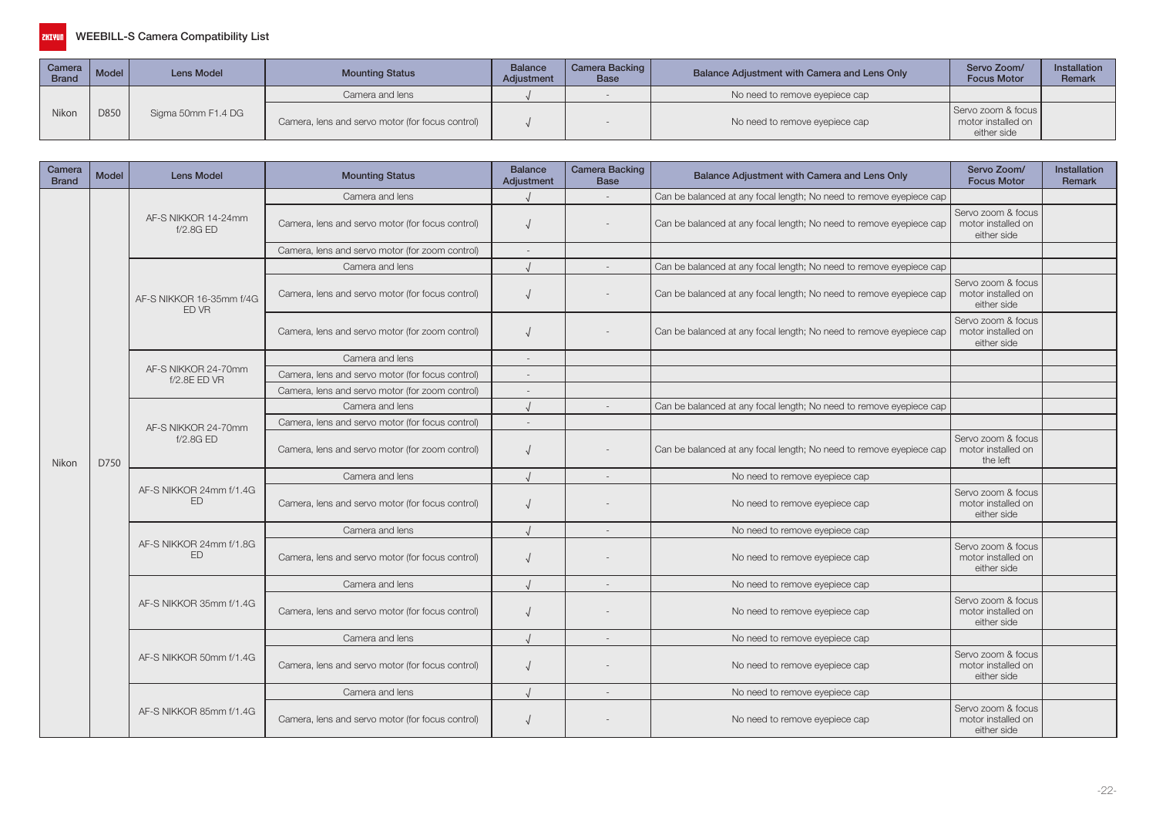| Camera<br><b>Brand</b> | Model | Lens Model         | <b>Mounting Status</b>                           | <b>Balance</b><br>Adjustment | Camera Backing  <br>Base | Balance Adjustment with Camera and Lens Only | Servo Zoom/<br><b>Focus Motor</b>                       | <b>Installation</b><br>Remark |
|------------------------|-------|--------------------|--------------------------------------------------|------------------------------|--------------------------|----------------------------------------------|---------------------------------------------------------|-------------------------------|
|                        |       |                    | Camera and lens                                  |                              |                          | No need to remove eyepiece cap               |                                                         |                               |
| Nikon                  | D850  | Sigma 50mm F1.4 DG | Camera, lens and servo motor (for focus control) |                              |                          | No need to remove eyepiece cap               | Servo zoom & focus<br>motor installed on<br>either side |                               |

| Camera<br><b>Brand</b> | <b>Model</b>                                                                                                                                                                                                                                                                                            | <b>Lens Model</b>                    | <b>Mounting Status</b>                           | <b>Balance</b><br>Adjustment | <b>Camera Backing</b><br><b>Base</b> | Balance Adjustment with Camera and Lens Only                        | Servo Zoom/<br><b>Focus Motor</b>                                                                | Installation<br><b>Remark</b> |
|------------------------|---------------------------------------------------------------------------------------------------------------------------------------------------------------------------------------------------------------------------------------------------------------------------------------------------------|--------------------------------------|--------------------------------------------------|------------------------------|--------------------------------------|---------------------------------------------------------------------|--------------------------------------------------------------------------------------------------|-------------------------------|
|                        |                                                                                                                                                                                                                                                                                                         |                                      | Camera and lens                                  |                              |                                      | Can be balanced at any focal length; No need to remove eyepiece cap |                                                                                                  |                               |
|                        |                                                                                                                                                                                                                                                                                                         | AF-S NIKKOR 14-24mm<br>f/2.8GED      | Camera, lens and servo motor (for focus control) |                              |                                      | Can be balanced at any focal length; No need to remove eyepiece cap | Servo zoom & focus<br>motor installed on<br>either side                                          |                               |
|                        |                                                                                                                                                                                                                                                                                                         |                                      | Camera, lens and servo motor (for zoom control)  |                              |                                      |                                                                     |                                                                                                  |                               |
|                        |                                                                                                                                                                                                                                                                                                         |                                      | Camera and lens                                  |                              |                                      | Can be balanced at any focal length; No need to remove eyepiece cap |                                                                                                  |                               |
|                        |                                                                                                                                                                                                                                                                                                         | AF-S NIKKOR 16-35mm f/4G<br>ED VR    | Camera, lens and servo motor (for focus control) |                              |                                      | Can be balanced at any focal length; No need to remove eyepiece cap | Servo zoom & focus<br>motor installed on<br>either side                                          |                               |
|                        |                                                                                                                                                                                                                                                                                                         |                                      | Camera, lens and servo motor (for zoom control)  |                              |                                      | Can be balanced at any focal length; No need to remove eyepiece cap | Servo zoom & focus<br>motor installed on<br>either side                                          |                               |
|                        |                                                                                                                                                                                                                                                                                                         |                                      | Camera and lens                                  |                              |                                      |                                                                     |                                                                                                  |                               |
|                        |                                                                                                                                                                                                                                                                                                         | AF-S NIKKOR 24-70mm<br>f/2.8E ED VR  | Camera, lens and servo motor (for focus control) |                              |                                      |                                                                     |                                                                                                  |                               |
|                        |                                                                                                                                                                                                                                                                                                         |                                      | Camera, lens and servo motor (for zoom control)  |                              |                                      |                                                                     |                                                                                                  |                               |
|                        | Camera and lens<br>Can be balanced at any focal length; No need to remove eyepiece cap<br>Camera, lens and servo motor (for focus control)<br>AF-S NIKKOR 24-70mm<br>f/2.8GED<br>Camera, lens and servo motor (for zoom control)<br>Can be balanced at any focal length; No need to remove eyepiece cap |                                      |                                                  |                              |                                      |                                                                     |                                                                                                  |                               |
|                        |                                                                                                                                                                                                                                                                                                         |                                      |                                                  |                              |                                      |                                                                     | Servo zoom & focus<br>motor installed on<br>the left<br>Servo zoom & focus<br>motor installed on |                               |
| Nikon                  | D750                                                                                                                                                                                                                                                                                                    |                                      |                                                  |                              |                                      |                                                                     |                                                                                                  |                               |
|                        |                                                                                                                                                                                                                                                                                                         | AF-S NIKKOR 24mm f/1.4G<br>ED        | Camera and lens                                  |                              |                                      | No need to remove eyepiece cap                                      |                                                                                                  |                               |
|                        |                                                                                                                                                                                                                                                                                                         |                                      | Camera, lens and servo motor (for focus control) |                              |                                      | No need to remove eyepiece cap                                      | either side                                                                                      |                               |
|                        |                                                                                                                                                                                                                                                                                                         |                                      | Camera and lens                                  |                              |                                      | No need to remove eyepiece cap                                      |                                                                                                  |                               |
|                        |                                                                                                                                                                                                                                                                                                         | AF-S NIKKOR 24mm f/1.8G<br><b>FD</b> | Camera, lens and servo motor (for focus control) |                              |                                      | No need to remove eyepiece cap                                      | Servo zoom & focus<br>motor installed on<br>either side                                          |                               |
|                        |                                                                                                                                                                                                                                                                                                         |                                      | Camera and lens                                  |                              |                                      | No need to remove eyepiece cap                                      |                                                                                                  |                               |
|                        |                                                                                                                                                                                                                                                                                                         | AF-S NIKKOR 35mm f/1.4G              | Camera, lens and servo motor (for focus control) |                              |                                      | No need to remove eyepiece cap                                      | Servo zoom & focus<br>motor installed on<br>either side                                          |                               |
|                        |                                                                                                                                                                                                                                                                                                         |                                      | Camera and lens                                  |                              |                                      | No need to remove eyepiece cap                                      |                                                                                                  |                               |
|                        |                                                                                                                                                                                                                                                                                                         | AF-S NIKKOR 50mm f/1.4G              | Camera, lens and servo motor (for focus control) |                              |                                      | No need to remove eyepiece cap                                      | Servo zoom & focus<br>motor installed on<br>either side                                          |                               |
|                        |                                                                                                                                                                                                                                                                                                         |                                      | Camera and lens                                  |                              |                                      | No need to remove eyepiece cap                                      |                                                                                                  |                               |
|                        |                                                                                                                                                                                                                                                                                                         | AF-S NIKKOR 85mm f/1.4G              | Camera, lens and servo motor (for focus control) |                              |                                      | No need to remove eyepiece cap                                      | Servo zoom & focus<br>motor installed on<br>either side                                          |                               |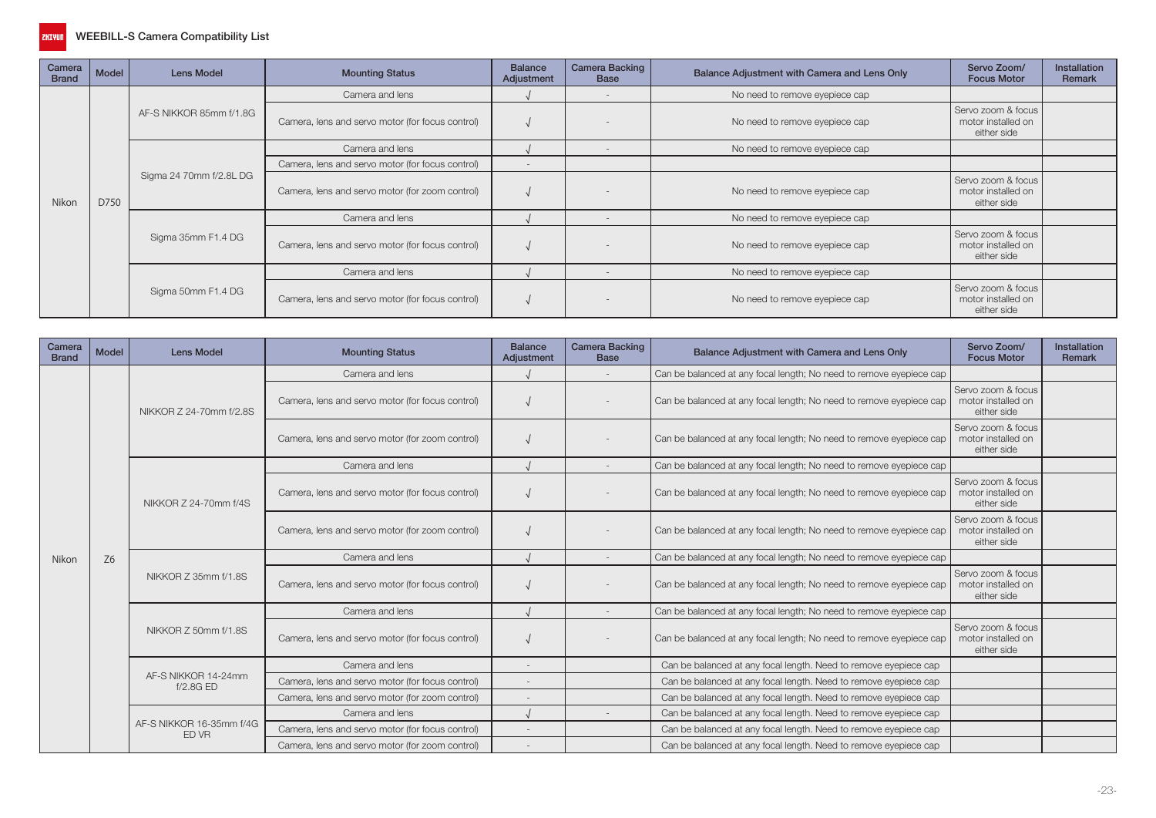

| Camera<br><b>Brand</b> | Model | <b>Lens Model</b>       | <b>Mounting Status</b>                           | <b>Balance</b><br>Adjustment | <b>Camera Backing</b><br><b>Base</b> | Balance Adjustment with Camera and Lens Only | Servo Zoom/<br><b>Focus Motor</b>                       | <b>Installation</b><br>Remark |
|------------------------|-------|-------------------------|--------------------------------------------------|------------------------------|--------------------------------------|----------------------------------------------|---------------------------------------------------------|-------------------------------|
|                        |       | AF-S NIKKOR 85mm f/1.8G | Camera and lens                                  |                              | $\overline{\phantom{a}}$             | No need to remove eyepiece cap               |                                                         |                               |
|                        |       |                         | Camera, lens and servo motor (for focus control) |                              |                                      | No need to remove eyepiece cap               | Servo zoom & focus<br>motor installed on<br>either side |                               |
|                        |       |                         | Camera and lens                                  |                              | $\overline{\phantom{a}}$             | No need to remove eyepiece cap               |                                                         |                               |
|                        |       |                         | Camera, lens and servo motor (for focus control) | $-$                          |                                      |                                              |                                                         |                               |
| Nikon                  | D750  | Sigma 24 70mm f/2.8L DG | Camera, lens and servo motor (for zoom control)  |                              |                                      | No need to remove eyepiece cap               | Servo zoom & focus<br>motor installed on<br>either side |                               |
|                        |       |                         | Camera and lens                                  |                              |                                      | No need to remove eyepiece cap               |                                                         |                               |
|                        |       | Sigma 35mm F1.4 DG      | Camera, lens and servo motor (for focus control) |                              |                                      | No need to remove eyepiece cap               | Servo zoom & focus<br>motor installed on<br>either side |                               |
|                        |       |                         | Camera and lens                                  |                              |                                      | No need to remove eyepiece cap               |                                                         |                               |
|                        |       | Sigma 50mm F1.4 DG      | Camera, lens and servo motor (for focus control) |                              |                                      | No need to remove eyepiece cap               | Servo zoom & focus<br>motor installed on<br>either side |                               |

| Camera<br><b>Brand</b> | Model          | Lens Model                        | <b>Mounting Status</b>                           | <b>Balance</b><br>Adjustment | <b>Camera Backing</b><br><b>Base</b> | Balance Adjustment with Camera and Lens Only                        | Servo Zoom/<br><b>Focus Motor</b>                                                                                                                                             | <b>Installation</b><br>Remark |
|------------------------|----------------|-----------------------------------|--------------------------------------------------|------------------------------|--------------------------------------|---------------------------------------------------------------------|-------------------------------------------------------------------------------------------------------------------------------------------------------------------------------|-------------------------------|
|                        |                |                                   | Camera and lens                                  |                              |                                      | Can be balanced at any focal length; No need to remove eyepiece cap |                                                                                                                                                                               |                               |
|                        |                | NIKKOR Z 24-70mm f/2.8S           | Camera, lens and servo motor (for focus control) |                              |                                      | Can be balanced at any focal length; No need to remove eyepiece cap | Servo zoom & focus<br>motor installed on<br>either side                                                                                                                       |                               |
|                        |                |                                   | Camera, lens and servo motor (for zoom control)  |                              |                                      | Can be balanced at any focal length; No need to remove eyepiece cap | Servo zoom & focus<br>motor installed on<br>either side                                                                                                                       |                               |
|                        |                |                                   | Camera and lens                                  |                              |                                      | Can be balanced at any focal length; No need to remove eyepiece cap |                                                                                                                                                                               |                               |
|                        |                | NIKKOR Z 24-70mm f/4S             | Camera, lens and servo motor (for focus control) |                              |                                      | Can be balanced at any focal length; No need to remove eyepiece cap | Servo zoom & focus<br>motor installed on<br>either side                                                                                                                       |                               |
|                        |                |                                   | Camera, lens and servo motor (for zoom control)  |                              |                                      | Can be balanced at any focal length; No need to remove eyepiece cap | Servo zoom & focus<br>motor installed on<br>either side<br>Servo zoom & focus<br>motor installed on<br>either side<br>Servo zoom & focus<br>motor installed on<br>either side |                               |
| Nikon                  | Z <sub>6</sub> |                                   | Camera and lens                                  |                              |                                      | Can be balanced at any focal length; No need to remove eyepiece cap |                                                                                                                                                                               |                               |
|                        |                | NIKKOR Z 35mm f/1.8S              | Camera, lens and servo motor (for focus control) |                              |                                      | Can be balanced at any focal length; No need to remove eyepiece cap |                                                                                                                                                                               |                               |
|                        |                |                                   | Camera and lens                                  |                              |                                      | Can be balanced at any focal length; No need to remove eyepiece cap |                                                                                                                                                                               |                               |
|                        |                | NIKKOR Z 50mm f/1.8S              | Camera, lens and servo motor (for focus control) |                              |                                      | Can be balanced at any focal length; No need to remove eyepiece cap |                                                                                                                                                                               |                               |
|                        |                |                                   | Camera and lens                                  |                              |                                      | Can be balanced at any focal length. Need to remove eyepiece cap    |                                                                                                                                                                               |                               |
|                        |                | AF-S NIKKOR 14-24mm<br>f/2.8GED   | Camera, lens and servo motor (for focus control) |                              |                                      | Can be balanced at any focal length. Need to remove eyepiece cap    |                                                                                                                                                                               |                               |
|                        |                |                                   | Camera, lens and servo motor (for zoom control)  |                              |                                      | Can be balanced at any focal length. Need to remove eyepiece cap    |                                                                                                                                                                               |                               |
|                        |                |                                   | Camera and lens                                  |                              |                                      | Can be balanced at any focal length. Need to remove eyepiece cap    |                                                                                                                                                                               |                               |
|                        |                | AF-S NIKKOR 16-35mm f/4G<br>ED VR | Camera, lens and servo motor (for focus control) | $\overline{\phantom{a}}$     |                                      | Can be balanced at any focal length. Need to remove eyepiece cap    |                                                                                                                                                                               |                               |
|                        |                |                                   | Camera, lens and servo motor (for zoom control)  |                              |                                      | Can be balanced at any focal length. Need to remove eyepiece cap    |                                                                                                                                                                               |                               |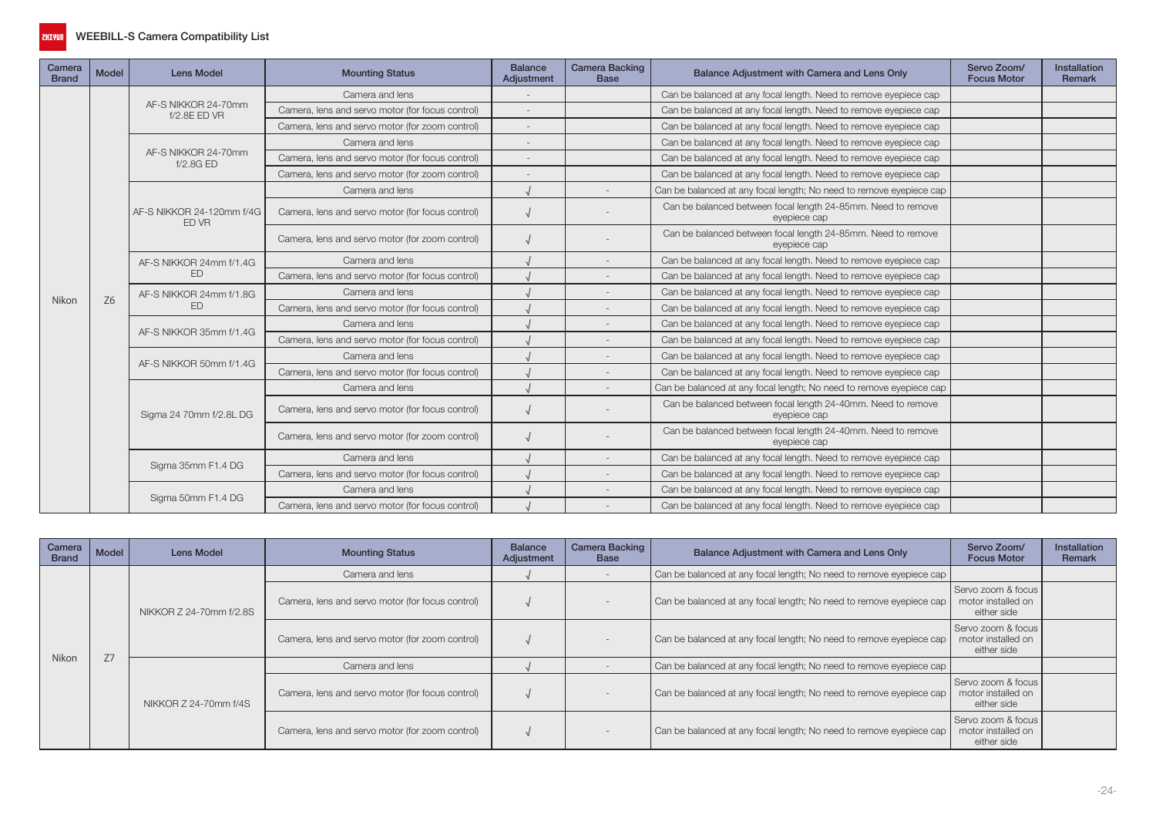

| Camera<br><b>Brand</b> | Model          | <b>Lens Model</b>                   | <b>Mounting Status</b>                                                                                                                       | <b>Balance</b><br>Adjustment                                     | <b>Camera Backing</b><br><b>Base</b> | Balance Adjustment with Camera and Lens Only                                 | Servo Zoom/<br><b>Focus Motor</b> | Installation<br>Remark |
|------------------------|----------------|-------------------------------------|----------------------------------------------------------------------------------------------------------------------------------------------|------------------------------------------------------------------|--------------------------------------|------------------------------------------------------------------------------|-----------------------------------|------------------------|
|                        |                |                                     | Camera and lens                                                                                                                              |                                                                  |                                      | Can be balanced at any focal length. Need to remove eyepiece cap             |                                   |                        |
|                        | Z <sub>6</sub> | AF-S NIKKOR 24-70mm<br>f/2.8E ED VR | Camera, lens and servo motor (for focus control)                                                                                             |                                                                  |                                      | Can be balanced at any focal length. Need to remove eyepiece cap             |                                   |                        |
|                        |                |                                     | Camera, lens and servo motor (for zoom control)                                                                                              |                                                                  |                                      | Can be balanced at any focal length. Need to remove eyepiece cap             |                                   |                        |
|                        |                |                                     | Camera and lens                                                                                                                              |                                                                  |                                      | Can be balanced at any focal length. Need to remove eyepiece cap             |                                   |                        |
|                        |                | AF-S NIKKOR 24-70mm<br>f/2.8GED     | Camera, lens and servo motor (for focus control)                                                                                             |                                                                  |                                      | Can be balanced at any focal length. Need to remove eyepiece cap             |                                   |                        |
|                        |                |                                     | Camera, lens and servo motor (for zoom control)                                                                                              |                                                                  |                                      | Can be balanced at any focal length. Need to remove eyepiece cap             |                                   |                        |
|                        |                |                                     | Camera and lens                                                                                                                              |                                                                  |                                      | Can be balanced at any focal length; No need to remove eyepiece cap          |                                   |                        |
|                        |                | AF-S NIKKOR 24-120mm f/4G<br>ED VR  | Camera, lens and servo motor (for focus control)                                                                                             |                                                                  |                                      | Can be balanced between focal length 24-85mm. Need to remove<br>eyepiece cap |                                   |                        |
|                        |                |                                     | Camera, lens and servo motor (for zoom control)                                                                                              |                                                                  |                                      | Can be balanced between focal length 24-85mm. Need to remove<br>eyepiece cap |                                   |                        |
|                        |                | AF-S NIKKOR 24mm f/1.4G             | Camera and lens                                                                                                                              |                                                                  |                                      | Can be balanced at any focal length. Need to remove eyepiece cap             |                                   |                        |
|                        |                | ED                                  | Camera, lens and servo motor (for focus control)                                                                                             |                                                                  |                                      | Can be balanced at any focal length. Need to remove eyepiece cap             |                                   |                        |
|                        |                | AF-S NIKKOR 24mm f/1.8G             | Camera and lens                                                                                                                              |                                                                  |                                      | Can be balanced at any focal length. Need to remove eyepiece cap             |                                   |                        |
|                        |                | <b>FD</b>                           | Camera, lens and servo motor (for focus control)                                                                                             |                                                                  |                                      | Can be balanced at any focal length. Need to remove eyepiece cap             |                                   |                        |
| Nikon                  |                |                                     | Camera and lens                                                                                                                              |                                                                  |                                      | Can be balanced at any focal length. Need to remove eyepiece cap             |                                   |                        |
|                        |                |                                     | Camera, lens and servo motor (for focus control)                                                                                             |                                                                  |                                      | Can be balanced at any focal length. Need to remove eyepiece cap             |                                   |                        |
|                        |                |                                     | AF-S NIKKOR 35mm f/1.4G<br>Camera and lens<br>AF-S NIKKOR 50mm f/1.4G<br>Camera, lens and servo motor (for focus control)<br>Camera and lens | Can be balanced at any focal length. Need to remove eyepiece cap |                                      |                                                                              |                                   |                        |
|                        |                |                                     |                                                                                                                                              |                                                                  |                                      | Can be balanced at any focal length. Need to remove eyepiece cap             |                                   |                        |
|                        |                |                                     |                                                                                                                                              |                                                                  |                                      | Can be balanced at any focal length; No need to remove eyepiece cap          |                                   |                        |
|                        |                | Sigma 24 70mm f/2.8L DG             | Camera, lens and servo motor (for focus control)                                                                                             |                                                                  |                                      | Can be balanced between focal length 24-40mm. Need to remove<br>eyepiece cap |                                   |                        |
|                        |                |                                     | Camera, lens and servo motor (for zoom control)                                                                                              |                                                                  |                                      | Can be balanced between focal length 24-40mm. Need to remove<br>eyepiece cap |                                   |                        |
|                        |                |                                     | Camera and lens                                                                                                                              |                                                                  |                                      | Can be balanced at any focal length. Need to remove eyepiece cap             |                                   |                        |
|                        |                | Sigma 35mm F1.4 DG                  | Camera, lens and servo motor (for focus control)                                                                                             |                                                                  |                                      | Can be balanced at any focal length. Need to remove eyepiece cap             |                                   |                        |
|                        |                |                                     | Camera and lens                                                                                                                              |                                                                  |                                      | Can be balanced at any focal length. Need to remove eyepiece cap             |                                   |                        |
|                        |                | Sigma 50mm F1.4 DG                  | Camera, lens and servo motor (for focus control)                                                                                             |                                                                  |                                      | Can be balanced at any focal length. Need to remove eyepiece cap             |                                   |                        |

| Camera<br><b>Brand</b> | Model | Lens Model              | <b>Mounting Status</b>                           | <b>Balance</b><br>Adjustment | <b>Camera Backing</b><br><b>Base</b> | Balance Adjustment with Camera and Lens Only                        | Servo Zoom/<br><b>Focus Motor</b>                         | <b>Installation</b><br>Remark |
|------------------------|-------|-------------------------|--------------------------------------------------|------------------------------|--------------------------------------|---------------------------------------------------------------------|-----------------------------------------------------------|-------------------------------|
|                        |       | NIKKOR Z 24-70mm f/2.8S | Camera and lens                                  |                              |                                      | Can be balanced at any focal length; No need to remove eyepiece cap |                                                           |                               |
|                        |       |                         | Camera, lens and servo motor (for focus control) |                              |                                      | Can be balanced at any focal length; No need to remove eyepiece cap | Servo zoom & focus I<br>motor installed on<br>either side |                               |
| Nikon                  | 77    |                         | Camera, lens and servo motor (for zoom control)  |                              |                                      | Can be balanced at any focal length; No need to remove eyepiece cap | Servo zoom & focus<br>motor installed on<br>either side   |                               |
|                        |       |                         | Camera and lens                                  |                              |                                      | Can be balanced at any focal length; No need to remove eyepiece cap |                                                           |                               |
|                        |       | NIKKOR Z 24-70mm f/4S   | Camera, lens and servo motor (for focus control) |                              |                                      | Can be balanced at any focal length; No need to remove eyepiece cap | Servo zoom & focus<br>motor installed on<br>either side   |                               |
|                        |       |                         | Camera, lens and servo motor (for zoom control)  |                              |                                      | Can be balanced at any focal length; No need to remove eyepiece cap | Servo zoom & focus<br>motor installed on<br>either side   |                               |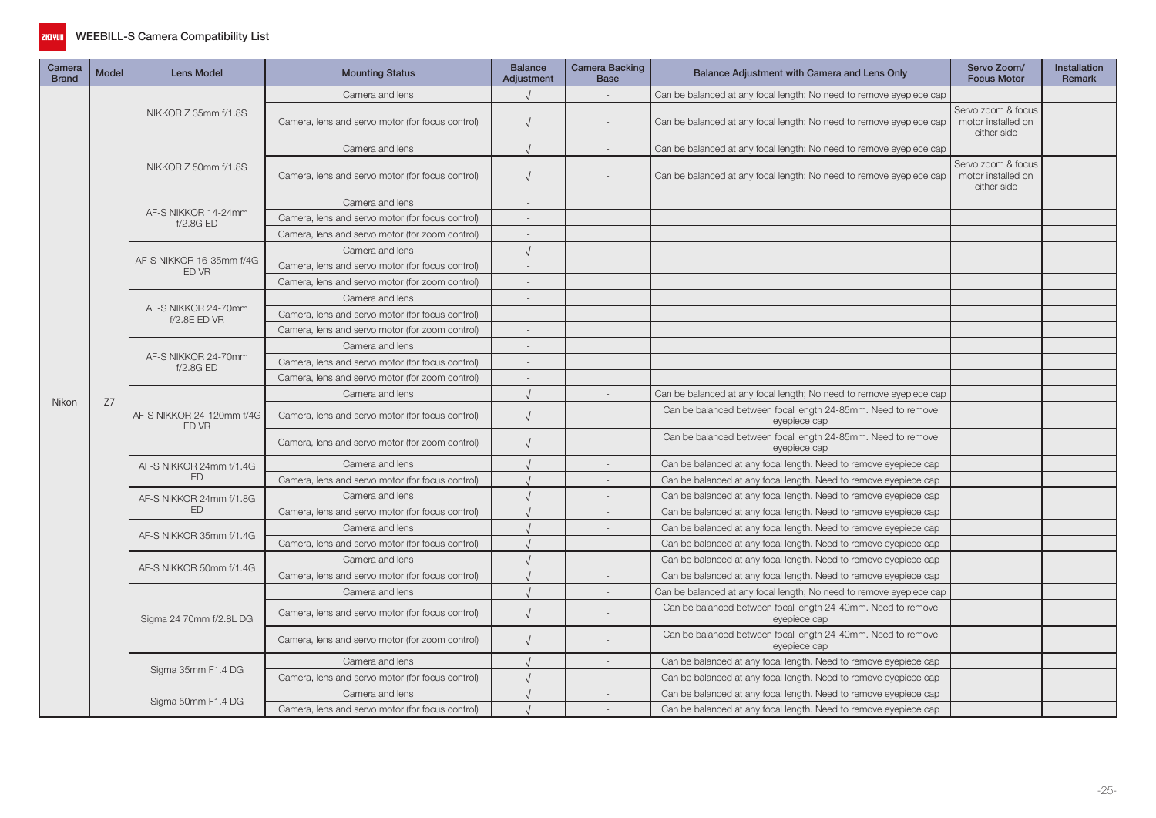

| Camera<br><b>Brand</b> | Model                                                                                                                                                                                                                                                                                                                                                                                                                                                                                                                                                                                                                                                                                                                                                                                                                                                                                                                                                                                                                                                                                                                                                                                                                                                                                                                                                                                                                                                                                                                                                                                                             | <b>Lens Model</b>    | <b>Mounting Status</b>                           | <b>Balance</b><br><b>Adjustment</b> | Camera Backing<br><b>Base</b> | Balance Adjustment with Camera and Lens Only                                 | Servo Zoom/<br><b>Focus Motor</b>                       | <b>Installation</b><br><b>Remark</b> |
|------------------------|-------------------------------------------------------------------------------------------------------------------------------------------------------------------------------------------------------------------------------------------------------------------------------------------------------------------------------------------------------------------------------------------------------------------------------------------------------------------------------------------------------------------------------------------------------------------------------------------------------------------------------------------------------------------------------------------------------------------------------------------------------------------------------------------------------------------------------------------------------------------------------------------------------------------------------------------------------------------------------------------------------------------------------------------------------------------------------------------------------------------------------------------------------------------------------------------------------------------------------------------------------------------------------------------------------------------------------------------------------------------------------------------------------------------------------------------------------------------------------------------------------------------------------------------------------------------------------------------------------------------|----------------------|--------------------------------------------------|-------------------------------------|-------------------------------|------------------------------------------------------------------------------|---------------------------------------------------------|--------------------------------------|
| Nikon                  |                                                                                                                                                                                                                                                                                                                                                                                                                                                                                                                                                                                                                                                                                                                                                                                                                                                                                                                                                                                                                                                                                                                                                                                                                                                                                                                                                                                                                                                                                                                                                                                                                   |                      | Camera and lens                                  |                                     |                               | Can be balanced at any focal length; No need to remove eyepiece cap          |                                                         |                                      |
|                        |                                                                                                                                                                                                                                                                                                                                                                                                                                                                                                                                                                                                                                                                                                                                                                                                                                                                                                                                                                                                                                                                                                                                                                                                                                                                                                                                                                                                                                                                                                                                                                                                                   | NIKKOR Z 35mm f/1.8S | Camera, lens and servo motor (for focus control) | $\sqrt{ }$                          |                               | Can be balanced at any focal length; No need to remove eyepiece cap          | Servo zoom & focus<br>motor installed on<br>either side |                                      |
|                        |                                                                                                                                                                                                                                                                                                                                                                                                                                                                                                                                                                                                                                                                                                                                                                                                                                                                                                                                                                                                                                                                                                                                                                                                                                                                                                                                                                                                                                                                                                                                                                                                                   |                      | Camera and lens                                  |                                     |                               | Can be balanced at any focal length; No need to remove eyepiece cap          |                                                         |                                      |
|                        |                                                                                                                                                                                                                                                                                                                                                                                                                                                                                                                                                                                                                                                                                                                                                                                                                                                                                                                                                                                                                                                                                                                                                                                                                                                                                                                                                                                                                                                                                                                                                                                                                   | NIKKOR Z 50mm f/1.8S | Camera, lens and servo motor (for focus control) | $\sqrt{ }$                          |                               | Can be balanced at any focal length; No need to remove eyepiece cap          | Servo zoom & focus<br>motor installed on<br>either side |                                      |
|                        |                                                                                                                                                                                                                                                                                                                                                                                                                                                                                                                                                                                                                                                                                                                                                                                                                                                                                                                                                                                                                                                                                                                                                                                                                                                                                                                                                                                                                                                                                                                                                                                                                   |                      | Camera and lens                                  |                                     |                               |                                                                              |                                                         |                                      |
|                        | AF-S NIKKOR 14-24mm<br>Camera, lens and servo motor (for focus control)<br>f/2.8GED<br>Camera, lens and servo motor (for zoom control)<br>Camera and lens<br>AF-S NIKKOR 16-35mm f/4G<br>Camera, lens and servo motor (for focus control)<br>$\sim$<br>ED VR<br>Camera, lens and servo motor (for zoom control)<br>Camera and lens<br>AF-S NIKKOR 24-70mm<br>Camera, lens and servo motor (for focus control)<br>f/2.8E ED VR<br>Camera, lens and servo motor (for zoom control)<br>Camera and lens<br>AF-S NIKKOR 24-70mm<br>Camera, lens and servo motor (for focus control)<br>$\overline{\phantom{a}}$<br>f/2.8G ED<br>Camera, lens and servo motor (for zoom control)<br>$\overline{\phantom{a}}$<br>Camera and lens<br>Z7<br>AF-S NIKKOR 24-120mm f/4G<br>Camera, lens and servo motor (for focus control)<br>$\sqrt{ }$<br>ED VR<br>Camera, lens and servo motor (for zoom control)<br>$\sqrt{ }$<br>Camera and lens<br>AF-S NIKKOR 24mm f/1.4G<br><b>ED</b><br>Camera, lens and servo motor (for focus control)<br>Camera and lens<br>AF-S NIKKOR 24mm f/1.8G<br>ED<br>Camera, lens and servo motor (for focus control)<br>Camera and lens<br>AF-S NIKKOR 35mm f/1.4G<br>Camera, lens and servo motor (for focus control)<br>Camera and lens<br>AF-S NIKKOR 50mm f/1.4G<br>Camera, lens and servo motor (for focus control)<br>Camera and lens<br>Camera, lens and servo motor (for focus control)<br>$\sqrt{ }$<br>Sigma 24 70mm f/2.8L DG<br>Camera, lens and servo motor (for zoom control)<br>$\sqrt{ }$<br>Camera and lens<br>Sigma 35mm F1.4 DG<br>Camera, lens and servo motor (for focus control) |                      |                                                  |                                     |                               |                                                                              |                                                         |                                      |
|                        |                                                                                                                                                                                                                                                                                                                                                                                                                                                                                                                                                                                                                                                                                                                                                                                                                                                                                                                                                                                                                                                                                                                                                                                                                                                                                                                                                                                                                                                                                                                                                                                                                   |                      |                                                  |                                     |                               |                                                                              |                                                         |                                      |
|                        |                                                                                                                                                                                                                                                                                                                                                                                                                                                                                                                                                                                                                                                                                                                                                                                                                                                                                                                                                                                                                                                                                                                                                                                                                                                                                                                                                                                                                                                                                                                                                                                                                   |                      |                                                  |                                     | $\sim$                        |                                                                              |                                                         |                                      |
|                        |                                                                                                                                                                                                                                                                                                                                                                                                                                                                                                                                                                                                                                                                                                                                                                                                                                                                                                                                                                                                                                                                                                                                                                                                                                                                                                                                                                                                                                                                                                                                                                                                                   |                      |                                                  |                                     |                               |                                                                              |                                                         |                                      |
|                        |                                                                                                                                                                                                                                                                                                                                                                                                                                                                                                                                                                                                                                                                                                                                                                                                                                                                                                                                                                                                                                                                                                                                                                                                                                                                                                                                                                                                                                                                                                                                                                                                                   |                      |                                                  |                                     |                               |                                                                              |                                                         |                                      |
|                        |                                                                                                                                                                                                                                                                                                                                                                                                                                                                                                                                                                                                                                                                                                                                                                                                                                                                                                                                                                                                                                                                                                                                                                                                                                                                                                                                                                                                                                                                                                                                                                                                                   |                      |                                                  |                                     |                               |                                                                              |                                                         |                                      |
|                        |                                                                                                                                                                                                                                                                                                                                                                                                                                                                                                                                                                                                                                                                                                                                                                                                                                                                                                                                                                                                                                                                                                                                                                                                                                                                                                                                                                                                                                                                                                                                                                                                                   |                      |                                                  |                                     |                               |                                                                              |                                                         |                                      |
|                        |                                                                                                                                                                                                                                                                                                                                                                                                                                                                                                                                                                                                                                                                                                                                                                                                                                                                                                                                                                                                                                                                                                                                                                                                                                                                                                                                                                                                                                                                                                                                                                                                                   |                      |                                                  |                                     |                               |                                                                              |                                                         |                                      |
|                        |                                                                                                                                                                                                                                                                                                                                                                                                                                                                                                                                                                                                                                                                                                                                                                                                                                                                                                                                                                                                                                                                                                                                                                                                                                                                                                                                                                                                                                                                                                                                                                                                                   |                      |                                                  |                                     |                               |                                                                              |                                                         |                                      |
|                        |                                                                                                                                                                                                                                                                                                                                                                                                                                                                                                                                                                                                                                                                                                                                                                                                                                                                                                                                                                                                                                                                                                                                                                                                                                                                                                                                                                                                                                                                                                                                                                                                                   |                      |                                                  |                                     |                               |                                                                              |                                                         |                                      |
|                        |                                                                                                                                                                                                                                                                                                                                                                                                                                                                                                                                                                                                                                                                                                                                                                                                                                                                                                                                                                                                                                                                                                                                                                                                                                                                                                                                                                                                                                                                                                                                                                                                                   |                      |                                                  |                                     |                               |                                                                              |                                                         |                                      |
|                        |                                                                                                                                                                                                                                                                                                                                                                                                                                                                                                                                                                                                                                                                                                                                                                                                                                                                                                                                                                                                                                                                                                                                                                                                                                                                                                                                                                                                                                                                                                                                                                                                                   |                      |                                                  |                                     |                               | Can be balanced at any focal length; No need to remove eyepiece cap          |                                                         |                                      |
|                        |                                                                                                                                                                                                                                                                                                                                                                                                                                                                                                                                                                                                                                                                                                                                                                                                                                                                                                                                                                                                                                                                                                                                                                                                                                                                                                                                                                                                                                                                                                                                                                                                                   |                      |                                                  |                                     |                               | Can be balanced between focal length 24-85mm. Need to remove<br>eyepiece cap |                                                         |                                      |
|                        |                                                                                                                                                                                                                                                                                                                                                                                                                                                                                                                                                                                                                                                                                                                                                                                                                                                                                                                                                                                                                                                                                                                                                                                                                                                                                                                                                                                                                                                                                                                                                                                                                   |                      |                                                  |                                     |                               | Can be balanced between focal length 24-85mm. Need to remove<br>eyepiece cap |                                                         |                                      |
|                        |                                                                                                                                                                                                                                                                                                                                                                                                                                                                                                                                                                                                                                                                                                                                                                                                                                                                                                                                                                                                                                                                                                                                                                                                                                                                                                                                                                                                                                                                                                                                                                                                                   |                      |                                                  |                                     |                               | Can be balanced at any focal length. Need to remove eyepiece cap             |                                                         |                                      |
|                        |                                                                                                                                                                                                                                                                                                                                                                                                                                                                                                                                                                                                                                                                                                                                                                                                                                                                                                                                                                                                                                                                                                                                                                                                                                                                                                                                                                                                                                                                                                                                                                                                                   |                      |                                                  |                                     |                               | Can be balanced at any focal length. Need to remove eyepiece cap             |                                                         |                                      |
|                        |                                                                                                                                                                                                                                                                                                                                                                                                                                                                                                                                                                                                                                                                                                                                                                                                                                                                                                                                                                                                                                                                                                                                                                                                                                                                                                                                                                                                                                                                                                                                                                                                                   |                      |                                                  |                                     |                               | Can be balanced at any focal length. Need to remove eyepiece cap             |                                                         |                                      |
|                        |                                                                                                                                                                                                                                                                                                                                                                                                                                                                                                                                                                                                                                                                                                                                                                                                                                                                                                                                                                                                                                                                                                                                                                                                                                                                                                                                                                                                                                                                                                                                                                                                                   |                      |                                                  |                                     | $\overline{\phantom{a}}$      | Can be balanced at any focal length. Need to remove eyepiece cap             |                                                         |                                      |
|                        |                                                                                                                                                                                                                                                                                                                                                                                                                                                                                                                                                                                                                                                                                                                                                                                                                                                                                                                                                                                                                                                                                                                                                                                                                                                                                                                                                                                                                                                                                                                                                                                                                   |                      |                                                  |                                     |                               | Can be balanced at any focal length. Need to remove eyepiece cap             |                                                         |                                      |
|                        |                                                                                                                                                                                                                                                                                                                                                                                                                                                                                                                                                                                                                                                                                                                                                                                                                                                                                                                                                                                                                                                                                                                                                                                                                                                                                                                                                                                                                                                                                                                                                                                                                   |                      |                                                  |                                     |                               | Can be balanced at any focal length. Need to remove eyepiece cap             |                                                         |                                      |
|                        |                                                                                                                                                                                                                                                                                                                                                                                                                                                                                                                                                                                                                                                                                                                                                                                                                                                                                                                                                                                                                                                                                                                                                                                                                                                                                                                                                                                                                                                                                                                                                                                                                   |                      |                                                  |                                     |                               | Can be balanced at any focal length. Need to remove eyepiece cap             |                                                         |                                      |
|                        |                                                                                                                                                                                                                                                                                                                                                                                                                                                                                                                                                                                                                                                                                                                                                                                                                                                                                                                                                                                                                                                                                                                                                                                                                                                                                                                                                                                                                                                                                                                                                                                                                   |                      |                                                  |                                     | $\sim$                        | Can be balanced at any focal length. Need to remove eyepiece cap             |                                                         |                                      |
|                        |                                                                                                                                                                                                                                                                                                                                                                                                                                                                                                                                                                                                                                                                                                                                                                                                                                                                                                                                                                                                                                                                                                                                                                                                                                                                                                                                                                                                                                                                                                                                                                                                                   |                      |                                                  |                                     | $\sim$                        | Can be balanced at any focal length; No need to remove eyepiece cap          |                                                         |                                      |
|                        |                                                                                                                                                                                                                                                                                                                                                                                                                                                                                                                                                                                                                                                                                                                                                                                                                                                                                                                                                                                                                                                                                                                                                                                                                                                                                                                                                                                                                                                                                                                                                                                                                   |                      |                                                  |                                     |                               | Can be balanced between focal length 24-40mm. Need to remove<br>eyepiece cap |                                                         |                                      |
|                        |                                                                                                                                                                                                                                                                                                                                                                                                                                                                                                                                                                                                                                                                                                                                                                                                                                                                                                                                                                                                                                                                                                                                                                                                                                                                                                                                                                                                                                                                                                                                                                                                                   |                      |                                                  |                                     |                               | Can be balanced between focal length 24-40mm. Need to remove<br>eyepiece cap |                                                         |                                      |
|                        |                                                                                                                                                                                                                                                                                                                                                                                                                                                                                                                                                                                                                                                                                                                                                                                                                                                                                                                                                                                                                                                                                                                                                                                                                                                                                                                                                                                                                                                                                                                                                                                                                   |                      |                                                  |                                     | $\sim$                        | Can be balanced at any focal length. Need to remove eyepiece cap             |                                                         |                                      |
|                        |                                                                                                                                                                                                                                                                                                                                                                                                                                                                                                                                                                                                                                                                                                                                                                                                                                                                                                                                                                                                                                                                                                                                                                                                                                                                                                                                                                                                                                                                                                                                                                                                                   |                      |                                                  |                                     |                               | Can be balanced at any focal length. Need to remove eyepiece cap             |                                                         |                                      |
|                        |                                                                                                                                                                                                                                                                                                                                                                                                                                                                                                                                                                                                                                                                                                                                                                                                                                                                                                                                                                                                                                                                                                                                                                                                                                                                                                                                                                                                                                                                                                                                                                                                                   |                      | Camera and lens                                  |                                     |                               | Can be balanced at any focal length. Need to remove eyepiece cap             |                                                         |                                      |
|                        |                                                                                                                                                                                                                                                                                                                                                                                                                                                                                                                                                                                                                                                                                                                                                                                                                                                                                                                                                                                                                                                                                                                                                                                                                                                                                                                                                                                                                                                                                                                                                                                                                   | Sigma 50mm F1.4 DG   | Camera, lens and servo motor (for focus control) |                                     |                               | Can be balanced at any focal length. Need to remove eyepiece cap             |                                                         |                                      |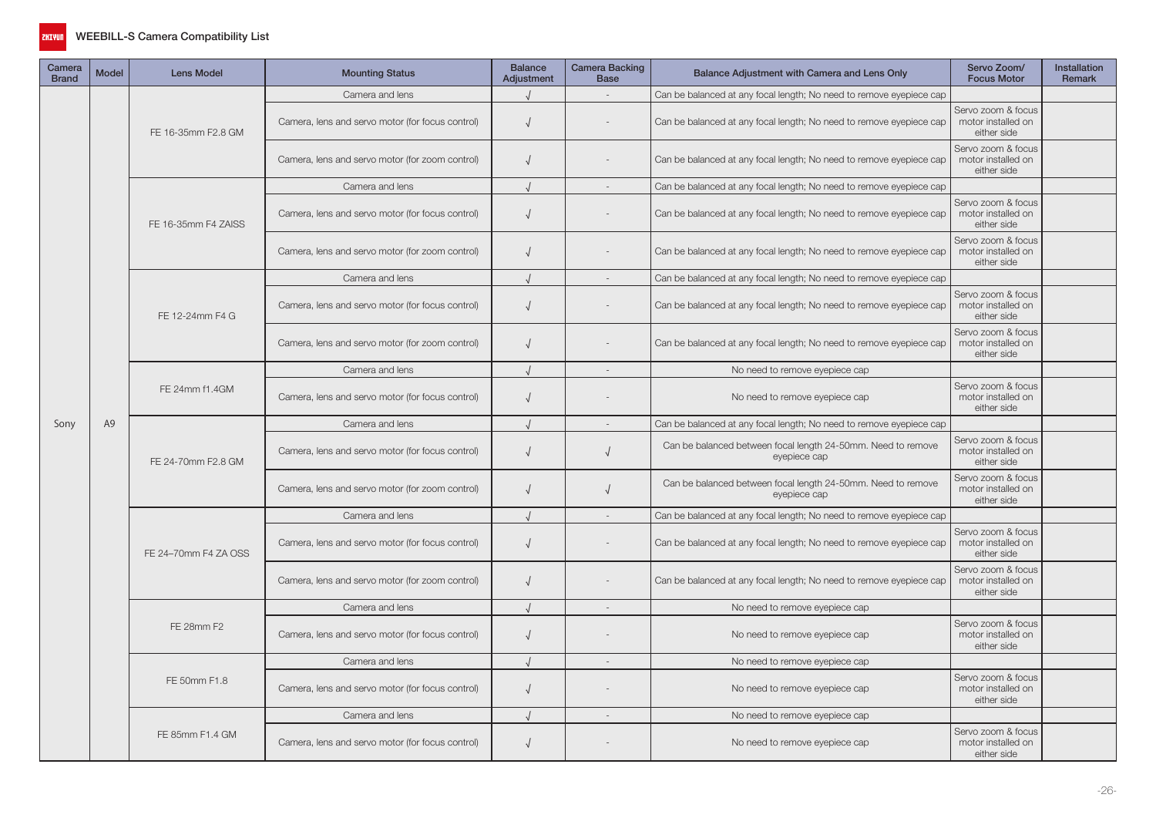

| Camera<br><b>Brand</b> | <b>Model</b> | <b>Lens Model</b>    | <b>Mounting Status</b>                           | <b>Balance</b><br>Adjustment | <b>Camera Backing</b><br><b>Base</b> | Balance Adjustment with Camera and Lens Only                                 | Servo Zoom/<br><b>Focus Motor</b>                       | Installation<br>Remark |
|------------------------|--------------|----------------------|--------------------------------------------------|------------------------------|--------------------------------------|------------------------------------------------------------------------------|---------------------------------------------------------|------------------------|
|                        |              |                      | Camera and lens                                  |                              | $\sim$                               | Can be balanced at any focal length; No need to remove eyepiece cap          |                                                         |                        |
|                        |              | FE 16-35mm F2.8 GM   | Camera, lens and servo motor (for focus control) | $\sqrt{ }$                   |                                      | Can be balanced at any focal length; No need to remove eyepiece cap          | Servo zoom & focus<br>motor installed on<br>either side |                        |
|                        |              |                      | Camera, lens and servo motor (for zoom control)  | $\sqrt{ }$                   |                                      | Can be balanced at any focal length; No need to remove eyepiece cap          | Servo zoom & focus<br>motor installed on<br>either side |                        |
|                        |              |                      | Camera and lens                                  | $\sqrt{ }$                   | $\overline{\phantom{a}}$             | Can be balanced at any focal length; No need to remove eyepiece cap          |                                                         |                        |
|                        |              | FE 16-35mm F4 ZAISS  | Camera, lens and servo motor (for focus control) | $\sqrt{ }$                   |                                      | Can be balanced at any focal length; No need to remove eyepiece cap          | Servo zoom & focus<br>motor installed on<br>either side |                        |
|                        |              |                      | Camera, lens and servo motor (for zoom control)  | $\sqrt{ }$                   |                                      | Can be balanced at any focal length; No need to remove eyepiece cap          | Servo zoom & focus<br>motor installed on<br>either side |                        |
|                        |              |                      | Camera and lens                                  | $\sqrt{ }$                   |                                      | Can be balanced at any focal length; No need to remove eyepiece cap          |                                                         |                        |
|                        |              | FE 12-24mm F4 G      | Camera, lens and servo motor (for focus control) | $\sqrt{ }$                   |                                      | Can be balanced at any focal length; No need to remove eyepiece cap          | Servo zoom & focus<br>motor installed on<br>either side |                        |
|                        | A9           |                      | Camera, lens and servo motor (for zoom control)  | $\sqrt{ }$                   |                                      | Can be balanced at any focal length; No need to remove eyepiece cap          | Servo zoom & focus<br>motor installed on<br>either side |                        |
|                        |              |                      | Camera and lens                                  |                              |                                      | No need to remove eyepiece cap                                               |                                                         |                        |
|                        |              | FE 24mm f1.4GM       | Camera, lens and servo motor (for focus control) | $\sqrt{ }$                   |                                      | No need to remove eyepiece cap                                               | Servo zoom & focus<br>motor installed on<br>either side |                        |
| Sony                   |              |                      | Camera and lens                                  |                              |                                      | Can be balanced at any focal length; No need to remove eyepiece cap          |                                                         |                        |
|                        |              | FE 24-70mm F2.8 GM   | Camera, lens and servo motor (for focus control) | $\sqrt{ }$                   | $\sqrt{ }$                           | Can be balanced between focal length 24-50mm. Need to remove<br>eyepiece cap | Servo zoom & focus<br>motor installed on<br>either side |                        |
|                        |              |                      | Camera, lens and servo motor (for zoom control)  | $\sqrt{ }$                   | $\sqrt{ }$                           | Can be balanced between focal length 24-50mm. Need to remove<br>eyepiece cap | Servo zoom & focus<br>motor installed on<br>either side |                        |
|                        |              |                      | Camera and lens                                  |                              | $\sim$                               | Can be balanced at any focal length; No need to remove eyepiece cap          |                                                         |                        |
|                        |              | FE 24-70mm F4 ZA OSS | Camera, lens and servo motor (for focus control) | $\sqrt{ }$                   |                                      | Can be balanced at any focal length; No need to remove eyepiece cap          | Servo zoom & focus<br>motor installed on<br>either side |                        |
|                        |              |                      | Camera, lens and servo motor (for zoom control)  | $\sqrt{ }$                   |                                      | Can be balanced at any focal length; No need to remove eyepiece cap          | Servo zoom & focus<br>motor installed on<br>either side |                        |
|                        |              |                      | Camera and lens                                  | $\sqrt{ }$                   | $\sim$                               | No need to remove eyepiece cap                                               |                                                         |                        |
|                        |              | FE 28mm F2           | Camera, lens and servo motor (for focus control) | $\sqrt{ }$                   |                                      | No need to remove eyepiece cap                                               | Servo zoom & focus<br>motor installed on<br>either side |                        |
|                        |              |                      | Camera and lens                                  |                              | $\overline{\phantom{a}}$             | No need to remove eyepiece cap                                               |                                                         |                        |
|                        |              | FE 50mm F1.8         | Camera, lens and servo motor (for focus control) | $\sqrt{2}$                   |                                      | No need to remove eyepiece cap                                               | Servo zoom & focus<br>motor installed on<br>either side |                        |
|                        |              |                      | Camera and lens                                  |                              |                                      | No need to remove eyepiece cap                                               |                                                         |                        |
|                        |              | FE 85mm F1.4 GM      | Camera, lens and servo motor (for focus control) | $\sqrt{ }$                   |                                      | No need to remove eyepiece cap                                               | Servo zoom & focus<br>motor installed on<br>either side |                        |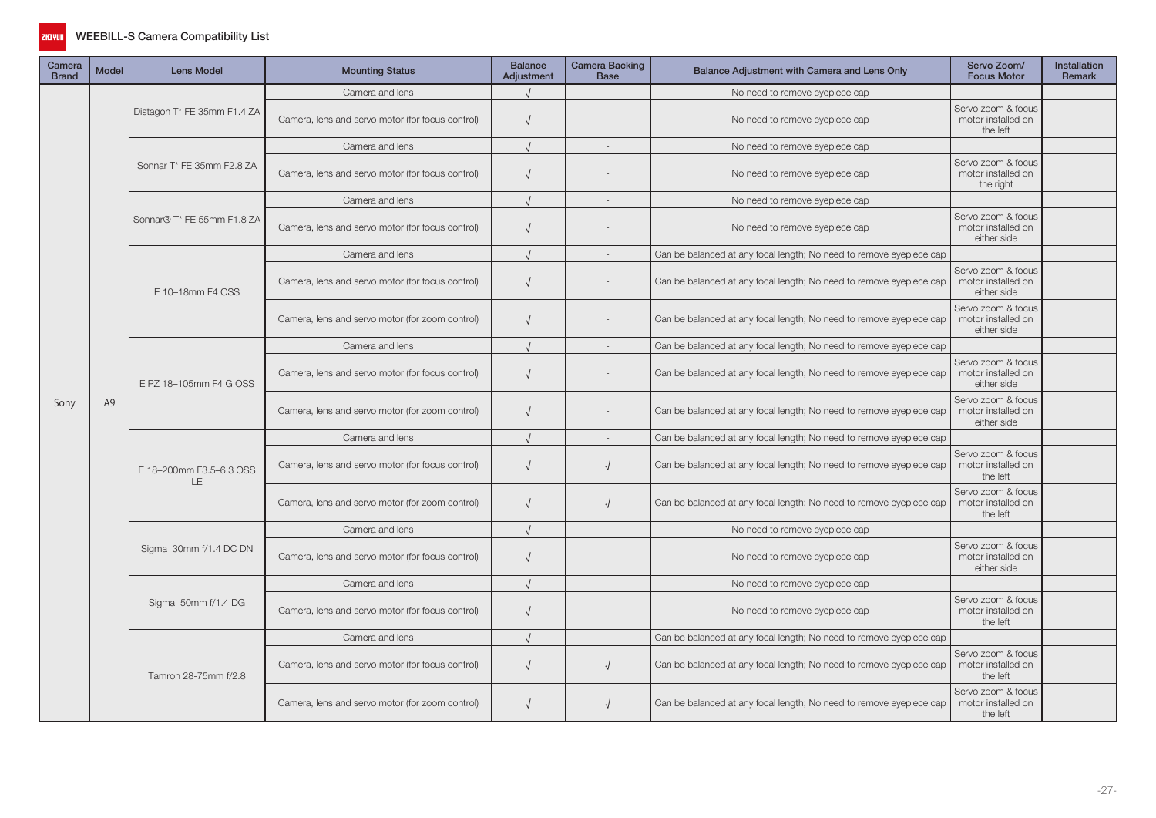

| Camera<br><b>Brand</b> | <b>Model</b>   | <b>Lens Model</b>              | <b>Mounting Status</b>                           | <b>Balance</b><br>Adjustment | Camera Backing<br><b>Base</b> | Balance Adjustment with Camera and Lens Only                        | Servo Zoom/<br><b>Focus Motor</b>                       | <b>Installation</b><br><b>Remark</b> |
|------------------------|----------------|--------------------------------|--------------------------------------------------|------------------------------|-------------------------------|---------------------------------------------------------------------|---------------------------------------------------------|--------------------------------------|
|                        |                |                                | Camera and lens                                  |                              |                               | No need to remove eyepiece cap                                      |                                                         |                                      |
|                        |                | Distagon T* FE 35mm F1.4 ZA    | Camera, lens and servo motor (for focus control) | $\sqrt{ }$                   |                               | No need to remove eyepiece cap                                      | Servo zoom & focus<br>motor installed on<br>the left    |                                      |
|                        |                |                                | Camera and lens                                  |                              |                               | No need to remove eyepiece cap                                      |                                                         |                                      |
|                        |                | Sonnar T* FE 35mm F2.8 ZA      | Camera, lens and servo motor (for focus control) | $\sqrt{ }$                   |                               | No need to remove eyepiece cap                                      | Servo zoom & focus<br>motor installed on<br>the right   |                                      |
|                        |                |                                | Camera and lens                                  |                              |                               | No need to remove eyepiece cap                                      |                                                         |                                      |
|                        |                | Sonnar® T* FE 55mm F1.8 ZA     | Camera, lens and servo motor (for focus control) |                              |                               | No need to remove eyepiece cap                                      | Servo zoom & focus<br>motor installed on<br>either side |                                      |
|                        |                |                                | Camera and lens                                  |                              |                               | Can be balanced at any focal length; No need to remove eyepiece cap |                                                         |                                      |
|                        | A <sub>9</sub> | E 10-18mm F4 OSS               | Camera, lens and servo motor (for focus control) | $\sqrt{ }$                   |                               | Can be balanced at any focal length; No need to remove eyepiece cap | Servo zoom & focus<br>motor installed on<br>either side |                                      |
|                        |                |                                | Camera, lens and servo motor (for zoom control)  | $\sqrt{ }$                   |                               | Can be balanced at any focal length; No need to remove eyepiece cap | Servo zoom & focus<br>motor installed on<br>either side |                                      |
|                        |                | E PZ 18-105mm F4 G OSS         | Camera and lens                                  |                              | $\overline{\phantom{a}}$      | Can be balanced at any focal length; No need to remove eyepiece cap |                                                         |                                      |
|                        |                |                                | Camera, lens and servo motor (for focus control) | $\sqrt{ }$                   |                               | Can be balanced at any focal length; No need to remove eyepiece cap | Servo zoom & focus<br>motor installed on<br>either side |                                      |
| Sony                   |                |                                | Camera, lens and servo motor (for zoom control)  |                              |                               | Can be balanced at any focal length; No need to remove eyepiece cap | Servo zoom & focus<br>motor installed on<br>either side |                                      |
|                        |                | E 18-200mm F3.5-6.3 OSS<br>LE. | Camera and lens                                  |                              | $\sim$                        | Can be balanced at any focal length; No need to remove eyepiece cap |                                                         |                                      |
|                        |                |                                | Camera, lens and servo motor (for focus control) | $\sqrt{ }$                   | $\sqrt{ }$                    | Can be balanced at any focal length; No need to remove eyepiece cap | Servo zoom & focus<br>motor installed on<br>the left    |                                      |
|                        |                |                                | Camera, lens and servo motor (for zoom control)  | $\sqrt{ }$                   |                               | Can be balanced at any focal length; No need to remove eyepiece cap | Servo zoom & focus<br>motor installed on<br>the left    |                                      |
|                        |                |                                | Camera and lens                                  |                              | $\sim$                        | No need to remove eyepiece cap                                      |                                                         |                                      |
|                        |                | Sigma 30mm f/1.4 DC DN         | Camera, lens and servo motor (for focus control) | $\sqrt{ }$                   |                               | No need to remove eyepiece cap                                      | Servo zoom & focus<br>motor installed on<br>either side |                                      |
|                        |                |                                | Camera and lens                                  |                              | $\overline{\phantom{a}}$      | No need to remove eyepiece cap                                      |                                                         |                                      |
|                        |                | Sigma 50mm f/1.4 DG            | Camera, lens and servo motor (for focus control) |                              |                               | No need to remove eyepiece cap                                      | Servo zoom & focus<br>motor installed on<br>the left    |                                      |
|                        |                |                                | Camera and lens                                  |                              | $\overline{\phantom{a}}$      | Can be balanced at any focal length; No need to remove eyepiece cap |                                                         |                                      |
|                        |                | Tamron 28-75mm f/2.8           | Camera, lens and servo motor (for focus control) | $\sqrt{ }$                   | $\sqrt{ }$                    | Can be balanced at any focal length; No need to remove eyepiece cap | Servo zoom & focus<br>motor installed on<br>the left    |                                      |
|                        |                |                                | Camera, lens and servo motor (for zoom control)  |                              | $\sqrt{ }$                    | Can be balanced at any focal length; No need to remove eyepiece cap | Servo zoom & focus<br>motor installed on<br>the left    |                                      |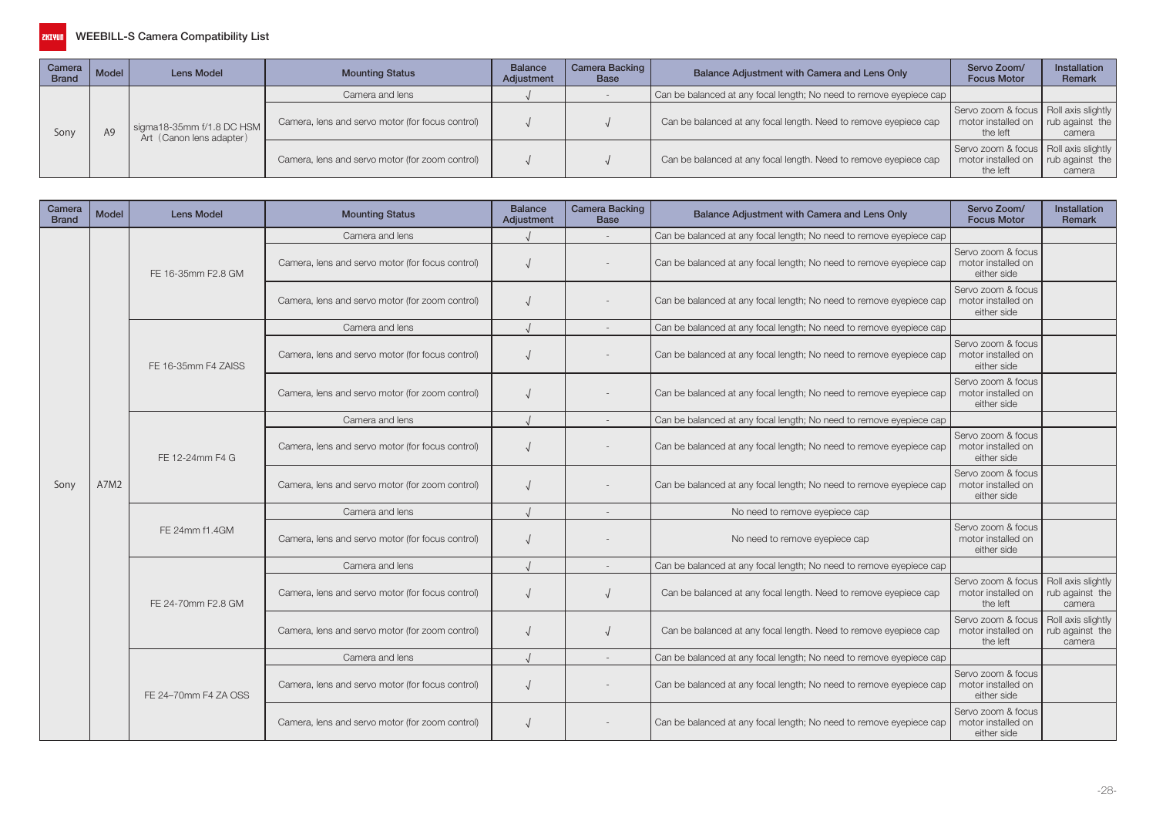

| Camera<br><b>Brand</b> | Model | Lens Model                                            | <b>Mounting Status</b>                           | <b>Balance</b><br>Adjustment | Camera Backing  <br>Base                                                                                                                                                                                   | Balance Adjustment with Camera and Lens Only                     | Servo Zoom/<br><b>Focus Motor</b>                                           | <b>Installation</b><br>Remark |
|------------------------|-------|-------------------------------------------------------|--------------------------------------------------|------------------------------|------------------------------------------------------------------------------------------------------------------------------------------------------------------------------------------------------------|------------------------------------------------------------------|-----------------------------------------------------------------------------|-------------------------------|
|                        |       |                                                       | Camera and lens                                  |                              | Can be balanced at any focal length; No need to remove eyepiece cap<br>Servo zoom & focus   Roll axis slightly  <br>Can be balanced at any focal length. Need to remove eyepiece cap<br>motor installed on |                                                                  |                                                                             |                               |
| Sony                   |       | sigma18-35mm f/1.8 DC HSM<br>Art (Canon lens adapter) | Camera, lens and servo motor (for focus control) |                              |                                                                                                                                                                                                            |                                                                  | the left                                                                    | rub against the<br>camera     |
|                        |       |                                                       | Camera, lens and servo motor (for zoom control)  |                              |                                                                                                                                                                                                            | Can be balanced at any focal length. Need to remove eyepiece cap | Servo zoom & focus   Roll axis slightly  <br>motor installed on<br>the left | rub against the<br>camera     |

| Camera<br><b>Brand</b> | <b>Model</b>                                                                           | <b>Lens Model</b>    | <b>Mounting Status</b>                           | <b>Balance</b><br>Adjustment | <b>Camera Backing</b><br><b>Base</b> | Balance Adjustment with Camera and Lens Only                        | Servo Zoom/<br><b>Focus Motor</b>                       | <b>Installation</b><br><b>Remark</b>            |
|------------------------|----------------------------------------------------------------------------------------|----------------------|--------------------------------------------------|------------------------------|--------------------------------------|---------------------------------------------------------------------|---------------------------------------------------------|-------------------------------------------------|
|                        |                                                                                        |                      | Camera and lens                                  |                              |                                      | Can be balanced at any focal length; No need to remove eyepiece cap |                                                         |                                                 |
|                        |                                                                                        | FE 16-35mm F2.8 GM   | Camera, lens and servo motor (for focus control) |                              |                                      | Can be balanced at any focal length; No need to remove eyepiece cap | Servo zoom & focus<br>motor installed on<br>either side |                                                 |
|                        | FE 16-35mm F4 ZAISS<br>FE 12-24mm F4 G<br>A7M2<br>FE 24mm f1.4GM<br>FE 24-70mm F2.8 GM |                      | Camera, lens and servo motor (for zoom control)  |                              |                                      | Can be balanced at any focal length; No need to remove eyepiece cap | Servo zoom & focus<br>motor installed on<br>either side |                                                 |
|                        |                                                                                        |                      | Camera and lens                                  |                              |                                      | Can be balanced at any focal length; No need to remove eyepiece cap |                                                         |                                                 |
|                        |                                                                                        |                      | Camera, lens and servo motor (for focus control) |                              |                                      | Can be balanced at any focal length; No need to remove eyepiece cap | Servo zoom & focus<br>motor installed on<br>either side |                                                 |
|                        |                                                                                        |                      | Camera, lens and servo motor (for zoom control)  |                              |                                      | Can be balanced at any focal length; No need to remove eyepiece cap | Servo zoom & focus<br>motor installed on<br>either side |                                                 |
|                        |                                                                                        |                      | Camera and lens                                  |                              |                                      | Can be balanced at any focal length; No need to remove eyepiece cap |                                                         |                                                 |
|                        |                                                                                        |                      | Camera, lens and servo motor (for focus control) |                              |                                      | Can be balanced at any focal length; No need to remove eyepiece cap | Servo zoom & focus<br>motor installed on<br>either side |                                                 |
| Sony                   |                                                                                        |                      | Camera, lens and servo motor (for zoom control)  |                              |                                      | Can be balanced at any focal length; No need to remove eyepiece cap | Servo zoom & focus<br>motor installed on<br>either side |                                                 |
|                        |                                                                                        |                      | Camera and lens                                  |                              |                                      | No need to remove eyepiece cap                                      |                                                         |                                                 |
|                        |                                                                                        |                      | Camera, lens and servo motor (for focus control) |                              |                                      | No need to remove eyepiece cap                                      | Servo zoom & focus<br>motor installed on<br>either side |                                                 |
|                        |                                                                                        |                      | Camera and lens                                  |                              |                                      | Can be balanced at any focal length; No need to remove eyepiece cap |                                                         |                                                 |
|                        |                                                                                        |                      | Camera, lens and servo motor (for focus control) |                              |                                      | Can be balanced at any focal length. Need to remove eyepiece cap    | Servo zoom & focus<br>motor installed on<br>the left    | Roll axis slightly<br>rub against the<br>camera |
|                        |                                                                                        |                      | Camera, lens and servo motor (for zoom control)  |                              |                                      | Can be balanced at any focal length. Need to remove eyepiece cap    | Servo zoom & focus<br>motor installed on<br>the left    | Roll axis slightly<br>rub against the<br>camera |
|                        |                                                                                        |                      | Camera and lens                                  |                              |                                      | Can be balanced at any focal length; No need to remove eyepiece cap |                                                         |                                                 |
|                        |                                                                                        | FE 24-70mm F4 ZA OSS | Camera, lens and servo motor (for focus control) |                              |                                      | Can be balanced at any focal length; No need to remove eyepiece cap | Servo zoom & focus<br>motor installed on<br>either side |                                                 |
|                        |                                                                                        |                      | Camera, lens and servo motor (for zoom control)  |                              |                                      | Can be balanced at any focal length; No need to remove eyepiece cap | Servo zoom & focus<br>motor installed on<br>either side |                                                 |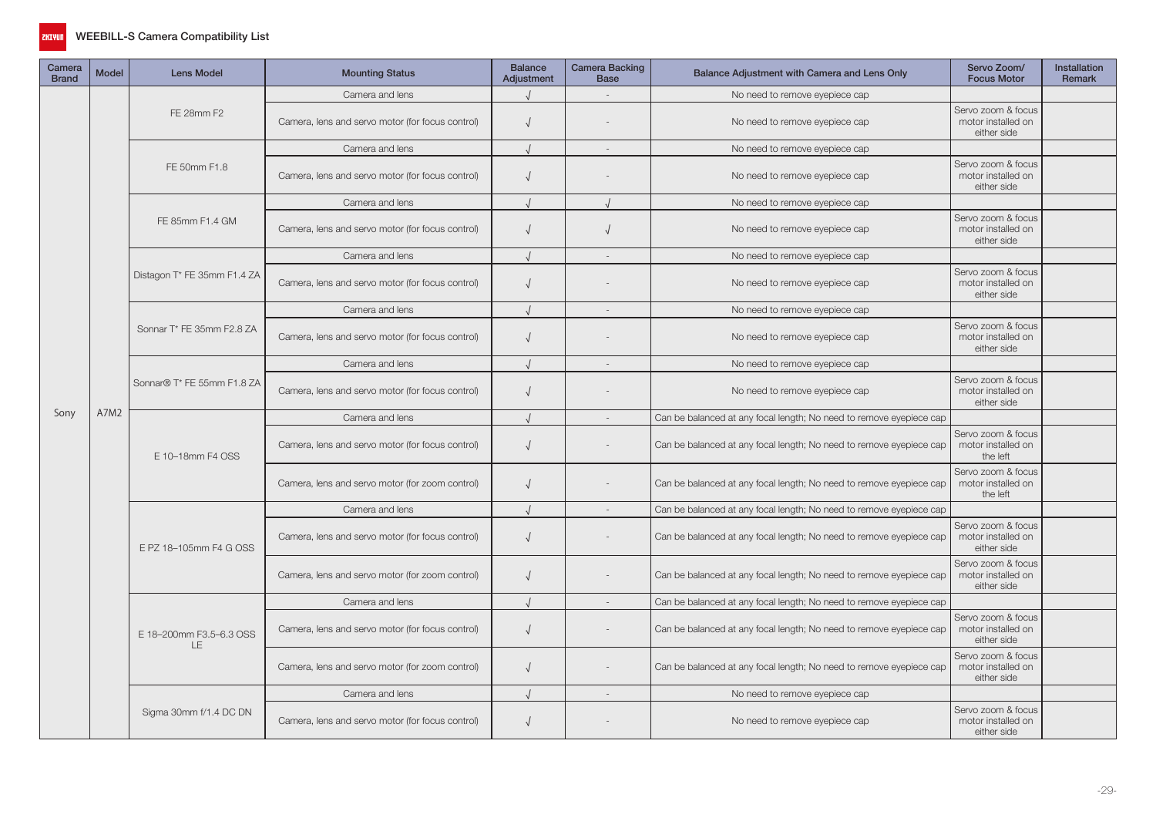

| Camera<br><b>Brand</b> | <b>Model</b> | <b>Lens Model</b>                    | <b>Mounting Status</b>                           | <b>Balance</b><br>Adjustment | <b>Camera Backing</b><br><b>Base</b> | Balance Adjustment with Camera and Lens Only                        | Servo Zoom/<br><b>Focus Motor</b>                       | Installation<br><b>Remark</b> |
|------------------------|--------------|--------------------------------------|--------------------------------------------------|------------------------------|--------------------------------------|---------------------------------------------------------------------|---------------------------------------------------------|-------------------------------|
|                        |              |                                      | Camera and lens                                  |                              |                                      | No need to remove eyepiece cap                                      |                                                         |                               |
|                        |              | FE 28mm F2                           | Camera, lens and servo motor (for focus control) | $\sqrt{ }$                   |                                      | No need to remove eyepiece cap                                      | Servo zoom & focus<br>motor installed on<br>either side |                               |
|                        |              |                                      | Camera and lens                                  |                              |                                      | No need to remove eyepiece cap                                      |                                                         |                               |
|                        |              | FE 50mm F1.8                         | Camera, lens and servo motor (for focus control) | $\sqrt{ }$                   |                                      | No need to remove eyepiece cap                                      | Servo zoom & focus<br>motor installed on<br>either side |                               |
|                        |              |                                      | Camera and lens                                  |                              |                                      | No need to remove eyepiece cap                                      |                                                         |                               |
|                        |              | FE 85mm F1.4 GM                      | Camera, lens and servo motor (for focus control) | $\sqrt{ }$                   | $\sqrt{ }$                           | No need to remove eyepiece cap                                      | Servo zoom & focus<br>motor installed on<br>either side |                               |
|                        |              |                                      | Camera and lens                                  |                              |                                      | No need to remove eyepiece cap                                      |                                                         |                               |
|                        |              | Distagon T* FE 35mm F1.4 ZA          | Camera, lens and servo motor (for focus control) | $\sqrt{ }$                   |                                      | No need to remove eyepiece cap                                      | Servo zoom & focus<br>motor installed on<br>either side |                               |
|                        |              |                                      | Camera and lens                                  |                              | $\sim$                               | No need to remove eyepiece cap                                      |                                                         |                               |
|                        |              | Sonnar T* FE 35mm F2.8 ZA            | Camera, lens and servo motor (for focus control) | $\sqrt{ }$                   |                                      | No need to remove eyepiece cap                                      | Servo zoom & focus<br>motor installed on<br>either side |                               |
|                        |              | Sonnar® T* FE 55mm F1.8 ZA           | Camera and lens                                  |                              | $\overline{\phantom{a}}$             | No need to remove eyepiece cap                                      |                                                         |                               |
|                        |              |                                      | Camera, lens and servo motor (for focus control) | $\sqrt{ }$                   |                                      | No need to remove eyepiece cap                                      | Servo zoom & focus<br>motor installed on<br>either side |                               |
| Sony                   | A7M2         |                                      | Camera and lens                                  |                              |                                      | Can be balanced at any focal length; No need to remove eyepiece cap |                                                         |                               |
|                        |              | E 10-18mm F4 OSS                     | Camera, lens and servo motor (for focus control) | $\sqrt{ }$                   |                                      | Can be balanced at any focal length; No need to remove eyepiece cap | Servo zoom & focus<br>motor installed on<br>the left    |                               |
|                        |              |                                      | Camera, lens and servo motor (for zoom control)  | $\sqrt{ }$                   |                                      | Can be balanced at any focal length; No need to remove eyepiece cap | Servo zoom & focus<br>motor installed on<br>the left    |                               |
|                        |              |                                      | Camera and lens                                  |                              | $\sim$                               | Can be balanced at any focal length; No need to remove eyepiece cap |                                                         |                               |
|                        |              | E PZ 18-105mm F4 G OSS               | Camera, lens and servo motor (for focus control) | $\sqrt{ }$                   |                                      | Can be balanced at any focal length; No need to remove eyepiece cap | Servo zoom & focus<br>motor installed on<br>either side |                               |
|                        |              |                                      | Camera, lens and servo motor (for zoom control)  | $\sqrt{ }$                   |                                      | Can be balanced at any focal length; No need to remove eyepiece cap | Servo zoom & focus<br>motor installed on<br>either side |                               |
|                        |              |                                      | Camera and lens                                  |                              |                                      | Can be balanced at any focal length; No need to remove eyepiece cap |                                                         |                               |
|                        |              | E 18-200mm F3.5-6.3 OSS<br><b>LE</b> | Camera, lens and servo motor (for focus control) | $\sqrt{ }$                   |                                      | Can be balanced at any focal length; No need to remove eyepiece cap | Servo zoom & focus<br>motor installed on<br>either side |                               |
|                        |              |                                      | Camera, lens and servo motor (for zoom control)  | $\sqrt{ }$                   |                                      | Can be balanced at any focal length; No need to remove eyepiece cap | Servo zoom & focus<br>motor installed on<br>either side |                               |
|                        |              |                                      | Camera and lens                                  |                              | $\sim$                               | No need to remove eyepiece cap                                      |                                                         |                               |
|                        |              | Sigma 30mm f/1.4 DC DN               | Camera, lens and servo motor (for focus control) | $\sqrt{ }$                   |                                      | No need to remove eyepiece cap                                      | Servo zoom & focus<br>motor installed on<br>either side |                               |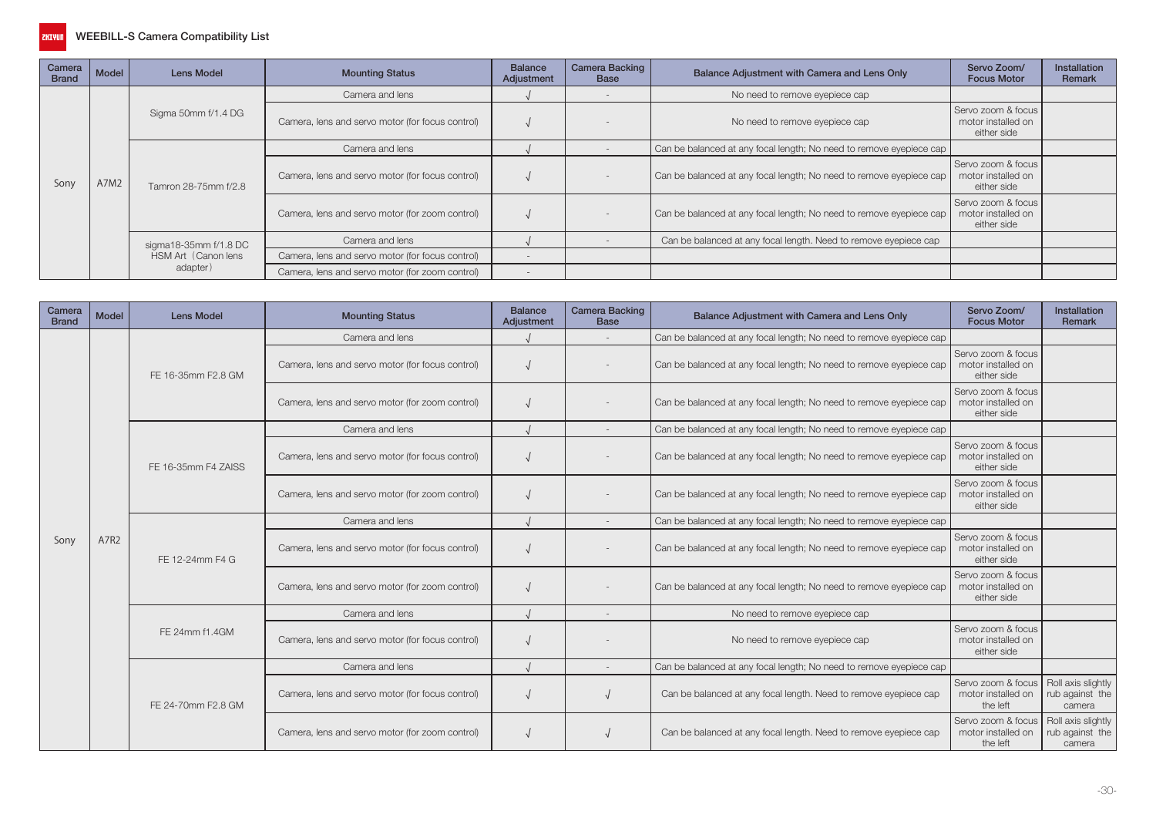

| Camera<br><b>Brand</b> | <b>Model</b> | Lens Model             | <b>Mounting Status</b>                           | <b>Balance</b><br>Adjustment | <b>Camera Backing</b><br><b>Base</b> | Balance Adjustment with Camera and Lens Only                        | Servo Zoom/<br><b>Focus Motor</b>                       | Installation<br>Remark |
|------------------------|--------------|------------------------|--------------------------------------------------|------------------------------|--------------------------------------|---------------------------------------------------------------------|---------------------------------------------------------|------------------------|
|                        |              |                        | Camera and lens                                  |                              |                                      | No need to remove eyepiece cap                                      |                                                         |                        |
|                        |              | Sigma 50mm f/1.4 DG    | Camera, lens and servo motor (for focus control) |                              |                                      | No need to remove eyepiece cap                                      | Servo zoom & focus<br>motor installed on<br>either side |                        |
|                        |              |                        | Camera and lens                                  |                              |                                      | Can be balanced at any focal length; No need to remove eyepiece cap |                                                         |                        |
| Sony                   | A7M2         | Tamron 28-75mm f/2.8   | Camera, lens and servo motor (for focus control) |                              |                                      | Can be balanced at any focal length; No need to remove eyepiece cap | Servo zoom & focus<br>motor installed on<br>either side |                        |
|                        |              |                        | Camera, lens and servo motor (for zoom control)  |                              |                                      | Can be balanced at any focal length; No need to remove eyepiece cap | Servo zoom & focus<br>motor installed on<br>either side |                        |
|                        |              | sigma18-35 $mmf/1.8DC$ | Camera and lens                                  |                              |                                      | Can be balanced at any focal length. Need to remove eyepiece cap    |                                                         |                        |
|                        |              | HSM Art (Canon lens    | Camera, lens and servo motor (for focus control) |                              |                                      |                                                                     |                                                         |                        |
|                        |              | adapter)               | Camera, lens and servo motor (for zoom control)  |                              |                                      |                                                                     |                                                         |                        |

| Camera<br><b>Brand</b> | Model | <b>Lens Model</b>   | <b>Mounting Status</b>                           | <b>Balance</b><br>Adjustment | Camera Backing<br><b>Base</b> | Balance Adjustment with Camera and Lens Only                        | Servo Zoom/<br><b>Focus Motor</b>                       | <b>Installation</b><br><b>Remark</b>                                                               |
|------------------------|-------|---------------------|--------------------------------------------------|------------------------------|-------------------------------|---------------------------------------------------------------------|---------------------------------------------------------|----------------------------------------------------------------------------------------------------|
|                        |       |                     | Camera and lens                                  |                              |                               | Can be balanced at any focal length; No need to remove eyepiece cap |                                                         |                                                                                                    |
|                        |       | FE 16-35mm F2.8 GM  | Camera, lens and servo motor (for focus control) |                              |                               | Can be balanced at any focal length; No need to remove eyepiece cap | Servo zoom & focus<br>motor installed on<br>either side |                                                                                                    |
|                        |       |                     | Camera, lens and servo motor (for zoom control)  |                              |                               | Can be balanced at any focal length; No need to remove eyepiece cap | Servo zoom & focus<br>motor installed on<br>either side | Roll axis slightly<br>rub against the<br>camera<br>Roll axis slightly<br>rub against the<br>camera |
|                        |       |                     | Camera and lens                                  |                              |                               | Can be balanced at any focal length; No need to remove eyepiece cap |                                                         |                                                                                                    |
|                        |       | FE 16-35mm F4 ZAISS | Camera, lens and servo motor (for focus control) |                              |                               | Can be balanced at any focal length; No need to remove eyepiece cap | Servo zoom & focus<br>motor installed on<br>either side |                                                                                                    |
|                        |       |                     | Camera, lens and servo motor (for zoom control)  |                              |                               | Can be balanced at any focal length; No need to remove eyepiece cap | Servo zoom & focus<br>motor installed on<br>either side |                                                                                                    |
|                        |       |                     | Camera and lens                                  |                              |                               | Can be balanced at any focal length; No need to remove eyepiece cap |                                                         |                                                                                                    |
| Sony                   | A7R2  | FE 12-24mm F4 G     | Camera, lens and servo motor (for focus control) |                              |                               | Can be balanced at any focal length; No need to remove eyepiece cap | Servo zoom & focus<br>motor installed on<br>either side |                                                                                                    |
|                        |       |                     | Camera, lens and servo motor (for zoom control)  |                              |                               | Can be balanced at any focal length; No need to remove eyepiece cap | Servo zoom & focus<br>motor installed on<br>either side |                                                                                                    |
|                        |       |                     | Camera and lens                                  |                              |                               | No need to remove eyepiece cap                                      |                                                         |                                                                                                    |
|                        |       | FE 24mm f1.4GM      | Camera, lens and servo motor (for focus control) |                              |                               | No need to remove eyepiece cap                                      | Servo zoom & focus<br>motor installed on<br>either side |                                                                                                    |
|                        |       |                     | Camera and lens                                  |                              |                               | Can be balanced at any focal length; No need to remove eyepiece cap |                                                         |                                                                                                    |
|                        |       | FE 24-70mm F2.8 GM  | Camera, lens and servo motor (for focus control) |                              |                               | Can be balanced at any focal length. Need to remove eyepiece cap    | Servo zoom & focus<br>motor installed on<br>the left    |                                                                                                    |
|                        |       |                     | Camera, lens and servo motor (for zoom control)  |                              |                               | Can be balanced at any focal length. Need to remove eyepiece cap    | Servo zoom & focus<br>motor installed on<br>the left    |                                                                                                    |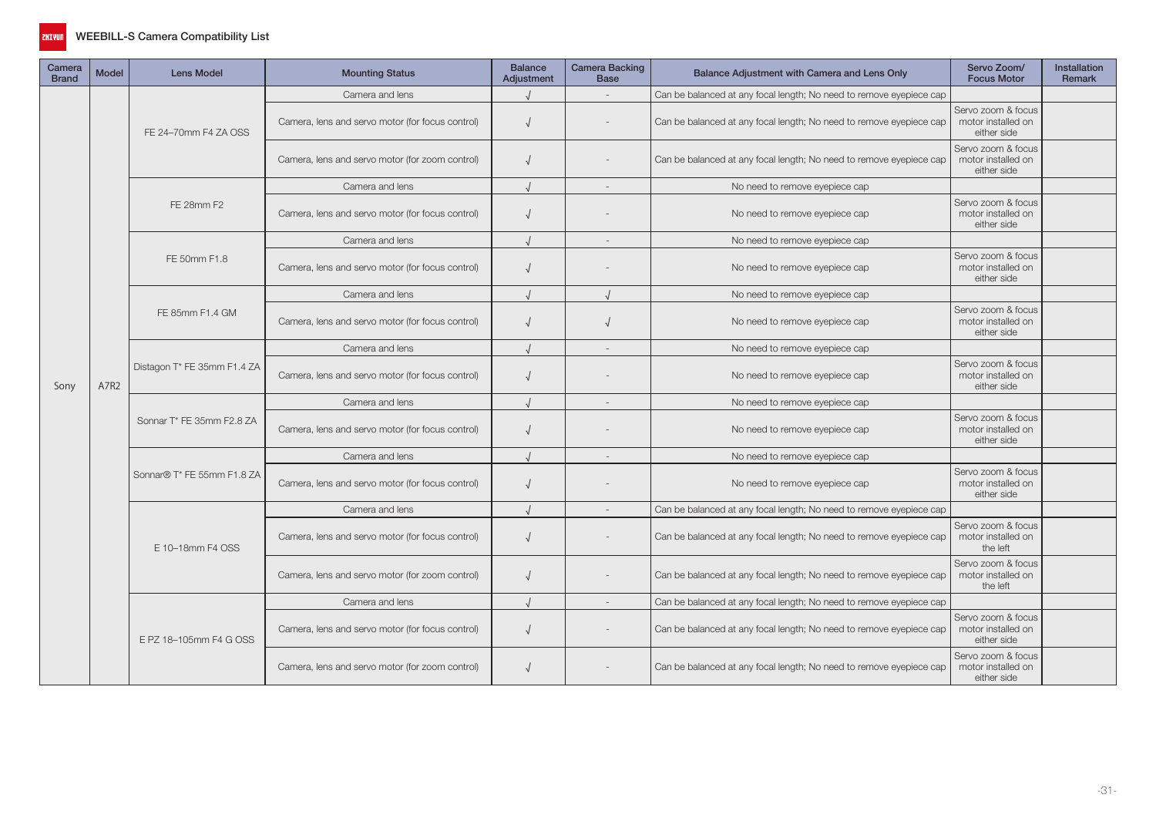

| Camera<br><b>Brand</b> | Model | <b>Lens Model</b>           | <b>Mounting Status</b>                                                            | <b>Balance</b><br>Adjustment   | <b>Camera Backing</b><br><b>Base</b>                    | Balance Adjustment with Camera and Lens Only                        | Servo Zoom/<br><b>Focus Motor</b>                                                                   | <b>Installation</b><br><b>Remark</b> |
|------------------------|-------|-----------------------------|-----------------------------------------------------------------------------------|--------------------------------|---------------------------------------------------------|---------------------------------------------------------------------|-----------------------------------------------------------------------------------------------------|--------------------------------------|
| Sony                   |       |                             | Camera and lens                                                                   |                                |                                                         | Can be balanced at any focal length; No need to remove eyepiece cap |                                                                                                     |                                      |
|                        |       | FE 24-70mm F4 ZA OSS        | Camera, lens and servo motor (for focus control)                                  | $\sqrt{ }$                     |                                                         | Can be balanced at any focal length; No need to remove eyepiece cap | Servo zoom & focus<br>motor installed on<br>either side                                             |                                      |
|                        |       |                             | Camera, lens and servo motor (for zoom control)                                   | $\sqrt{ }$                     |                                                         | Can be balanced at any focal length; No need to remove eyepiece cap | Servo zoom & focus<br>motor installed on<br>either side                                             |                                      |
|                        |       |                             | Camera and lens                                                                   |                                | $\sim$                                                  | No need to remove eyepiece cap                                      |                                                                                                     |                                      |
|                        | A7R2  | FE 28mm F2                  | Camera, lens and servo motor (for focus control)                                  | $\sqrt{ }$                     |                                                         | No need to remove eyepiece cap                                      | Servo zoom & focus<br>motor installed on<br>either side                                             |                                      |
|                        |       |                             | Camera and lens                                                                   |                                | $\overline{a}$                                          | No need to remove eyepiece cap                                      |                                                                                                     |                                      |
|                        |       | FE 50mm F1.8                | Camera, lens and servo motor (for focus control)                                  |                                |                                                         | No need to remove eyepiece cap                                      | Servo zoom & focus<br>motor installed on<br>either side                                             |                                      |
|                        |       |                             | Camera and lens                                                                   |                                |                                                         | No need to remove eyepiece cap                                      |                                                                                                     |                                      |
|                        |       | FE 85mm F1.4 GM             | Camera, lens and servo motor (for focus control)                                  |                                |                                                         | No need to remove eyepiece cap                                      | Servo zoom & focus<br>motor installed on<br>either side                                             |                                      |
|                        |       |                             | Camera and lens                                                                   |                                |                                                         | No need to remove eyepiece cap                                      | Servo zoom & focus<br>motor installed on<br>either side<br>Servo zoom & focus<br>motor installed on |                                      |
|                        |       | Distagon T* FE 35mm F1.4 ZA | Camera, lens and servo motor (for focus control)                                  | $\sqrt{ }$                     |                                                         | No need to remove eyepiece cap                                      |                                                                                                     |                                      |
|                        |       |                             | Camera and lens                                                                   |                                |                                                         | No need to remove eyepiece cap                                      |                                                                                                     |                                      |
|                        |       | Sonnar T* FE 35mm F2.8 ZA   | Camera, lens and servo motor (for focus control)                                  |                                |                                                         | No need to remove eyepiece cap                                      | either side                                                                                         |                                      |
|                        |       |                             | Camera and lens                                                                   |                                | ÷                                                       | No need to remove eyepiece cap                                      |                                                                                                     |                                      |
|                        |       | Sonnar® T* FE 55mm F1.8 ZA  | Camera, lens and servo motor (for focus control)<br>$\sqrt{ }$<br>Camera and lens | No need to remove eyepiece cap | Servo zoom & focus<br>motor installed on<br>either side |                                                                     |                                                                                                     |                                      |
|                        |       |                             |                                                                                   |                                |                                                         | Can be balanced at any focal length; No need to remove eyepiece cap |                                                                                                     |                                      |
|                        |       | E 10-18mm F4 OSS            | Camera, lens and servo motor (for focus control)                                  |                                |                                                         | Can be balanced at any focal length; No need to remove eyepiece cap | Servo zoom & focus<br>motor installed on<br>the left                                                |                                      |
|                        |       |                             | Camera, lens and servo motor (for zoom control)                                   | $\sqrt{ }$                     |                                                         | Can be balanced at any focal length; No need to remove eyepiece cap | Servo zoom & focus<br>motor installed on<br>the left                                                |                                      |
|                        |       |                             | Camera and lens                                                                   |                                |                                                         | Can be balanced at any focal length; No need to remove eyepiece cap |                                                                                                     |                                      |
|                        |       | E PZ 18-105mm F4 G OSS      | Camera, lens and servo motor (for focus control)                                  | $\sqrt{ }$                     |                                                         | Can be balanced at any focal length; No need to remove eyepiece cap | Servo zoom & focus<br>motor installed on<br>either side                                             |                                      |
|                        |       |                             | Camera, lens and servo motor (for zoom control)                                   |                                |                                                         | Can be balanced at any focal length; No need to remove eyepiece cap | Servo zoom & focus<br>motor installed on<br>either side                                             |                                      |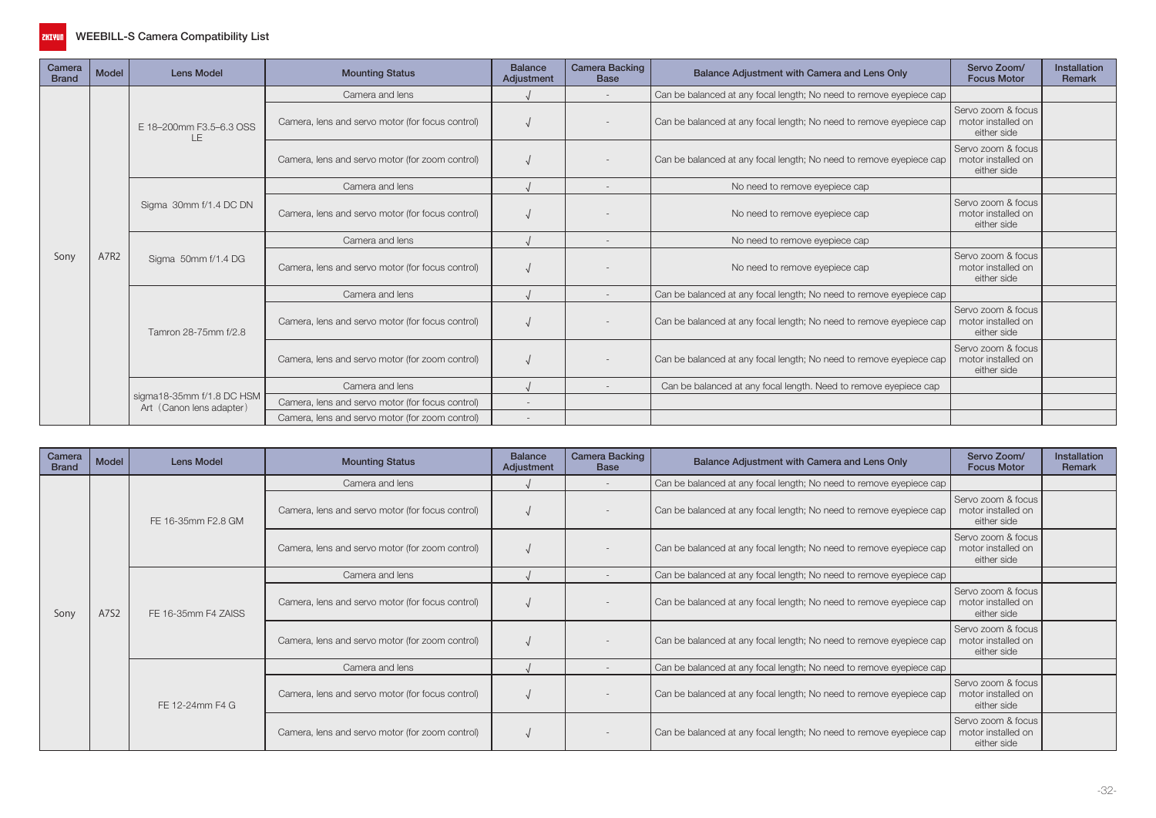

| Camera<br><b>Brand</b> | <b>Model</b> | <b>Lens Model</b>                                     | <b>Mounting Status</b>                           | <b>Balance</b><br>Adjustment | <b>Camera Backing</b><br><b>Base</b> | Balance Adjustment with Camera and Lens Only                        | Servo Zoom/<br><b>Focus Motor</b>                       | <b>Installation</b><br><b>Remark</b> |
|------------------------|--------------|-------------------------------------------------------|--------------------------------------------------|------------------------------|--------------------------------------|---------------------------------------------------------------------|---------------------------------------------------------|--------------------------------------|
|                        |              |                                                       | Camera and lens                                  |                              |                                      | Can be balanced at any focal length; No need to remove eyepiece cap |                                                         |                                      |
|                        |              | E 18-200mm F3.5-6.3 OSS<br>ΙF                         | Camera, lens and servo motor (for focus control) |                              |                                      | Can be balanced at any focal length; No need to remove eyepiece cap | Servo zoom & focus<br>motor installed on<br>either side |                                      |
|                        |              |                                                       | Camera, lens and servo motor (for zoom control)  |                              |                                      | Can be balanced at any focal length; No need to remove eyepiece cap | Servo zoom & focus<br>motor installed on<br>either side |                                      |
|                        |              |                                                       | Camera and lens                                  |                              |                                      | No need to remove eyepiece cap                                      |                                                         |                                      |
|                        |              | Sigma 30mm f/1.4 DC DN                                | Camera, lens and servo motor (for focus control) |                              |                                      | No need to remove eyepiece cap                                      | Servo zoom & focus<br>motor installed on<br>either side |                                      |
|                        |              | Sigma 50mm f/1.4 DG                                   | Camera and lens                                  |                              |                                      | No need to remove eyepiece cap                                      |                                                         |                                      |
| Sony                   | A7R2         |                                                       | Camera, lens and servo motor (for focus control) |                              |                                      | No need to remove eyepiece cap                                      | Servo zoom & focus<br>motor installed on<br>either side |                                      |
|                        |              |                                                       | Camera and lens                                  |                              |                                      | Can be balanced at any focal length; No need to remove eyepiece cap |                                                         |                                      |
|                        |              | Tamron 28-75mm f/2.8                                  | Camera, lens and servo motor (for focus control) |                              |                                      | Can be balanced at any focal length; No need to remove eyepiece cap | Servo zoom & focus<br>motor installed on<br>either side |                                      |
|                        |              |                                                       | Camera, lens and servo motor (for zoom control)  |                              |                                      | Can be balanced at any focal length; No need to remove eyepiece cap | Servo zoom & focus<br>motor installed on<br>either side |                                      |
|                        |              |                                                       | Camera and lens                                  |                              |                                      | Can be balanced at any focal length. Need to remove eyepiece cap    |                                                         |                                      |
|                        |              |                                                       | Camera, lens and servo motor (for focus control) | $\overline{\phantom{a}}$     |                                      |                                                                     |                                                         |                                      |
|                        |              | sigma18-35mm f/1.8 DC HSM<br>Art (Canon lens adapter) | Camera, lens and servo motor (for zoom control)  |                              |                                      |                                                                     |                                                         |                                      |

| Camera<br><b>Brand</b> | <b>Model</b> | Lens Model          | <b>Mounting Status</b>                           | <b>Balance</b><br>Adjustment                                                                                                                                                                                                         | <b>Camera Backing</b><br><b>Base</b>                    | Balance Adjustment with Camera and Lens Only                        | Servo Zoom/<br><b>Focus Motor</b>                       | <b>Installation</b><br>Remark |
|------------------------|--------------|---------------------|--------------------------------------------------|--------------------------------------------------------------------------------------------------------------------------------------------------------------------------------------------------------------------------------------|---------------------------------------------------------|---------------------------------------------------------------------|---------------------------------------------------------|-------------------------------|
|                        |              |                     | Camera and lens                                  |                                                                                                                                                                                                                                      |                                                         | Can be balanced at any focal length; No need to remove eyepiece cap |                                                         |                               |
|                        |              | FE 16-35mm F2.8 GM  | Camera, lens and servo motor (for focus control) |                                                                                                                                                                                                                                      |                                                         | Can be balanced at any focal length; No need to remove eyepiece cap | Servo zoom & focus<br>motor installed on<br>either side |                               |
|                        |              |                     | Camera, lens and servo motor (for zoom control)  |                                                                                                                                                                                                                                      |                                                         | Can be balanced at any focal length; No need to remove eyepiece cap | Servo zoom & focus<br>motor installed on<br>either side |                               |
|                        |              |                     | Camera and lens                                  |                                                                                                                                                                                                                                      |                                                         | Can be balanced at any focal length; No need to remove eyepiece cap |                                                         |                               |
| Sony                   | A7S2         | FE 16-35mm F4 ZAISS | Camera, lens and servo motor (for focus control) |                                                                                                                                                                                                                                      |                                                         | Can be balanced at any focal length; No need to remove eyepiece cap | Servo zoom & focus<br>motor installed on<br>either side |                               |
|                        |              |                     | Camera, lens and servo motor (for zoom control)  | Can be balanced at any focal length; No need to remove eyepiece cap<br>Can be balanced at any focal length; No need to remove eyepiece cap<br>Camera and lens<br>Can be balanced at any focal length; No need to remove eyepiece cap | Servo zoom & focus<br>motor installed on<br>either side |                                                                     |                                                         |                               |
|                        |              |                     |                                                  |                                                                                                                                                                                                                                      |                                                         |                                                                     |                                                         |                               |
|                        |              | FE 12-24mm F4 G     | Camera, lens and servo motor (for focus control) |                                                                                                                                                                                                                                      |                                                         |                                                                     | Servo zoom & focus<br>motor installed on<br>either side |                               |
|                        |              |                     | Camera, lens and servo motor (for zoom control)  |                                                                                                                                                                                                                                      |                                                         | Can be balanced at any focal length; No need to remove eyepiece cap | Servo zoom & focus<br>motor installed on<br>either side |                               |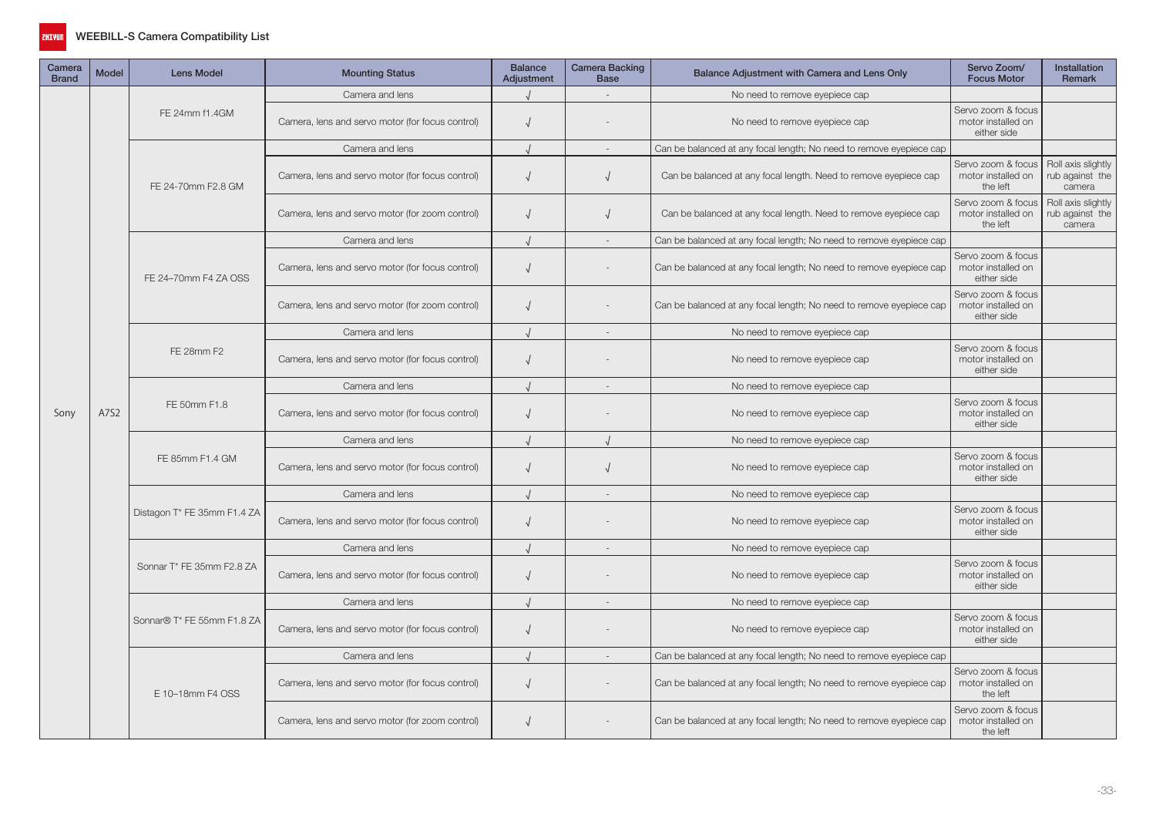

| Camera<br><b>Brand</b> | <b>Model</b> | <b>Lens Model</b>           | <b>Mounting Status</b>                           | <b>Balance</b><br>Adjustment | Camera Backing<br><b>Base</b> | Balance Adjustment with Camera and Lens Only                        | Servo Zoom/<br><b>Focus Motor</b>                       | Installation<br>Remark                          |
|------------------------|--------------|-----------------------------|--------------------------------------------------|------------------------------|-------------------------------|---------------------------------------------------------------------|---------------------------------------------------------|-------------------------------------------------|
|                        |              |                             | Camera and lens                                  |                              |                               | No need to remove eyepiece cap                                      |                                                         |                                                 |
|                        |              | FE 24mm f1.4GM              | Camera, lens and servo motor (for focus control) | $\sqrt{2}$                   |                               | No need to remove eyepiece cap                                      | Servo zoom & focus<br>motor installed on<br>either side |                                                 |
|                        |              |                             | Camera and lens                                  |                              |                               | Can be balanced at any focal length; No need to remove eyepiece cap |                                                         |                                                 |
|                        |              | FE 24-70mm F2.8 GM          | Camera, lens and servo motor (for focus control) | $\sqrt{ }$                   | $\sqrt{ }$                    | Can be balanced at any focal length. Need to remove eyepiece cap    | Servo zoom & focus<br>motor installed on<br>the left    | Roll axis slightly<br>rub against the<br>camera |
|                        |              |                             | Camera, lens and servo motor (for zoom control)  | $\sqrt{ }$                   | $\sqrt{ }$                    | Can be balanced at any focal length. Need to remove eyepiece cap    | Servo zoom & focus<br>motor installed on<br>the left    | Roll axis slightly<br>rub against the<br>camera |
|                        |              |                             | Camera and lens                                  |                              |                               | Can be balanced at any focal length; No need to remove eyepiece cap |                                                         |                                                 |
|                        |              | FE 24-70mm F4 ZA OSS        | Camera, lens and servo motor (for focus control) | $\sqrt{2}$                   |                               | Can be balanced at any focal length; No need to remove eyepiece cap | Servo zoom & focus<br>motor installed on<br>either side |                                                 |
|                        |              |                             | Camera, lens and servo motor (for zoom control)  | $\sqrt{ }$                   |                               | Can be balanced at any focal length; No need to remove eyepiece cap | Servo zoom & focus<br>motor installed on<br>either side |                                                 |
|                        |              |                             | Camera and lens                                  |                              | $\sim$                        | No need to remove eyepiece cap                                      |                                                         |                                                 |
|                        |              | FE 28mm F2                  | Camera, lens and servo motor (for focus control) | $\sqrt{2}$                   |                               | No need to remove eyepiece cap                                      | Servo zoom & focus<br>motor installed on<br>either side |                                                 |
|                        |              |                             | Camera and lens                                  |                              | $\sim$                        | No need to remove eyepiece cap                                      |                                                         |                                                 |
| Sony                   | A7S2         | FE 50mm F1.8                | Camera, lens and servo motor (for focus control) | $\sqrt{ }$                   |                               | No need to remove eyepiece cap                                      | Servo zoom & focus<br>motor installed on<br>either side |                                                 |
|                        |              |                             | Camera and lens                                  |                              |                               | No need to remove eyepiece cap                                      |                                                         |                                                 |
|                        |              | FE 85mm F1.4 GM             | Camera, lens and servo motor (for focus control) | $\sqrt{ }$                   | $\sqrt{ }$                    | No need to remove eyepiece cap                                      | Servo zoom & focus<br>motor installed on<br>either side |                                                 |
|                        |              |                             | Camera and lens                                  | $\cdot$                      |                               | No need to remove eyepiece cap                                      |                                                         |                                                 |
|                        |              | Distagon T* FE 35mm F1.4 ZA | Camera, lens and servo motor (for focus control) | $\sqrt{ }$                   |                               | No need to remove eyepiece cap                                      | Servo zoom & focus<br>motor installed on<br>either side |                                                 |
|                        |              |                             | Camera and lens                                  |                              |                               | No need to remove eyepiece cap                                      |                                                         |                                                 |
|                        |              | Sonnar T* FE 35mm F2.8 ZA   | Camera, lens and servo motor (for focus control) | $\sqrt{2}$                   |                               | No need to remove eyepiece cap                                      | Servo zoom & focus<br>motor installed on<br>either side |                                                 |
|                        |              |                             | Camera and lens                                  |                              | $\sim$                        | No need to remove eyepiece cap                                      |                                                         |                                                 |
|                        |              | Sonnar® T* FE 55mm F1.8 ZA  | Camera, lens and servo motor (for focus control) | $\sqrt{ }$                   |                               | No need to remove eyepiece cap                                      | Servo zoom & focus<br>motor installed on<br>either side |                                                 |
|                        |              |                             | Camera and lens                                  |                              | $\sim$                        | Can be balanced at any focal length; No need to remove eyepiece cap |                                                         |                                                 |
|                        |              | E 10-18mm F4 OSS            | Camera, lens and servo motor (for focus control) | $\sqrt{ }$                   |                               | Can be balanced at any focal length; No need to remove eyepiece cap | Servo zoom & focus<br>motor installed on<br>the left    |                                                 |
|                        |              |                             | Camera, lens and servo motor (for zoom control)  | $\sqrt{2}$                   |                               | Can be balanced at any focal length; No need to remove eyepiece cap | Servo zoom & focus<br>motor installed on<br>the left    |                                                 |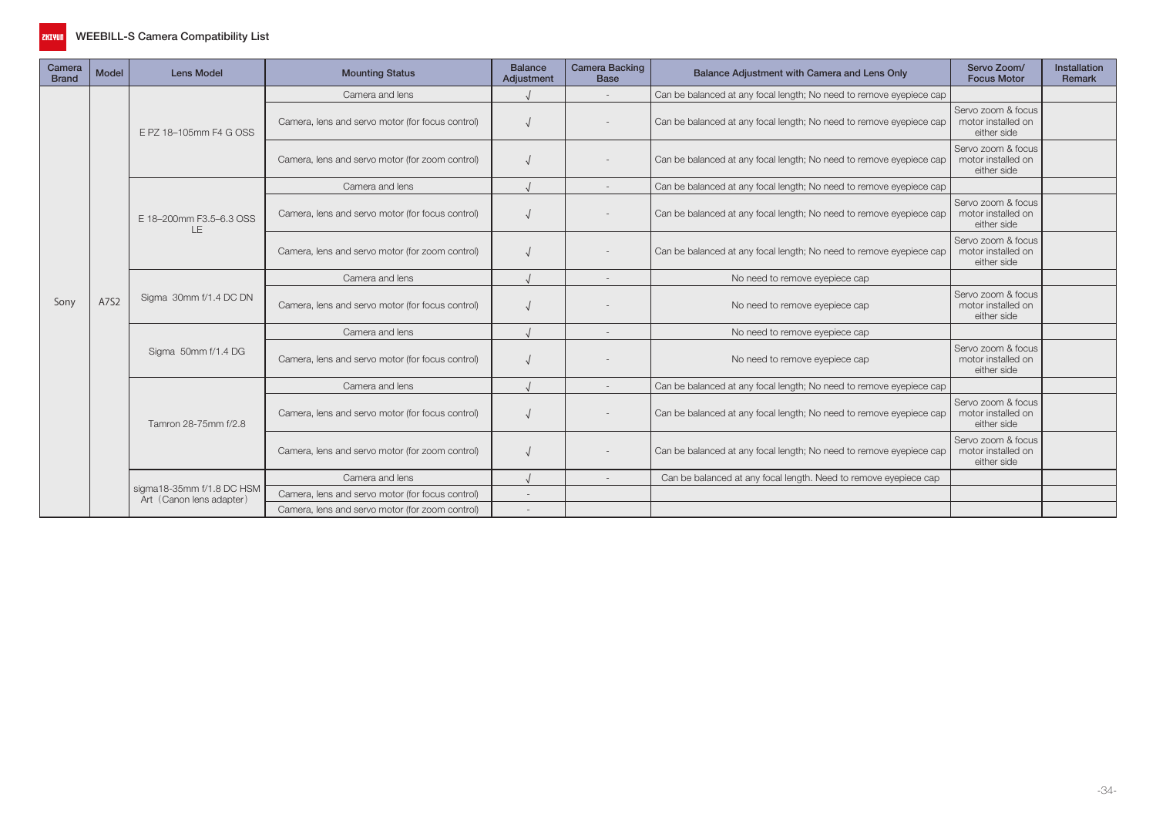

| Camera<br><b>Brand</b> | <b>Model</b>             | <b>Lens Model</b>                               | <b>Mounting Status</b>                           | <b>Balance</b><br>Adjustment | <b>Camera Backing</b><br><b>Base</b> | Balance Adjustment with Camera and Lens Only                        | Servo Zoom/<br><b>Focus Motor</b>                       | Installation<br>Remark |
|------------------------|--------------------------|-------------------------------------------------|--------------------------------------------------|------------------------------|--------------------------------------|---------------------------------------------------------------------|---------------------------------------------------------|------------------------|
|                        |                          |                                                 | Camera and lens                                  |                              |                                      | Can be balanced at any focal length; No need to remove eyepiece cap |                                                         |                        |
|                        |                          | E PZ 18-105mm F4 G OSS                          | Camera, lens and servo motor (for focus control) |                              |                                      | Can be balanced at any focal length; No need to remove eyepiece cap | Servo zoom & focus<br>motor installed on<br>either side |                        |
|                        |                          |                                                 | Camera, lens and servo motor (for zoom control)  |                              |                                      | Can be balanced at any focal length; No need to remove eyepiece cap | Servo zoom & focus<br>motor installed on<br>either side |                        |
|                        |                          |                                                 | Camera and lens                                  |                              |                                      | Can be balanced at any focal length; No need to remove eyepiece cap |                                                         |                        |
|                        |                          | E 18-200mm F3.5-6.3 OSS<br>LE.                  | Camera, lens and servo motor (for focus control) |                              |                                      | Can be balanced at any focal length; No need to remove eyepiece cap | Servo zoom & focus<br>motor installed on<br>either side |                        |
|                        |                          |                                                 | Camera, lens and servo motor (for zoom control)  |                              |                                      | Can be balanced at any focal length; No need to remove eyepiece cap | Servo zoom & focus<br>motor installed on<br>either side |                        |
|                        |                          |                                                 | Camera and lens                                  |                              |                                      | No need to remove eyepiece cap                                      |                                                         |                        |
| Sony                   | A7S2                     | Sigma 30mm f/1.4 DC DN                          | Camera, lens and servo motor (for focus control) |                              |                                      | No need to remove eyepiece cap                                      | Servo zoom & focus<br>motor installed on<br>either side |                        |
|                        |                          |                                                 | Camera and lens                                  |                              |                                      | No need to remove eyepiece cap                                      |                                                         |                        |
|                        |                          | Sigma 50mm f/1.4 DG                             | Camera, lens and servo motor (for focus control) |                              |                                      | No need to remove eyepiece cap                                      | Servo zoom & focus<br>motor installed on<br>either side |                        |
|                        |                          |                                                 | Camera and lens                                  |                              |                                      | Can be balanced at any focal length; No need to remove eyepiece cap |                                                         |                        |
|                        |                          | Tamron 28-75mm f/2.8                            | Camera, lens and servo motor (for focus control) |                              |                                      | Can be balanced at any focal length; No need to remove eyepiece cap | Servo zoom & focus<br>motor installed on<br>either side |                        |
|                        |                          |                                                 | Camera, lens and servo motor (for zoom control)  |                              |                                      | Can be balanced at any focal length; No need to remove eyepiece cap | Servo zoom & focus<br>motor installed on<br>either side |                        |
|                        |                          |                                                 | Camera and lens                                  |                              |                                      | Can be balanced at any focal length. Need to remove eyepiece cap    |                                                         |                        |
|                        |                          | sigma18-35mm f/1.8 DC HSM                       | Camera, lens and servo motor (for focus control) |                              |                                      |                                                                     |                                                         |                        |
|                        | Art (Canon lens adapter) | Camera, lens and servo motor (for zoom control) |                                                  |                              |                                      |                                                                     |                                                         |                        |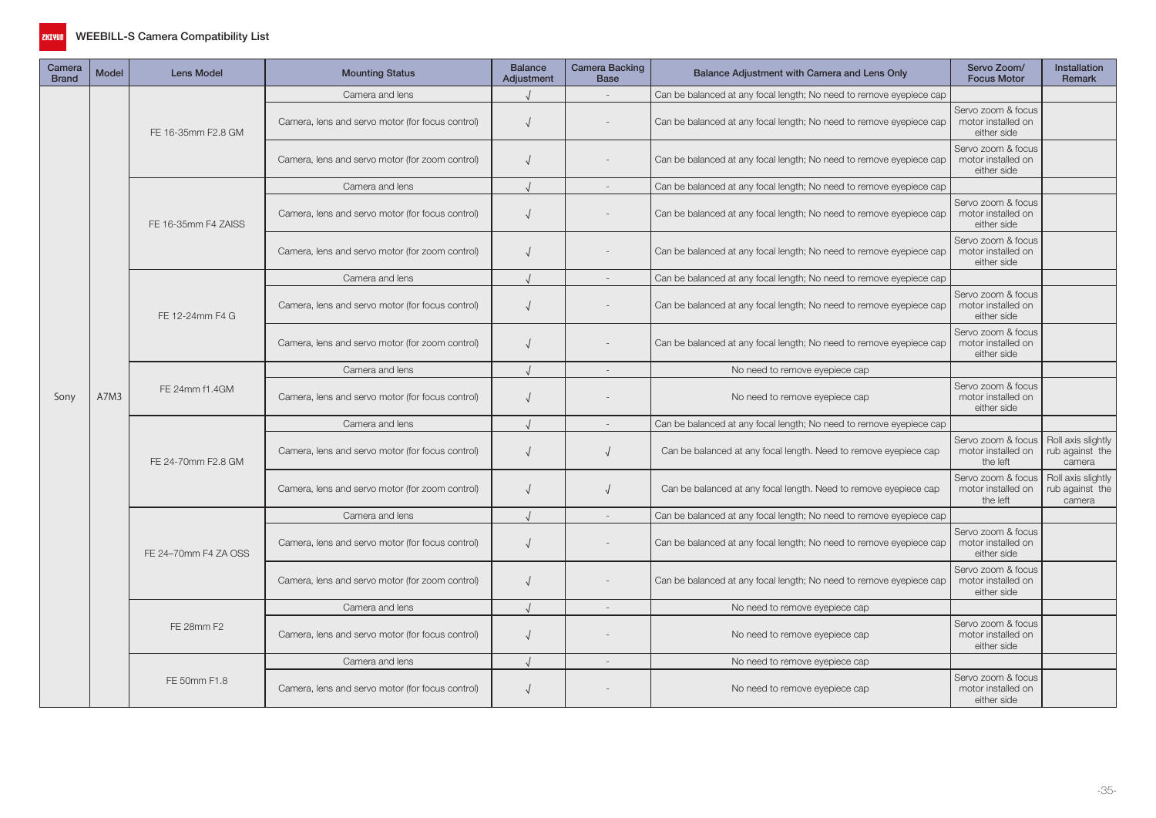

| Camera<br><b>Brand</b> | <b>Model</b> | <b>Lens Model</b>    | <b>Mounting Status</b>                           | <b>Balance</b><br>Adjustment | Camera Backing<br><b>Base</b> | Balance Adjustment with Camera and Lens Only                        | Servo Zoom/<br><b>Focus Motor</b>                       | <b>Installation</b><br><b>Remark</b>            |
|------------------------|--------------|----------------------|--------------------------------------------------|------------------------------|-------------------------------|---------------------------------------------------------------------|---------------------------------------------------------|-------------------------------------------------|
|                        |              |                      | Camera and lens                                  |                              |                               | Can be balanced at any focal length; No need to remove eyepiece cap |                                                         |                                                 |
|                        |              | FE 16-35mm F2.8 GM   | Camera, lens and servo motor (for focus control) | $\sqrt{ }$                   |                               | Can be balanced at any focal length; No need to remove eyepiece cap | Servo zoom & focus<br>motor installed on<br>either side |                                                 |
|                        |              |                      | Camera, lens and servo motor (for zoom control)  | $\sqrt{ }$                   |                               | Can be balanced at any focal length; No need to remove eyepiece cap | Servo zoom & focus<br>motor installed on<br>either side |                                                 |
|                        |              |                      | Camera and lens                                  |                              | $\sim$                        | Can be balanced at any focal length; No need to remove eyepiece cap |                                                         |                                                 |
|                        |              | FE 16-35mm F4 ZAISS  | Camera, lens and servo motor (for focus control) | $\sqrt{ }$                   |                               | Can be balanced at any focal length; No need to remove eyepiece cap | Servo zoom & focus<br>motor installed on<br>either side |                                                 |
|                        |              |                      | Camera, lens and servo motor (for zoom control)  | $\sqrt{ }$                   |                               | Can be balanced at any focal length; No need to remove eyepiece cap | Servo zoom & focus<br>motor installed on<br>either side |                                                 |
|                        |              |                      | Camera and lens                                  |                              |                               | Can be balanced at any focal length; No need to remove eyepiece cap |                                                         |                                                 |
|                        |              | FE 12-24mm F4 G      | Camera, lens and servo motor (for focus control) | $\sqrt{ }$                   |                               | Can be balanced at any focal length; No need to remove eyepiece cap | Servo zoom & focus<br>motor installed on<br>either side |                                                 |
|                        |              |                      | Camera, lens and servo motor (for zoom control)  | $\sqrt{ }$                   |                               | Can be balanced at any focal length; No need to remove eyepiece cap | Servo zoom & focus<br>motor installed on<br>either side |                                                 |
|                        |              |                      | Camera and lens                                  |                              |                               | No need to remove eyepiece cap                                      |                                                         |                                                 |
| Sony                   | A7M3         | FE 24mm f1.4GM       | Camera, lens and servo motor (for focus control) | $\sqrt{ }$                   |                               | No need to remove eyepiece cap                                      | Servo zoom & focus<br>motor installed on<br>either side |                                                 |
|                        |              |                      | Camera and lens                                  |                              |                               | Can be balanced at any focal length; No need to remove eyepiece cap |                                                         |                                                 |
|                        |              | FE 24-70mm F2.8 GM   | Camera, lens and servo motor (for focus control) | $\sqrt{ }$                   |                               | Can be balanced at any focal length. Need to remove eyepiece cap    | Servo zoom & focus<br>motor installed on<br>the left    | Roll axis slightly<br>rub against the<br>camera |
|                        |              |                      | Camera, lens and servo motor (for zoom control)  | $\sqrt{ }$                   |                               | Can be balanced at any focal length. Need to remove eyepiece cap    | Servo zoom & focus<br>motor installed on<br>the left    | Roll axis slightly<br>rub against the<br>camera |
|                        |              |                      | Camera and lens                                  |                              | $\sim$                        | Can be balanced at any focal length; No need to remove eyepiece cap |                                                         |                                                 |
|                        |              | FE 24-70mm F4 ZA OSS | Camera, lens and servo motor (for focus control) | $\sqrt{ }$                   |                               | Can be balanced at any focal length; No need to remove eyepiece cap | Servo zoom & focus<br>motor installed on<br>either side |                                                 |
|                        |              |                      | Camera, lens and servo motor (for zoom control)  | $\sqrt{ }$                   |                               | Can be balanced at any focal length; No need to remove eyepiece cap | Servo zoom & focus<br>motor installed on<br>either side |                                                 |
|                        |              |                      | Camera and lens                                  |                              |                               | No need to remove eyepiece cap                                      |                                                         |                                                 |
|                        |              | FE 28mm F2           | Camera, lens and servo motor (for focus control) | $\sqrt{ }$                   |                               | No need to remove eyepiece cap                                      | Servo zoom & focus<br>motor installed on<br>either side |                                                 |
|                        |              |                      | Camera and lens                                  |                              | $\sim$                        | No need to remove eyepiece cap                                      |                                                         |                                                 |
|                        |              | FE 50mm F1.8         | Camera, lens and servo motor (for focus control) | $\sqrt{ }$                   |                               | No need to remove eyepiece cap                                      | Servo zoom & focus<br>motor installed on<br>either side |                                                 |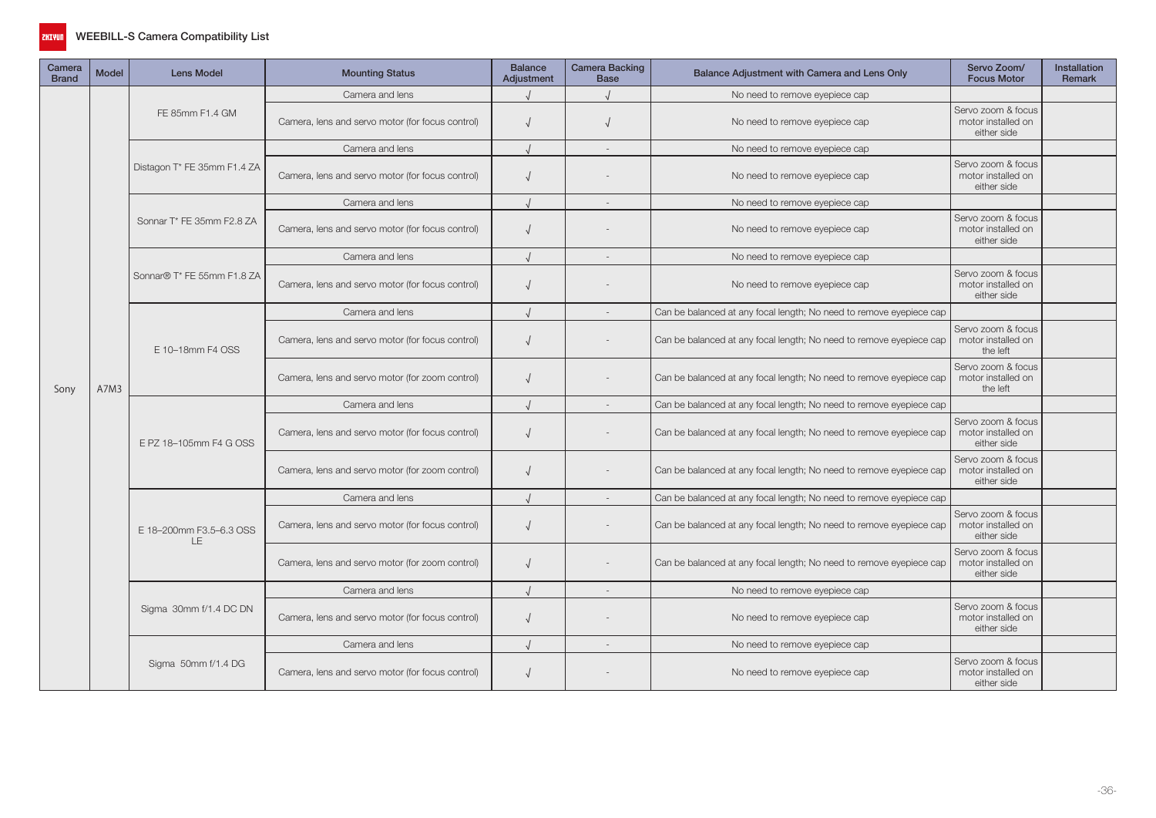

| Camera<br><b>Brand</b> | <b>Model</b> | <b>Lens Model</b>              | <b>Mounting Status</b>                           | <b>Balance</b><br>Adjustment                     | Camera Backing<br><b>Base</b> | Balance Adjustment with Camera and Lens Only                        | Servo Zoom/<br><b>Focus Motor</b>                                   | <b>Installation</b><br>Remark                        |  |
|------------------------|--------------|--------------------------------|--------------------------------------------------|--------------------------------------------------|-------------------------------|---------------------------------------------------------------------|---------------------------------------------------------------------|------------------------------------------------------|--|
|                        |              |                                | Camera and lens                                  |                                                  |                               | No need to remove eyepiece cap                                      |                                                                     |                                                      |  |
|                        |              | FE 85mm F1.4 GM                | Camera, lens and servo motor (for focus control) |                                                  |                               | No need to remove eyepiece cap                                      | Servo zoom & focus<br>motor installed on<br>either side             |                                                      |  |
|                        |              |                                | Camera and lens                                  |                                                  | $\sim$                        | No need to remove eyepiece cap                                      |                                                                     |                                                      |  |
|                        |              | Distagon T* FE 35mm F1.4 ZA    | Camera, lens and servo motor (for focus control) | $\sqrt{2}$                                       |                               | No need to remove eyepiece cap                                      | Servo zoom & focus<br>motor installed on<br>either side             |                                                      |  |
|                        |              |                                | Camera and lens                                  |                                                  |                               | No need to remove eyepiece cap                                      |                                                                     |                                                      |  |
|                        |              | Sonnar T* FE 35mm F2.8 ZA      | Camera, lens and servo motor (for focus control) | $\sqrt{ }$                                       |                               | No need to remove eyepiece cap                                      | Servo zoom & focus<br>motor installed on<br>either side             |                                                      |  |
|                        | A7M3         |                                | Camera and lens                                  |                                                  | $\sim$                        | No need to remove eyepiece cap                                      |                                                                     |                                                      |  |
|                        |              | Sonnar® T* FE 55mm F1.8 ZA     | Camera, lens and servo motor (for focus control) | $\sqrt{ }$                                       |                               | No need to remove eyepiece cap                                      | Servo zoom & focus<br>motor installed on<br>either side             |                                                      |  |
|                        |              |                                | Camera and lens                                  |                                                  |                               | Can be balanced at any focal length; No need to remove eyepiece cap |                                                                     |                                                      |  |
|                        |              |                                | E 10-18mm F4 OSS                                 | Camera, lens and servo motor (for focus control) | $\sqrt{ }$                    |                                                                     | Can be balanced at any focal length; No need to remove eyepiece cap | Servo zoom & focus<br>motor installed on<br>the left |  |
| Sony                   |              |                                | Camera, lens and servo motor (for zoom control)  | $\sqrt{ }$                                       |                               | Can be balanced at any focal length; No need to remove eyepiece cap | Servo zoom & focus<br>motor installed on<br>the left                |                                                      |  |
|                        |              |                                | Camera and lens                                  |                                                  |                               | Can be balanced at any focal length; No need to remove eyepiece cap |                                                                     |                                                      |  |
|                        |              | E PZ 18-105mm F4 G OSS         | Camera, lens and servo motor (for focus control) | $\sqrt{ }$                                       |                               | Can be balanced at any focal length; No need to remove eyepiece cap | Servo zoom & focus<br>motor installed on<br>either side             |                                                      |  |
|                        |              |                                | Camera, lens and servo motor (for zoom control)  |                                                  |                               | Can be balanced at any focal length; No need to remove eyepiece cap | Servo zoom & focus<br>motor installed on<br>either side             |                                                      |  |
|                        |              |                                | Camera and lens                                  |                                                  |                               | Can be balanced at any focal length; No need to remove eyepiece cap |                                                                     |                                                      |  |
|                        |              | E 18-200mm F3.5-6.3 OSS<br>LE. | Camera, lens and servo motor (for focus control) | $\sqrt{ }$                                       |                               | Can be balanced at any focal length; No need to remove eyepiece cap | Servo zoom & focus<br>motor installed on<br>either side             |                                                      |  |
|                        |              |                                | Camera, lens and servo motor (for zoom control)  | $\sqrt{ }$                                       |                               | Can be balanced at any focal length; No need to remove eyepiece cap | Servo zoom & focus<br>motor installed on<br>either side             |                                                      |  |
|                        |              |                                | Camera and lens                                  |                                                  |                               | No need to remove eyepiece cap                                      |                                                                     |                                                      |  |
|                        |              | Sigma 30mm f/1.4 DC DN         | Camera, lens and servo motor (for focus control) | $\sqrt{ }$                                       |                               | No need to remove eyepiece cap                                      | Servo zoom & focus<br>motor installed on<br>either side             |                                                      |  |
|                        |              |                                | Camera and lens                                  |                                                  | $\sim$                        | No need to remove eyepiece cap                                      |                                                                     |                                                      |  |
|                        |              | Sigma 50mm f/1.4 DG            | Camera, lens and servo motor (for focus control) |                                                  |                               | No need to remove eyepiece cap                                      | Servo zoom & focus<br>motor installed on<br>either side             |                                                      |  |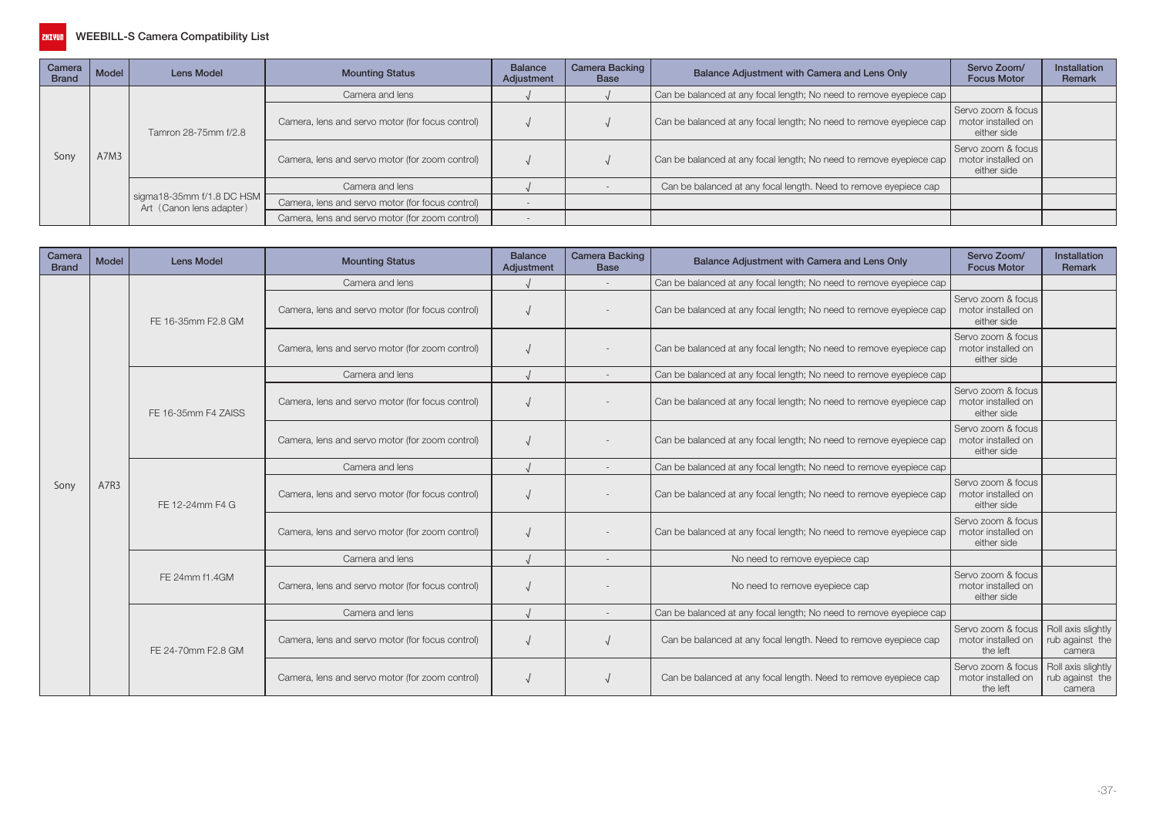

| Camera<br><b>Brand</b> | Model | Lens Model                                            | <b>Mounting Status</b>                           | <b>Balance</b><br>Adjustment | Camera Backing<br><b>Base</b> | Balance Adjustment with Camera and Lens Only                        | Servo Zoom/<br><b>Focus Motor</b>                       | <b>Installation</b><br>Remark |
|------------------------|-------|-------------------------------------------------------|--------------------------------------------------|------------------------------|-------------------------------|---------------------------------------------------------------------|---------------------------------------------------------|-------------------------------|
|                        |       |                                                       | Camera and lens                                  |                              |                               | Can be balanced at any focal length; No need to remove eyepiece cap |                                                         |                               |
|                        | A7M3  | Tamron 28-75mm f/2.8                                  | Camera, lens and servo motor (for focus control) |                              |                               | Can be balanced at any focal length; No need to remove eyepiece cap | Servo zoom & focus<br>motor installed on<br>either side |                               |
| Sony                   |       |                                                       | Camera, lens and servo motor (for zoom control)  |                              |                               | Can be balanced at any focal length; No need to remove eyepiece cap | Servo zoom & focus<br>motor installed on<br>either side |                               |
|                        |       |                                                       | Camera and lens                                  |                              |                               | Can be balanced at any focal length. Need to remove eyepiece cap    |                                                         |                               |
|                        |       | sigma18-35mm f/1.8 DC HSM<br>Art (Canon lens adapter) | Camera, lens and servo motor (for focus control) |                              |                               |                                                                     |                                                         |                               |
|                        |       |                                                       | Camera, lens and servo motor (for zoom control)  |                              |                               |                                                                     |                                                         |                               |

| Camera<br><b>Brand</b>                                                                                                                                                                                                                                        | <b>Model</b>                                                                                                 | <b>Lens Model</b>  | <b>Mounting Status</b>                           | <b>Balance</b><br>Adjustment                                        | <b>Camera Backing</b><br><b>Base</b>                    | Balance Adjustment with Camera and Lens Only                        | Servo Zoom/<br><b>Focus Motor</b>                       | Installation<br>Remark                          |
|---------------------------------------------------------------------------------------------------------------------------------------------------------------------------------------------------------------------------------------------------------------|--------------------------------------------------------------------------------------------------------------|--------------------|--------------------------------------------------|---------------------------------------------------------------------|---------------------------------------------------------|---------------------------------------------------------------------|---------------------------------------------------------|-------------------------------------------------|
|                                                                                                                                                                                                                                                               |                                                                                                              |                    | Camera and lens                                  |                                                                     | $\overline{\phantom{a}}$                                | Can be balanced at any focal length; No need to remove eyepiece cap |                                                         |                                                 |
|                                                                                                                                                                                                                                                               |                                                                                                              | FE 16-35mm F2.8 GM | Camera, lens and servo motor (for focus control) |                                                                     |                                                         | Can be balanced at any focal length; No need to remove eyepiece cap | Servo zoom & focus<br>motor installed on<br>either side |                                                 |
|                                                                                                                                                                                                                                                               | Camera, lens and servo motor (for zoom control)<br>Camera and lens<br>FE 16-35mm F4 ZAISS<br>Camera and lens |                    |                                                  | Can be balanced at any focal length; No need to remove eyepiece cap | Servo zoom & focus<br>motor installed on<br>either side |                                                                     |                                                         |                                                 |
|                                                                                                                                                                                                                                                               |                                                                                                              |                    |                                                  |                                                                     |                                                         | Can be balanced at any focal length; No need to remove eyepiece cap |                                                         |                                                 |
|                                                                                                                                                                                                                                                               |                                                                                                              |                    | Camera, lens and servo motor (for focus control) |                                                                     |                                                         | Can be balanced at any focal length; No need to remove eyepiece cap | Servo zoom & focus<br>motor installed on<br>either side |                                                 |
|                                                                                                                                                                                                                                                               |                                                                                                              |                    | Camera, lens and servo motor (for zoom control)  |                                                                     |                                                         | Can be balanced at any focal length; No need to remove eyepiece cap | Servo zoom & focus<br>motor installed on<br>either side |                                                 |
| Can be balanced at any focal length; No need to remove eyepiece cap<br>$\overline{\phantom{a}}$<br>A7R3<br>Sony<br>Camera, lens and servo motor (for focus control)<br>Can be balanced at any focal length; No need to remove eyepiece cap<br>FE 12-24mm F4 G |                                                                                                              |                    |                                                  |                                                                     |                                                         |                                                                     |                                                         |                                                 |
|                                                                                                                                                                                                                                                               |                                                                                                              |                    |                                                  |                                                                     |                                                         |                                                                     | Servo zoom & focus<br>motor installed on<br>either side |                                                 |
|                                                                                                                                                                                                                                                               |                                                                                                              |                    | Camera, lens and servo motor (for zoom control)  |                                                                     |                                                         | Can be balanced at any focal length; No need to remove eyepiece cap | Servo zoom & focus<br>motor installed on<br>either side |                                                 |
|                                                                                                                                                                                                                                                               |                                                                                                              |                    | Camera and lens                                  |                                                                     |                                                         | No need to remove eyepiece cap                                      |                                                         |                                                 |
|                                                                                                                                                                                                                                                               |                                                                                                              | FE 24mm f1.4GM     | Camera, lens and servo motor (for focus control) |                                                                     |                                                         | No need to remove eyepiece cap                                      | Servo zoom & focus<br>motor installed on<br>either side |                                                 |
|                                                                                                                                                                                                                                                               |                                                                                                              |                    | Camera and lens                                  |                                                                     | $\overline{\phantom{a}}$                                | Can be balanced at any focal length; No need to remove eyepiece cap |                                                         |                                                 |
|                                                                                                                                                                                                                                                               |                                                                                                              | FE 24-70mm F2.8 GM | Camera, lens and servo motor (for focus control) |                                                                     |                                                         | Can be balanced at any focal length. Need to remove eyepiece cap    | Servo zoom & focus<br>motor installed on<br>the left    | Roll axis slightly<br>rub against the<br>camera |
|                                                                                                                                                                                                                                                               |                                                                                                              |                    | Camera, lens and servo motor (for zoom control)  |                                                                     |                                                         | Can be balanced at any focal length. Need to remove eyepiece cap    | Servo zoom & focus<br>motor installed on<br>the left    | Roll axis slightly<br>rub against the<br>camera |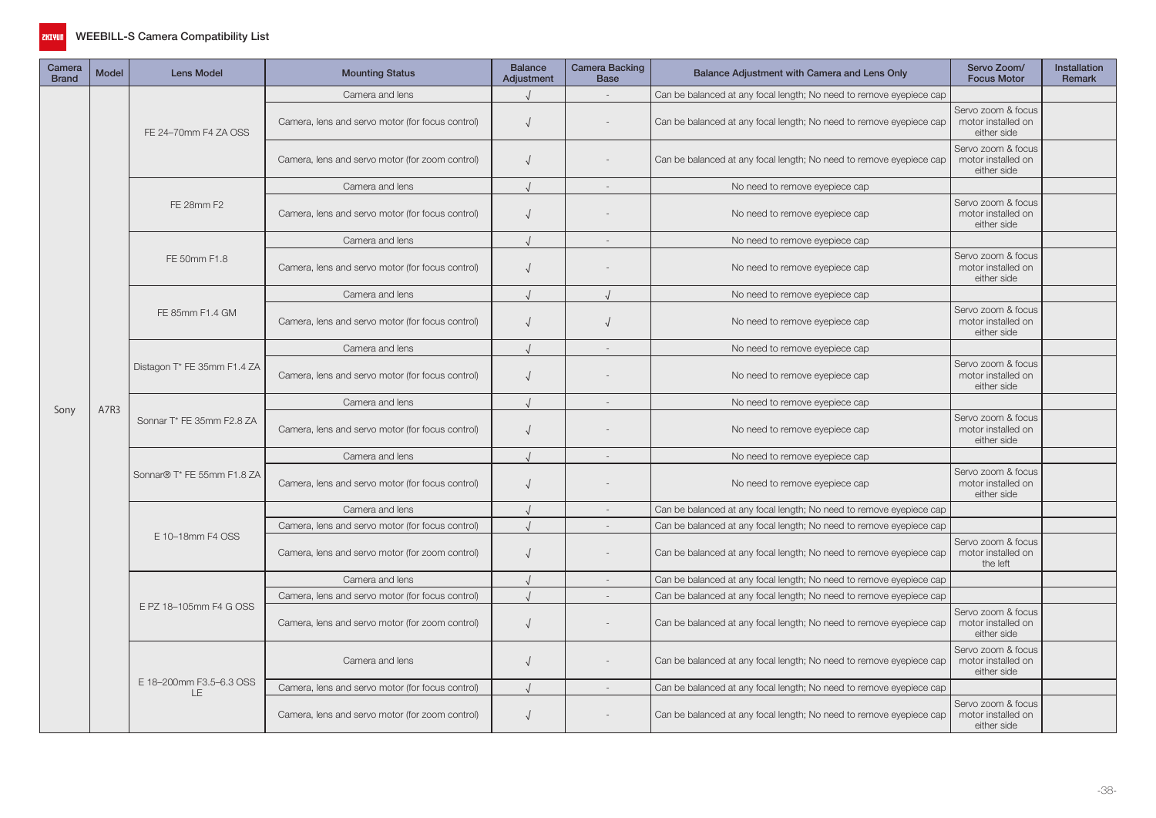

| Camera<br><b>Brand</b> | <b>Model</b> | <b>Lens Model</b>             | <b>Mounting Status</b>                           | <b>Balance</b><br>Adjustment | Camera Backing<br><b>Base</b> | Balance Adjustment with Camera and Lens Only                        | Servo Zoom/<br><b>Focus Motor</b>                                                                                                                                                                                                                                          | <b>Installation</b><br>Remark |
|------------------------|--------------|-------------------------------|--------------------------------------------------|------------------------------|-------------------------------|---------------------------------------------------------------------|----------------------------------------------------------------------------------------------------------------------------------------------------------------------------------------------------------------------------------------------------------------------------|-------------------------------|
| Sony                   |              |                               | Camera and lens                                  |                              |                               | Can be balanced at any focal length; No need to remove eyepiece cap |                                                                                                                                                                                                                                                                            |                               |
|                        |              | FE 24-70mm F4 ZA OSS          | Camera, lens and servo motor (for focus control) | $\sqrt{ }$                   |                               | Can be balanced at any focal length; No need to remove eyepiece cap | Servo zoom & focus<br>motor installed on<br>either side                                                                                                                                                                                                                    |                               |
|                        |              |                               | Camera, lens and servo motor (for zoom control)  | $\sqrt{ }$                   |                               | Can be balanced at any focal length; No need to remove eyepiece cap | Servo zoom & focus<br>motor installed on<br>either side                                                                                                                                                                                                                    |                               |
|                        |              |                               | Camera and lens                                  |                              |                               | No need to remove eyepiece cap                                      |                                                                                                                                                                                                                                                                            |                               |
|                        |              | FE 28mm F2                    | Camera, lens and servo motor (for focus control) | $\sqrt{ }$                   |                               | No need to remove eyepiece cap                                      | Servo zoom & focus<br>motor installed on<br>either side                                                                                                                                                                                                                    |                               |
|                        |              |                               | Camera and lens                                  |                              |                               | No need to remove eyepiece cap                                      |                                                                                                                                                                                                                                                                            |                               |
|                        | A7R3         | FE 50mm F1.8                  | Camera, lens and servo motor (for focus control) | $\sqrt{ }$                   |                               | No need to remove eyepiece cap                                      | Servo zoom & focus<br>motor installed on<br>either side                                                                                                                                                                                                                    |                               |
|                        |              |                               | Camera and lens                                  |                              |                               | No need to remove eyepiece cap                                      | Servo zoom & focus<br>motor installed on<br>either side<br>Servo zoom & focus<br>motor installed on<br>either side<br>Servo zoom & focus<br>motor installed on<br>either side<br>Servo zoom & focus<br>motor installed on<br>either side<br>motor installed on<br>the left |                               |
|                        |              | FE 85mm F1.4 GM               | Camera, lens and servo motor (for focus control) | $\sqrt{ }$                   |                               | No need to remove eyepiece cap                                      |                                                                                                                                                                                                                                                                            |                               |
|                        |              |                               | Camera and lens                                  |                              |                               | No need to remove eyepiece cap                                      |                                                                                                                                                                                                                                                                            |                               |
|                        |              | Distagon T* FE 35mm F1.4 ZA   | Camera, lens and servo motor (for focus control) | $\sqrt{2}$                   |                               | No need to remove eyepiece cap                                      |                                                                                                                                                                                                                                                                            |                               |
|                        |              |                               | Camera and lens                                  |                              |                               | No need to remove eyepiece cap                                      |                                                                                                                                                                                                                                                                            |                               |
|                        |              | Sonnar T* FE 35mm F2.8 ZA     | Camera, lens and servo motor (for focus control) | $\sqrt{ }$                   |                               | No need to remove eyepiece cap                                      |                                                                                                                                                                                                                                                                            |                               |
|                        |              |                               | Camera and lens                                  |                              |                               | No need to remove eyepiece cap                                      |                                                                                                                                                                                                                                                                            |                               |
|                        |              | Sonnar® T* FE 55mm F1.8 ZA    | Camera, lens and servo motor (for focus control) | $\sqrt{ }$                   |                               | No need to remove eyepiece cap                                      |                                                                                                                                                                                                                                                                            |                               |
|                        |              |                               | Camera and lens                                  |                              |                               | Can be balanced at any focal length; No need to remove eyepiece cap | either side<br>either side<br>either side                                                                                                                                                                                                                                  |                               |
|                        |              |                               | Camera, lens and servo motor (for focus control) |                              |                               | Can be balanced at any focal length; No need to remove eyepiece cap |                                                                                                                                                                                                                                                                            |                               |
|                        |              | E 10-18mm F4 OSS              | Camera, lens and servo motor (for zoom control)  | $\sqrt{ }$                   |                               | Can be balanced at any focal length; No need to remove eyepiece cap | Servo zoom & focus                                                                                                                                                                                                                                                         |                               |
|                        |              |                               | Camera and lens                                  |                              |                               | Can be balanced at any focal length; No need to remove eyepiece cap |                                                                                                                                                                                                                                                                            |                               |
|                        |              |                               | Camera, lens and servo motor (for focus control) |                              | $\sim$                        | Can be balanced at any focal length; No need to remove eyepiece cap |                                                                                                                                                                                                                                                                            |                               |
|                        |              | E PZ 18-105mm F4 G OSS        | Camera, lens and servo motor (for zoom control)  | $\sqrt{ }$                   |                               | Can be balanced at any focal length; No need to remove eyepiece cap | Servo zoom & focus<br>motor installed on                                                                                                                                                                                                                                   |                               |
|                        |              |                               | Camera and lens                                  | $\sqrt{ }$                   |                               | Can be balanced at any focal length; No need to remove eyepiece cap | Servo zoom & focus<br>motor installed on                                                                                                                                                                                                                                   |                               |
|                        |              | E 18-200mm F3.5-6.3 OSS<br>LE | Camera, lens and servo motor (for focus control) |                              |                               | Can be balanced at any focal length; No need to remove eyepiece cap |                                                                                                                                                                                                                                                                            |                               |
|                        |              |                               | Camera, lens and servo motor (for zoom control)  | $\sqrt{ }$                   |                               | Can be balanced at any focal length; No need to remove eyepiece cap | Servo zoom & focus<br>motor installed on                                                                                                                                                                                                                                   |                               |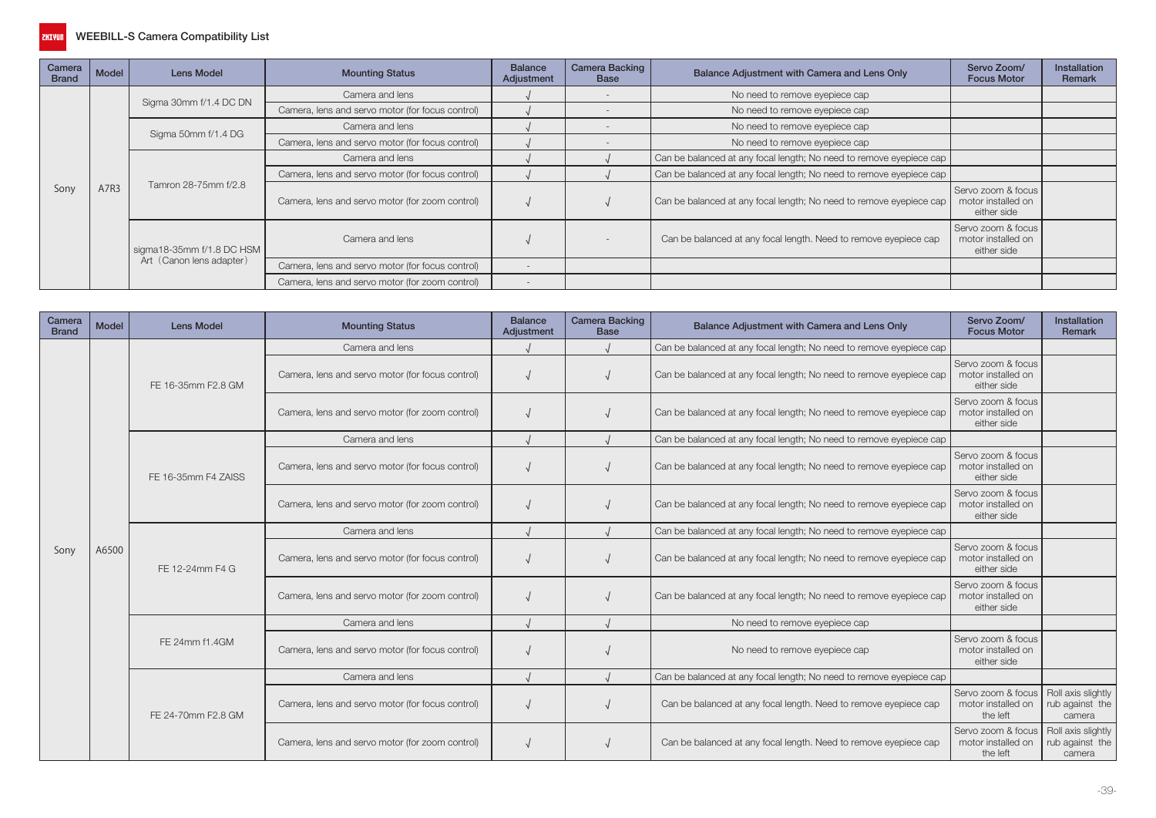

| Camera<br><b>Brand</b> | Model | Lens Model                | <b>Mounting Status</b>                           | <b>Balance</b><br>Adjustment | <b>Camera Backing</b><br><b>Base</b> | Balance Adjustment with Camera and Lens Only                        | Servo Zoom/<br><b>Focus Motor</b>                                                                                  | <b>Installation</b><br>Remark |
|------------------------|-------|---------------------------|--------------------------------------------------|------------------------------|--------------------------------------|---------------------------------------------------------------------|--------------------------------------------------------------------------------------------------------------------|-------------------------------|
|                        |       |                           | Camera and lens                                  |                              |                                      | No need to remove eyepiece cap                                      |                                                                                                                    |                               |
|                        |       | Sigma 30mm f/1.4 DC DN    | Camera, lens and servo motor (for focus control) |                              |                                      | No need to remove eyepiece cap                                      |                                                                                                                    |                               |
|                        |       |                           | Camera and lens                                  |                              |                                      | No need to remove eyepiece cap                                      |                                                                                                                    |                               |
|                        |       | Sigma 50mm f/1.4 DG       | Camera, lens and servo motor (for focus control) |                              |                                      | No need to remove eyepiece cap                                      |                                                                                                                    |                               |
|                        |       |                           | Camera and lens                                  |                              |                                      | Can be balanced at any focal length; No need to remove eyepiece cap |                                                                                                                    |                               |
|                        |       |                           | Camera, lens and servo motor (for focus control) |                              |                                      | Can be balanced at any focal length; No need to remove eyepiece cap |                                                                                                                    |                               |
| Sony                   | A7R3  | Tamron 28-75mm f/2.8      | Camera, lens and servo motor (for zoom control)  |                              |                                      | Can be balanced at any focal length; No need to remove eyepiece cap | Servo zoom & focus<br>motor installed on<br>either side<br>Servo zoom & focus<br>motor installed on<br>either side |                               |
|                        |       | sigma18-35mm f/1.8 DC HSM | Camera and lens                                  |                              |                                      | Can be balanced at any focal length. Need to remove eyepiece cap    |                                                                                                                    |                               |
|                        |       | Art (Canon lens adapter)  | Camera, lens and servo motor (for focus control) |                              |                                      |                                                                     |                                                                                                                    |                               |
|                        |       |                           | Camera, lens and servo motor (for zoom control)  |                              |                                      |                                                                     |                                                                                                                    |                               |

| Camera<br><b>Brand</b> | Model                                                                                                                                                                                                                                                                                                                                                                                                                                                                                                                                                                                                                                                                                                                                                                                                                                                                                                                                                                                                                                                                                                                                                                                                                                                                                | <b>Lens Model</b>                                       | <b>Mounting Status</b>                           | <b>Balance</b><br>Adjustment | <b>Camera Backing</b><br><b>Base</b> | Balance Adjustment with Camera and Lens Only                                                                                                                                                                                                                                                                                                                                                                                                                                                                                       | Servo Zoom/<br><b>Focus Motor</b>                       | <b>Installation</b><br>Remark |
|------------------------|--------------------------------------------------------------------------------------------------------------------------------------------------------------------------------------------------------------------------------------------------------------------------------------------------------------------------------------------------------------------------------------------------------------------------------------------------------------------------------------------------------------------------------------------------------------------------------------------------------------------------------------------------------------------------------------------------------------------------------------------------------------------------------------------------------------------------------------------------------------------------------------------------------------------------------------------------------------------------------------------------------------------------------------------------------------------------------------------------------------------------------------------------------------------------------------------------------------------------------------------------------------------------------------|---------------------------------------------------------|--------------------------------------------------|------------------------------|--------------------------------------|------------------------------------------------------------------------------------------------------------------------------------------------------------------------------------------------------------------------------------------------------------------------------------------------------------------------------------------------------------------------------------------------------------------------------------------------------------------------------------------------------------------------------------|---------------------------------------------------------|-------------------------------|
|                        |                                                                                                                                                                                                                                                                                                                                                                                                                                                                                                                                                                                                                                                                                                                                                                                                                                                                                                                                                                                                                                                                                                                                                                                                                                                                                      |                                                         | Camera and lens                                  |                              |                                      | Can be balanced at any focal length; No need to remove eyepiece cap                                                                                                                                                                                                                                                                                                                                                                                                                                                                |                                                         |                               |
|                        |                                                                                                                                                                                                                                                                                                                                                                                                                                                                                                                                                                                                                                                                                                                                                                                                                                                                                                                                                                                                                                                                                                                                                                                                                                                                                      | FE 16-35mm F2.8 GM                                      | Camera, lens and servo motor (for focus control) |                              |                                      | Can be balanced at any focal length; No need to remove eyepiece cap                                                                                                                                                                                                                                                                                                                                                                                                                                                                | Servo zoom & focus<br>motor installed on<br>either side |                               |
|                        | Camera, lens and servo motor (for zoom control)<br>Can be balanced at any focal length; No need to remove eyepiece cap<br>Camera and lens<br>Can be balanced at any focal length; No need to remove eyepiece cap<br>Camera, lens and servo motor (for focus control)<br>Can be balanced at any focal length; No need to remove eyepiece cap<br>FE 16-35mm F4 ZAISS<br>Camera, lens and servo motor (for zoom control)<br>Can be balanced at any focal length; No need to remove eyepiece cap<br>Camera and lens<br>Can be balanced at any focal length; No need to remove eyepiece cap<br>A6500<br>Sony<br>Camera, lens and servo motor (for focus control)<br>Can be balanced at any focal length; No need to remove eyepiece cap<br>FE 12-24mm F4 G<br>Camera, lens and servo motor (for zoom control)<br>Can be balanced at any focal length; No need to remove eyepiece cap<br>Camera and lens<br>No need to remove eyepiece cap<br>FE 24mm f1.4GM<br>Camera, lens and servo motor (for focus control)<br>No need to remove eyepiece cap<br>Camera and lens<br>Can be balanced at any focal length; No need to remove eyepiece cap<br>Can be balanced at any focal length. Need to remove eyepiece cap<br>Camera, lens and servo motor (for focus control)<br>FE 24-70mm F2.8 GM | Servo zoom & focus<br>motor installed on<br>either side |                                                  |                              |                                      |                                                                                                                                                                                                                                                                                                                                                                                                                                                                                                                                    |                                                         |                               |
|                        |                                                                                                                                                                                                                                                                                                                                                                                                                                                                                                                                                                                                                                                                                                                                                                                                                                                                                                                                                                                                                                                                                                                                                                                                                                                                                      |                                                         |                                                  |                              |                                      |                                                                                                                                                                                                                                                                                                                                                                                                                                                                                                                                    |                                                         |                               |
|                        |                                                                                                                                                                                                                                                                                                                                                                                                                                                                                                                                                                                                                                                                                                                                                                                                                                                                                                                                                                                                                                                                                                                                                                                                                                                                                      |                                                         |                                                  |                              |                                      |                                                                                                                                                                                                                                                                                                                                                                                                                                                                                                                                    | Servo zoom & focus<br>motor installed on<br>either side |                               |
|                        |                                                                                                                                                                                                                                                                                                                                                                                                                                                                                                                                                                                                                                                                                                                                                                                                                                                                                                                                                                                                                                                                                                                                                                                                                                                                                      |                                                         |                                                  |                              |                                      | Servo zoom & focus<br>motor installed on<br>either side<br>Servo zoom & focus<br>motor installed on<br>either side<br>Servo zoom & focus<br>motor installed on<br>either side<br>Servo zoom & focus<br>motor installed on<br>either side<br>Servo zoom & focus<br>Roll axis slightly<br>motor installed on<br>rub against the<br>the left<br>camera<br>Servo zoom & focus<br>Roll axis slightly<br>Can be balanced at any focal length. Need to remove eyepiece cap<br>motor installed on<br>rub against the<br>the left<br>camera |                                                         |                               |
|                        |                                                                                                                                                                                                                                                                                                                                                                                                                                                                                                                                                                                                                                                                                                                                                                                                                                                                                                                                                                                                                                                                                                                                                                                                                                                                                      |                                                         |                                                  |                              |                                      |                                                                                                                                                                                                                                                                                                                                                                                                                                                                                                                                    |                                                         |                               |
|                        |                                                                                                                                                                                                                                                                                                                                                                                                                                                                                                                                                                                                                                                                                                                                                                                                                                                                                                                                                                                                                                                                                                                                                                                                                                                                                      |                                                         |                                                  |                              |                                      |                                                                                                                                                                                                                                                                                                                                                                                                                                                                                                                                    |                                                         |                               |
|                        |                                                                                                                                                                                                                                                                                                                                                                                                                                                                                                                                                                                                                                                                                                                                                                                                                                                                                                                                                                                                                                                                                                                                                                                                                                                                                      |                                                         |                                                  |                              |                                      |                                                                                                                                                                                                                                                                                                                                                                                                                                                                                                                                    |                                                         |                               |
|                        |                                                                                                                                                                                                                                                                                                                                                                                                                                                                                                                                                                                                                                                                                                                                                                                                                                                                                                                                                                                                                                                                                                                                                                                                                                                                                      |                                                         |                                                  |                              |                                      |                                                                                                                                                                                                                                                                                                                                                                                                                                                                                                                                    |                                                         |                               |
|                        |                                                                                                                                                                                                                                                                                                                                                                                                                                                                                                                                                                                                                                                                                                                                                                                                                                                                                                                                                                                                                                                                                                                                                                                                                                                                                      |                                                         |                                                  |                              |                                      |                                                                                                                                                                                                                                                                                                                                                                                                                                                                                                                                    |                                                         |                               |
|                        |                                                                                                                                                                                                                                                                                                                                                                                                                                                                                                                                                                                                                                                                                                                                                                                                                                                                                                                                                                                                                                                                                                                                                                                                                                                                                      |                                                         |                                                  |                              |                                      |                                                                                                                                                                                                                                                                                                                                                                                                                                                                                                                                    |                                                         |                               |
|                        |                                                                                                                                                                                                                                                                                                                                                                                                                                                                                                                                                                                                                                                                                                                                                                                                                                                                                                                                                                                                                                                                                                                                                                                                                                                                                      |                                                         |                                                  |                              |                                      |                                                                                                                                                                                                                                                                                                                                                                                                                                                                                                                                    |                                                         |                               |
|                        |                                                                                                                                                                                                                                                                                                                                                                                                                                                                                                                                                                                                                                                                                                                                                                                                                                                                                                                                                                                                                                                                                                                                                                                                                                                                                      |                                                         | Camera, lens and servo motor (for zoom control)  |                              |                                      |                                                                                                                                                                                                                                                                                                                                                                                                                                                                                                                                    |                                                         |                               |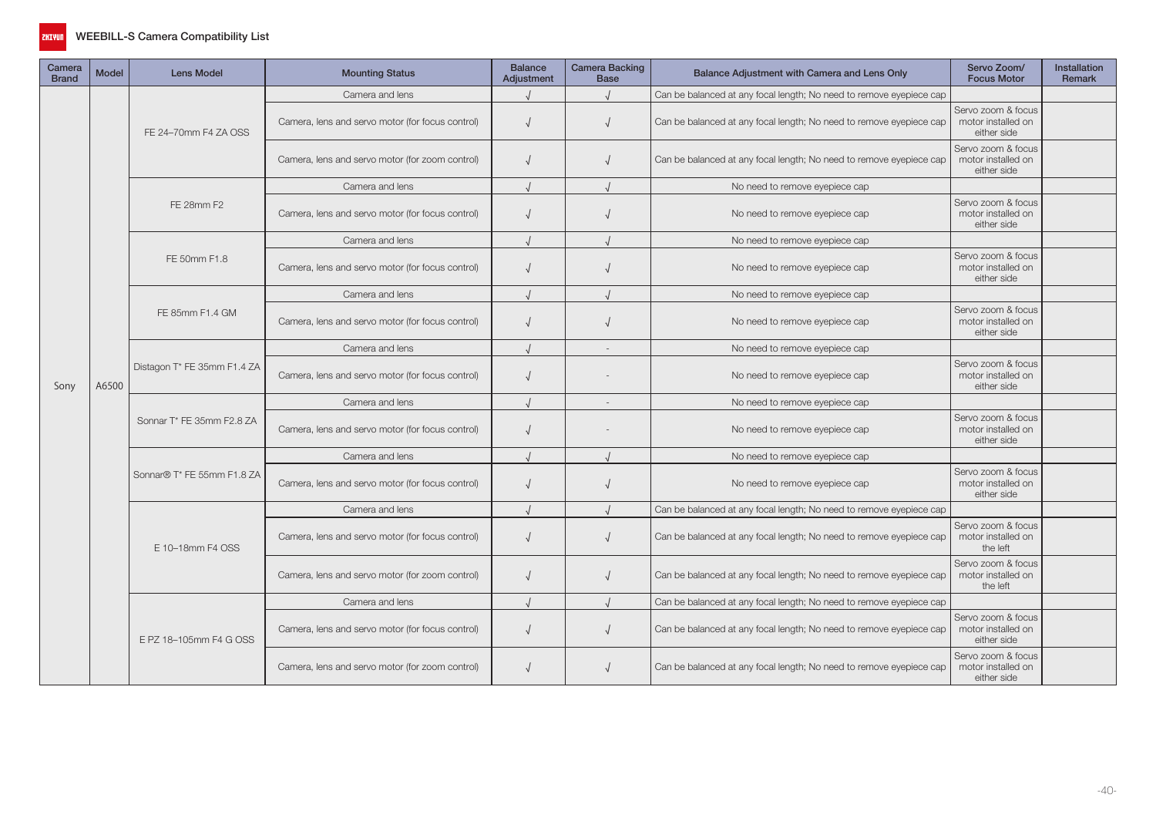

| Camera<br><b>Brand</b> | <b>Model</b>                                                                                                                                                                                                                                                                              | <b>Lens Model</b>              | <b>Mounting Status</b>                           | <b>Balance</b><br>Adjustment | <b>Camera Backing</b><br><b>Base</b> | Balance Adjustment with Camera and Lens Only                        | Servo Zoom/<br><b>Focus Motor</b>                                                                                                                                             | <b>Installation</b><br><b>Remark</b> |
|------------------------|-------------------------------------------------------------------------------------------------------------------------------------------------------------------------------------------------------------------------------------------------------------------------------------------|--------------------------------|--------------------------------------------------|------------------------------|--------------------------------------|---------------------------------------------------------------------|-------------------------------------------------------------------------------------------------------------------------------------------------------------------------------|--------------------------------------|
|                        |                                                                                                                                                                                                                                                                                           |                                | Camera and lens                                  |                              |                                      | Can be balanced at any focal length; No need to remove eyepiece cap |                                                                                                                                                                               |                                      |
|                        |                                                                                                                                                                                                                                                                                           | FE 24-70mm F4 ZA OSS           | Camera, lens and servo motor (for focus control) | $\sqrt{ }$                   |                                      | Can be balanced at any focal length; No need to remove eyepiece cap | Servo zoom & focus<br>motor installed on<br>either side                                                                                                                       |                                      |
|                        |                                                                                                                                                                                                                                                                                           |                                | Camera, lens and servo motor (for zoom control)  | $\sqrt{ }$                   |                                      | Can be balanced at any focal length; No need to remove eyepiece cap | Servo zoom & focus<br>motor installed on<br>either side                                                                                                                       |                                      |
|                        |                                                                                                                                                                                                                                                                                           |                                | Camera and lens                                  |                              |                                      | No need to remove eyepiece cap                                      |                                                                                                                                                                               |                                      |
|                        |                                                                                                                                                                                                                                                                                           | FE 28mm F2                     | Camera, lens and servo motor (for focus control) | $\sqrt{ }$                   |                                      | No need to remove eyepiece cap                                      | Servo zoom & focus<br>motor installed on<br>either side                                                                                                                       |                                      |
|                        |                                                                                                                                                                                                                                                                                           |                                | Camera and lens                                  |                              |                                      | No need to remove eyepiece cap                                      |                                                                                                                                                                               |                                      |
|                        | A6500                                                                                                                                                                                                                                                                                     | FE 50mm F1.8                   | Camera, lens and servo motor (for focus control) | $\sqrt{ }$                   |                                      | No need to remove eyepiece cap                                      | Servo zoom & focus<br>motor installed on<br>either side                                                                                                                       |                                      |
|                        |                                                                                                                                                                                                                                                                                           |                                | Camera and lens                                  |                              |                                      | No need to remove eyepiece cap                                      | Servo zoom & focus<br>motor installed on<br>either side<br>Servo zoom & focus<br>motor installed on<br>either side<br>Servo zoom & focus<br>motor installed on<br>either side |                                      |
|                        |                                                                                                                                                                                                                                                                                           | FE 85mm F1.4 GM                | Camera, lens and servo motor (for focus control) | $\sqrt{ }$                   |                                      | No need to remove eyepiece cap                                      |                                                                                                                                                                               |                                      |
|                        |                                                                                                                                                                                                                                                                                           | Distagon T* FE 35mm F1.4 ZA    | Camera and lens                                  |                              | $\sim$                               | No need to remove eyepiece cap                                      |                                                                                                                                                                               |                                      |
| Sony                   |                                                                                                                                                                                                                                                                                           |                                | Camera, lens and servo motor (for focus control) | $\sqrt{ }$                   |                                      | No need to remove eyepiece cap                                      |                                                                                                                                                                               |                                      |
|                        |                                                                                                                                                                                                                                                                                           |                                | Camera and lens                                  |                              |                                      | No need to remove eyepiece cap                                      |                                                                                                                                                                               |                                      |
|                        |                                                                                                                                                                                                                                                                                           | Sonnar T* FE 35mm F2.8 ZA      | Camera, lens and servo motor (for focus control) | $\sqrt{ }$                   |                                      | No need to remove eyepiece cap                                      |                                                                                                                                                                               |                                      |
|                        | Camera and lens<br>Sonnar® T* FE 55mm F1.8 ZA<br>Camera, lens and servo motor (for focus control)<br>$\sqrt{ }$<br>Camera and lens<br>Camera, lens and servo motor (for focus control)<br>$\sqrt{ }$<br>E 10-18mm F4 OSS<br>Camera, lens and servo motor (for zoom control)<br>$\sqrt{ }$ | No need to remove eyepiece cap |                                                  |                              |                                      |                                                                     |                                                                                                                                                                               |                                      |
|                        |                                                                                                                                                                                                                                                                                           |                                |                                                  |                              |                                      | No need to remove eyepiece cap                                      | Servo zoom & focus<br>motor installed on<br>either side                                                                                                                       |                                      |
|                        |                                                                                                                                                                                                                                                                                           |                                |                                                  |                              |                                      | Can be balanced at any focal length; No need to remove eyepiece cap |                                                                                                                                                                               |                                      |
|                        |                                                                                                                                                                                                                                                                                           |                                |                                                  |                              |                                      | Can be balanced at any focal length; No need to remove eyepiece cap | Servo zoom & focus<br>motor installed on<br>the left                                                                                                                          |                                      |
|                        |                                                                                                                                                                                                                                                                                           |                                |                                                  |                              |                                      | Can be balanced at any focal length; No need to remove eyepiece cap | Servo zoom & focus<br>motor installed on<br>the left                                                                                                                          |                                      |
|                        |                                                                                                                                                                                                                                                                                           |                                | Camera and lens                                  |                              |                                      | Can be balanced at any focal length; No need to remove eyepiece cap |                                                                                                                                                                               |                                      |
|                        |                                                                                                                                                                                                                                                                                           | E PZ 18-105mm F4 G OSS         | Camera, lens and servo motor (for focus control) | $\sqrt{ }$                   |                                      | Can be balanced at any focal length; No need to remove eyepiece cap | Servo zoom & focus<br>motor installed on<br>either side                                                                                                                       |                                      |
|                        |                                                                                                                                                                                                                                                                                           |                                | Camera, lens and servo motor (for zoom control)  | $\sqrt{ }$                   |                                      | Can be balanced at any focal length; No need to remove eyepiece cap | Servo zoom & focus<br>motor installed on<br>either side                                                                                                                       |                                      |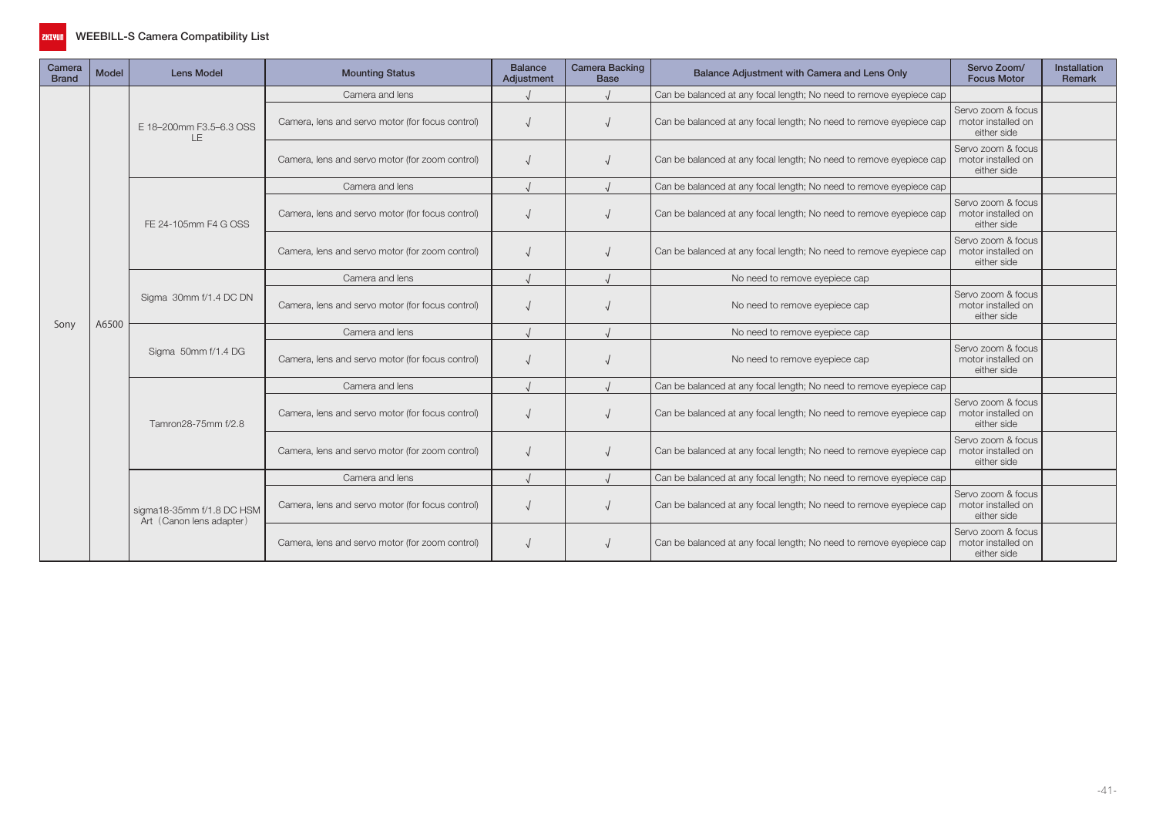

| Camera<br><b>Brand</b> | <b>Model</b> | <b>Lens Model</b>                                     | <b>Mounting Status</b>                           | <b>Balance</b><br>Adjustment | <b>Camera Backing</b><br><b>Base</b> | Balance Adjustment with Camera and Lens Only                        | Servo Zoom/<br><b>Focus Motor</b>                                                                                                                                                                                                                              | <b>Installation</b><br><b>Remark</b> |
|------------------------|--------------|-------------------------------------------------------|--------------------------------------------------|------------------------------|--------------------------------------|---------------------------------------------------------------------|----------------------------------------------------------------------------------------------------------------------------------------------------------------------------------------------------------------------------------------------------------------|--------------------------------------|
|                        |              |                                                       | Camera and lens                                  |                              |                                      | Can be balanced at any focal length; No need to remove eyepiece cap |                                                                                                                                                                                                                                                                |                                      |
|                        |              | E 18-200mm F3.5-6.3 OSS<br>LE                         | Camera, lens and servo motor (for focus control) |                              |                                      | Can be balanced at any focal length; No need to remove eyepiece cap | Servo zoom & focus<br>motor installed on<br>either side                                                                                                                                                                                                        |                                      |
|                        | A6500        |                                                       | Camera, lens and servo motor (for zoom control)  |                              |                                      | Can be balanced at any focal length; No need to remove eyepiece cap | Servo zoom & focus<br>motor installed on<br>either side                                                                                                                                                                                                        |                                      |
|                        |              |                                                       | Camera and lens                                  |                              |                                      | Can be balanced at any focal length; No need to remove eyepiece cap |                                                                                                                                                                                                                                                                |                                      |
|                        |              | FE 24-105mm F4 G OSS                                  | Camera, lens and servo motor (for focus control) |                              |                                      | Can be balanced at any focal length; No need to remove eyepiece cap | Servo zoom & focus<br>motor installed on<br>either side                                                                                                                                                                                                        |                                      |
|                        |              |                                                       | Camera, lens and servo motor (for zoom control)  |                              |                                      | Can be balanced at any focal length; No need to remove eyepiece cap | Servo zoom & focus<br>motor installed on<br>either side                                                                                                                                                                                                        |                                      |
|                        |              |                                                       | Camera and lens                                  |                              |                                      | No need to remove eyepiece cap                                      | Servo zoom & focus<br>motor installed on<br>either side<br>Servo zoom & focus<br>motor installed on<br>either side<br>Servo zoom & focus<br>motor installed on<br>either side<br>Servo zoom & focus<br>motor installed on<br>either side<br>Servo zoom & focus |                                      |
|                        |              | Sigma 30mm f/1.4 DC DN                                | Camera, lens and servo motor (for focus control) |                              |                                      | No need to remove eyepiece cap                                      |                                                                                                                                                                                                                                                                |                                      |
| Sony                   |              |                                                       | Camera and lens                                  |                              |                                      | No need to remove eyepiece cap                                      | motor installed on<br>either side<br>Servo zoom & focus<br>motor installed on<br>either side                                                                                                                                                                   |                                      |
|                        |              | Sigma 50mm f/1.4 DG                                   | Camera, lens and servo motor (for focus control) |                              |                                      | No need to remove eyepiece cap                                      |                                                                                                                                                                                                                                                                |                                      |
|                        |              |                                                       | Camera and lens                                  |                              |                                      | Can be balanced at any focal length; No need to remove eyepiece cap |                                                                                                                                                                                                                                                                |                                      |
|                        |              | Tamron28-75mm f/2.8                                   | Camera, lens and servo motor (for focus control) |                              |                                      | Can be balanced at any focal length; No need to remove eyepiece cap |                                                                                                                                                                                                                                                                |                                      |
|                        |              |                                                       | Camera, lens and servo motor (for zoom control)  |                              |                                      | Can be balanced at any focal length; No need to remove eyepiece cap |                                                                                                                                                                                                                                                                |                                      |
|                        |              |                                                       | Camera and lens                                  |                              |                                      | Can be balanced at any focal length; No need to remove eyepiece cap |                                                                                                                                                                                                                                                                |                                      |
|                        |              | sigma18-35mm f/1.8 DC HSM<br>Art (Canon lens adapter) | Camera, lens and servo motor (for focus control) |                              |                                      | Can be balanced at any focal length; No need to remove eyepiece cap |                                                                                                                                                                                                                                                                |                                      |
|                        |              |                                                       | Camera, lens and servo motor (for zoom control)  |                              |                                      | Can be balanced at any focal length; No need to remove eyepiece cap |                                                                                                                                                                                                                                                                |                                      |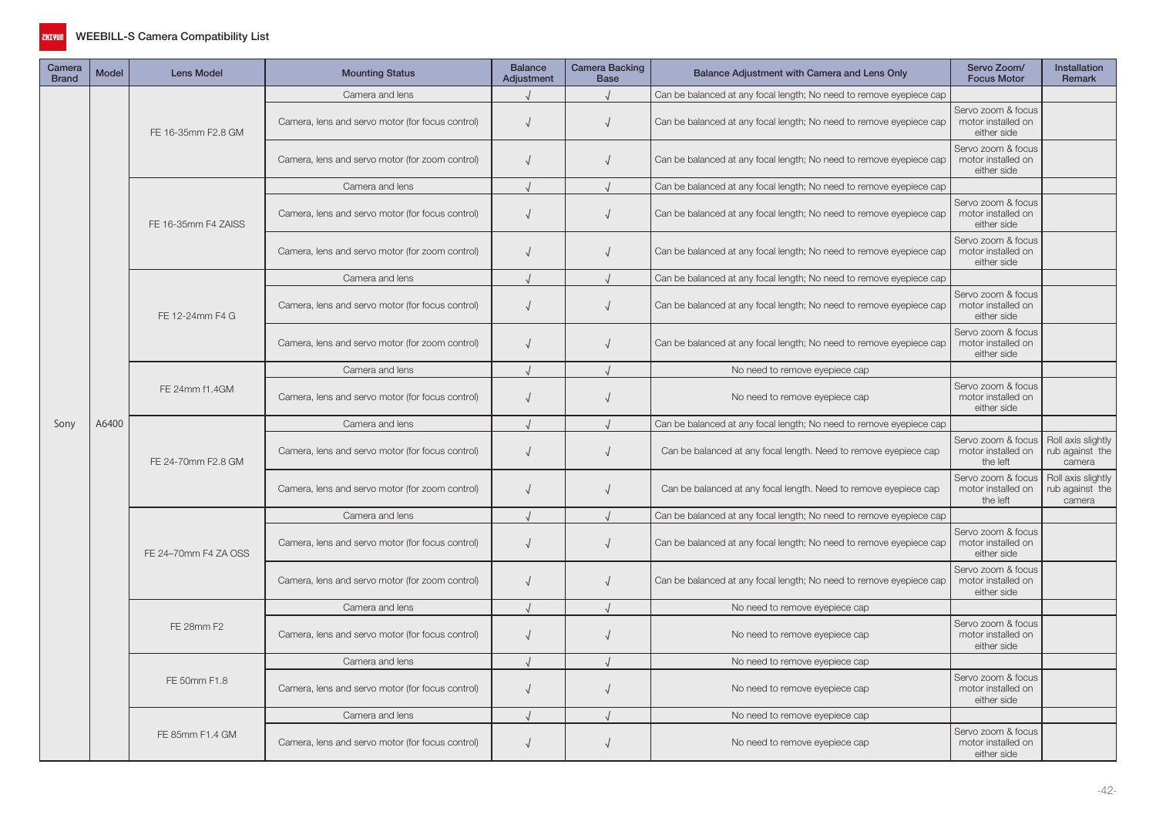

| Camera<br><b>Brand</b> | <b>Model</b> | <b>Lens Model</b>    | <b>Mounting Status</b>                           | <b>Balance</b><br>Adjustment | Camera Backing<br><b>Base</b> | Balance Adjustment with Camera and Lens Only                        | Servo Zoom/<br><b>Focus Motor</b>                       | Installation<br>Remark                          |
|------------------------|--------------|----------------------|--------------------------------------------------|------------------------------|-------------------------------|---------------------------------------------------------------------|---------------------------------------------------------|-------------------------------------------------|
|                        |              |                      | Camera and lens                                  |                              |                               | Can be balanced at any focal length; No need to remove eyepiece cap |                                                         |                                                 |
|                        |              | FE 16-35mm F2.8 GM   | Camera, lens and servo motor (for focus control) | $\sqrt{ }$                   | $\sqrt{ }$                    | Can be balanced at any focal length; No need to remove eyepiece cap | Servo zoom & focus<br>motor installed on<br>either side |                                                 |
|                        |              |                      | Camera, lens and servo motor (for zoom control)  | $\sqrt{ }$                   |                               | Can be balanced at any focal length; No need to remove eyepiece cap | Servo zoom & focus<br>motor installed on<br>either side |                                                 |
|                        |              |                      | Camera and lens                                  |                              |                               | Can be balanced at any focal length; No need to remove eyepiece cap |                                                         |                                                 |
|                        |              | FE 16-35mm F4 ZAISS  | Camera, lens and servo motor (for focus control) | $\sqrt{ }$                   |                               | Can be balanced at any focal length; No need to remove eyepiece cap | Servo zoom & focus<br>motor installed on<br>either side |                                                 |
|                        |              |                      | Camera, lens and servo motor (for zoom control)  | $\sqrt{ }$                   |                               | Can be balanced at any focal length; No need to remove eyepiece cap | Servo zoom & focus<br>motor installed on<br>either side |                                                 |
|                        |              |                      | Camera and lens                                  | $\cdot$                      |                               | Can be balanced at any focal length; No need to remove eyepiece cap |                                                         |                                                 |
|                        |              | FE 12-24mm F4 G      | Camera, lens and servo motor (for focus control) | $\sqrt{ }$                   |                               | Can be balanced at any focal length; No need to remove eyepiece cap | Servo zoom & focus<br>motor installed on<br>either side |                                                 |
|                        |              |                      | Camera, lens and servo motor (for zoom control)  | $\sqrt{ }$                   |                               | Can be balanced at any focal length; No need to remove eyepiece cap | Servo zoom & focus<br>motor installed on<br>either side |                                                 |
|                        | A6400        |                      | Camera and lens                                  |                              |                               | No need to remove eyepiece cap                                      |                                                         |                                                 |
|                        |              | FE 24mm f1.4GM       | Camera, lens and servo motor (for focus control) | $\sqrt{ }$                   | $\sqrt{ }$                    | No need to remove eyepiece cap                                      | Servo zoom & focus<br>motor installed on<br>either side |                                                 |
| Sony                   |              |                      | Camera and lens                                  |                              |                               | Can be balanced at any focal length; No need to remove eyepiece cap |                                                         |                                                 |
|                        |              | FE 24-70mm F2.8 GM   | Camera, lens and servo motor (for focus control) | $\sqrt{ }$                   | $\sqrt{ }$                    | Can be balanced at any focal length. Need to remove eyepiece cap    | Servo zoom & focus<br>motor installed on<br>the left    | Roll axis slightly<br>rub against the<br>camera |
|                        |              |                      | Camera, lens and servo motor (for zoom control)  | $\sqrt{ }$                   |                               | Can be balanced at any focal length. Need to remove eyepiece cap    | Servo zoom & focus<br>motor installed on<br>the left    | Roll axis slightly<br>rub against the<br>camera |
|                        |              |                      | Camera and lens                                  |                              |                               | Can be balanced at any focal length; No need to remove eyepiece cap |                                                         |                                                 |
|                        |              | FE 24-70mm F4 ZA OSS | Camera, lens and servo motor (for focus control) | $\sqrt{ }$                   |                               | Can be balanced at any focal length; No need to remove eyepiece cap | Servo zoom & focus<br>motor installed on<br>either side |                                                 |
|                        |              |                      | Camera, lens and servo motor (for zoom control)  | $\sqrt{ }$                   |                               | Can be balanced at any focal length; No need to remove eyepiece cap | Servo zoom & focus<br>motor installed on<br>either side |                                                 |
|                        |              |                      | Camera and lens                                  | $\sqrt{ }$                   |                               | No need to remove eyepiece cap                                      |                                                         |                                                 |
|                        |              | FE 28mm F2           | Camera, lens and servo motor (for focus control) | $\sqrt{ }$                   | $\sqrt{ }$                    | No need to remove eyepiece cap                                      | Servo zoom & focus<br>motor installed on<br>either side |                                                 |
|                        |              |                      | Camera and lens                                  | $\cdot$                      |                               | No need to remove eyepiece cap                                      |                                                         |                                                 |
|                        |              | FE 50mm F1.8         | Camera, lens and servo motor (for focus control) | $\sqrt{ }$                   | $\sqrt{ }$                    | No need to remove eyepiece cap                                      | Servo zoom & focus<br>motor installed on<br>either side |                                                 |
|                        |              |                      | Camera and lens                                  |                              |                               | No need to remove eyepiece cap                                      |                                                         |                                                 |
|                        |              | FE 85mm F1.4 GM      | Camera, lens and servo motor (for focus control) | $\sqrt{ }$                   |                               | No need to remove eyepiece cap                                      | Servo zoom & focus<br>motor installed on<br>either side |                                                 |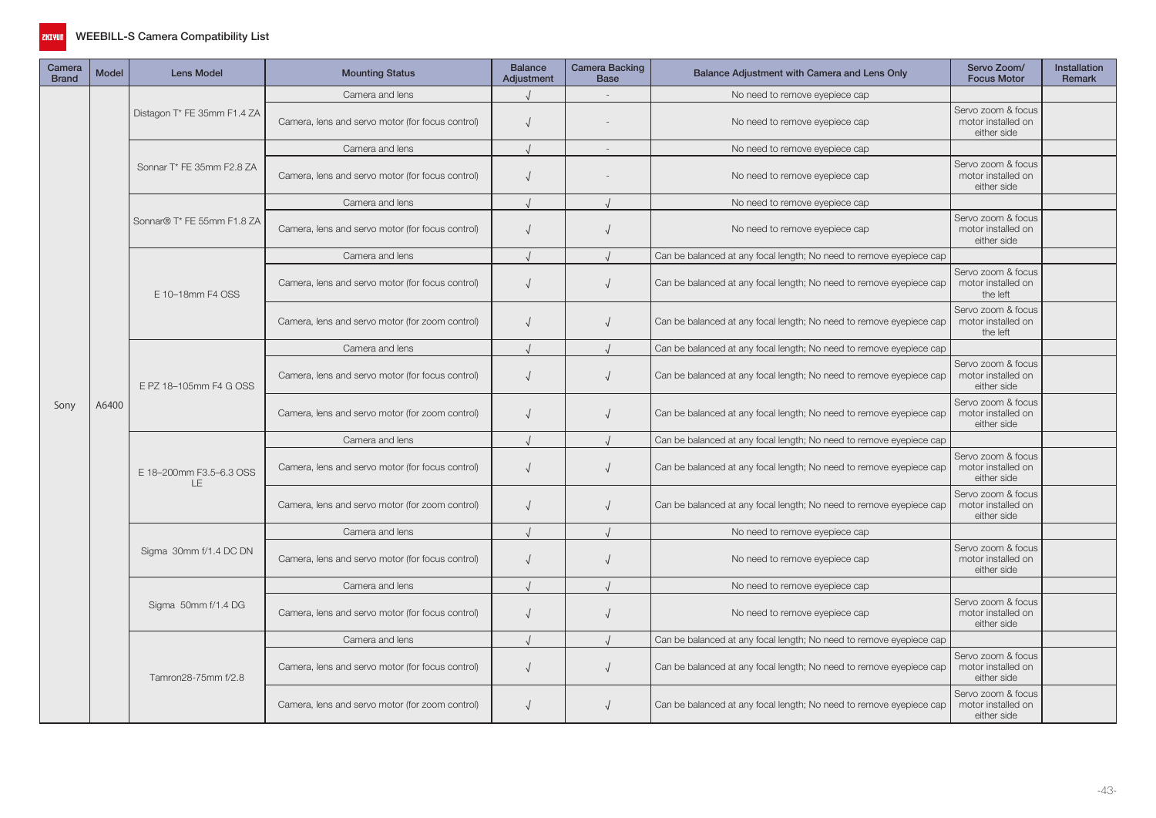

| Camera<br><b>Brand</b> | <b>Model</b> | Lens Model                     | <b>Mounting Status</b>                           | <b>Balance</b><br>Adjustment | <b>Camera Backing</b><br><b>Base</b> | Balance Adjustment with Camera and Lens Only                        | Servo Zoom/<br><b>Focus Motor</b>                       | <b>Installation</b><br>Remark |
|------------------------|--------------|--------------------------------|--------------------------------------------------|------------------------------|--------------------------------------|---------------------------------------------------------------------|---------------------------------------------------------|-------------------------------|
|                        |              |                                | Camera and lens                                  |                              |                                      | No need to remove eyepiece cap                                      |                                                         |                               |
|                        |              | Distagon T* FE 35mm F1.4 ZA    | Camera, lens and servo motor (for focus control) | $\sqrt{ }$                   |                                      | No need to remove eyepiece cap                                      | Servo zoom & focus<br>motor installed on<br>either side |                               |
|                        |              |                                | Camera and lens                                  |                              |                                      | No need to remove eyepiece cap                                      |                                                         |                               |
|                        |              | Sonnar T* FE 35mm F2.8 ZA      | Camera, lens and servo motor (for focus control) | $\sqrt{ }$                   |                                      | No need to remove eyepiece cap                                      | Servo zoom & focus<br>motor installed on<br>either side |                               |
|                        |              |                                | Camera and lens                                  |                              |                                      | No need to remove eyepiece cap                                      |                                                         |                               |
|                        |              | Sonnar® T* FE 55mm F1.8 ZA     | Camera, lens and servo motor (for focus control) | $\sqrt{ }$                   |                                      | No need to remove eyepiece cap                                      | Servo zoom & focus<br>motor installed on<br>either side |                               |
|                        |              |                                | Camera and lens                                  |                              |                                      | Can be balanced at any focal length; No need to remove eyepiece cap |                                                         |                               |
|                        |              | E 10-18mm F4 OSS               | Camera, lens and servo motor (for focus control) | $\sqrt{ }$                   |                                      | Can be balanced at any focal length; No need to remove eyepiece cap | Servo zoom & focus<br>motor installed on<br>the left    |                               |
|                        | A6400        |                                | Camera, lens and servo motor (for zoom control)  | $\sqrt{ }$                   |                                      | Can be balanced at any focal length; No need to remove eyepiece cap | Servo zoom & focus<br>motor installed on<br>the left    |                               |
|                        |              |                                | Camera and lens                                  |                              |                                      | Can be balanced at any focal length; No need to remove eyepiece cap |                                                         |                               |
|                        |              | E PZ 18-105mm F4 G OSS         | Camera, lens and servo motor (for focus control) | $\sqrt{ }$                   |                                      | Can be balanced at any focal length; No need to remove eyepiece cap | Servo zoom & focus<br>motor installed on<br>either side |                               |
| Sony                   |              |                                | Camera, lens and servo motor (for zoom control)  | $\sqrt{ }$                   |                                      | Can be balanced at any focal length; No need to remove eyepiece cap | Servo zoom & focus<br>motor installed on<br>either side |                               |
|                        |              | E 18-200mm F3.5-6.3 OSS<br>LE. | Camera and lens                                  |                              |                                      | Can be balanced at any focal length; No need to remove eyepiece cap |                                                         |                               |
|                        |              |                                | Camera, lens and servo motor (for focus control) | $\sqrt{ }$                   | $\sqrt{ }$                           | Can be balanced at any focal length; No need to remove eyepiece cap | Servo zoom & focus<br>motor installed on<br>either side |                               |
|                        |              |                                | Camera, lens and servo motor (for zoom control)  | $\sqrt{ }$                   |                                      | Can be balanced at any focal length; No need to remove eyepiece cap | Servo zoom & focus<br>motor installed on<br>either side |                               |
|                        |              |                                | Camera and lens                                  |                              |                                      | No need to remove eyepiece cap                                      |                                                         |                               |
|                        |              | Sigma 30mm f/1.4 DC DN         | Camera, lens and servo motor (for focus control) | $\sqrt{ }$                   |                                      | No need to remove eyepiece cap                                      | Servo zoom & focus<br>motor installed on<br>either side |                               |
|                        |              |                                | Camera and lens                                  |                              |                                      | No need to remove eyepiece cap                                      |                                                         |                               |
|                        |              | Sigma 50mm f/1.4 DG            | Camera, lens and servo motor (for focus control) | $\sqrt{ }$                   |                                      | No need to remove eyepiece cap                                      | Servo zoom & focus<br>motor installed on<br>either side |                               |
|                        |              |                                | Camera and lens                                  |                              |                                      | Can be balanced at any focal length; No need to remove eyepiece cap |                                                         |                               |
|                        |              | Tamron28-75mm f/2.8            | Camera, lens and servo motor (for focus control) | $\sqrt{ }$                   | $\sqrt{ }$                           | Can be balanced at any focal length; No need to remove eyepiece cap | Servo zoom & focus<br>motor installed on<br>either side |                               |
|                        |              |                                | Camera, lens and servo motor (for zoom control)  | $\sqrt{ }$                   |                                      | Can be balanced at any focal length; No need to remove eyepiece cap | Servo zoom & focus<br>motor installed on<br>either side |                               |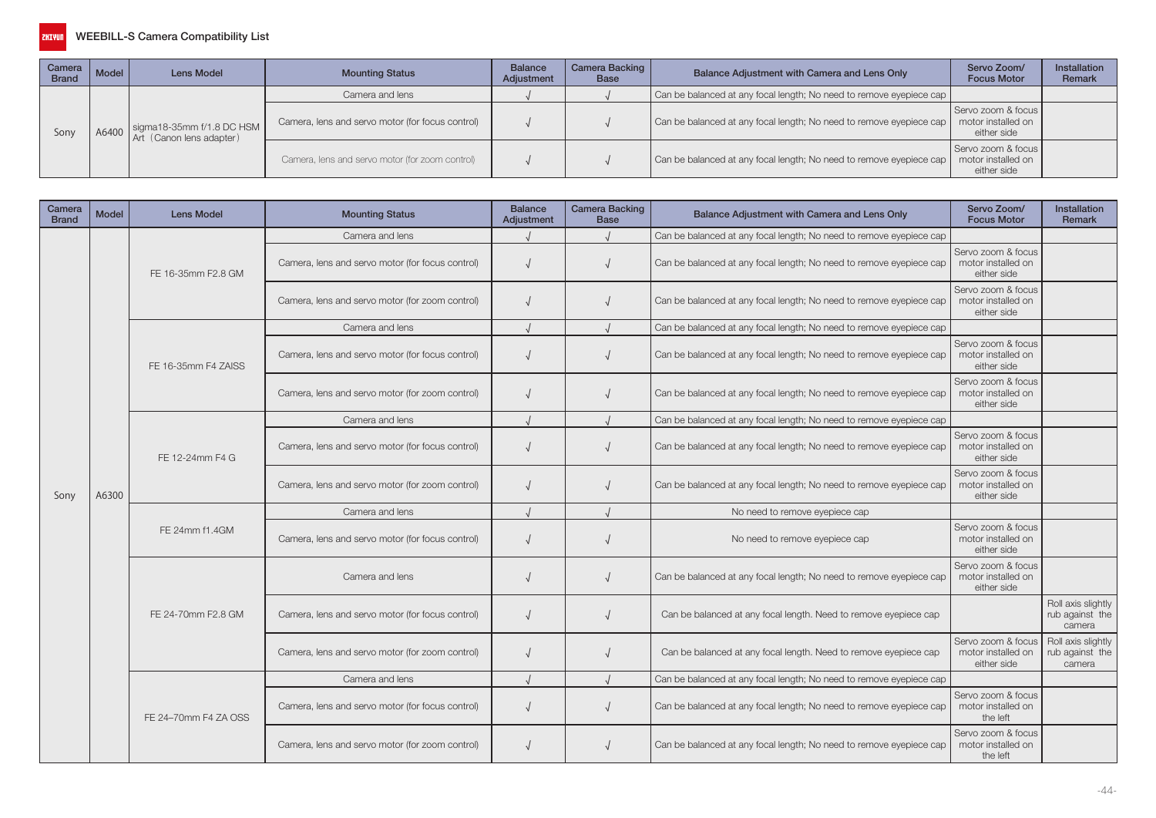

| Camera<br><b>Brand</b> | Model | Lens Model                                            | <b>Mounting Status</b>                           | <b>Balance</b><br>Adjustment | Camera Backing  <br><b>Base</b> | Balance Adjustment with Camera and Lens Only                        | Servo Zoom/<br><b>Focus Motor</b>                       | <b>Installation</b><br>Remark |
|------------------------|-------|-------------------------------------------------------|--------------------------------------------------|------------------------------|---------------------------------|---------------------------------------------------------------------|---------------------------------------------------------|-------------------------------|
|                        |       |                                                       | Camera and lens                                  |                              |                                 | Can be balanced at any focal length; No need to remove eyepiece cap |                                                         |                               |
| Sony                   | A6400 | sigma18-35mm f/1.8 DC HSM<br>Art (Canon lens adapter) | Camera, lens and servo motor (for focus control) |                              |                                 | Can be balanced at any focal length; No need to remove eyepiece cap | Servo zoom & focus<br>motor installed on<br>either side |                               |
|                        |       |                                                       | Camera, lens and servo motor (for zoom control)  |                              |                                 | Can be balanced at any focal length; No need to remove eyepiece cap | Servo zoom & focus<br>motor installed on<br>either side |                               |

| Camera<br><b>Brand</b> | <b>Model</b> | <b>Lens Model</b>    | <b>Mounting Status</b>                           | <b>Balance</b><br>Adjustment | <b>Camera Backing</b><br><b>Base</b> | Balance Adjustment with Camera and Lens Only                        | Servo Zoom/<br><b>Focus Motor</b>                       | <b>Installation</b><br><b>Remark</b>            |
|------------------------|--------------|----------------------|--------------------------------------------------|------------------------------|--------------------------------------|---------------------------------------------------------------------|---------------------------------------------------------|-------------------------------------------------|
|                        |              |                      | Camera and lens                                  |                              |                                      | Can be balanced at any focal length; No need to remove eyepiece cap |                                                         |                                                 |
|                        |              | FE 16-35mm F2.8 GM   | Camera, lens and servo motor (for focus control) |                              |                                      | Can be balanced at any focal length; No need to remove eyepiece cap | Servo zoom & focus<br>motor installed on<br>either side |                                                 |
|                        | A6300        |                      | Camera, lens and servo motor (for zoom control)  |                              |                                      | Can be balanced at any focal length; No need to remove eyepiece cap | Servo zoom & focus<br>motor installed on<br>either side |                                                 |
|                        |              |                      | Camera and lens                                  |                              |                                      | Can be balanced at any focal length; No need to remove eyepiece cap |                                                         |                                                 |
|                        |              | FE 16-35mm F4 ZAISS  | Camera, lens and servo motor (for focus control) |                              |                                      | Can be balanced at any focal length; No need to remove eyepiece cap | Servo zoom & focus<br>motor installed on<br>either side |                                                 |
|                        |              |                      | Camera, lens and servo motor (for zoom control)  |                              |                                      | Can be balanced at any focal length; No need to remove eyepiece cap | Servo zoom & focus<br>motor installed on<br>either side |                                                 |
|                        |              |                      | Camera and lens                                  |                              |                                      | Can be balanced at any focal length; No need to remove eyepiece cap |                                                         |                                                 |
|                        |              | FE 12-24mm F4 G      | Camera, lens and servo motor (for focus control) |                              |                                      | Can be balanced at any focal length; No need to remove eyepiece cap | Servo zoom & focus<br>motor installed on<br>either side |                                                 |
| Sony                   |              |                      | Camera, lens and servo motor (for zoom control)  |                              |                                      | Can be balanced at any focal length; No need to remove eyepiece cap | Servo zoom & focus<br>motor installed on<br>either side |                                                 |
|                        |              |                      | Camera and lens                                  |                              |                                      | No need to remove eyepiece cap                                      |                                                         |                                                 |
|                        |              | FE 24mm f1.4GM       | Camera, lens and servo motor (for focus control) |                              |                                      | No need to remove eyepiece cap                                      | Servo zoom & focus<br>motor installed on<br>either side |                                                 |
|                        |              |                      | Camera and lens                                  |                              |                                      | Can be balanced at any focal length; No need to remove eyepiece cap | Servo zoom & focus<br>motor installed on<br>either side |                                                 |
|                        |              | FE 24-70mm F2.8 GM   | Camera, lens and servo motor (for focus control) |                              |                                      | Can be balanced at any focal length. Need to remove eyepiece cap    |                                                         | Roll axis slightly<br>rub against the<br>camera |
|                        |              |                      | Camera, lens and servo motor (for zoom control)  |                              |                                      | Can be balanced at any focal length. Need to remove eyepiece cap    | Servo zoom & focus<br>motor installed on<br>either side | Roll axis slightly<br>rub against the<br>camera |
|                        |              |                      | Camera and lens                                  |                              |                                      | Can be balanced at any focal length; No need to remove eyepiece cap |                                                         |                                                 |
|                        |              | FE 24-70mm F4 ZA OSS | Camera, lens and servo motor (for focus control) |                              |                                      | Can be balanced at any focal length; No need to remove eyepiece cap | Servo zoom & focus<br>motor installed on<br>the left    |                                                 |
|                        |              |                      | Camera, lens and servo motor (for zoom control)  |                              |                                      | Can be balanced at any focal length; No need to remove eyepiece cap | Servo zoom & focus<br>motor installed on<br>the left    |                                                 |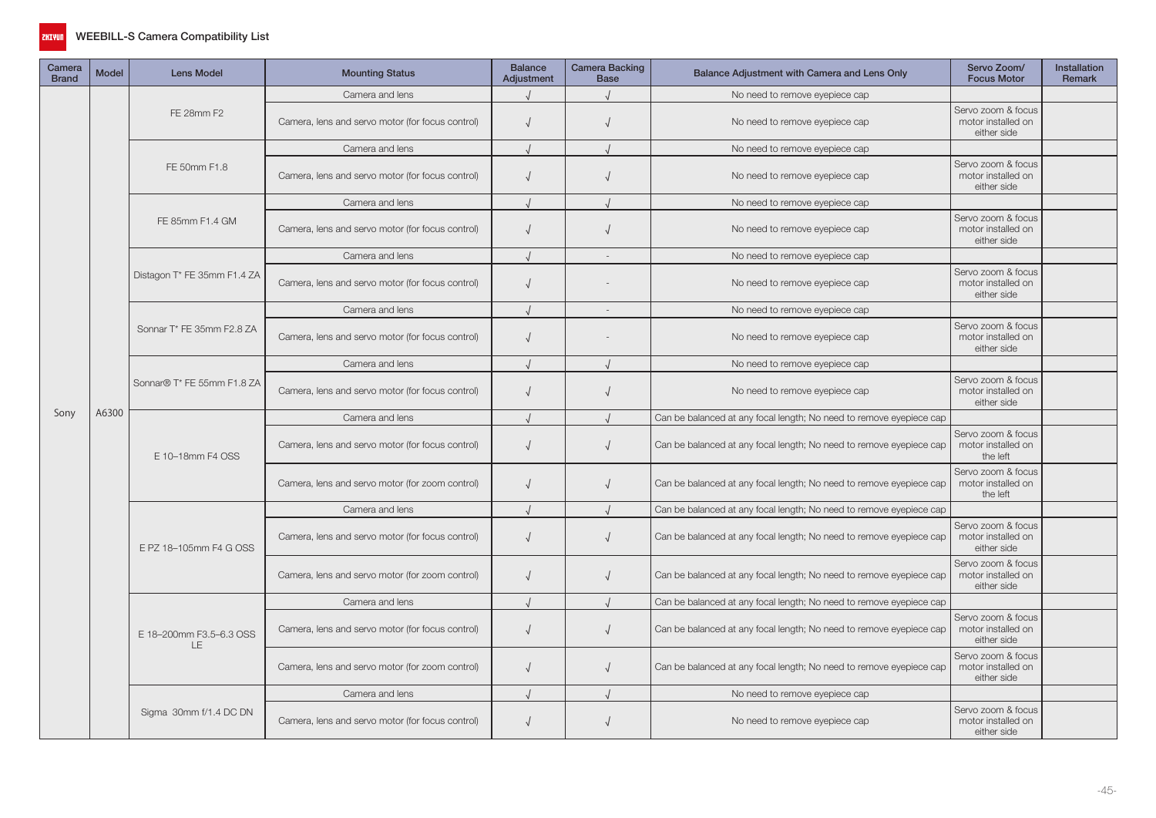

| Camera<br><b>Brand</b> | <b>Model</b>                                                                       | <b>Lens Model</b>                               | <b>Mounting Status</b>                           | <b>Balance</b><br>Adjustment | Camera Backing<br><b>Base</b>                                       | Balance Adjustment with Camera and Lens Only                        | Servo Zoom/<br><b>Focus Motor</b>                                                                                                                                                                                                  | Installation<br><b>Remark</b> |
|------------------------|------------------------------------------------------------------------------------|-------------------------------------------------|--------------------------------------------------|------------------------------|---------------------------------------------------------------------|---------------------------------------------------------------------|------------------------------------------------------------------------------------------------------------------------------------------------------------------------------------------------------------------------------------|-------------------------------|
|                        |                                                                                    |                                                 | Camera and lens                                  |                              |                                                                     | No need to remove eyepiece cap                                      |                                                                                                                                                                                                                                    |                               |
|                        |                                                                                    | FE 28mm F2                                      | Camera, lens and servo motor (for focus control) | $\sqrt{ }$                   | $\sqrt{2}$                                                          | No need to remove eyepiece cap                                      | Servo zoom & focus<br>motor installed on<br>either side                                                                                                                                                                            |                               |
|                        | A6300                                                                              |                                                 | Camera and lens                                  | $\cdot$                      |                                                                     | No need to remove eyepiece cap                                      |                                                                                                                                                                                                                                    |                               |
|                        |                                                                                    | FE 50mm F1.8                                    | Camera, lens and servo motor (for focus control) | $\sqrt{ }$                   |                                                                     | No need to remove eyepiece cap                                      | Servo zoom & focus<br>motor installed on<br>either side                                                                                                                                                                            |                               |
|                        |                                                                                    |                                                 | Camera and lens                                  | $\cdot$                      |                                                                     | No need to remove eyepiece cap                                      |                                                                                                                                                                                                                                    |                               |
|                        |                                                                                    | FE 85mm F1.4 GM                                 | Camera, lens and servo motor (for focus control) | $\sqrt{ }$                   |                                                                     | No need to remove eyepiece cap                                      | Servo zoom & focus<br>motor installed on<br>either side                                                                                                                                                                            |                               |
|                        |                                                                                    |                                                 | Camera and lens                                  |                              |                                                                     | No need to remove eyepiece cap                                      |                                                                                                                                                                                                                                    |                               |
|                        |                                                                                    | Distagon T* FE 35mm F1.4 ZA                     | Camera, lens and servo motor (for focus control) | $\sqrt{ }$                   |                                                                     | No need to remove eyepiece cap                                      | Servo zoom & focus<br>motor installed on<br>either side                                                                                                                                                                            |                               |
|                        |                                                                                    |                                                 | Camera and lens                                  |                              | $\sim$                                                              | No need to remove eyepiece cap                                      |                                                                                                                                                                                                                                    |                               |
|                        |                                                                                    | Sonnar T* FE 35mm F2.8 ZA                       | Camera, lens and servo motor (for focus control) | $\sqrt{ }$                   |                                                                     | No need to remove eyepiece cap                                      | Servo zoom & focus<br>motor installed on<br>either side                                                                                                                                                                            |                               |
|                        |                                                                                    | Sonnar® T* FE 55mm F1.8 ZA                      | Camera and lens                                  |                              |                                                                     | No need to remove eyepiece cap                                      |                                                                                                                                                                                                                                    |                               |
|                        |                                                                                    |                                                 | Camera, lens and servo motor (for focus control) | $\sqrt{ }$                   |                                                                     | No need to remove eyepiece cap                                      | Servo zoom & focus<br>motor installed on<br>either side                                                                                                                                                                            |                               |
| Sony                   |                                                                                    |                                                 | Camera and lens                                  |                              |                                                                     | Can be balanced at any focal length; No need to remove eyepiece cap | Servo zoom & focus<br>motor installed on<br>the left<br>Servo zoom & focus<br>motor installed on<br>the left<br>Servo zoom & focus<br>motor installed on<br>either side<br>Servo zoom & focus<br>motor installed on<br>either side |                               |
|                        |                                                                                    | E 10-18mm F4 OSS                                | Camera, lens and servo motor (for focus control) | $\sqrt{2}$                   |                                                                     | Can be balanced at any focal length; No need to remove eyepiece cap |                                                                                                                                                                                                                                    |                               |
|                        | E PZ 18-105mm F4 G OSS<br>E 18-200mm F3.5-6.3 OSS<br>LE.<br>Sigma 30mm f/1.4 DC DN | Camera, lens and servo motor (for zoom control) | $\sqrt{ }$                                       | $\sqrt{ }$                   | Can be balanced at any focal length; No need to remove eyepiece cap |                                                                     |                                                                                                                                                                                                                                    |                               |
|                        |                                                                                    |                                                 | Camera and lens                                  |                              |                                                                     | Can be balanced at any focal length; No need to remove eyepiece cap |                                                                                                                                                                                                                                    |                               |
|                        |                                                                                    |                                                 | Camera, lens and servo motor (for focus control) | $\sqrt{ }$                   |                                                                     | Can be balanced at any focal length; No need to remove eyepiece cap |                                                                                                                                                                                                                                    |                               |
|                        |                                                                                    |                                                 | Camera, lens and servo motor (for zoom control)  | $\sqrt{ }$                   |                                                                     | Can be balanced at any focal length; No need to remove eyepiece cap |                                                                                                                                                                                                                                    |                               |
|                        |                                                                                    |                                                 | Camera and lens                                  |                              |                                                                     | Can be balanced at any focal length; No need to remove eyepiece cap |                                                                                                                                                                                                                                    |                               |
|                        |                                                                                    |                                                 | Camera, lens and servo motor (for focus control) | $\sqrt{ }$                   |                                                                     | Can be balanced at any focal length; No need to remove eyepiece cap | Servo zoom & focus<br>motor installed on<br>either side                                                                                                                                                                            |                               |
|                        |                                                                                    |                                                 | Camera, lens and servo motor (for zoom control)  | $\sqrt{ }$                   |                                                                     | Can be balanced at any focal length; No need to remove eyepiece cap | Servo zoom & focus<br>motor installed on<br>either side                                                                                                                                                                            |                               |
|                        |                                                                                    |                                                 | Camera and lens                                  |                              |                                                                     | No need to remove eyepiece cap                                      |                                                                                                                                                                                                                                    |                               |
|                        |                                                                                    |                                                 | Camera, lens and servo motor (for focus control) | $\sqrt{ }$                   |                                                                     | No need to remove eyepiece cap                                      | Servo zoom & focus<br>motor installed on<br>either side                                                                                                                                                                            |                               |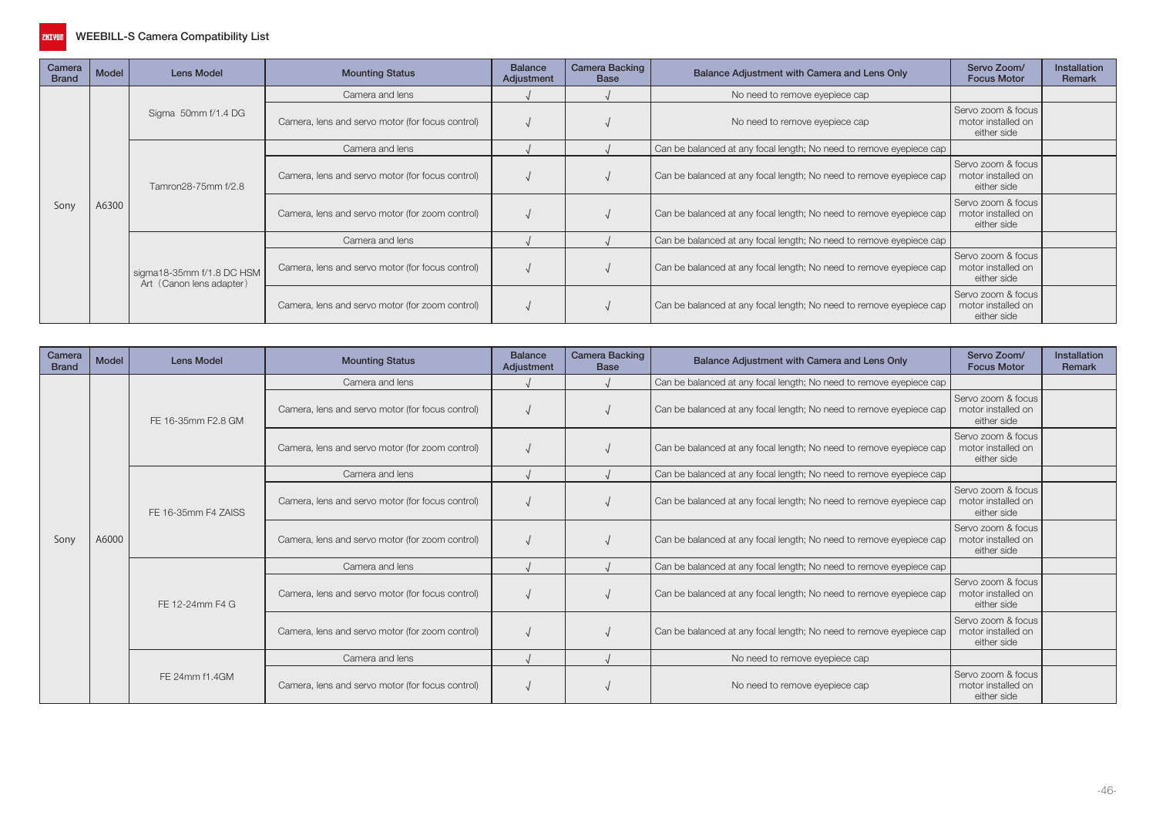

| Camera<br><b>Brand</b>                                                                                                                                                                                                                                                                         | Model | Lens Model                                              | <b>Mounting Status</b>                           | <b>Balance</b><br>Adjustment | <b>Camera Backing</b><br><b>Base</b> | Balance Adjustment with Camera and Lens Only                        | Servo Zoom/<br><b>Focus Motor</b>                       | Installation<br>Remark |
|------------------------------------------------------------------------------------------------------------------------------------------------------------------------------------------------------------------------------------------------------------------------------------------------|-------|---------------------------------------------------------|--------------------------------------------------|------------------------------|--------------------------------------|---------------------------------------------------------------------|---------------------------------------------------------|------------------------|
|                                                                                                                                                                                                                                                                                                |       |                                                         | Camera and lens                                  |                              |                                      | No need to remove eyepiece cap                                      |                                                         |                        |
| Sigma 50mm f/1.4 DG<br>Camera, lens and servo motor (for focus control)<br>No need to remove eyepiece cap<br>Camera and lens<br>Camera, lens and servo motor (for focus control)<br>Tamron28-75mm f/2.8<br>A6300<br>Sony<br>Camera, lens and servo motor (for zoom control)<br>Camera and lens |       | Servo zoom & focus<br>motor installed on<br>either side |                                                  |                              |                                      |                                                                     |                                                         |                        |
|                                                                                                                                                                                                                                                                                                |       |                                                         |                                                  |                              |                                      | Can be balanced at any focal length; No need to remove eyepiece cap |                                                         |                        |
|                                                                                                                                                                                                                                                                                                |       |                                                         |                                                  |                              |                                      | Can be balanced at any focal length; No need to remove eyepiece cap | Servo zoom & focus<br>motor installed on<br>either side |                        |
|                                                                                                                                                                                                                                                                                                |       |                                                         |                                                  |                              |                                      | Can be balanced at any focal length; No need to remove eyepiece cap | Servo zoom & focus<br>motor installed on<br>either side |                        |
|                                                                                                                                                                                                                                                                                                |       |                                                         |                                                  |                              |                                      | Can be balanced at any focal length; No need to remove eyepiece cap |                                                         |                        |
|                                                                                                                                                                                                                                                                                                |       | sigma18-35mm f/1.8 DC HSM<br>Art (Canon lens adapter)   | Camera, lens and servo motor (for focus control) |                              |                                      | Can be balanced at any focal length; No need to remove eyepiece cap | Servo zoom & focus<br>motor installed on<br>either side |                        |
|                                                                                                                                                                                                                                                                                                |       |                                                         | Camera, lens and servo motor (for zoom control)  |                              |                                      | Can be balanced at any focal length; No need to remove eyepiece cap | Servo zoom & focus<br>motor installed on<br>either side |                        |

| Camera<br><b>Brand</b> | <b>Model</b>                                                                                                                                                                                                                                                                                                                                                       | <b>Lens Model</b>                                       | <b>Mounting Status</b>                           | <b>Balance</b><br>Adjustment | <b>Camera Backing</b><br><b>Base</b> | Balance Adjustment with Camera and Lens Only                        | Servo Zoom/<br><b>Focus Motor</b>                       | Installation<br>Remark |
|------------------------|--------------------------------------------------------------------------------------------------------------------------------------------------------------------------------------------------------------------------------------------------------------------------------------------------------------------------------------------------------------------|---------------------------------------------------------|--------------------------------------------------|------------------------------|--------------------------------------|---------------------------------------------------------------------|---------------------------------------------------------|------------------------|
|                        |                                                                                                                                                                                                                                                                                                                                                                    |                                                         | Camera and lens                                  |                              |                                      | Can be balanced at any focal length; No need to remove eyepiece cap |                                                         |                        |
|                        |                                                                                                                                                                                                                                                                                                                                                                    | FE 16-35mm F2.8 GM                                      | Camera, lens and servo motor (for focus control) |                              |                                      | Can be balanced at any focal length; No need to remove eyepiece cap | Servo zoom & focus<br>motor installed on<br>either side |                        |
|                        | Can be balanced at any focal length; No need to remove eyepiece cap<br>Camera, lens and servo motor (for zoom control)<br>Camera and lens<br>Can be balanced at any focal length; No need to remove eyepiece cap<br>Can be balanced at any focal length; No need to remove eyepiece cap<br>Camera, lens and servo motor (for focus control)<br>FE 16-35mm F4 ZAISS | Servo zoom & focus<br>motor installed on<br>either side |                                                  |                              |                                      |                                                                     |                                                         |                        |
|                        |                                                                                                                                                                                                                                                                                                                                                                    |                                                         |                                                  |                              |                                      |                                                                     | Servo zoom & focus<br>motor installed on<br>either side |                        |
|                        |                                                                                                                                                                                                                                                                                                                                                                    |                                                         |                                                  |                              |                                      |                                                                     |                                                         |                        |
| Sony                   | A6000                                                                                                                                                                                                                                                                                                                                                              |                                                         | Camera, lens and servo motor (for zoom control)  |                              |                                      | Can be balanced at any focal length; No need to remove eyepiece cap | Servo zoom & focus<br>motor installed on<br>either side |                        |
|                        |                                                                                                                                                                                                                                                                                                                                                                    | FE 12-24mm F4 G                                         | Camera and lens                                  |                              |                                      | Can be balanced at any focal length; No need to remove eyepiece cap |                                                         |                        |
|                        |                                                                                                                                                                                                                                                                                                                                                                    |                                                         | Camera, lens and servo motor (for focus control) |                              |                                      | Can be balanced at any focal length; No need to remove eyepiece cap | Servo zoom & focus<br>motor installed on<br>either side |                        |
|                        |                                                                                                                                                                                                                                                                                                                                                                    |                                                         | Camera, lens and servo motor (for zoom control)  |                              |                                      | Can be balanced at any focal length; No need to remove eyepiece cap | Servo zoom & focus<br>motor installed on<br>either side |                        |
|                        |                                                                                                                                                                                                                                                                                                                                                                    |                                                         | Camera and lens                                  |                              |                                      | No need to remove eyepiece cap                                      |                                                         |                        |
|                        |                                                                                                                                                                                                                                                                                                                                                                    | FE 24mm f1.4GM                                          | Camera, lens and servo motor (for focus control) |                              |                                      | No need to remove eyepiece cap                                      | Servo zoom & focus<br>motor installed on<br>either side |                        |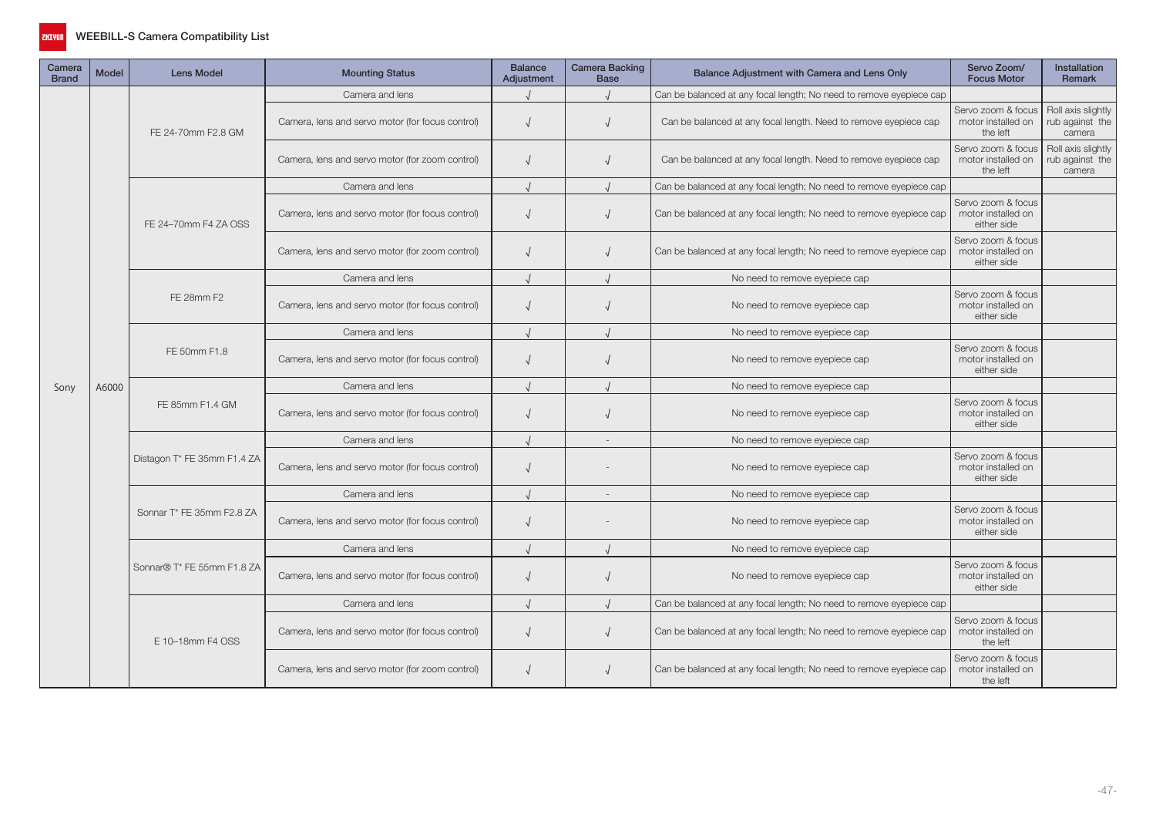

| Camera<br><b>Brand</b> | <b>Model</b> | <b>Lens Model</b>           | <b>Mounting Status</b>                           | <b>Balance</b><br>Adjustment | <b>Camera Backing</b><br><b>Base</b> | Balance Adjustment with Camera and Lens Only                        | Servo Zoom/<br><b>Focus Motor</b>                                                                                  | <b>Installation</b><br><b>Remark</b>            |
|------------------------|--------------|-----------------------------|--------------------------------------------------|------------------------------|--------------------------------------|---------------------------------------------------------------------|--------------------------------------------------------------------------------------------------------------------|-------------------------------------------------|
|                        |              |                             | Camera and lens                                  |                              |                                      | Can be balanced at any focal length; No need to remove eyepiece cap |                                                                                                                    |                                                 |
|                        |              | FE 24-70mm F2.8 GM          | Camera, lens and servo motor (for focus control) |                              |                                      | Can be balanced at any focal length. Need to remove eyepiece cap    | Servo zoom & focus<br>motor installed on<br>the left                                                               | Roll axis slightly<br>rub against the<br>camera |
|                        |              |                             | Camera, lens and servo motor (for zoom control)  | $\sqrt{ }$                   | $\sqrt{ }$                           | Can be balanced at any focal length. Need to remove eyepiece cap    | Servo zoom & focus<br>motor installed on<br>the left                                                               | Roll axis slightly<br>rub against the<br>camera |
|                        |              |                             | Camera and lens                                  |                              |                                      | Can be balanced at any focal length; No need to remove eyepiece cap |                                                                                                                    |                                                 |
|                        |              | FE 24-70mm F4 ZA OSS        | Camera, lens and servo motor (for focus control) | $\sqrt{ }$                   |                                      | Can be balanced at any focal length; No need to remove eyepiece cap | Servo zoom & focus<br>motor installed on<br>either side                                                            |                                                 |
|                        |              |                             | Camera, lens and servo motor (for zoom control)  | $\sqrt{2}$                   | $\sqrt{ }$                           | Can be balanced at any focal length; No need to remove eyepiece cap | Servo zoom & focus<br>motor installed on<br>either side                                                            |                                                 |
|                        |              |                             | Camera and lens                                  |                              |                                      | No need to remove eyepiece cap                                      |                                                                                                                    |                                                 |
|                        |              | FE 28mm F2                  | Camera, lens and servo motor (for focus control) |                              |                                      | No need to remove eyepiece cap                                      | Servo zoom & focus<br>motor installed on<br>either side                                                            |                                                 |
|                        | A6000        |                             | Camera and lens                                  |                              |                                      | No need to remove eyepiece cap                                      |                                                                                                                    |                                                 |
|                        |              | FE 50mm F1.8                | Camera, lens and servo motor (for focus control) |                              |                                      | No need to remove eyepiece cap                                      | Servo zoom & focus<br>motor installed on<br>either side                                                            |                                                 |
| Sony                   |              |                             | Camera and lens                                  |                              | $\overline{1}$                       | No need to remove eyepiece cap                                      | Servo zoom & focus<br>motor installed on<br>either side<br>Servo zoom & focus<br>motor installed on<br>either side |                                                 |
|                        |              | FE 85mm F1.4 GM             | Camera, lens and servo motor (for focus control) | $\sqrt{ }$                   |                                      | No need to remove eyepiece cap                                      |                                                                                                                    |                                                 |
|                        |              |                             | Camera and lens                                  |                              |                                      | No need to remove eyepiece cap                                      |                                                                                                                    |                                                 |
|                        |              | Distagon T* FE 35mm F1.4 ZA | Camera, lens and servo motor (for focus control) | $\sqrt{ }$                   |                                      | No need to remove eyepiece cap                                      |                                                                                                                    |                                                 |
|                        |              |                             | Camera and lens                                  |                              | $\sim$                               | No need to remove eyepiece cap                                      |                                                                                                                    |                                                 |
|                        |              | Sonnar T* FE 35mm F2.8 ZA   | Camera, lens and servo motor (for focus control) |                              |                                      | No need to remove eyepiece cap                                      | Servo zoom & focus<br>motor installed on<br>either side                                                            |                                                 |
|                        |              |                             | Camera and lens                                  |                              |                                      | No need to remove eyepiece cap                                      |                                                                                                                    |                                                 |
|                        |              | Sonnar® T* FE 55mm F1.8 ZA  | Camera, lens and servo motor (for focus control) |                              | $\sqrt{2}$                           | No need to remove eyepiece cap                                      | Servo zoom & focus<br>motor installed on<br>either side                                                            |                                                 |
|                        |              |                             | Camera and lens                                  |                              |                                      | Can be balanced at any focal length; No need to remove eyepiece cap |                                                                                                                    |                                                 |
|                        |              | E 10-18mm F4 OSS            | Camera, lens and servo motor (for focus control) | $\sqrt{ }$                   |                                      | Can be balanced at any focal length; No need to remove eyepiece cap | Servo zoom & focus<br>motor installed on<br>the left                                                               |                                                 |
|                        |              |                             | Camera, lens and servo motor (for zoom control)  |                              |                                      | Can be balanced at any focal length; No need to remove eyepiece cap | Servo zoom & focus<br>motor installed on<br>the left                                                               |                                                 |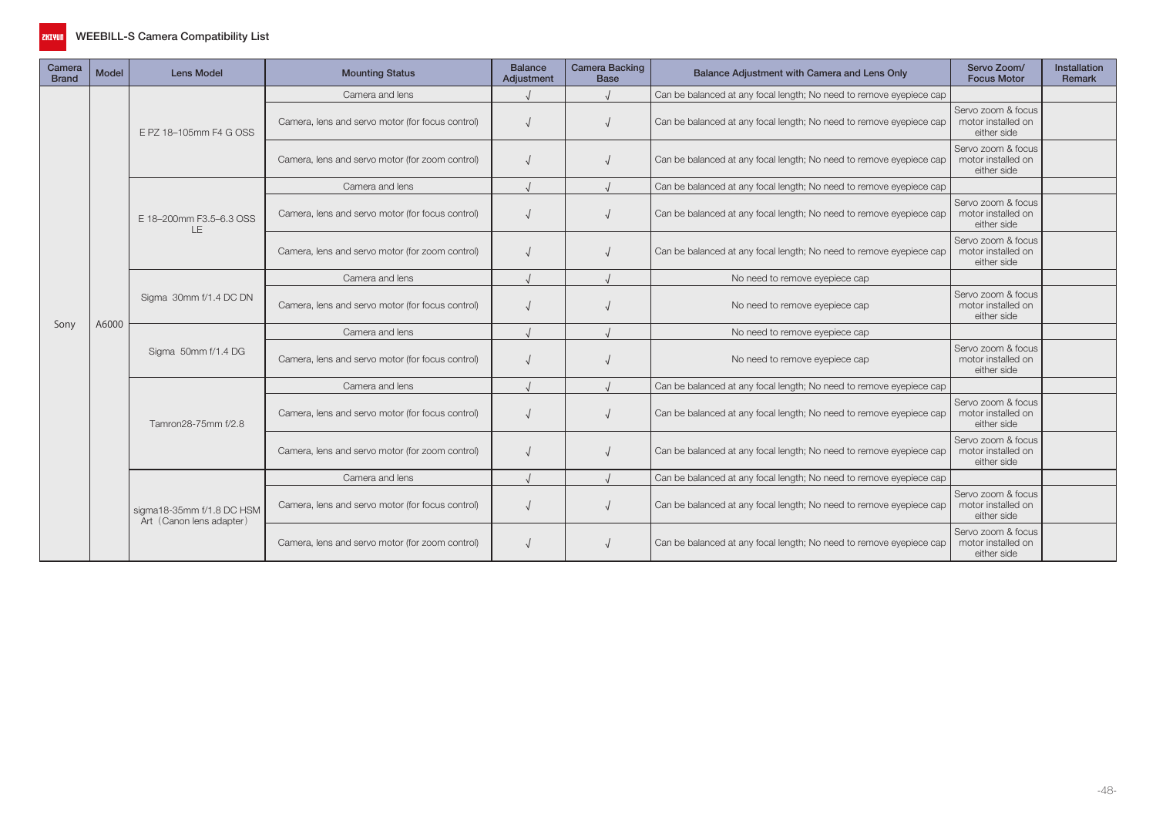

| Camera<br><b>Brand</b> | <b>Model</b> | <b>Lens Model</b>                                     | <b>Mounting Status</b>                           | <b>Balance</b><br>Adjustment | <b>Camera Backing</b><br><b>Base</b> | Balance Adjustment with Camera and Lens Only                        | Servo Zoom/<br><b>Focus Motor</b>                                                    | <b>Installation</b><br><b>Remark</b>                                    |
|------------------------|--------------|-------------------------------------------------------|--------------------------------------------------|------------------------------|--------------------------------------|---------------------------------------------------------------------|--------------------------------------------------------------------------------------|-------------------------------------------------------------------------|
|                        |              |                                                       | Camera and lens                                  |                              |                                      | Can be balanced at any focal length; No need to remove eyepiece cap |                                                                                      |                                                                         |
|                        |              | E PZ 18-105mm F4 G OSS                                | Camera, lens and servo motor (for focus control) |                              |                                      | Can be balanced at any focal length; No need to remove eyepiece cap | Servo zoom & focus<br>motor installed on<br>either side                              |                                                                         |
|                        |              |                                                       | Camera, lens and servo motor (for zoom control)  |                              |                                      | Can be balanced at any focal length; No need to remove eyepiece cap | Servo zoom & focus<br>motor installed on<br>either side                              |                                                                         |
|                        |              |                                                       | Camera and lens                                  |                              |                                      | Can be balanced at any focal length; No need to remove eyepiece cap |                                                                                      |                                                                         |
|                        |              | E 18-200mm F3.5-6.3 OSS<br>LE                         | Camera, lens and servo motor (for focus control) |                              |                                      | Can be balanced at any focal length; No need to remove eyepiece cap | Servo zoom & focus<br>motor installed on<br>either side                              |                                                                         |
|                        |              |                                                       | Camera, lens and servo motor (for zoom control)  |                              |                                      | Can be balanced at any focal length; No need to remove eyepiece cap | Servo zoom & focus<br>motor installed on<br>either side                              | either side<br>either side<br>either side<br>either side<br>either side |
|                        |              |                                                       | Camera and lens                                  |                              |                                      | No need to remove eyepiece cap                                      | Servo zoom & focus<br>motor installed on<br>Servo zoom & focus<br>motor installed on |                                                                         |
|                        | A6000        | Sigma 30mm f/1.4 DC DN                                | Camera, lens and servo motor (for focus control) |                              |                                      | No need to remove eyepiece cap                                      |                                                                                      |                                                                         |
| Sony                   |              |                                                       | Camera and lens                                  |                              |                                      | No need to remove eyepiece cap                                      | motor installed on<br>motor installed on                                             |                                                                         |
|                        |              | Sigma 50mm f/1.4 DG                                   | Camera, lens and servo motor (for focus control) |                              |                                      | No need to remove eyepiece cap                                      |                                                                                      |                                                                         |
|                        |              |                                                       | Camera and lens                                  |                              |                                      | Can be balanced at any focal length; No need to remove eyepiece cap |                                                                                      |                                                                         |
|                        |              | Tamron28-75mm f/2.8                                   | Camera, lens and servo motor (for focus control) |                              |                                      | Can be balanced at any focal length; No need to remove eyepiece cap | Servo zoom & focus                                                                   |                                                                         |
|                        |              |                                                       | Camera, lens and servo motor (for zoom control)  |                              |                                      | Can be balanced at any focal length; No need to remove eyepiece cap | Servo zoom & focus                                                                   |                                                                         |
|                        |              |                                                       | Camera and lens                                  |                              |                                      | Can be balanced at any focal length; No need to remove eyepiece cap |                                                                                      |                                                                         |
|                        |              | sigma18-35mm f/1.8 DC HSM<br>Art (Canon lens adapter) | Camera, lens and servo motor (for focus control) |                              |                                      | Can be balanced at any focal length; No need to remove eyepiece cap | Servo zoom & focus<br>motor installed on                                             |                                                                         |
|                        |              |                                                       | Camera, lens and servo motor (for zoom control)  |                              |                                      | Can be balanced at any focal length; No need to remove eyepiece cap | Servo zoom & focus<br>motor installed on<br>either side                              |                                                                         |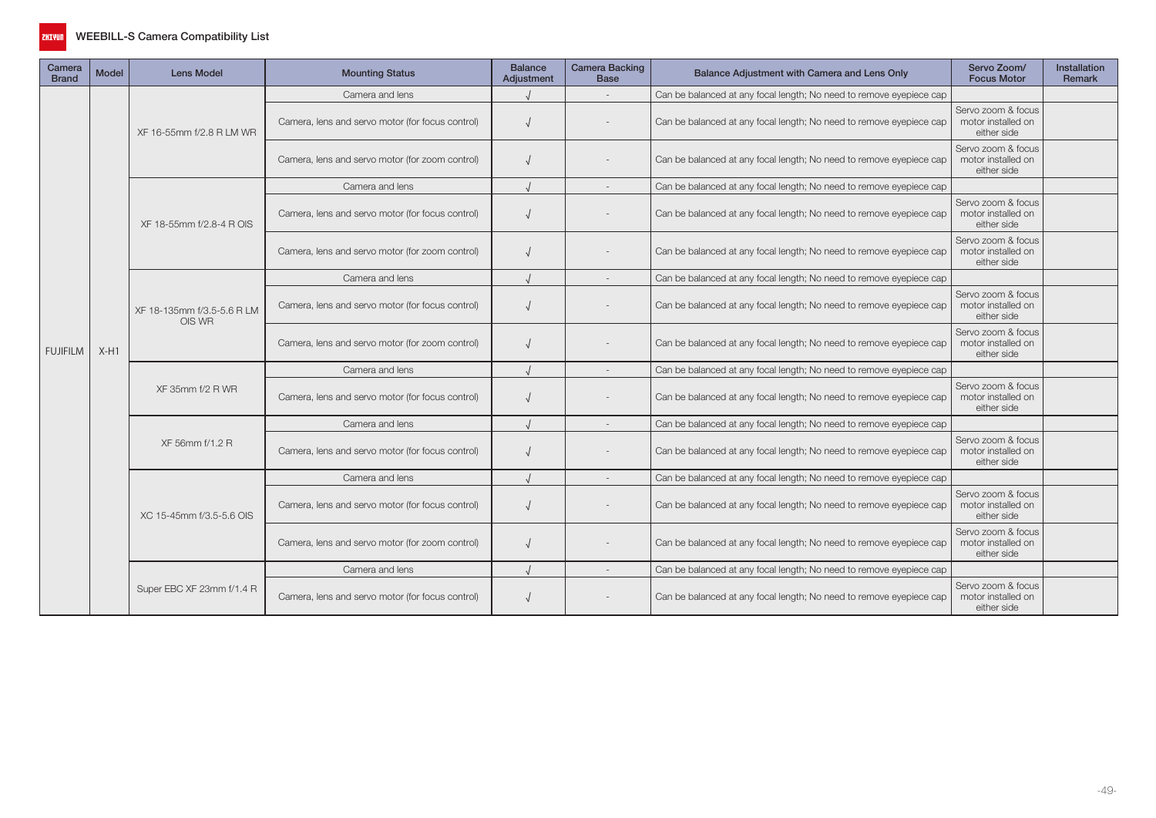

| Camera<br><b>Brand</b> | Model                                | <b>Lens Model</b>                               | <b>Mounting Status</b>                           | <b>Balance</b><br>Adjustment | <b>Camera Backing</b><br><b>Base</b>                                | Balance Adjustment with Camera and Lens Only                        | Servo Zoom/<br><b>Focus Motor</b>                       | <b>Installation</b><br><b>Remark</b> |
|------------------------|--------------------------------------|-------------------------------------------------|--------------------------------------------------|------------------------------|---------------------------------------------------------------------|---------------------------------------------------------------------|---------------------------------------------------------|--------------------------------------|
|                        |                                      |                                                 | Camera and lens                                  |                              |                                                                     | Can be balanced at any focal length; No need to remove eyepiece cap |                                                         |                                      |
|                        |                                      | XF 16-55mm f/2.8 R LM WR                        | Camera, lens and servo motor (for focus control) |                              |                                                                     | Can be balanced at any focal length; No need to remove eyepiece cap | Servo zoom & focus<br>motor installed on<br>either side |                                      |
|                        |                                      |                                                 | Camera, lens and servo motor (for zoom control)  |                              |                                                                     | Can be balanced at any focal length; No need to remove eyepiece cap | Servo zoom & focus<br>motor installed on<br>either side |                                      |
|                        |                                      |                                                 | Camera and lens                                  |                              |                                                                     | Can be balanced at any focal length; No need to remove eyepiece cap |                                                         |                                      |
|                        |                                      | XF 18-55mm f/2.8-4 R OIS                        | Camera, lens and servo motor (for focus control) |                              |                                                                     | Can be balanced at any focal length; No need to remove eyepiece cap | Servo zoom & focus<br>motor installed on<br>either side |                                      |
|                        |                                      |                                                 | Camera, lens and servo motor (for zoom control)  |                              |                                                                     | Can be balanced at any focal length; No need to remove eyepiece cap | Servo zoom & focus<br>motor installed on<br>either side |                                      |
|                        |                                      |                                                 | Camera and lens                                  |                              |                                                                     | Can be balanced at any focal length; No need to remove eyepiece cap |                                                         |                                      |
|                        |                                      | XF 18-135mm f/3.5-5.6 R LM                      | Camera, lens and servo motor (for focus control) |                              |                                                                     | Can be balanced at any focal length; No need to remove eyepiece cap | Servo zoom & focus<br>motor installed on<br>either side |                                      |
| <b>FUJIFILM</b>        | OIS WR<br>$X-H1$<br>XF 35mm f/2 R WR | Camera, lens and servo motor (for zoom control) |                                                  |                              | Can be balanced at any focal length; No need to remove eyepiece cap | Servo zoom & focus<br>motor installed on<br>either side             |                                                         |                                      |
|                        |                                      |                                                 | Camera and lens                                  |                              |                                                                     | Can be balanced at any focal length; No need to remove eyepiece cap |                                                         |                                      |
|                        |                                      |                                                 | Camera, lens and servo motor (for focus control) |                              |                                                                     | Can be balanced at any focal length; No need to remove eyepiece cap | Servo zoom & focus<br>motor installed on<br>either side |                                      |
|                        |                                      |                                                 | Camera and lens                                  |                              |                                                                     | Can be balanced at any focal length; No need to remove eyepiece cap |                                                         |                                      |
|                        |                                      | XF 56mm f/1.2 R                                 | Camera, lens and servo motor (for focus control) |                              |                                                                     | Can be balanced at any focal length; No need to remove eyepiece cap | Servo zoom & focus<br>motor installed on<br>either side |                                      |
|                        |                                      |                                                 | Camera and lens                                  |                              |                                                                     | Can be balanced at any focal length; No need to remove eyepiece cap |                                                         |                                      |
|                        |                                      | XC 15-45mm f/3.5-5.6 OIS                        | Camera, lens and servo motor (for focus control) |                              |                                                                     | Can be balanced at any focal length; No need to remove eyepiece cap | Servo zoom & focus<br>motor installed on<br>either side |                                      |
|                        |                                      |                                                 | Camera, lens and servo motor (for zoom control)  |                              |                                                                     | Can be balanced at any focal length; No need to remove eyepiece cap | Servo zoom & focus<br>motor installed on<br>either side |                                      |
|                        |                                      |                                                 | Camera and lens                                  |                              |                                                                     | Can be balanced at any focal length; No need to remove eyepiece cap |                                                         |                                      |
|                        |                                      | Super EBC XF 23mm f/1.4 R                       | Camera, lens and servo motor (for focus control) |                              |                                                                     | Can be balanced at any focal length; No need to remove eyepiece cap | Servo zoom & focus<br>motor installed on<br>either side |                                      |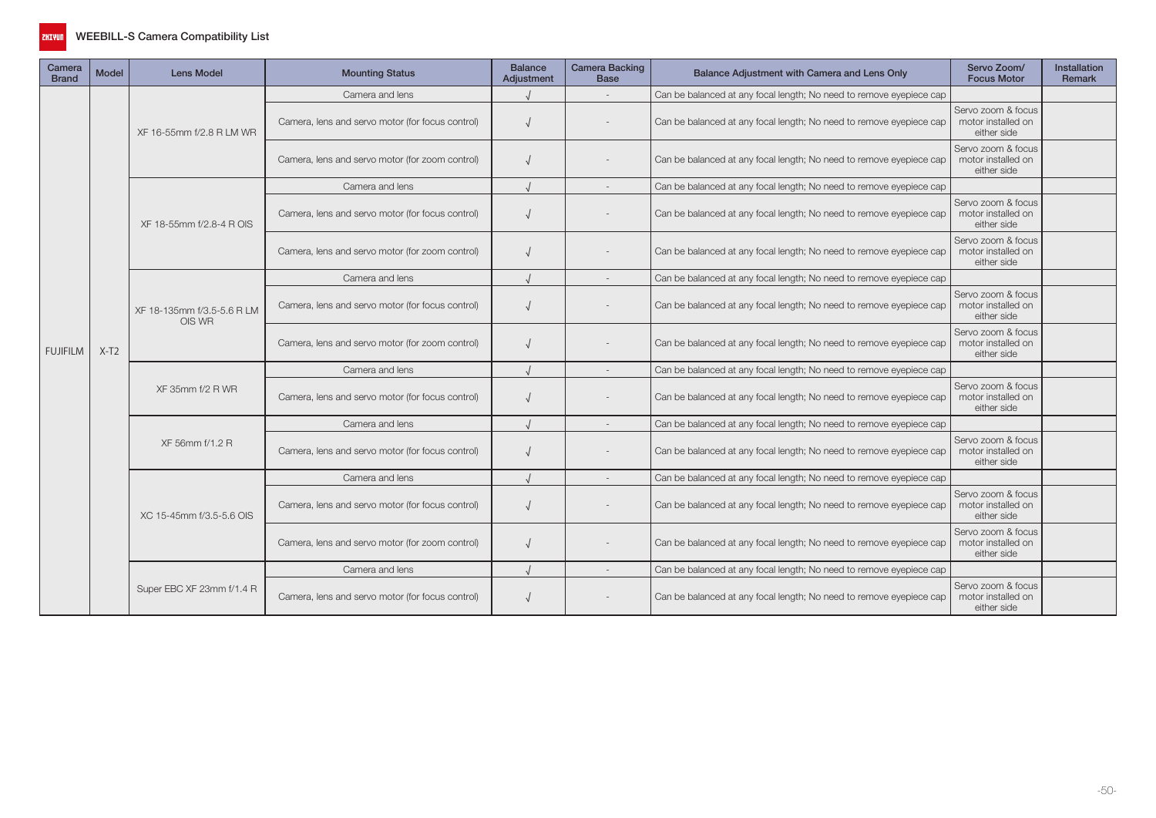

| Camera<br><b>Brand</b> | <b>Model</b> | <b>Lens Model</b>                               | <b>Mounting Status</b>                           | <b>Balance</b><br>Adjustment                     | <b>Camera Backing</b><br><b>Base</b>                                | Balance Adjustment with Camera and Lens Only                        | Servo Zoom/<br><b>Focus Motor</b>                                   | <b>Installation</b><br>Remark                           |  |
|------------------------|--------------|-------------------------------------------------|--------------------------------------------------|--------------------------------------------------|---------------------------------------------------------------------|---------------------------------------------------------------------|---------------------------------------------------------------------|---------------------------------------------------------|--|
|                        |              |                                                 | Camera and lens                                  |                                                  |                                                                     | Can be balanced at any focal length; No need to remove eyepiece cap |                                                                     |                                                         |  |
|                        |              |                                                 | XF 16-55mm f/2.8 R LM WR                         | Camera, lens and servo motor (for focus control) |                                                                     |                                                                     | Can be balanced at any focal length; No need to remove eyepiece cap | Servo zoom & focus<br>motor installed on<br>either side |  |
|                        |              |                                                 | Camera, lens and servo motor (for zoom control)  |                                                  |                                                                     | Can be balanced at any focal length; No need to remove eyepiece cap | Servo zoom & focus<br>motor installed on<br>either side             |                                                         |  |
|                        |              |                                                 | Camera and lens                                  |                                                  |                                                                     | Can be balanced at any focal length; No need to remove eyepiece cap |                                                                     |                                                         |  |
|                        |              | XF 18-55mm f/2.8-4 R OIS                        | Camera, lens and servo motor (for focus control) |                                                  |                                                                     | Can be balanced at any focal length; No need to remove eyepiece cap | Servo zoom & focus<br>motor installed on<br>either side             |                                                         |  |
|                        |              |                                                 | Camera, lens and servo motor (for zoom control)  |                                                  |                                                                     | Can be balanced at any focal length; No need to remove eyepiece cap | Servo zoom & focus<br>motor installed on<br>either side             |                                                         |  |
|                        |              |                                                 | Camera and lens                                  |                                                  |                                                                     | Can be balanced at any focal length; No need to remove eyepiece cap |                                                                     |                                                         |  |
|                        | $X-T2$       | XF 18-135mm f/3.5-5.6 R LM<br>OIS WR            | Camera, lens and servo motor (for focus control) |                                                  |                                                                     | Can be balanced at any focal length; No need to remove eyepiece cap | Servo zoom & focus<br>motor installed on<br>either side             |                                                         |  |
| <b>FUJIFILM</b>        |              |                                                 | Camera, lens and servo motor (for zoom control)  |                                                  |                                                                     | Can be balanced at any focal length; No need to remove eyepiece cap | Servo zoom & focus<br>motor installed on<br>either side             |                                                         |  |
|                        |              |                                                 | Camera and lens                                  |                                                  |                                                                     | Can be balanced at any focal length; No need to remove eyepiece cap |                                                                     |                                                         |  |
|                        |              | XF 35mm f/2 R WR                                | Camera, lens and servo motor (for focus control) |                                                  |                                                                     | Can be balanced at any focal length; No need to remove eyepiece cap | Servo zoom & focus<br>motor installed on<br>either side             |                                                         |  |
|                        |              |                                                 | Camera and lens                                  |                                                  |                                                                     | Can be balanced at any focal length; No need to remove eyepiece cap |                                                                     |                                                         |  |
|                        |              | XF 56mm f/1.2 R                                 | Camera, lens and servo motor (for focus control) |                                                  |                                                                     | Can be balanced at any focal length; No need to remove eyepiece cap | Servo zoom & focus<br>motor installed on<br>either side             |                                                         |  |
|                        |              |                                                 | Camera and lens                                  |                                                  |                                                                     | Can be balanced at any focal length; No need to remove eyepiece cap |                                                                     |                                                         |  |
|                        |              | XC 15-45mm f/3.5-5.6 OIS                        | Camera, lens and servo motor (for focus control) |                                                  |                                                                     | Can be balanced at any focal length; No need to remove eyepiece cap | Servo zoom & focus<br>motor installed on<br>either side             |                                                         |  |
|                        |              | Camera, lens and servo motor (for zoom control) |                                                  |                                                  | Can be balanced at any focal length; No need to remove eyepiece cap | Servo zoom & focus<br>motor installed on<br>either side             |                                                                     |                                                         |  |
|                        |              |                                                 | Camera and lens                                  |                                                  |                                                                     | Can be balanced at any focal length; No need to remove eyepiece cap |                                                                     |                                                         |  |
|                        |              | Super EBC XF 23mm f/1.4 R                       | Camera, lens and servo motor (for focus control) |                                                  |                                                                     | Can be balanced at any focal length; No need to remove eyepiece cap | Servo zoom & focus<br>motor installed on<br>either side             |                                                         |  |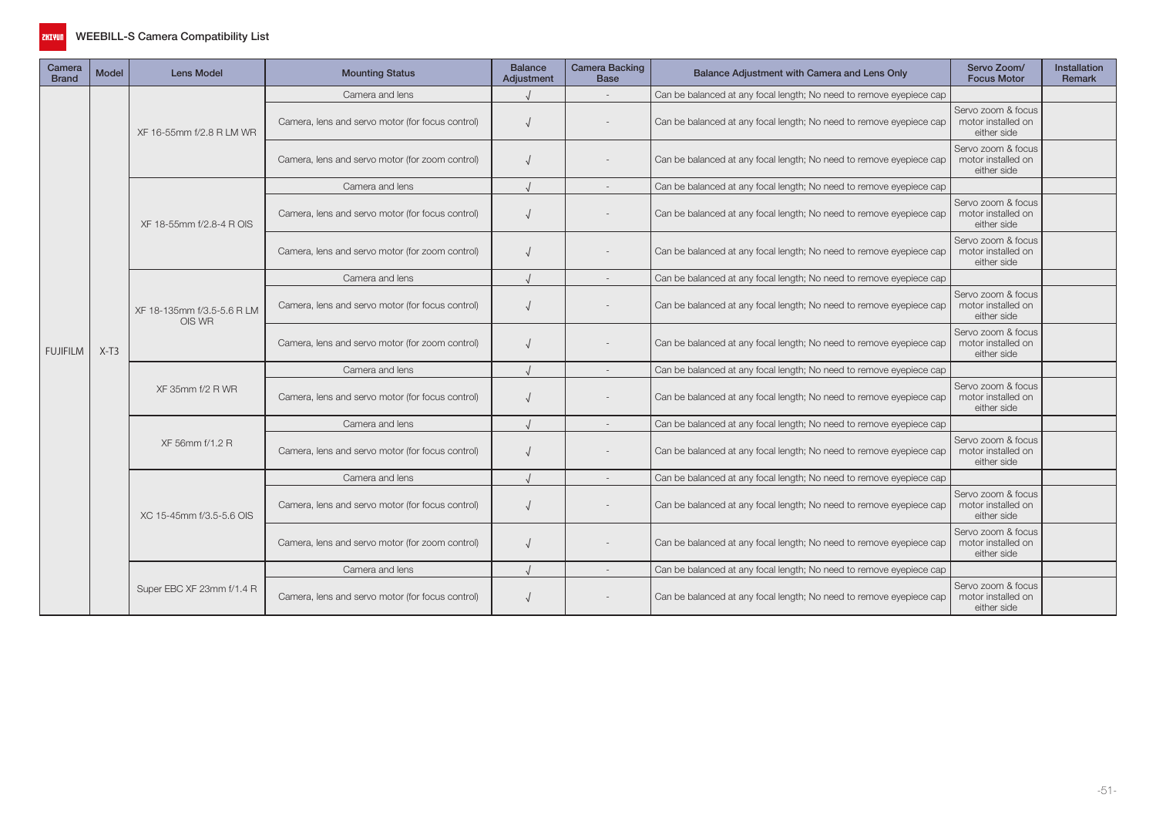

| Camera<br><b>Brand</b> | <b>Model</b> | <b>Lens Model</b>                                                                    | <b>Mounting Status</b>                           | <b>Balance</b><br>Adjustment                     | <b>Camera Backing</b><br><b>Base</b>                                | Balance Adjustment with Camera and Lens Only                        | Servo Zoom/<br><b>Focus Motor</b>                                   | <b>Installation</b><br>Remark                           |  |
|------------------------|--------------|--------------------------------------------------------------------------------------|--------------------------------------------------|--------------------------------------------------|---------------------------------------------------------------------|---------------------------------------------------------------------|---------------------------------------------------------------------|---------------------------------------------------------|--|
|                        |              |                                                                                      | Camera and lens                                  |                                                  |                                                                     | Can be balanced at any focal length; No need to remove eyepiece cap |                                                                     |                                                         |  |
|                        |              |                                                                                      | XF 16-55mm f/2.8 R LM WR                         | Camera, lens and servo motor (for focus control) |                                                                     |                                                                     | Can be balanced at any focal length; No need to remove eyepiece cap | Servo zoom & focus<br>motor installed on<br>either side |  |
|                        |              | XF 18-55mm f/2.8-4 R OIS<br>XF 18-135mm f/3.5-5.6 R LM<br>OIS WR<br>XF 35mm f/2 R WR | Camera, lens and servo motor (for zoom control)  |                                                  |                                                                     | Can be balanced at any focal length; No need to remove eyepiece cap | Servo zoom & focus<br>motor installed on<br>either side             |                                                         |  |
|                        |              |                                                                                      | Camera and lens                                  |                                                  |                                                                     | Can be balanced at any focal length; No need to remove eyepiece cap |                                                                     |                                                         |  |
|                        |              |                                                                                      | Camera, lens and servo motor (for focus control) |                                                  |                                                                     | Can be balanced at any focal length; No need to remove eyepiece cap | Servo zoom & focus<br>motor installed on<br>either side             |                                                         |  |
|                        |              |                                                                                      | Camera, lens and servo motor (for zoom control)  |                                                  |                                                                     | Can be balanced at any focal length; No need to remove eyepiece cap | Servo zoom & focus<br>motor installed on<br>either side             |                                                         |  |
|                        | $X-T3$       | Camera and lens                                                                      |                                                  |                                                  | Can be balanced at any focal length; No need to remove eyepiece cap |                                                                     |                                                                     |                                                         |  |
|                        |              |                                                                                      | Camera, lens and servo motor (for focus control) |                                                  |                                                                     | Can be balanced at any focal length; No need to remove eyepiece cap | Servo zoom & focus<br>motor installed on<br>either side             |                                                         |  |
| <b>FUJIFILM</b>        |              |                                                                                      | Camera, lens and servo motor (for zoom control)  |                                                  |                                                                     | Can be balanced at any focal length; No need to remove eyepiece cap | Servo zoom & focus<br>motor installed on<br>either side             |                                                         |  |
|                        |              |                                                                                      | Camera and lens                                  |                                                  |                                                                     | Can be balanced at any focal length; No need to remove eyepiece cap |                                                                     |                                                         |  |
|                        |              |                                                                                      | Camera, lens and servo motor (for focus control) |                                                  |                                                                     | Can be balanced at any focal length; No need to remove eyepiece cap | Servo zoom & focus<br>motor installed on<br>either side             |                                                         |  |
|                        |              |                                                                                      | Camera and lens                                  |                                                  |                                                                     | Can be balanced at any focal length; No need to remove eyepiece cap |                                                                     |                                                         |  |
|                        |              | XF 56mm f/1.2 R                                                                      | Camera, lens and servo motor (for focus control) |                                                  |                                                                     | Can be balanced at any focal length; No need to remove eyepiece cap | Servo zoom & focus<br>motor installed on<br>either side             |                                                         |  |
|                        |              |                                                                                      | Camera and lens                                  |                                                  |                                                                     | Can be balanced at any focal length; No need to remove eyepiece cap |                                                                     |                                                         |  |
|                        |              | XC 15-45mm f/3.5-5.6 OIS                                                             | Camera, lens and servo motor (for focus control) |                                                  |                                                                     | Can be balanced at any focal length; No need to remove eyepiece cap | Servo zoom & focus<br>motor installed on<br>either side             |                                                         |  |
|                        |              | Camera, lens and servo motor (for zoom control)                                      |                                                  |                                                  | Can be balanced at any focal length; No need to remove eyepiece cap | Servo zoom & focus<br>motor installed on<br>either side             |                                                                     |                                                         |  |
|                        |              |                                                                                      | Camera and lens                                  |                                                  |                                                                     | Can be balanced at any focal length; No need to remove eyepiece cap |                                                                     |                                                         |  |
|                        |              | Super EBC XF 23mm f/1.4 R                                                            | Camera, lens and servo motor (for focus control) |                                                  |                                                                     | Can be balanced at any focal length; No need to remove eyepiece cap | Servo zoom & focus<br>motor installed on<br>either side             |                                                         |  |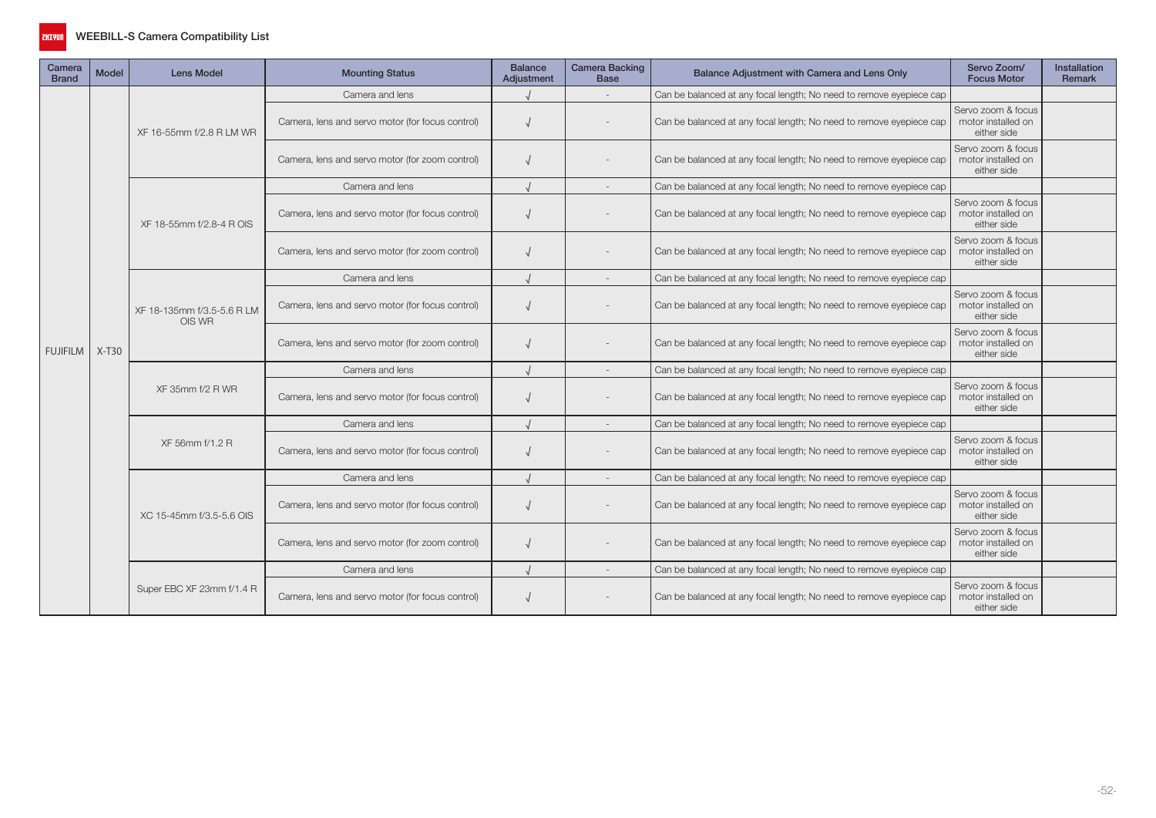

| Camera<br><b>Brand</b> | <b>Model</b> | <b>Lens Model</b>                    | <b>Mounting Status</b>                           | <b>Balance</b><br>Adjustment                     | <b>Camera Backing</b><br><b>Base</b> | Balance Adjustment with Camera and Lens Only                        | Servo Zoom/<br><b>Focus Motor</b>                                   | <b>Installation</b><br>Remark                           |  |
|------------------------|--------------|--------------------------------------|--------------------------------------------------|--------------------------------------------------|--------------------------------------|---------------------------------------------------------------------|---------------------------------------------------------------------|---------------------------------------------------------|--|
|                        |              |                                      | Camera and lens                                  |                                                  |                                      | Can be balanced at any focal length; No need to remove eyepiece cap |                                                                     |                                                         |  |
|                        |              |                                      | XF 16-55mm f/2.8 R LM WR                         | Camera, lens and servo motor (for focus control) |                                      |                                                                     | Can be balanced at any focal length; No need to remove eyepiece cap | Servo zoom & focus<br>motor installed on<br>either side |  |
|                        |              |                                      | Camera, lens and servo motor (for zoom control)  |                                                  |                                      | Can be balanced at any focal length; No need to remove eyepiece cap | Servo zoom & focus<br>motor installed on<br>either side             |                                                         |  |
|                        |              |                                      | Camera and lens                                  |                                                  |                                      | Can be balanced at any focal length; No need to remove eyepiece cap |                                                                     |                                                         |  |
|                        |              | XF 18-55mm f/2.8-4 R OIS             | Camera, lens and servo motor (for focus control) |                                                  |                                      | Can be balanced at any focal length; No need to remove eyepiece cap | Servo zoom & focus<br>motor installed on<br>either side             |                                                         |  |
|                        |              |                                      | Camera, lens and servo motor (for zoom control)  |                                                  |                                      | Can be balanced at any focal length; No need to remove eyepiece cap | Servo zoom & focus<br>motor installed on<br>either side             |                                                         |  |
|                        | $X-T30$      |                                      | Camera and lens                                  |                                                  |                                      | Can be balanced at any focal length; No need to remove eyepiece cap |                                                                     |                                                         |  |
|                        |              | XF 18-135mm f/3.5-5.6 R LM<br>OIS WR | Camera, lens and servo motor (for focus control) |                                                  |                                      | Can be balanced at any focal length; No need to remove eyepiece cap | Servo zoom & focus<br>motor installed on<br>either side             |                                                         |  |
| <b>FUJIFILM</b>        |              |                                      | Camera, lens and servo motor (for zoom control)  |                                                  |                                      | Can be balanced at any focal length; No need to remove eyepiece cap | Servo zoom & focus<br>motor installed on<br>either side             |                                                         |  |
|                        |              |                                      | Camera and lens                                  |                                                  |                                      | Can be balanced at any focal length; No need to remove eyepiece cap |                                                                     |                                                         |  |
|                        |              | XF 35mm f/2 R WR                     | Camera, lens and servo motor (for focus control) |                                                  |                                      | Can be balanced at any focal length; No need to remove eyepiece cap | Servo zoom & focus<br>motor installed on<br>either side             |                                                         |  |
|                        |              |                                      | Camera and lens                                  |                                                  |                                      | Can be balanced at any focal length; No need to remove eyepiece cap |                                                                     |                                                         |  |
|                        |              | XF 56mm f/1.2 R                      | Camera, lens and servo motor (for focus control) |                                                  |                                      | Can be balanced at any focal length; No need to remove eyepiece cap | Servo zoom & focus<br>motor installed on<br>either side             |                                                         |  |
|                        |              |                                      | Camera and lens                                  |                                                  |                                      | Can be balanced at any focal length; No need to remove eyepiece cap |                                                                     |                                                         |  |
|                        |              | XC 15-45mm f/3.5-5.6 OIS             | Camera, lens and servo motor (for focus control) |                                                  |                                      | Can be balanced at any focal length; No need to remove eyepiece cap | Servo zoom & focus<br>motor installed on<br>either side             |                                                         |  |
|                        |              |                                      | Camera, lens and servo motor (for zoom control)  |                                                  |                                      | Can be balanced at any focal length; No need to remove eyepiece cap | Servo zoom & focus<br>motor installed on<br>either side             |                                                         |  |
|                        |              |                                      | Camera and lens                                  |                                                  |                                      | Can be balanced at any focal length; No need to remove eyepiece cap |                                                                     |                                                         |  |
|                        |              | Super EBC XF 23mm f/1.4 R            | Camera, lens and servo motor (for focus control) |                                                  |                                      | Can be balanced at any focal length; No need to remove eyepiece cap | Servo zoom & focus<br>motor installed on<br>either side             |                                                         |  |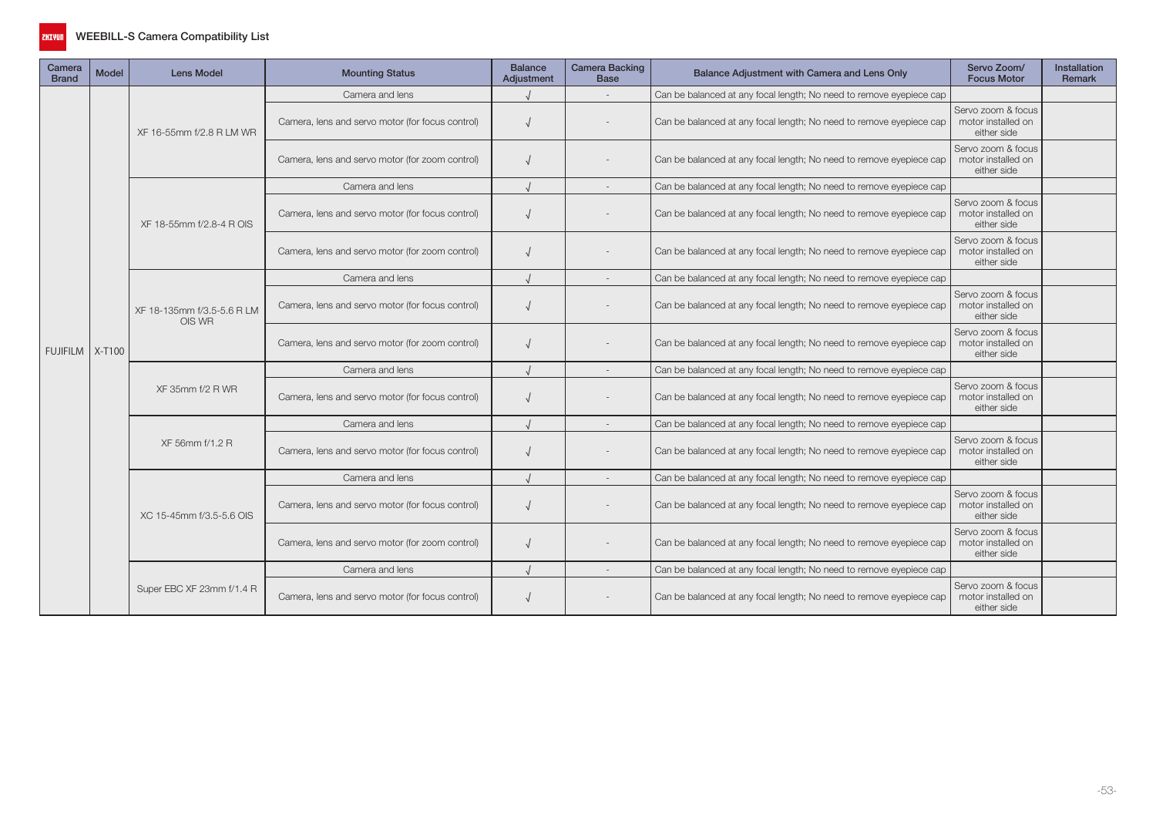

| Camera<br><b>Brand</b> | <b>Model</b> | <b>Lens Model</b>                    | <b>Mounting Status</b>                           | <b>Balance</b><br>Adjustment | <b>Camera Backing</b><br><b>Base</b>                                | Balance Adjustment with Camera and Lens Only                        | Servo Zoom/<br><b>Focus Motor</b>                                                                                                                              | <b>Installation</b><br>Remark |
|------------------------|--------------|--------------------------------------|--------------------------------------------------|------------------------------|---------------------------------------------------------------------|---------------------------------------------------------------------|----------------------------------------------------------------------------------------------------------------------------------------------------------------|-------------------------------|
|                        |              |                                      | Camera and lens                                  |                              |                                                                     | Can be balanced at any focal length; No need to remove eyepiece cap |                                                                                                                                                                |                               |
|                        |              | XF 16-55mm f/2.8 R LM WR             | Camera, lens and servo motor (for focus control) |                              |                                                                     | Can be balanced at any focal length; No need to remove eyepiece cap | Servo zoom & focus<br>motor installed on<br>either side                                                                                                        |                               |
|                        |              |                                      | Camera, lens and servo motor (for zoom control)  |                              |                                                                     | Can be balanced at any focal length; No need to remove eyepiece cap | Servo zoom & focus<br>motor installed on<br>either side                                                                                                        |                               |
|                        |              |                                      | Camera and lens                                  |                              |                                                                     | Can be balanced at any focal length; No need to remove eyepiece cap |                                                                                                                                                                |                               |
|                        |              | XF 18-55mm f/2.8-4 R OIS             | Camera, lens and servo motor (for focus control) |                              |                                                                     | Can be balanced at any focal length; No need to remove eyepiece cap | Servo zoom & focus<br>motor installed on<br>either side                                                                                                        |                               |
|                        |              |                                      | Camera, lens and servo motor (for zoom control)  |                              |                                                                     | Can be balanced at any focal length; No need to remove eyepiece cap | Servo zoom & focus<br>motor installed on<br>either side                                                                                                        |                               |
|                        |              | Camera and lens                      |                                                  |                              | Can be balanced at any focal length; No need to remove eyepiece cap |                                                                     |                                                                                                                                                                |                               |
|                        |              | XF 18-135mm f/3.5-5.6 R LM<br>OIS WR | Camera, lens and servo motor (for focus control) |                              |                                                                     | Can be balanced at any focal length; No need to remove eyepiece cap | Servo zoom & focus<br>motor installed on<br>either side                                                                                                        |                               |
| FUJIFILM   X-T100      |              |                                      | Camera, lens and servo motor (for zoom control)  |                              |                                                                     | Can be balanced at any focal length; No need to remove eyepiece cap | Servo zoom & focus<br>motor installed on<br>either side<br>Servo zoom & focus<br>motor installed on<br>either side<br>Servo zoom & focus<br>motor installed on |                               |
|                        |              |                                      | Camera and lens                                  |                              |                                                                     | Can be balanced at any focal length; No need to remove eyepiece cap |                                                                                                                                                                |                               |
|                        |              | XF 35mm f/2 R WR                     | Camera, lens and servo motor (for focus control) |                              |                                                                     | Can be balanced at any focal length; No need to remove eyepiece cap |                                                                                                                                                                |                               |
|                        |              |                                      | Camera and lens                                  |                              |                                                                     | Can be balanced at any focal length; No need to remove eyepiece cap |                                                                                                                                                                |                               |
|                        |              | XF 56mm f/1.2 R                      | Camera, lens and servo motor (for focus control) |                              |                                                                     | Can be balanced at any focal length; No need to remove eyepiece cap | either side                                                                                                                                                    |                               |
|                        |              |                                      | Camera and lens                                  |                              |                                                                     | Can be balanced at any focal length; No need to remove eyepiece cap |                                                                                                                                                                |                               |
|                        |              | XC 15-45mm f/3.5-5.6 OIS             | Camera, lens and servo motor (for focus control) |                              |                                                                     | Can be balanced at any focal length; No need to remove eyepiece cap | Servo zoom & focus<br>motor installed on<br>either side                                                                                                        |                               |
|                        |              |                                      | Camera, lens and servo motor (for zoom control)  |                              |                                                                     | Can be balanced at any focal length; No need to remove eyepiece cap | Servo zoom & focus<br>motor installed on<br>either side                                                                                                        |                               |
|                        |              |                                      | Camera and lens                                  |                              |                                                                     | Can be balanced at any focal length; No need to remove eyepiece cap |                                                                                                                                                                |                               |
|                        |              | Super EBC XF 23mm f/1.4 R            | Camera, lens and servo motor (for focus control) |                              |                                                                     | Can be balanced at any focal length; No need to remove eyepiece cap | Servo zoom & focus<br>motor installed on<br>either side                                                                                                        |                               |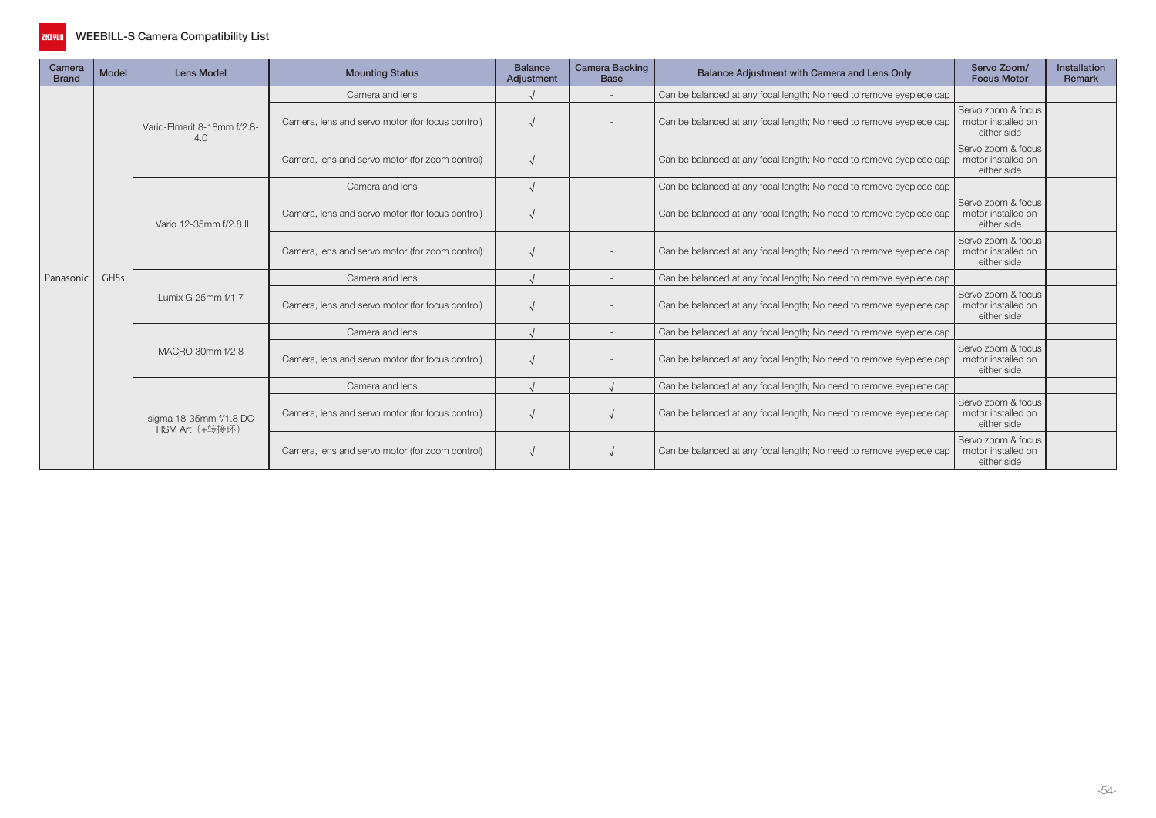

| Camera<br><b>Brand</b> | Model            | <b>Lens Model</b>                        | <b>Mounting Status</b>                           | <b>Balance</b><br>Adjustment                    | Camera Backing<br><b>Base</b> | Balance Adjustment with Camera and Lens Only                        | Servo Zoom/<br><b>Focus Motor</b>                                   | Installation<br>Remark                                  |  |
|------------------------|------------------|------------------------------------------|--------------------------------------------------|-------------------------------------------------|-------------------------------|---------------------------------------------------------------------|---------------------------------------------------------------------|---------------------------------------------------------|--|
|                        |                  |                                          | Camera and lens                                  |                                                 |                               | Can be balanced at any focal length; No need to remove eyepiece cap |                                                                     |                                                         |  |
|                        |                  | Vario-Elmarit 8-18mm f/2.8-<br>4.0       | Camera, lens and servo motor (for focus control) |                                                 |                               | Can be balanced at any focal length; No need to remove eyepiece cap | Servo zoom & focus<br>motor installed on<br>either side             |                                                         |  |
|                        |                  |                                          | Camera, lens and servo motor (for zoom control)  |                                                 |                               | Can be balanced at any focal length; No need to remove eyepiece cap | Servo zoom & focus<br>motor installed on<br>either side             |                                                         |  |
|                        |                  |                                          | Camera and lens                                  |                                                 |                               | Can be balanced at any focal length; No need to remove eyepiece cap |                                                                     |                                                         |  |
|                        |                  | Vario 12-35mm f/2.8 II                   | Camera, lens and servo motor (for focus control) |                                                 |                               | Can be balanced at any focal length; No need to remove eyepiece cap | Servo zoom & focus<br>motor installed on<br>either side             |                                                         |  |
|                        | GH <sub>5s</sub> |                                          |                                                  | Camera, lens and servo motor (for zoom control) |                               |                                                                     | Can be balanced at any focal length; No need to remove eyepiece cap | Servo zoom & focus<br>motor installed on<br>either side |  |
| Panasonic              |                  | Lumix G 25mm f/1.7                       | Camera and lens                                  |                                                 |                               | Can be balanced at any focal length; No need to remove eyepiece cap |                                                                     |                                                         |  |
|                        |                  |                                          | Camera, lens and servo motor (for focus control) |                                                 |                               | Can be balanced at any focal length; No need to remove eyepiece cap | Servo zoom & focus<br>motor installed on<br>either side             |                                                         |  |
|                        |                  |                                          | Camera and lens                                  |                                                 |                               | Can be balanced at any focal length; No need to remove eyepiece cap |                                                                     |                                                         |  |
|                        |                  | MACRO 30mm f/2.8                         | Camera, lens and servo motor (for focus control) |                                                 |                               | Can be balanced at any focal length; No need to remove eyepiece cap | Servo zoom & focus<br>motor installed on<br>either side             |                                                         |  |
|                        |                  |                                          | Camera and lens                                  |                                                 |                               | Can be balanced at any focal length; No need to remove eyepiece cap |                                                                     |                                                         |  |
|                        |                  | sigma 18-35mm f/1.8 DC<br>HSM Art (+转接环) | Camera, lens and servo motor (for focus control) |                                                 |                               | Can be balanced at any focal length; No need to remove eyepiece cap | Servo zoom & focus<br>motor installed on<br>either side             |                                                         |  |
|                        |                  |                                          | Camera, lens and servo motor (for zoom control)  |                                                 |                               | Can be balanced at any focal length; No need to remove eyepiece cap | Servo zoom & focus<br>motor installed on<br>either side             |                                                         |  |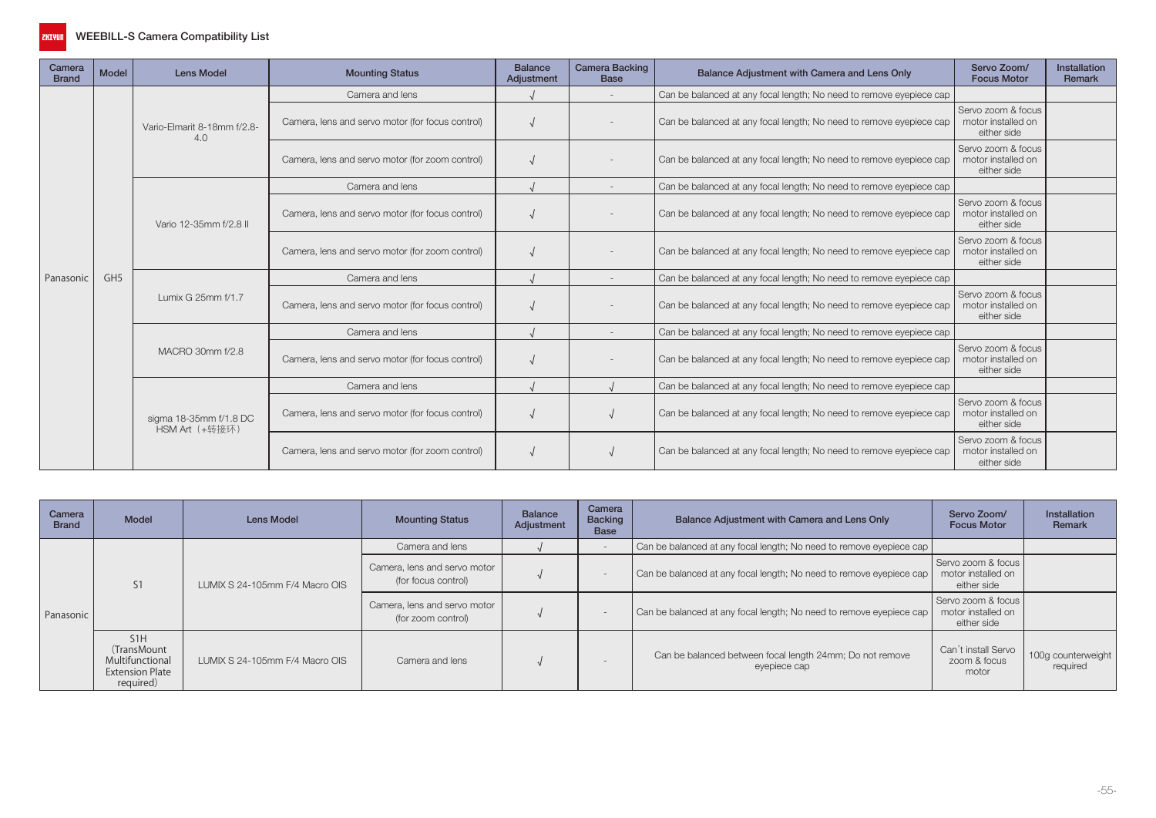

| Camera<br><b>Brand</b> | Model           | <b>Lens Model</b>                        | <b>Mounting Status</b>                           | <b>Balance</b><br>Adjustment | <b>Camera Backing</b><br><b>Base</b> | Balance Adjustment with Camera and Lens Only                        | Servo Zoom/<br><b>Focus Motor</b>                       | Installation<br>Remark |
|------------------------|-----------------|------------------------------------------|--------------------------------------------------|------------------------------|--------------------------------------|---------------------------------------------------------------------|---------------------------------------------------------|------------------------|
|                        |                 | Vario-Elmarit 8-18mm f/2.8-<br>4.0       | Camera and lens                                  |                              |                                      | Can be balanced at any focal length; No need to remove eyepiece cap |                                                         |                        |
|                        |                 |                                          | Camera, lens and servo motor (for focus control) |                              |                                      | Can be balanced at any focal length; No need to remove eyepiece cap | Servo zoom & focus<br>motor installed on<br>either side |                        |
|                        |                 |                                          | Camera, lens and servo motor (for zoom control)  |                              |                                      | Can be balanced at any focal length; No need to remove eyepiece cap | Servo zoom & focus<br>motor installed on<br>either side |                        |
|                        |                 |                                          | Camera and lens                                  |                              |                                      | Can be balanced at any focal length; No need to remove eyepiece cap |                                                         |                        |
|                        |                 | Vario 12-35mm f/2.8 II                   | Camera, lens and servo motor (for focus control) |                              |                                      | Can be balanced at any focal length; No need to remove eyepiece cap | Servo zoom & focus<br>motor installed on<br>either side |                        |
|                        | GH <sub>5</sub> |                                          | Camera, lens and servo motor (for zoom control)  |                              |                                      | Can be balanced at any focal length; No need to remove eyepiece cap | Servo zoom & focus<br>motor installed on<br>either side |                        |
| Panasonic              |                 |                                          | Camera and lens                                  |                              |                                      | Can be balanced at any focal length; No need to remove eyepiece cap |                                                         |                        |
|                        |                 | Lumix G 25mm f/1.7                       | Camera, lens and servo motor (for focus control) |                              |                                      | Can be balanced at any focal length; No need to remove eyepiece cap | Servo zoom & focus<br>motor installed on<br>either side |                        |
|                        |                 |                                          | Camera and lens                                  |                              |                                      | Can be balanced at any focal length; No need to remove eyepiece cap |                                                         |                        |
|                        |                 | MACRO 30mm f/2.8                         | Camera, lens and servo motor (for focus control) |                              |                                      | Can be balanced at any focal length; No need to remove eyepiece cap | Servo zoom & focus<br>motor installed on<br>either side |                        |
|                        |                 |                                          | Camera and lens                                  |                              |                                      | Can be balanced at any focal length; No need to remove eyepiece cap |                                                         |                        |
|                        |                 | sigma 18-35mm f/1.8 DC<br>HSM Art (+转接环) | Camera, lens and servo motor (for focus control) |                              |                                      | Can be balanced at any focal length; No need to remove eyepiece cap | Servo zoom & focus<br>motor installed on<br>either side |                        |
|                        |                 |                                          | Camera, lens and servo motor (for zoom control)  |                              |                                      | Can be balanced at any focal length; No need to remove eyepiece cap | Servo zoom & focus<br>motor installed on<br>either side |                        |

| Camera<br><b>Brand</b> | <b>Model</b>                                                                              | <b>Lens Model</b>              | <b>Mounting Status</b>                              | <b>Balance</b><br>Adjustment | Camera<br><b>Backing</b><br><b>Base</b> | Balance Adjustment with Camera and Lens Only                             | Servo Zoom/<br><b>Focus Motor</b>                         | Installation<br>Remark         |
|------------------------|-------------------------------------------------------------------------------------------|--------------------------------|-----------------------------------------------------|------------------------------|-----------------------------------------|--------------------------------------------------------------------------|-----------------------------------------------------------|--------------------------------|
|                        |                                                                                           |                                | Camera and lens                                     |                              |                                         | Can be balanced at any focal length; No need to remove eyepiece cap      |                                                           |                                |
| Panasonic              | S <sub>1</sub>                                                                            | LUMIX S 24-105mm F/4 Macro OIS | Camera, lens and servo motor<br>(for focus control) |                              | $\overline{\phantom{a}}$                | Can be balanced at any focal length; No need to remove eyepiece cap      | Servo zoom & focus<br>motor installed on<br>either side   |                                |
|                        |                                                                                           |                                | Camera, lens and servo motor<br>(for zoom control)  |                              | $\sim$                                  | Can be balanced at any focal length; No need to remove eyepiece cap      | Servo zoom & focus I<br>motor installed on<br>either side |                                |
|                        | S <sub>1</sub> H<br>(TransMount<br>Multifunctional<br><b>Extension Plate</b><br>required) | LUMIX S 24-105mm F/4 Macro OIS | Camera and lens                                     |                              |                                         | Can be balanced between focal length 24mm; Do not remove<br>eyepiece cap | Can't install Servo<br>zoom & focus<br>motor              | 100g counterweight<br>required |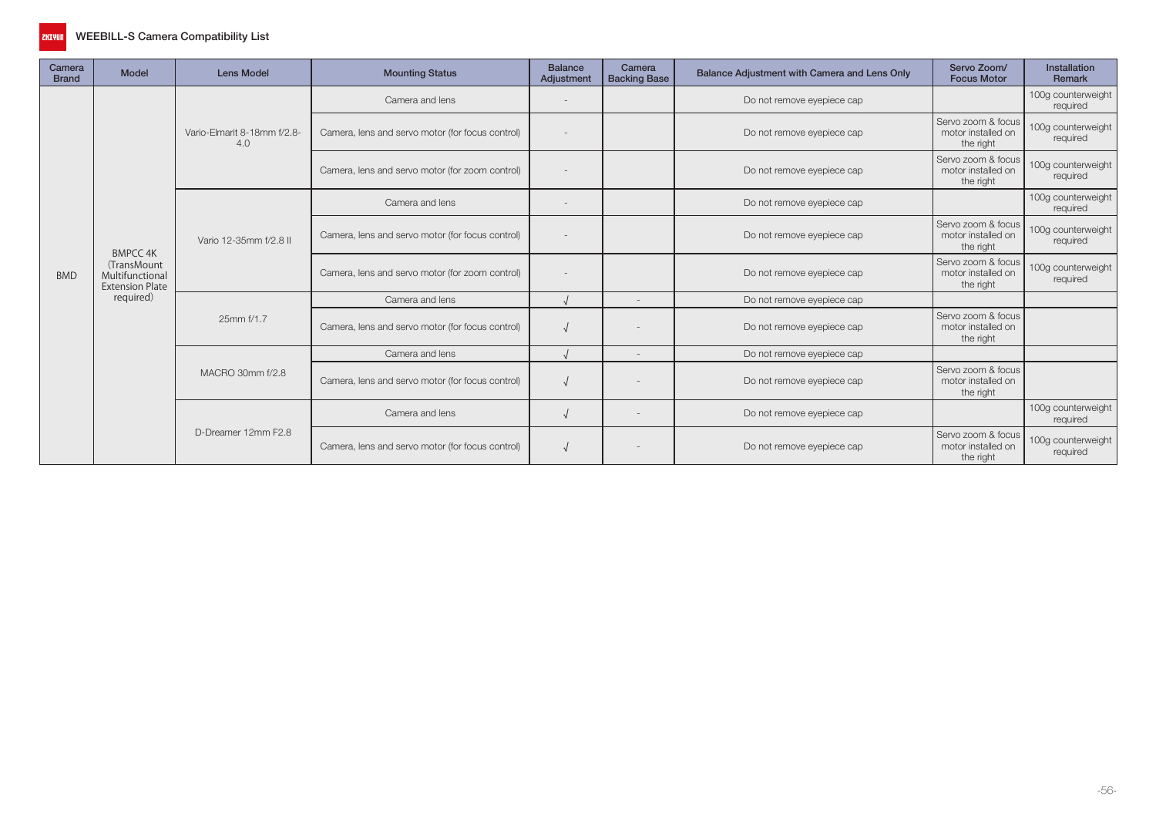

| Camera<br><b>Brand</b> | <b>Model</b>                                                                | <b>Lens Model</b>                  | <b>Mounting Status</b>                           | <b>Balance</b><br>Adjustment | Camera<br><b>Backing Base</b> | Balance Adjustment with Camera and Lens Only | Servo Zoom/<br><b>Focus Motor</b>                     | Installation<br>Remark         |
|------------------------|-----------------------------------------------------------------------------|------------------------------------|--------------------------------------------------|------------------------------|-------------------------------|----------------------------------------------|-------------------------------------------------------|--------------------------------|
|                        |                                                                             |                                    | Camera and lens                                  | $\overline{\phantom{a}}$     |                               | Do not remove eyepiece cap                   |                                                       | 100g counterweight<br>required |
|                        |                                                                             | Vario-Elmarit 8-18mm f/2.8-<br>4.0 | Camera, lens and servo motor (for focus control) |                              |                               | Do not remove eyepiece cap                   | Servo zoom & focus<br>motor installed on<br>the right | 100g counterweight<br>required |
|                        |                                                                             |                                    | Camera, lens and servo motor (for zoom control)  |                              |                               | Do not remove eyepiece cap                   | Servo zoom & focus<br>motor installed on<br>the right | 100g counterweight<br>required |
|                        |                                                                             |                                    | Camera and lens                                  |                              |                               | Do not remove eyepiece cap                   |                                                       | 100g counterweight<br>required |
|                        | <b>BMPCC 4K</b><br>(TransMount<br>Multifunctional<br><b>Extension Plate</b> | Vario 12-35mm f/2.8 II             | Camera, lens and servo motor (for focus control) |                              |                               | Do not remove eyepiece cap                   | Servo zoom & focus<br>motor installed on<br>the right | 100g counterweight<br>required |
| <b>BMD</b>             |                                                                             |                                    | Camera, lens and servo motor (for zoom control)  |                              |                               | Do not remove eyepiece cap                   | Servo zoom & focus<br>motor installed on<br>the right | 100g counterweight<br>required |
|                        | required)                                                                   |                                    | Camera and lens                                  |                              | $\sim$                        | Do not remove eyepiece cap                   |                                                       |                                |
|                        |                                                                             | 25mm f/1.7                         | Camera, lens and servo motor (for focus control) |                              |                               | Do not remove eyepiece cap                   | Servo zoom & focus<br>motor installed on<br>the right |                                |
|                        |                                                                             |                                    | Camera and lens                                  |                              |                               | Do not remove eyepiece cap                   |                                                       |                                |
|                        |                                                                             | MACRO 30mm f/2.8                   | Camera, lens and servo motor (for focus control) |                              |                               | Do not remove eyepiece cap                   | Servo zoom & focus<br>motor installed on<br>the right |                                |
|                        |                                                                             |                                    | Camera and lens                                  | $\sqrt{2}$                   |                               | Do not remove eyepiece cap                   |                                                       | 100g counterweight<br>required |
|                        |                                                                             | D-Dreamer 12mm F2.8                | Camera, lens and servo motor (for focus control) |                              |                               | Do not remove eyepiece cap                   | Servo zoom & focus<br>motor installed on<br>the right | 100g counterweight<br>required |